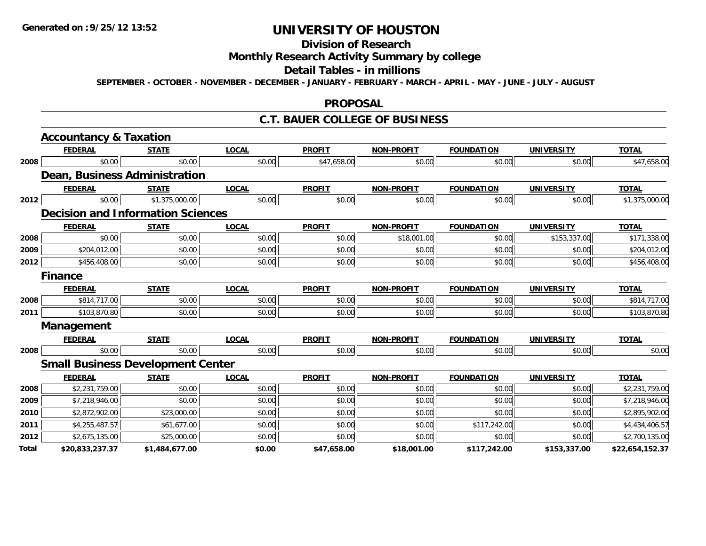# **Division of Research**

# **Monthly Research Activity Summary by college**

#### **Detail Tables - in millions**

**SEPTEMBER - OCTOBER - NOVEMBER - DECEMBER - JANUARY - FEBRUARY - MARCH - APRIL - MAY - JUNE - JULY - AUGUST**

#### **PROPOSAL**

#### **C.T. BAUER COLLEGE OF BUSINESS**

|       | <b>Accountancy &amp; Taxation</b> |                                          |              |               |                   |                   |                   |                 |
|-------|-----------------------------------|------------------------------------------|--------------|---------------|-------------------|-------------------|-------------------|-----------------|
|       | <b>FEDERAL</b>                    | <b>STATE</b>                             | <b>LOCAL</b> | <b>PROFIT</b> | <b>NON-PROFIT</b> | <b>FOUNDATION</b> | <b>UNIVERSITY</b> | <b>TOTAL</b>    |
| 2008  | \$0.00                            | \$0.00                                   | \$0.00       | \$47,658.00   | \$0.00            | \$0.00            | \$0.00            | \$47,658.00     |
|       |                                   | Dean, Business Administration            |              |               |                   |                   |                   |                 |
|       | <b>FEDERAL</b>                    | <b>STATE</b>                             | <b>LOCAL</b> | <b>PROFIT</b> | <b>NON-PROFIT</b> | <b>FOUNDATION</b> | <b>UNIVERSITY</b> | <b>TOTAL</b>    |
| 2012  | \$0.00                            | \$1,375,000.00                           | \$0.00       | \$0.00        | \$0.00            | \$0.00            | \$0.00            | \$1,375,000.00  |
|       |                                   | <b>Decision and Information Sciences</b> |              |               |                   |                   |                   |                 |
|       | <b>FEDERAL</b>                    | <b>STATE</b>                             | <b>LOCAL</b> | <b>PROFIT</b> | <b>NON-PROFIT</b> | <b>FOUNDATION</b> | <b>UNIVERSITY</b> | <b>TOTAL</b>    |
| 2008  | \$0.00                            | \$0.00                                   | \$0.00       | \$0.00        | \$18,001.00       | \$0.00            | \$153,337.00      | \$171,338.00    |
| 2009  | \$204,012.00                      | \$0.00                                   | \$0.00       | \$0.00        | \$0.00            | \$0.00            | \$0.00            | \$204,012.00    |
| 2012  | \$456,408.00                      | \$0.00                                   | \$0.00       | \$0.00        | \$0.00            | \$0.00            | \$0.00            | \$456,408.00    |
|       | <b>Finance</b>                    |                                          |              |               |                   |                   |                   |                 |
|       | <b>FEDERAL</b>                    | <b>STATE</b>                             | <b>LOCAL</b> | <b>PROFIT</b> | <b>NON-PROFIT</b> | <b>FOUNDATION</b> | <b>UNIVERSITY</b> | <b>TOTAL</b>    |
| 2008  | \$814,717.00                      | \$0.00                                   | \$0.00       | \$0.00        | \$0.00            | \$0.00            | \$0.00            | \$814,717.00    |
| 2011  | \$103,870.80                      | \$0.00                                   | \$0.00       | \$0.00        | \$0.00            | \$0.00            | \$0.00            | \$103,870.80    |
|       | Management                        |                                          |              |               |                   |                   |                   |                 |
|       | <b>FEDERAL</b>                    | <b>STATE</b>                             | <b>LOCAL</b> | <b>PROFIT</b> | <b>NON-PROFIT</b> | <b>FOUNDATION</b> | <b>UNIVERSITY</b> | <b>TOTAL</b>    |
| 2008  | \$0.00                            | \$0.00                                   | \$0.00       | \$0.00        | \$0.00            | \$0.00            | \$0.00            | \$0.00          |
|       |                                   | <b>Small Business Development Center</b> |              |               |                   |                   |                   |                 |
|       | <b>FEDERAL</b>                    | <b>STATE</b>                             | <b>LOCAL</b> | <b>PROFIT</b> | <b>NON-PROFIT</b> | <b>FOUNDATION</b> | <b>UNIVERSITY</b> | <b>TOTAL</b>    |
| 2008  | \$2,231,759.00                    | \$0.00                                   | \$0.00       | \$0.00        | \$0.00            | \$0.00            | \$0.00            | \$2,231,759.00  |
| 2009  | \$7,218,946.00                    | \$0.00                                   | \$0.00       | \$0.00        | \$0.00            | \$0.00            | \$0.00            | \$7,218,946.00  |
| 2010  | \$2,872,902.00                    | \$23,000.00                              | \$0.00       | \$0.00        | \$0.00            | \$0.00            | \$0.00            | \$2,895,902.00  |
| 2011  | \$4,255,487.57                    | \$61,677.00                              | \$0.00       | \$0.00        | \$0.00            | \$117,242.00      | \$0.00            | \$4,434,406.57  |
| 2012  | \$2,675,135.00                    | \$25,000.00                              | \$0.00       | \$0.00        | \$0.00            | \$0.00            | \$0.00            | \$2,700,135.00  |
| Total | \$20,833,237.37                   | \$1,484,677.00                           | \$0.00       | \$47,658.00   | \$18,001.00       | \$117,242.00      | \$153,337.00      | \$22,654,152.37 |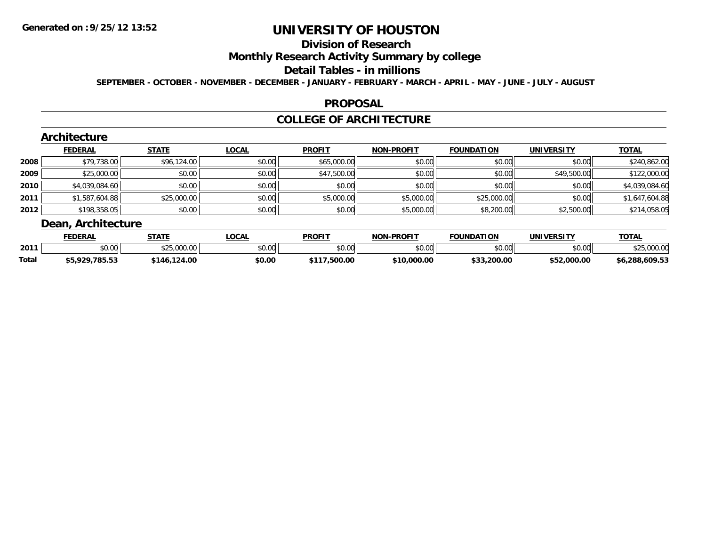## **Division of Research**

#### **Monthly Research Activity Summary by college**

#### **Detail Tables - in millions**

**SEPTEMBER - OCTOBER - NOVEMBER - DECEMBER - JANUARY - FEBRUARY - MARCH - APRIL - MAY - JUNE - JULY - AUGUST**

#### **PROPOSAL**

## **COLLEGE OF ARCHITECTURE**

**TOTAL** 

#### **Architecture FEDERAL STATE LOCAL PROFIT NON-PROFIT FOUNDATION UNIVERSITY TOTAL2008**8 \$79,738.00| \$96,124.00| \$0.00| \$0.00| \$65,000.00| \$0.00| \$0.00| \$0.00| \$0.00| \$0.00| \$240,862.00 **2009** \$25,000.00 \$0.00 \$0.00 \$47,500.00 \$0.00 \$0.00 \$49,500.00 \$122,000.00 **2010** $\textsf{[0]} \quad \textsf{[0]} \quad \textsf{[0]} \quad \textsf{[0]} \quad \textsf{[0]} \quad \textsf{[0]} \quad \textsf{[0]} \quad \textsf{[0]} \quad \textsf{[0]} \quad \textsf{[0]} \quad \textsf{[0]} \quad \textsf{[0]} \quad \textsf{[0]} \quad \textsf{[0]} \quad \textsf{[0]} \quad \textsf{[0]} \quad \textsf{[0]} \quad \textsf{[0]} \quad \textsf{[0]} \quad \textsf{[0]} \quad \textsf{[0]} \quad \textsf{[0]} \quad \textsf{[0]} \quad \textsf{[0]} \quad \textsf{$ **2011** \$1,587,604.88 \$25,000.00 \$0.00 \$5,000.00 \$5,000.00 \$25,000.00 \$0.00 \$1,647,604.88 **2012** \$198,358.05 \$0.00 \$0.00 \$0.00 \$5,000.00 \$8,200.00 \$2,500.00 \$214,058.05 **Dean, Architecture**

|              | <b>FEDERA</b>           | <b>STATE</b>                                      | .OCA   | PROFIT        | <b>-PROFIT</b><br><b>NON</b> | <b>FOUNDATION</b> | UNIVERSITY | TOTA.              |
|--------------|-------------------------|---------------------------------------------------|--------|---------------|------------------------------|-------------------|------------|--------------------|
| 2011         | 0000<br>vu.uu           | $A^{\wedge}$ $A^{\wedge}$<br>$\sim$<br>23.000.00L | \$0.00 | 0000<br>. UU  | \$0.00                       | ደስ ሰሰ<br>,,,,,,   | \$0.00     | $\sim$<br>,,,,,,,, |
| <b>Total</b> | 70E ES<br>റാറ<br>, c.co | 124.00<br><i><b>AP</b></i>                        | \$0.00 | <b>EOO OC</b> | .000.00<br>ቀሳ ጠ<br>.         | ሖጣጣ<br>200.00     | .000.00    | \$6,288,609.53     |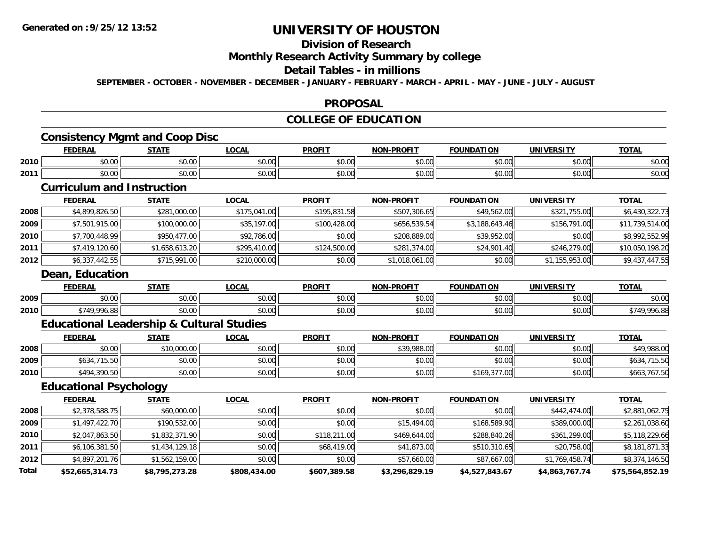# **Division of Research**

### **Monthly Research Activity Summary by college**

### **Detail Tables - in millions**

**SEPTEMBER - OCTOBER - NOVEMBER - DECEMBER - JANUARY - FEBRUARY - MARCH - APRIL - MAY - JUNE - JULY - AUGUST**

#### **PROPOSAL**

## **COLLEGE OF EDUCATION**

## **Consistency Mgmt and Coop Disc**

|      | <b>FEDERAL</b> | <b>STATE</b>                 | <b>LOCAL</b>  | <b>PROFIT</b>          | <b>NON-PROFIT</b> | <b>FOUNDATION</b> | <b>IINIVERSITY</b>        | <b>TOTA</b>            |
|------|----------------|------------------------------|---------------|------------------------|-------------------|-------------------|---------------------------|------------------------|
| 2010 | 0000<br>pu.uu  | 0000<br>vu.vu                | 0.00<br>vu.vu | $\sim$ $\sim$<br>vv.vv | 0000<br>vv.vv     | \$0.00            | $\sim$ 00<br>PU.UU        | $\sim$ $\sim$<br>ง∪.∪บ |
| 2011 | 0000<br>DU.UU  | <b>ተገ</b><br>$\sim$<br>JU.UU | 0.00<br>JU.UU | $\sim$ $\sim$<br>JU.UU | 0000<br>vu.vu     | \$0.00            | $\sim$ 00<br><b>DU.UG</b> | $\sim$ $\sim$<br>ง∪.∪บ |

### **Curriculum and Instruction**

|      | <b>FEDERAL</b>  | <b>STATE</b>   | <b>LOCAL</b> | <b>PROFIT</b> | <b>NON-PROFIT</b> | <b>FOUNDATION</b> | <b>UNIVERSITY</b> | <b>TOTAL</b>    |
|------|-----------------|----------------|--------------|---------------|-------------------|-------------------|-------------------|-----------------|
| 2008 | \$4,899,826.50  | \$281,000.00   | \$175,041.00 | \$195,831.58  | \$507,306.65      | \$49,562.00       | \$321,755.00      | \$6,430,322.73  |
| 2009 | \$7,501,915.00  | \$100,000.00   | \$35,197.00  | \$100,428.00  | \$656,539.54      | \$3,188,643.46    | \$156,791.00      | \$11,739,514.00 |
| 2010 | \$7,700,448.99  | \$950,477.00   | \$92,786.00  | \$0.00        | \$208,889.00      | \$39,952.00       | \$0.00            | \$8,992,552.99  |
| 2011 | \$7,419,120.60  | \$1,658,613.20 | \$295,410.00 | \$124,500.00  | \$281,374.00      | \$24,901.40       | \$246,279.00      | \$10,050,198.20 |
| 2012 | \$6,337,442.55  | \$715,991.00   | \$210,000.00 | \$0.00        | \$1,018,061.00    | \$0.00            | \$1,155,953.00    | \$9,437,447.55  |
|      | Dean, Education |                |              |               |                   |                   |                   |                 |

|      | <b>FEDERAI</b>             | <b>CTATE</b><br>n    | $\Omega$<br>uum        | <b>PROF!</b>            | <b>DDAEIT</b><br><b>ארות</b><br>79 J J | <b>FOUNDATION</b>      | <b>IINIVEDSITV</b>        | <b>TAT-</b><br>101r |
|------|----------------------------|----------------------|------------------------|-------------------------|----------------------------------------|------------------------|---------------------------|---------------------|
| 2009 | ሶስ ሰሰ<br>JU.UU             | 0000<br><b>JU.UU</b> | $\sim$ $\sim$<br>JU.UU | 0 <sub>n</sub><br>JU.UU | 0000<br>pu.uu                          | $\sim$ $\sim$<br>טט.טע | 0000<br>DU.UG             | \$0.00              |
| 2010 | ሖ ግ ብ ጦ<br>nne nn<br>70.OC | 0000<br><b>JU.UU</b> | JU.UU                  | 0000<br>JU.UU           | 0000<br>JU.UU⊦                         | $\sim$ 00<br>JU.UU     | $\sim$ 00<br><b>DU.UG</b> | $\epsilon$<br>996.  |

## **Educational Leadership & Cultural Studies**

|      | <b>FEDERAL</b> | <b>STATE</b> | LOCAL  | <b>PROFIT</b> | <b>NON-PROFIT</b> | <b>FOUNDATION</b> | UNIVERSITY | <b>TOTAL</b>     |
|------|----------------|--------------|--------|---------------|-------------------|-------------------|------------|------------------|
| 2008 | \$0.00         | ,10,000.00   | \$0.00 | \$0.00        | \$39,988.00       | \$0.00            | \$0.00     | \$49,988.00      |
| 2009 | \$634,715.50   | \$0.00       | \$0.00 | \$0.00        | \$0.00            | \$0.00            | \$0.00     | ,715.50<br>\$634 |
| 2010 | \$494,390.50   | \$0.00       | \$0.00 | \$0.00        | \$0.00            | \$169,377.00      | \$0.00     | \$663,767.50     |

## **Educational Psychology**

|       | <b>FEDERAL</b>  | <b>STATE</b>   | <b>LOCAL</b> | <b>PROFIT</b> | <b>NON-PROFIT</b> | <b>FOUNDATION</b> | UNIVERSITY     | <b>TOTAL</b>    |
|-------|-----------------|----------------|--------------|---------------|-------------------|-------------------|----------------|-----------------|
| 2008  | \$2,378,588.75  | \$60,000.00    | \$0.00       | \$0.00        | \$0.00            | \$0.00            | \$442,474.00   | \$2,881,062.75  |
| 2009  | \$1,497,422.70  | \$190,532.00   | \$0.00       | \$0.00        | \$15,494.00       | \$168,589.90      | \$389,000.00   | \$2,261,038.60  |
| 2010  | \$2,047,863.50  | \$1,832,371.90 | \$0.00       | \$118,211.00  | \$469,644.00      | \$288,840.26      | \$361,299.00   | \$5,118,229.66  |
| 2011  | \$6,106,381.50  | \$1,434,129.18 | \$0.00       | \$68,419.00   | \$41,873.00       | \$510,310.65      | \$20,758.00    | \$8,181,871.33  |
| 2012  | \$4,897,201.76  | \$1,562,159.00 | \$0.00       | \$0.00        | \$57,660.00       | \$87,667.00       | \$1,769,458.74 | \$8,374,146.50  |
| Total | \$52,665,314.73 | \$8,795,273.28 | \$808,434.00 | \$607,389.58  | \$3,296,829.19    | \$4,527,843.67    | \$4,863,767.74 | \$75,564,852.19 |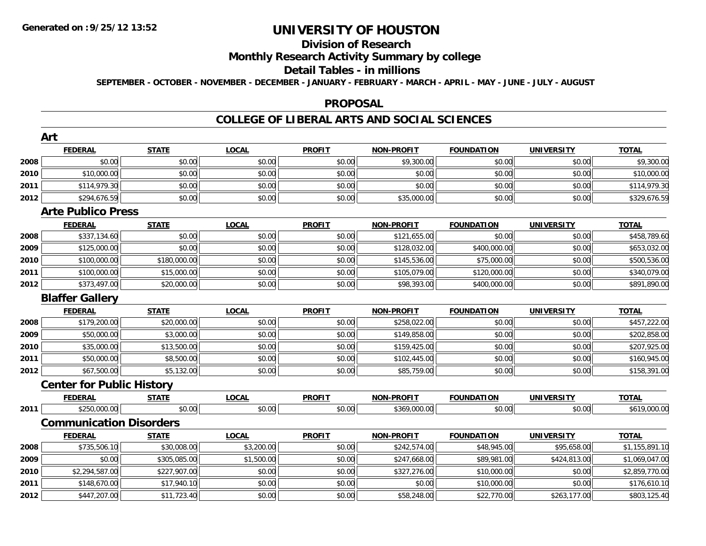# **Division of Research**

## **Monthly Research Activity Summary by college**

#### **Detail Tables - in millions**

**SEPTEMBER - OCTOBER - NOVEMBER - DECEMBER - JANUARY - FEBRUARY - MARCH - APRIL - MAY - JUNE - JULY - AUGUST**

#### **PROPOSAL**

### **COLLEGE OF LIBERAL ARTS AND SOCIAL SCIENCES**

|      | Art                              |              |              |               |                   |                   |                   |                |
|------|----------------------------------|--------------|--------------|---------------|-------------------|-------------------|-------------------|----------------|
|      | <b>FEDERAL</b>                   | <b>STATE</b> | <b>LOCAL</b> | <b>PROFIT</b> | <b>NON-PROFIT</b> | <b>FOUNDATION</b> | <b>UNIVERSITY</b> | <b>TOTAL</b>   |
| 2008 | \$0.00                           | \$0.00       | \$0.00       | \$0.00        | \$9,300.00        | \$0.00            | \$0.00            | \$9,300.00     |
| 2010 | \$10,000.00                      | \$0.00       | \$0.00       | \$0.00        | \$0.00            | \$0.00            | \$0.00            | \$10,000.00    |
| 2011 | \$114,979.30                     | \$0.00       | \$0.00       | \$0.00        | \$0.00            | \$0.00            | \$0.00            | \$114,979.30   |
| 2012 | \$294,676.59                     | \$0.00       | \$0.00       | \$0.00        | \$35,000.00       | \$0.00            | \$0.00            | \$329,676.59   |
|      | <b>Arte Publico Press</b>        |              |              |               |                   |                   |                   |                |
|      | <b>FEDERAL</b>                   | <b>STATE</b> | <b>LOCAL</b> | <b>PROFIT</b> | <b>NON-PROFIT</b> | <b>FOUNDATION</b> | <b>UNIVERSITY</b> | <b>TOTAL</b>   |
| 2008 | \$337,134.60                     | \$0.00       | \$0.00       | \$0.00        | \$121,655.00      | \$0.00            | \$0.00            | \$458,789.60   |
| 2009 | \$125,000.00                     | \$0.00       | \$0.00       | \$0.00        | \$128,032.00      | \$400,000.00      | \$0.00            | \$653,032.00   |
| 2010 | \$100,000.00                     | \$180,000.00 | \$0.00       | \$0.00        | \$145,536.00      | \$75,000.00       | \$0.00            | \$500,536.00   |
| 2011 | \$100,000.00                     | \$15,000.00  | \$0.00       | \$0.00        | \$105,079.00      | \$120,000.00      | \$0.00            | \$340,079.00   |
| 2012 | \$373,497.00                     | \$20,000.00  | \$0.00       | \$0.00        | \$98,393.00       | \$400,000.00      | \$0.00            | \$891,890.00   |
|      | <b>Blaffer Gallery</b>           |              |              |               |                   |                   |                   |                |
|      | <b>FEDERAL</b>                   | <b>STATE</b> | <b>LOCAL</b> | <b>PROFIT</b> | <b>NON-PROFIT</b> | <b>FOUNDATION</b> | <b>UNIVERSITY</b> | <b>TOTAL</b>   |
| 2008 | \$179,200.00                     | \$20,000.00  | \$0.00       | \$0.00        | \$258,022.00      | \$0.00            | \$0.00            | \$457,222.00   |
| 2009 | \$50,000.00                      | \$3,000.00   | \$0.00       | \$0.00        | \$149,858.00      | \$0.00            | \$0.00            | \$202,858.00   |
| 2010 | \$35,000.00                      | \$13,500.00  | \$0.00       | \$0.00        | \$159,425.00      | \$0.00            | \$0.00            | \$207,925.00   |
| 2011 | \$50,000.00                      | \$8,500.00   | \$0.00       | \$0.00        | \$102,445.00      | \$0.00            | \$0.00            | \$160,945.00   |
| 2012 | \$67,500.00                      | \$5,132.00   | \$0.00       | \$0.00        | \$85,759.00       | \$0.00            | \$0.00            | \$158,391.00   |
|      | <b>Center for Public History</b> |              |              |               |                   |                   |                   |                |
|      | <b>FEDERAL</b>                   | <b>STATE</b> | <b>LOCAL</b> | <b>PROFIT</b> | <b>NON-PROFIT</b> | <b>FOUNDATION</b> | <b>UNIVERSITY</b> | <b>TOTAL</b>   |
| 2011 | \$250,000.00                     | \$0.00       | \$0.00       | \$0.00        | \$369,000.00      | \$0.00            | \$0.00            | \$619,000.00   |
|      | <b>Communication Disorders</b>   |              |              |               |                   |                   |                   |                |
|      | <b>FEDERAL</b>                   | <b>STATE</b> | <b>LOCAL</b> | <b>PROFIT</b> | <b>NON-PROFIT</b> | <b>FOUNDATION</b> | <b>UNIVERSITY</b> | <b>TOTAL</b>   |
| 2008 | \$735,506.10                     | \$30,008.00  | \$3,200.00   | \$0.00        | \$242,574.00      | \$48,945.00       | \$95,658.00       | \$1,155,891.10 |
| 2009 | \$0.00                           | \$305,085.00 | \$1,500.00   | \$0.00        | \$247,668.00      | \$89,981.00       | \$424,813.00      | \$1,069,047.00 |
| 2010 | \$2,294,587.00                   | \$227,907.00 | \$0.00       | \$0.00        | \$327,276.00      | \$10,000.00       | \$0.00            | \$2,859,770.00 |
| 2011 | \$148,670.00                     | \$17,940.10  | \$0.00       | \$0.00        | \$0.00            | \$10,000.00       | \$0.00            | \$176,610.10   |
| 2012 | \$447,207.00                     | \$11,723.40  | \$0.00       | \$0.00        | \$58,248.00       | \$22,770.00       | \$263,177.00      | \$803,125.40   |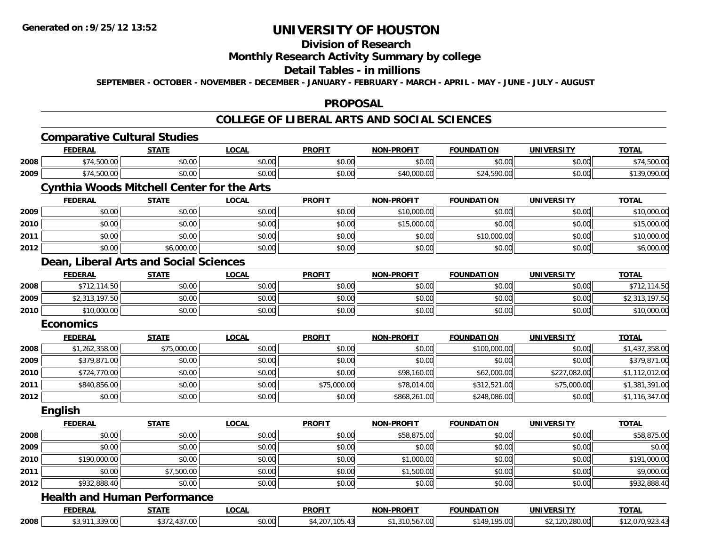#### **Division of Research**

## **Monthly Research Activity Summary by college**

#### **Detail Tables - in millions**

**SEPTEMBER - OCTOBER - NOVEMBER - DECEMBER - JANUARY - FEBRUARY - MARCH - APRIL - MAY - JUNE - JULY - AUGUST**

#### **PROPOSAL**

#### **COLLEGE OF LIBERAL ARTS AND SOCIAL SCIENCES**

|      | <b>Comparative Cultural Studies</b>               |              |              |                |                   |                   |                   |                 |
|------|---------------------------------------------------|--------------|--------------|----------------|-------------------|-------------------|-------------------|-----------------|
|      | <b>FEDERAL</b>                                    | <b>STATE</b> | <b>LOCAL</b> | <b>PROFIT</b>  | <b>NON-PROFIT</b> | <b>FOUNDATION</b> | <b>UNIVERSITY</b> | <b>TOTAL</b>    |
| 2008 | \$74,500.00                                       | \$0.00       | \$0.00       | \$0.00         | \$0.00            | \$0.00            | \$0.00            | \$74,500.00     |
| 2009 | \$74,500.00                                       | \$0.00       | \$0.00       | \$0.00         | \$40,000.00       | \$24,590.00       | \$0.00            | \$139,090.00    |
|      | <b>Cynthia Woods Mitchell Center for the Arts</b> |              |              |                |                   |                   |                   |                 |
|      | <b>FEDERAL</b>                                    | <b>STATE</b> | <b>LOCAL</b> | <b>PROFIT</b>  | <b>NON-PROFIT</b> | <b>FOUNDATION</b> | <b>UNIVERSITY</b> | <b>TOTAL</b>    |
| 2009 | \$0.00                                            | \$0.00       | \$0.00       | \$0.00         | \$10,000.00       | \$0.00            | \$0.00            | \$10,000.00     |
| 2010 | \$0.00                                            | \$0.00       | \$0.00       | \$0.00         | \$15,000.00       | \$0.00            | \$0.00            | \$15,000.00     |
| 2011 | \$0.00                                            | \$0.00       | \$0.00       | \$0.00         | \$0.00            | \$10,000.00       | \$0.00            | \$10,000.00     |
| 2012 | \$0.00                                            | \$6,000.00   | \$0.00       | \$0.00         | \$0.00            | \$0.00            | \$0.00            | \$6,000.00      |
|      | Dean, Liberal Arts and Social Sciences            |              |              |                |                   |                   |                   |                 |
|      | <b>FEDERAL</b>                                    | <b>STATE</b> | <b>LOCAL</b> | <b>PROFIT</b>  | <b>NON-PROFIT</b> | <b>FOUNDATION</b> | <b>UNIVERSITY</b> | <b>TOTAL</b>    |
| 2008 | \$712,114.50                                      | \$0.00       | \$0.00       | \$0.00         | \$0.00            | \$0.00            | \$0.00            | \$712,114.50    |
| 2009 | \$2,313,197.50                                    | \$0.00       | \$0.00       | \$0.00         | \$0.00            | \$0.00            | \$0.00            | \$2,313,197.50  |
| 2010 | \$10,000.00                                       | \$0.00       | \$0.00       | \$0.00         | \$0.00            | \$0.00            | \$0.00            | \$10,000.00     |
|      | <b>Economics</b>                                  |              |              |                |                   |                   |                   |                 |
|      | <b>FEDERAL</b>                                    | <b>STATE</b> | <b>LOCAL</b> | <b>PROFIT</b>  | <b>NON-PROFIT</b> | <b>FOUNDATION</b> | <b>UNIVERSITY</b> | <b>TOTAL</b>    |
| 2008 | \$1,262,358.00                                    | \$75,000.00  | \$0.00       | \$0.00         | \$0.00            | \$100,000.00      | \$0.00            | \$1,437,358.00  |
| 2009 | \$379,871.00                                      | \$0.00       | \$0.00       | \$0.00         | \$0.00            | \$0.00            | \$0.00            | \$379,871.00    |
| 2010 | \$724,770.00                                      | \$0.00       | \$0.00       | \$0.00         | \$98,160.00       | \$62,000.00       | \$227,082.00      | \$1,112,012.00  |
| 2011 | \$840,856.00                                      | \$0.00       | \$0.00       | \$75,000.00    | \$78,014.00       | \$312,521.00      | \$75,000.00       | \$1,381,391.00  |
| 2012 | \$0.00                                            | \$0.00       | \$0.00       | \$0.00         | \$868,261.00      | \$248,086.00      | \$0.00            | \$1,116,347.00  |
|      | <b>English</b>                                    |              |              |                |                   |                   |                   |                 |
|      | <b>FEDERAL</b>                                    | <b>STATE</b> | LOCAL        | <b>PROFIT</b>  | NON-PROFIT        | <b>FOUNDATION</b> | <b>UNIVERSITY</b> | <b>TOTAL</b>    |
| 2008 | \$0.00                                            | \$0.00       | \$0.00       | \$0.00         | \$58,875.00       | \$0.00            | \$0.00            | \$58,875.00     |
| 2009 | \$0.00                                            | \$0.00       | \$0.00       | \$0.00         | \$0.00            | \$0.00            | \$0.00            | \$0.00          |
| 2010 | \$190,000.00                                      | \$0.00       | \$0.00       | \$0.00         | \$1,000.00        | \$0.00            | \$0.00            | \$191,000.00    |
| 2011 | \$0.00                                            | \$7,500.00   | \$0.00       | \$0.00         | \$1,500.00        | \$0.00            | \$0.00            | \$9,000.00      |
| 2012 | \$932,888.40                                      | \$0.00       | \$0.00       | \$0.00         | \$0.00            | \$0.00            | \$0.00            | \$932,888.40    |
|      | <b>Health and Human Performance</b>               |              |              |                |                   |                   |                   |                 |
|      | <b>FEDERAL</b>                                    | <b>STATE</b> | <b>LOCAL</b> | <b>PROFIT</b>  | <b>NON-PROFIT</b> | <b>FOUNDATION</b> | <b>UNIVERSITY</b> | <b>TOTAL</b>    |
| 2008 | \$3,911,339.00                                    | \$372,437.00 | \$0.00       | \$4,207,105.43 | \$1,310,567.00    | \$149,195.00      | \$2,120,280.00    | \$12,070,923.43 |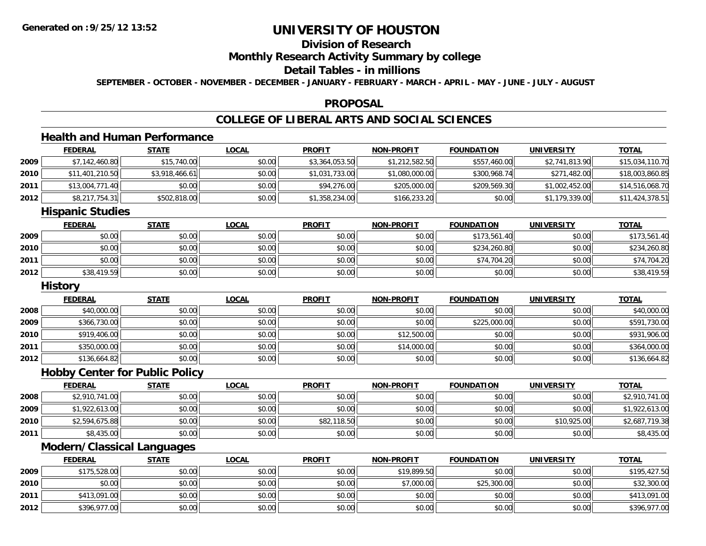# **Division of Research**

## **Monthly Research Activity Summary by college**

#### **Detail Tables - in millions**

**SEPTEMBER - OCTOBER - NOVEMBER - DECEMBER - JANUARY - FEBRUARY - MARCH - APRIL - MAY - JUNE - JULY - AUGUST**

#### **PROPOSAL**

#### **COLLEGE OF LIBERAL ARTS AND SOCIAL SCIENCES**

## **Health and Human Performance**

|      | <b>FEDERAL</b>                    | <b>STATE</b>                          | <b>LOCAL</b> | <b>PROFIT</b>  | <b>NON-PROFIT</b> | <b>FOUNDATION</b> | <b>UNIVERSITY</b> | <b>TOTAL</b>    |
|------|-----------------------------------|---------------------------------------|--------------|----------------|-------------------|-------------------|-------------------|-----------------|
| 2009 | \$7,142,460.80                    | \$15,740.00                           | \$0.00       | \$3,364,053.50 | \$1,212,582.50    | \$557,460.00      | \$2,741,813.90    | \$15,034,110.70 |
| 2010 | \$11,401,210.50                   | \$3,918,466.61                        | \$0.00       | \$1,031,733.00 | \$1,080,000.00    | \$300,968.74      | \$271,482.00      | \$18,003,860.85 |
| 2011 | \$13,004,771.40                   | \$0.00                                | \$0.00       | \$94,276.00    | \$205,000.00      | \$209,569.30      | \$1,002,452.00    | \$14,516,068.70 |
| 2012 | \$8,217,754.31                    | \$502,818.00                          | \$0.00       | \$1,358,234.00 | \$166,233.20      | \$0.00            | \$1,179,339.00    | \$11,424,378.51 |
|      | <b>Hispanic Studies</b>           |                                       |              |                |                   |                   |                   |                 |
|      | <b>FEDERAL</b>                    | <b>STATE</b>                          | <b>LOCAL</b> | <b>PROFIT</b>  | <b>NON-PROFIT</b> | <b>FOUNDATION</b> | <b>UNIVERSITY</b> | <b>TOTAL</b>    |
| 2009 | \$0.00                            | \$0.00                                | \$0.00       | \$0.00         | \$0.00            | \$173,561.40      | \$0.00            | \$173,561.40    |
| 2010 | \$0.00                            | \$0.00                                | \$0.00       | \$0.00         | \$0.00            | \$234,260.80      | \$0.00            | \$234,260.80    |
| 2011 | \$0.00                            | \$0.00                                | \$0.00       | \$0.00         | \$0.00            | \$74,704.20       | \$0.00            | \$74,704.20     |
| 2012 | \$38,419.59                       | \$0.00                                | \$0.00       | \$0.00         | \$0.00            | \$0.00            | \$0.00            | \$38,419.59     |
|      | <b>History</b>                    |                                       |              |                |                   |                   |                   |                 |
|      | <b>FEDERAL</b>                    | <b>STATE</b>                          | <b>LOCAL</b> | <b>PROFIT</b>  | <b>NON-PROFIT</b> | <b>FOUNDATION</b> | <b>UNIVERSITY</b> | <b>TOTAL</b>    |
| 2008 | \$40,000.00                       | \$0.00                                | \$0.00       | \$0.00         | \$0.00            | \$0.00            | \$0.00            | \$40,000.00     |
| 2009 | \$366,730.00                      | \$0.00                                | \$0.00       | \$0.00         | \$0.00            | \$225,000.00      | \$0.00            | \$591,730.00    |
| 2010 | \$919,406.00                      | \$0.00                                | \$0.00       | \$0.00         | \$12,500.00       | \$0.00            | \$0.00            | \$931,906.00    |
| 2011 | \$350,000.00                      | \$0.00                                | \$0.00       | \$0.00         | \$14,000.00       | \$0.00            | \$0.00            | \$364,000.00    |
| 2012 | \$136,664.82                      | \$0.00                                | \$0.00       | \$0.00         | \$0.00            | \$0.00            | \$0.00            | \$136,664.82    |
|      |                                   | <b>Hobby Center for Public Policy</b> |              |                |                   |                   |                   |                 |
|      | <b>FEDERAL</b>                    | <b>STATE</b>                          | <b>LOCAL</b> | <b>PROFIT</b>  | <b>NON-PROFIT</b> | <b>FOUNDATION</b> | <b>UNIVERSITY</b> | <b>TOTAL</b>    |
| 2008 | \$2,910,741.00                    | \$0.00                                | \$0.00       | \$0.00         | \$0.00            | \$0.00            | \$0.00            | \$2,910,741.00  |
| 2009 | \$1,922,613.00                    | \$0.00                                | \$0.00       | \$0.00         | \$0.00            | \$0.00            | \$0.00            | \$1,922,613.00  |
| 2010 | \$2,594,675.88                    | \$0.00                                | \$0.00       | \$82,118.50    | \$0.00            | \$0.00            | \$10,925.00       | \$2,687,719.38  |
| 2011 | \$8,435.00                        | \$0.00                                | \$0.00       | \$0.00         | \$0.00            | \$0.00            | \$0.00            | \$8,435.00      |
|      | <b>Modern/Classical Languages</b> |                                       |              |                |                   |                   |                   |                 |

|      | <b>FEDERAL</b> | <b>STATE</b> | <u>LOCAL</u> | <b>PROFIT</b> | <b>NON-PROFIT</b> | <b>FOUNDATION</b> | <b>UNIVERSITY</b> | <b>TOTAL</b> |
|------|----------------|--------------|--------------|---------------|-------------------|-------------------|-------------------|--------------|
| 2009 | \$175,528.00   | \$0.00       | \$0.00       | \$0.00        | \$19,899.50       | \$0.00            | \$0.00            | \$195,427.50 |
| 2010 | \$0.00         | \$0.00       | \$0.00       | \$0.00        | \$7,000.00        | \$25,300.00       | \$0.00            | \$32,300.00  |
| 2011 | \$413,091.00   | \$0.00       | \$0.00       | \$0.00        | \$0.00            | \$0.00            | \$0.00            | \$413,091.00 |
| 2012 | \$396,977.00   | \$0.00       | \$0.00       | \$0.00        | \$0.00            | \$0.00            | \$0.00            | \$396,977.00 |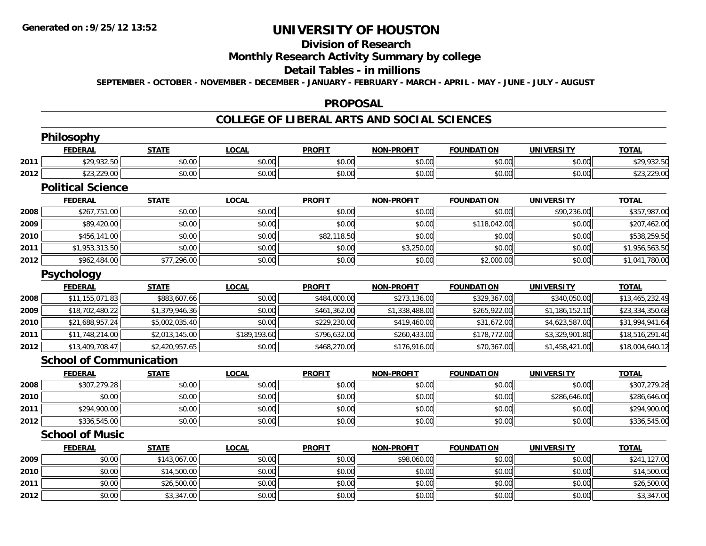# **Division of Research**

## **Monthly Research Activity Summary by college**

#### **Detail Tables - in millions**

**SEPTEMBER - OCTOBER - NOVEMBER - DECEMBER - JANUARY - FEBRUARY - MARCH - APRIL - MAY - JUNE - JULY - AUGUST**

#### **PROPOSAL**

#### **COLLEGE OF LIBERAL ARTS AND SOCIAL SCIENCES**

|      | Philosophy                     |                |              |               |                   |                   |                   |                 |
|------|--------------------------------|----------------|--------------|---------------|-------------------|-------------------|-------------------|-----------------|
|      | <b>FEDERAL</b>                 | <b>STATE</b>   | <b>LOCAL</b> | <b>PROFIT</b> | <b>NON-PROFIT</b> | <b>FOUNDATION</b> | <b>UNIVERSITY</b> | <b>TOTAL</b>    |
| 2011 | \$29,932.50                    | \$0.00         | \$0.00       | \$0.00        | \$0.00            | \$0.00            | \$0.00            | \$29,932.50     |
| 2012 | \$23,229.00                    | \$0.00         | \$0.00       | \$0.00        | \$0.00            | \$0.00            | \$0.00            | \$23,229.00     |
|      | <b>Political Science</b>       |                |              |               |                   |                   |                   |                 |
|      | <b>FEDERAL</b>                 | <b>STATE</b>   | <b>LOCAL</b> | <b>PROFIT</b> | <b>NON-PROFIT</b> | <b>FOUNDATION</b> | <b>UNIVERSITY</b> | <b>TOTAL</b>    |
| 2008 | \$267,751.00                   | \$0.00         | \$0.00       | \$0.00        | \$0.00            | \$0.00            | \$90,236.00       | \$357,987.00    |
| 2009 | \$89,420.00                    | \$0.00         | \$0.00       | \$0.00        | \$0.00            | \$118,042.00      | \$0.00            | \$207,462.00    |
| 2010 | \$456,141.00                   | \$0.00         | \$0.00       | \$82,118.50   | \$0.00            | \$0.00            | \$0.00            | \$538,259.50    |
| 2011 | \$1,953,313.50                 | \$0.00         | \$0.00       | \$0.00        | \$3,250.00        | \$0.00            | \$0.00            | \$1,956,563.50  |
| 2012 | \$962,484.00                   | \$77,296.00    | \$0.00       | \$0.00        | \$0.00            | \$2,000.00        | \$0.00            | \$1,041,780.00  |
|      | Psychology                     |                |              |               |                   |                   |                   |                 |
|      | <b>FEDERAL</b>                 | <b>STATE</b>   | <b>LOCAL</b> | <b>PROFIT</b> | <b>NON-PROFIT</b> | <b>FOUNDATION</b> | <b>UNIVERSITY</b> | <b>TOTAL</b>    |
| 2008 | \$11,155,071.83                | \$883,607.66   | \$0.00       | \$484,000.00  | \$273,136.00      | \$329,367.00      | \$340,050.00      | \$13,465,232.49 |
| 2009 | \$18,702,480.22                | \$1,379,946.36 | \$0.00       | \$461,362.00  | \$1,338,488.00    | \$265,922.00      | \$1,186,152.10    | \$23,334,350.68 |
| 2010 | \$21,688,957.24                | \$5,002,035.40 | \$0.00       | \$229,230.00  | \$419,460.00      | \$31,672.00       | \$4,623,587.00    | \$31,994,941.64 |
| 2011 | \$11,748,214.00                | \$2,013,145.00 | \$189,193.60 | \$796,632.00  | \$260,433.00      | \$178,772.00      | \$3,329,901.80    | \$18,516,291.40 |
| 2012 | \$13,409,708.47                | \$2,420,957.65 | \$0.00       | \$468,270.00  | \$176,916.00      | \$70,367.00       | \$1,458,421.00    | \$18,004,640.12 |
|      | <b>School of Communication</b> |                |              |               |                   |                   |                   |                 |
|      | <b>FEDERAL</b>                 | <b>STATE</b>   | <b>LOCAL</b> | <b>PROFIT</b> | <b>NON-PROFIT</b> | <b>FOUNDATION</b> | <b>UNIVERSITY</b> | <b>TOTAL</b>    |
| 2008 | \$307,279.28                   | \$0.00         | \$0.00       | \$0.00        | \$0.00            | \$0.00            | \$0.00            | \$307,279.28    |
| 2010 | \$0.00                         | \$0.00         | \$0.00       | \$0.00        | \$0.00            | \$0.00            | \$286,646.00      | \$286,646.00    |
| 2011 | \$294,900.00                   | \$0.00         | \$0.00       | \$0.00        | \$0.00            | \$0.00            | \$0.00            | \$294,900.00    |
| 2012 | \$336,545.00                   | \$0.00         | \$0.00       | \$0.00        | \$0.00            | \$0.00            | \$0.00            | \$336,545.00    |
|      | <b>School of Music</b>         |                |              |               |                   |                   |                   |                 |
|      | <b>FEDERAL</b>                 | <b>STATE</b>   | <b>LOCAL</b> | <b>PROFIT</b> | <b>NON-PROFIT</b> | <b>FOUNDATION</b> | <b>UNIVERSITY</b> | <b>TOTAL</b>    |
| 2009 | \$0.00                         | \$143,067.00   | \$0.00       | \$0.00        | \$98,060.00       | \$0.00            | \$0.00            | \$241,127.00    |
| 2010 | \$0.00                         | \$14,500.00    | \$0.00       | \$0.00        | \$0.00            | \$0.00            | \$0.00            | \$14,500.00     |
| 2011 | \$0.00                         | \$26,500.00    | \$0.00       | \$0.00        | \$0.00            | \$0.00            | \$0.00            | \$26,500.00     |
| 2012 | \$0.00                         | \$3,347.00     | \$0.00       | \$0.00        | \$0.00            | \$0.00            | \$0.00            | \$3,347.00      |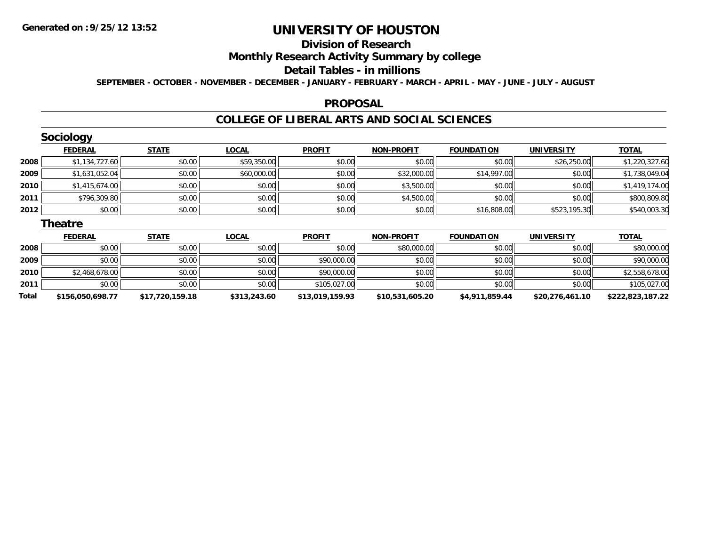**2011**

**Total**

# **UNIVERSITY OF HOUSTON**

## **Division of Research**

## **Monthly Research Activity Summary by college**

#### **Detail Tables - in millions**

**SEPTEMBER - OCTOBER - NOVEMBER - DECEMBER - JANUARY - FEBRUARY - MARCH - APRIL - MAY - JUNE - JULY - AUGUST**

#### **PROPOSAL**

### **COLLEGE OF LIBERAL ARTS AND SOCIAL SCIENCES**

|      | Sociology      |              |              |               |                   |                   |                   |                |
|------|----------------|--------------|--------------|---------------|-------------------|-------------------|-------------------|----------------|
|      | <b>FEDERAL</b> | <b>STATE</b> | <b>LOCAL</b> | <b>PROFIT</b> | <b>NON-PROFIT</b> | <b>FOUNDATION</b> | <b>UNIVERSITY</b> | <b>TOTAL</b>   |
| 2008 | \$1,134,727.60 | \$0.00       | \$59,350.00  | \$0.00        | \$0.00            | \$0.00            | \$26,250.00       | \$1,220,327.60 |
| 2009 | \$1,631,052.04 | \$0.00       | \$60,000.00  | \$0.00        | \$32,000.00       | \$14,997.00       | \$0.00            | \$1,738,049.04 |
| 2010 | \$1,415,674.00 | \$0.00       | \$0.00       | \$0.00        | \$3,500.00        | \$0.00            | \$0.00            | \$1,419,174.00 |
| 2011 | \$796,309.80   | \$0.00       | \$0.00       | \$0.00        | \$4,500.00        | \$0.00            | \$0.00            | \$800,809.80   |
| 2012 | \$0.00         | \$0.00       | \$0.00       | \$0.00        | \$0.00            | \$16,808.00       | \$523,195.30      | \$540,003.30   |
|      | <b>Theatre</b> |              |              |               |                   |                   |                   |                |
|      | <b>FEDERAL</b> | <b>STATE</b> | <b>LOCAL</b> | <b>PROFIT</b> | <b>NON-PROFIT</b> | <b>FOUNDATION</b> | <b>UNIVERSITY</b> | <b>TOTAL</b>   |
| 2008 | \$0.00         | \$0.00       | \$0.00       | \$0.00        | \$80,000.00       | \$0.00            | \$0.00            | \$80,000.00    |
| 2009 | \$0.00         | \$0.00       | \$0.00       | \$90,000.00   | \$0.00            | \$0.00            | \$0.00            | \$90,000.00    |
| 2010 | \$2,468,678.00 | \$0.00       | \$0.00       | \$90,000.00   | \$0.00            | \$0.00            | \$0.00            | \$2,558,678.00 |

\$0.00 \$0.00 \$0.00 \$105,027.00 \$0.00 \$0.00 \$0.00 \$105,027.00

**\$156,050,698.77 \$17,720,159.18 \$313,243.60 \$13,019,159.93 \$10,531,605.20 \$4,911,859.44 \$20,276,461.10 \$222,823,187.22**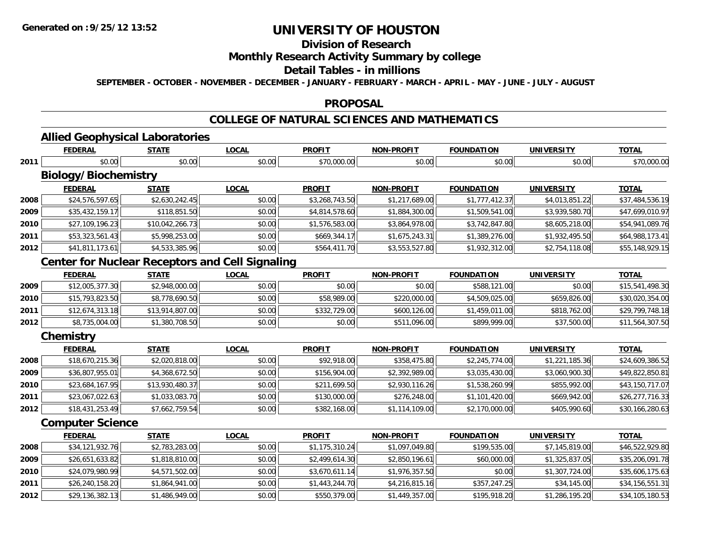**2012**

# **UNIVERSITY OF HOUSTON**

## **Division of Research**

## **Monthly Research Activity Summary by college**

#### **Detail Tables - in millions**

**SEPTEMBER - OCTOBER - NOVEMBER - DECEMBER - JANUARY - FEBRUARY - MARCH - APRIL - MAY - JUNE - JULY - AUGUST**

#### **PROPOSAL**

# **COLLEGE OF NATURAL SCIENCES AND MATHEMATICS**

# **Allied Geophysical Laboratories**

|      | <b>FEDERAL</b>              | <b>STATE</b>    | <b>LOCAL</b>                                           | <b>PROFIT</b>  | <b>NON-PROFIT</b> | <b>FOUNDATION</b> | <b>UNIVERSITY</b> | <b>TOTAL</b>    |
|------|-----------------------------|-----------------|--------------------------------------------------------|----------------|-------------------|-------------------|-------------------|-----------------|
| 2011 | \$0.00                      | \$0.00          | \$0.00                                                 | \$70,000.00    | \$0.00            | \$0.00            | \$0.00            | \$70,000.00     |
|      | <b>Biology/Biochemistry</b> |                 |                                                        |                |                   |                   |                   |                 |
|      | <b>FEDERAL</b>              | <b>STATE</b>    | <b>LOCAL</b>                                           | <b>PROFIT</b>  | <b>NON-PROFIT</b> | <b>FOUNDATION</b> | <b>UNIVERSITY</b> | <b>TOTAL</b>    |
| 2008 | \$24,576,597.65             | \$2,630,242.45  | \$0.00                                                 | \$3,268,743.50 | \$1,217,689.00    | \$1,777,412.37    | \$4,013,851.22    | \$37,484,536.19 |
| 2009 | \$35,432,159.17             | \$118,851.50    | \$0.00                                                 | \$4,814,578.60 | \$1,884,300.00    | \$1,509,541.00    | \$3,939,580.70    | \$47,699,010.97 |
| 2010 | \$27,109,196.23             | \$10,042,266.73 | \$0.00                                                 | \$1,576,583.00 | \$3,864,978.00    | \$3,742,847.80    | \$8,605,218.00    | \$54,941,089.76 |
| 2011 | \$53,323,561.43             | \$5,998,253.00  | \$0.00                                                 | \$669,344.17   | \$1,675,243.31    | \$1,389,276.00    | \$1,932,495.50    | \$64,988,173.41 |
| 2012 | \$41,811,173.61             | \$4,533,385.96  | \$0.00                                                 | \$564,411.70   | \$3,553,527.80    | \$1,932,312.00    | \$2,754,118.08    | \$55,148,929.15 |
|      |                             |                 | <b>Center for Nuclear Receptors and Cell Signaling</b> |                |                   |                   |                   |                 |
|      | <b>FEDERAL</b>              | <b>STATE</b>    | <b>LOCAL</b>                                           | <b>PROFIT</b>  | <b>NON-PROFIT</b> | <b>FOUNDATION</b> | <b>UNIVERSITY</b> | <b>TOTAL</b>    |
| 2009 | \$12,005,377.30             | \$2,948,000.00  | \$0.00                                                 | \$0.00         | \$0.00            | \$588,121.00      | \$0.00            | \$15,541,498.30 |
| 2010 | \$15,793,823.50             | \$8,778,690.50  | \$0.00                                                 | \$58,989.00    | \$220,000.00      | \$4,509,025.00    | \$659,826.00      | \$30,020,354.00 |
| 2011 | \$12,674,313.18             | \$13,914,807.00 | \$0.00                                                 | \$332,729.00   | \$600,126.00      | \$1,459,011.00    | \$818,762.00      | \$29,799,748.18 |
| 2012 | \$8,735,004.00              | \$1,380,708.50  | \$0.00                                                 | \$0.00         | \$511,096.00      | \$899,999.00      | \$37,500.00       | \$11,564,307.50 |
|      | Chemistry                   |                 |                                                        |                |                   |                   |                   |                 |
|      | <b>FEDERAL</b>              | <b>STATE</b>    | <b>LOCAL</b>                                           | <b>PROFIT</b>  | <b>NON-PROFIT</b> | <b>FOUNDATION</b> | <b>UNIVERSITY</b> | <b>TOTAL</b>    |
| 2008 | \$18,670,215.36             | \$2,020,818.00  | \$0.00                                                 | \$92,918.00    | \$358,475.80      | \$2,245,774.00    | \$1,221,185.36    | \$24,609,386.52 |
| 2009 | \$36,807,955.01             | \$4,368,672.50  | \$0.00                                                 | \$156,904.00   | \$2,392,989.00    | \$3,035,430.00    | \$3,060,900.30    | \$49,822,850.81 |
| 2010 | \$23,684,167.95             | \$13,930,480.37 | \$0.00                                                 | \$211,699.50   | \$2,930,116.26    | \$1,538,260.99    | \$855,992.00      | \$43,150,717.07 |
| 2011 | \$23,067,022.63             | \$1,033,083.70  | \$0.00                                                 | \$130,000.00   | \$276,248.00      | \$1,101,420.00    | \$669,942.00      | \$26,277,716.33 |
| 2012 | \$18,431,253.49             | \$7,662,759.54  | \$0.00                                                 | \$382,168.00   | \$1,114,109.00    | \$2,170,000.00    | \$405,990.60      | \$30,166,280.63 |
|      | <b>Computer Science</b>     |                 |                                                        |                |                   |                   |                   |                 |
|      | <b>FEDERAL</b>              | <b>STATE</b>    | <b>LOCAL</b>                                           | <b>PROFIT</b>  | <b>NON-PROFIT</b> | <b>FOUNDATION</b> | <b>UNIVERSITY</b> | <b>TOTAL</b>    |
| 2008 | \$34,121,932.76             | \$2,783,283.00  | \$0.00                                                 | \$1,175,310.24 | \$1,097,049.80    | \$199,535.00      | \$7,145,819.00    | \$46,522,929.80 |
| 2009 | \$26,651,633.82             | \$1,818,810.00  | \$0.00                                                 | \$2,499,614.30 | \$2,850,196.61    | \$60,000.00       | \$1,325,837.05    | \$35,206,091.78 |
| 2010 | \$24,079,980.99             | \$4,571,502.00  | \$0.00                                                 | \$3,670,611.14 | \$1,976,357.50    | \$0.00            | \$1,307,724.00    | \$35,606,175.63 |
| 2011 | \$26,240,158.20             | \$1,864,941.00  | \$0.00                                                 | \$1,443,244.70 | \$4,216,815.16    | \$357,247.25      | \$34,145.00       | \$34,156,551.31 |
|      |                             |                 |                                                        |                |                   |                   |                   |                 |

\$29,136,382.13 \$1,486,949.00 \$0.00 \$550,379.00 \$1,449,357.00 \$195,918.20 \$1,286,195.20 \$34,105,180.53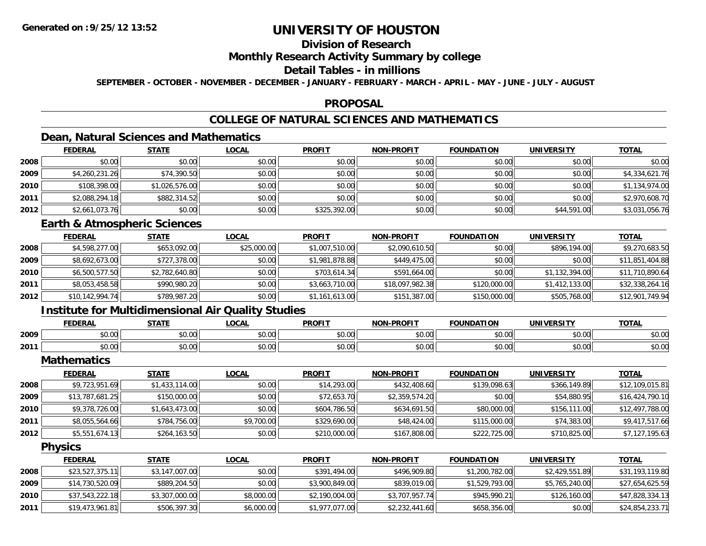# **Division of Research**

### **Monthly Research Activity Summary by college**

### **Detail Tables - in millions**

**SEPTEMBER - OCTOBER - NOVEMBER - DECEMBER - JANUARY - FEBRUARY - MARCH - APRIL - MAY - JUNE - JULY - AUGUST**

#### **PROPOSAL**

# **COLLEGE OF NATURAL SCIENCES AND MATHEMATICS**

## **Dean, Natural Sciences and Mathematics**

|      | <b>FEDERAL</b> | <b>STATE</b>   | <u>LOCAL</u> | <b>PROFIT</b> | <b>NON-PROFIT</b> | <b>FOUNDATION</b> | <b>UNIVERSITY</b> | <b>TOTAL</b>   |
|------|----------------|----------------|--------------|---------------|-------------------|-------------------|-------------------|----------------|
| 2008 | \$0.00         | \$0.00         | \$0.00       | \$0.00        | \$0.00            | \$0.00            | \$0.00            | \$0.00         |
| 2009 | \$4,260,231.26 | \$74,390.50    | \$0.00       | \$0.00        | \$0.00            | \$0.00            | \$0.00            | \$4,334,621.76 |
| 2010 | \$108,398.00   | \$1,026,576.00 | \$0.00       | \$0.00        | \$0.00            | \$0.00            | \$0.00            | \$1,134,974.00 |
| 2011 | \$2,088,294.18 | \$882,314.52   | \$0.00       | \$0.00        | \$0.00            | \$0.00            | \$0.00            | \$2,970,608.70 |
| 2012 | \$2,661,073.76 | \$0.00         | \$0.00       | \$325,392.00  | \$0.00            | \$0.00            | \$44,591.00       | \$3,031,056.76 |

### **Earth & Atmospheric Sciences**

|      | <b>FEDERAL</b>  | <u>STATE</u>   | <b>LOCAL</b> | <u>PROFIT</u>  | <b>NON-PROFIT</b> | <b>FOUNDATION</b> | <b>UNIVERSITY</b> | <b>TOTAL</b>    |
|------|-----------------|----------------|--------------|----------------|-------------------|-------------------|-------------------|-----------------|
| 2008 | \$4,598,277.00  | \$653,092.00   | \$25,000.00  | \$1,007,510.00 | \$2,090,610.50    | \$0.00            | \$896,194.00      | \$9,270,683.50  |
| 2009 | \$8,692,673.00  | \$727,378.00   | \$0.00       | \$1,981,878.88 | \$449,475.00      | \$0.00            | \$0.00            | \$11,851,404.88 |
| 2010 | \$6,500,577.50  | \$2,782,640.80 | \$0.00       | \$703,614.34   | \$591,664.00      | \$0.00            | \$1,132,394.00    | \$11,710,890.64 |
| 2011 | \$8,053,458.58  | \$990,980.20   | \$0.00       | \$3,663,710.00 | \$18,097,982.38   | \$120,000.00      | \$1,412,133.00    | \$32,338,264.16 |
| 2012 | \$10,142,994.74 | \$789,987.20   | \$0.00       | \$1,161,613.00 | \$151,387.00      | \$150,000.00      | \$505,768.00      | \$12,901,749.94 |

## **Institute for Multidimensional Air Quality Studies**

|      | <b>FEDERAL</b> | <b>CTATE</b>     | .OCAI              | <b>PROFIT</b>                  | <b>-PROFIT</b><br><b>AIOR</b>                                                                                                                                                                                                                                                                                                                                                                                                                                        | лом<br>המוווחה: | UNIVERSITY     | <b>TOTAL</b> |
|------|----------------|------------------|--------------------|--------------------------------|----------------------------------------------------------------------------------------------------------------------------------------------------------------------------------------------------------------------------------------------------------------------------------------------------------------------------------------------------------------------------------------------------------------------------------------------------------------------|-----------------|----------------|--------------|
| 2009 | 0000<br>90.UU  | ሖ へ<br>וטט.      | $\sim$ 00<br>JU.UU | $\rightarrow$<br>∩∩ ،<br>JU.UU | $\mathsf{A}\cap\mathsf{A}\cap\mathsf{A}\cap\mathsf{A}\cap\mathsf{A}\cap\mathsf{A}\cap\mathsf{A}\cap\mathsf{A}\cap\mathsf{A}\cap\mathsf{A}\cap\mathsf{A}\cap\mathsf{A}\cap\mathsf{A}\cap\mathsf{A}\cap\mathsf{A}\cap\mathsf{A}\cap\mathsf{A}\cap\mathsf{A}\cap\mathsf{A}\cap\mathsf{A}\cap\mathsf{A}\cap\mathsf{A}\cap\mathsf{A}\cap\mathsf{A}\cap\mathsf{A}\cap\mathsf{A}\cap\mathsf{A}\cap\mathsf{A}\cap\mathsf{A}\cap\mathsf{A}\cap\mathsf{A}\cap\mathsf$<br>JU.UL | \$0.00          | 0000<br>JU.UU  | \$0.00       |
| 2011 | 0000<br>pv.uu  | $\sim$ 00<br>υU. | 0000<br>vu.vu      | 40.00<br>v.vu                  | 0 <sup>n</sup><br>\$U.UC                                                                                                                                                                                                                                                                                                                                                                                                                                             | 0000<br>∪.∪∪    | 0000<br>⊸∪.∪∪⊪ | \$0.00       |

**Mathematics**

|      | <u>FEDERAL</u>  | <b>STATE</b>   | <b>LOCAL</b> | <b>PROFIT</b> | <b>NON-PROFIT</b> | <b>FOUNDATION</b> | <b>UNIVERSITY</b> | <b>TOTAL</b>    |
|------|-----------------|----------------|--------------|---------------|-------------------|-------------------|-------------------|-----------------|
| 2008 | \$9,723,951.69  | \$1,433,114.00 | \$0.00       | \$14,293.00   | \$432,408.60      | \$139,098.63      | \$366,149.89      | \$12,109,015.81 |
| 2009 | \$13,787,681.25 | \$150,000.00   | \$0.00       | \$72,653.70   | \$2,359,574.20    | \$0.00            | \$54,880.95       | \$16,424,790.10 |
| 2010 | \$9,378,726.00  | \$1,643,473.00 | \$0.00       | \$604,786.50  | \$634,691.50      | \$80,000.00       | \$156,111.00      | \$12,497,788.00 |
| 2011 | \$8,055,564.66  | \$784,756.00   | \$9,700.00   | \$329,690.00  | \$48,424.00       | \$115,000.00      | \$74,383.00       | \$9,417,517.66  |
| 2012 | \$5,551,674.13  | \$264,163.50   | \$0.00       | \$210,000.00  | \$167,808.00      | \$222,725.00      | \$710,825.00      | \$7,127,195.63  |

**Physics**

|      | <b>FEDERAL</b>  | <b>STATE</b>   | <u>LOCAL</u> | <b>PROFIT</b>  | <b>NON-PROFIT</b> | <b>FOUNDATION</b> | <b>UNIVERSITY</b> | <b>TOTAL</b>    |
|------|-----------------|----------------|--------------|----------------|-------------------|-------------------|-------------------|-----------------|
| 2008 | \$23,527,375.11 | \$3,147,007.00 | \$0.00       | \$391,494,00   | \$496,909.80      | \$1,200,782.00    | \$2,429,551.89    | \$31,193,119.80 |
| 2009 | \$14,730,520.09 | \$889,204.50   | \$0.00       | \$3,900,849.00 | \$839,019.00      | \$1,529,793.00    | \$5,765,240.00    | \$27,654,625.59 |
| 2010 | \$37,543,222.18 | \$3,307,000.00 | \$8,000.00   | \$2,190,004.00 | \$3,707,957.74    | \$945,990.21      | \$126,160.00      | \$47,828,334.13 |
| 2011 | \$19,473,961.81 | \$506,397.30   | \$6,000.00   | \$1,977,077.00 | \$2,232,441.60    | \$658,356.00      | \$0.00            | \$24,854,233.71 |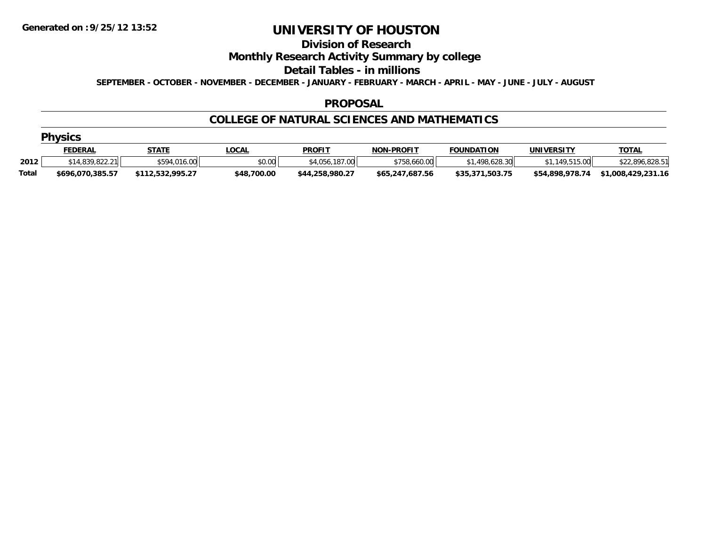#### **Division of Research**

## **Monthly Research Activity Summary by college**

#### **Detail Tables - in millions**

**SEPTEMBER - OCTOBER - NOVEMBER - DECEMBER - JANUARY - FEBRUARY - MARCH - APRIL - MAY - JUNE - JULY - AUGUST**

#### **PROPOSAL**

#### **COLLEGE OF NATURAL SCIENCES AND MATHEMATICS**

|  |  | nvsı |  |   |
|--|--|------|--|---|
|  |  |      |  | ۰ |
|  |  |      |  |   |

|       | <b>FEDERAL</b>   | STATE                                | .OCAL       | <b>PROFIT</b>     | <b>NON-PROFIT</b> | <b>FOUNDATION</b>    | <b>UNIVERSITY</b> | <b>TOTAL</b>       |
|-------|------------------|--------------------------------------|-------------|-------------------|-------------------|----------------------|-------------------|--------------------|
| 2012  | $*14.839.822.21$ | \$594.016.<br>16.00                  | \$0.00      | .187.00<br>1.056. | \$758,660.00      | .498.628.30          | 149515            | \$22,896,828.51    |
| Total | \$696,070,385.57 | <b>411252200527</b><br>112,332,773.2 | \$48,700.00 | \$44,258,980.27   | \$65,247,687.56   | .503.75<br>\$35,371, | \$54,898,978.74   | \$1,008,429,231.16 |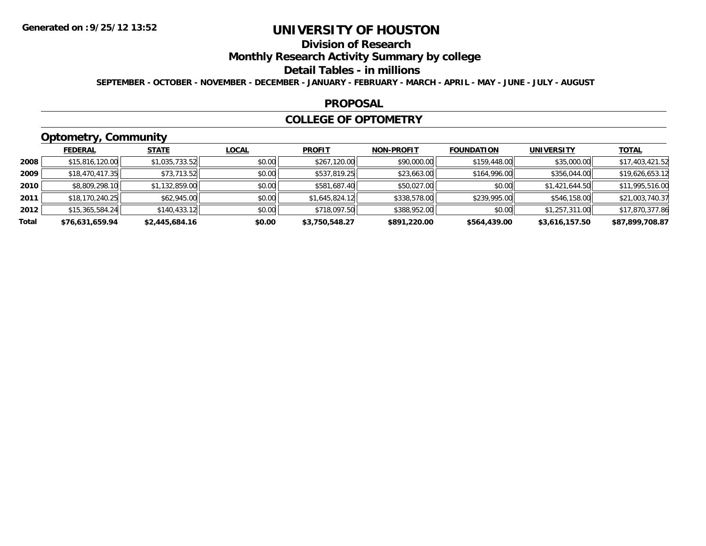# **Division of Research**

## **Monthly Research Activity Summary by college**

#### **Detail Tables - in millions**

**SEPTEMBER - OCTOBER - NOVEMBER - DECEMBER - JANUARY - FEBRUARY - MARCH - APRIL - MAY - JUNE - JULY - AUGUST**

#### **PROPOSAL**

#### **COLLEGE OF OPTOMETRY**

# **Optometry, Community**

|       | ___             |                |              |                |                   |                   |                   |                 |
|-------|-----------------|----------------|--------------|----------------|-------------------|-------------------|-------------------|-----------------|
|       | <b>FEDERAL</b>  | <b>STATE</b>   | <u>LOCAL</u> | <b>PROFIT</b>  | <b>NON-PROFIT</b> | <b>FOUNDATION</b> | <b>UNIVERSITY</b> | <b>TOTAL</b>    |
| 2008  | \$15,816,120.00 | \$1,035,733.52 | \$0.00       | \$267,120.00   | \$90,000.00       | \$159,448.00      | \$35,000.00       | \$17,403,421.52 |
| 2009  | \$18,470,417.35 | \$73,713.52    | \$0.00       | \$537,819.25   | \$23,663.00       | \$164,996.00      | \$356,044.00      | \$19,626,653.12 |
| 2010  | \$8,809,298.10  | \$1,132,859.00 | \$0.00       | \$581,687.40   | \$50,027.00       | \$0.00            | \$1,421,644.50    | \$11,995,516.00 |
| 2011  | \$18,170,240.25 | \$62,945.00    | \$0.00       | \$1,645,824.12 | \$338,578.00      | \$239,995.00      | \$546,158.00      | \$21,003,740.37 |
| 2012  | \$15,365,584.24 | \$140,433.12   | \$0.00       | \$718,097.50   | \$388,952.00      | \$0.00            | \$1,257,311.00    | \$17,870,377.86 |
| Total | \$76,631,659.94 | \$2,445,684.16 | \$0.00       | \$3,750,548.27 | \$891,220.00      | \$564,439.00      | \$3,616,157.50    | \$87,899,708.87 |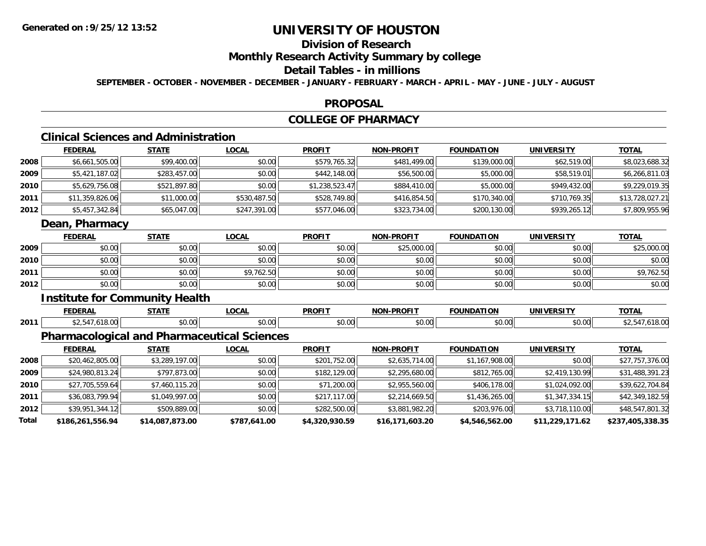# **Division of Research**

## **Monthly Research Activity Summary by college**

### **Detail Tables - in millions**

**SEPTEMBER - OCTOBER - NOVEMBER - DECEMBER - JANUARY - FEBRUARY - MARCH - APRIL - MAY - JUNE - JULY - AUGUST**

#### **PROPOSAL**

## **COLLEGE OF PHARMACY**

# **Clinical Sciences and Administration**

|      | <b>FEDERAL</b>  | <b>STATE</b> | <b>LOCAL</b> | <b>PROFIT</b>  | <b>NON-PROFIT</b> | <b>FOUNDATION</b> | <b>UNIVERSITY</b> | <b>TOTAL</b>    |
|------|-----------------|--------------|--------------|----------------|-------------------|-------------------|-------------------|-----------------|
| 2008 | \$6,661,505.00  | \$99,400.00  | \$0.00       | \$579,765.32   | \$481,499.00      | \$139,000.00      | \$62,519.00       | \$8,023,688.32  |
| 2009 | \$5,421,187.02  | \$283,457.00 | \$0.00       | \$442,148.00   | \$56,500.00       | \$5,000.00        | \$58,519.01       | \$6,266,811.03  |
| 2010 | \$5,629,756.08  | \$521,897.80 | \$0.00       | \$1,238,523.47 | \$884,410.00      | \$5,000.00        | \$949,432.00      | \$9,229,019.35  |
| 2011 | \$11,359,826.06 | \$11,000.00  | \$530,487.50 | \$528,749.80   | \$416,854.50      | \$170,340.00      | \$710,769.35      | \$13,728,027.21 |
| 2012 | \$5,457,342.84  | \$65,047.00  | \$247,391.00 | \$577,046.00   | \$323,734.00      | \$200,130.00      | \$939,265.12      | \$7,809,955.96  |
|      | Dean, Pharmacy  |              |              |                |                   |                   |                   |                 |
|      | <b>FEDERAL</b>  | <b>STATE</b> | <b>LOCAL</b> | <b>PROFIT</b>  | <b>NON-PROFIT</b> | <b>FOUNDATION</b> | <b>UNIVERSITY</b> | <b>TOTAL</b>    |
| 2009 | \$0.00          | \$0.00       | \$0.00       | \$0.00         | \$25,000.00       | \$0.00            | \$0.00            | \$25,000.00     |
| 2010 |                 |              |              |                |                   |                   |                   | \$0.00          |
|      | \$0.00          | \$0.00       | \$0.00       | \$0.00         | \$0.00            | \$0.00            | \$0.00            |                 |
| 2011 | \$0.00          | \$0.00       | \$9,762.50   | \$0.00         | \$0.00            | \$0.00            | \$0.00            | \$9,762.50      |
| 2012 | \$0.00          | \$0.00       | \$0.00       | \$0.00         | \$0.00            | \$0.00            | \$0.00            | \$0.00          |

#### **Institute for Community Health**

|      | -----       | $\sim$                         | DDOE'T        | -----<br>. |          | TNT.   | $T^{\prime}$ |
|------|-------------|--------------------------------|---------------|------------|----------|--------|--------------|
| 2011 | $ -$<br>,,, | $\sim$ $\sim$<br>$\sim$<br>,,, | $\sim$ $\sim$ | $ -$       | $\Omega$ | \$0.00 |              |

## **Pharmacological and Pharmaceutical Sciences**

|       | <b>FEDERAL</b>   | <b>STATE</b>    | <b>LOCAL</b> | <b>PROFIT</b>  | <b>NON-PROFIT</b> | <b>FOUNDATION</b> | <b>UNIVERSITY</b> | <u>TOTAL</u>     |
|-------|------------------|-----------------|--------------|----------------|-------------------|-------------------|-------------------|------------------|
| 2008  | \$20,462,805.00  | \$3,289,197.00  | \$0.00       | \$201,752.00   | \$2,635,714.00    | \$1,167,908.00    | \$0.00            | \$27,757,376.00  |
| 2009  | \$24,980,813.24  | \$797,873.00    | \$0.00       | \$182,129.00   | \$2,295,680.00    | \$812,765.00      | \$2,419,130.99    | \$31,488,391.23  |
| 2010  | \$27,705,559.64  | \$7,460,115.20  | \$0.00       | \$71,200.00    | \$2,955,560.00    | \$406,178.00      | \$1,024,092.00    | \$39,622,704.84  |
| 2011  | \$36.083.799.94  | \$1,049,997.00  | \$0.00       | \$217,117,00   | \$2,214,669.50    | \$1,436,265.00    | \$1,347,334.15    | \$42,349,182.59  |
| 2012  | \$39,951,344.12  | \$509,889.00    | \$0.00       | \$282,500.00   | \$3,881,982.20    | \$203,976.00      | \$3,718,110.00    | \$48,547,801.32  |
| Total | \$186,261,556.94 | \$14,087,873.00 | \$787,641.00 | \$4,320,930.59 | \$16,171,603.20   | \$4,546,562.00    | \$11,229,171.62   | \$237,405,338.35 |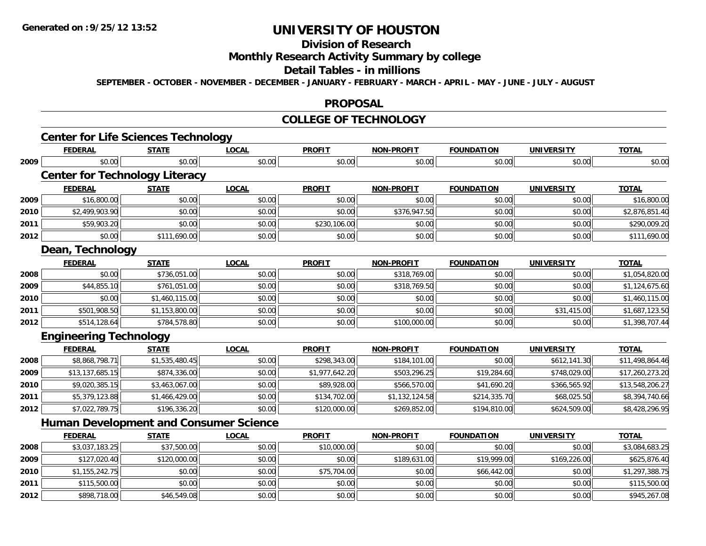**2012**

# **UNIVERSITY OF HOUSTON**

# **Division of Research**

## **Monthly Research Activity Summary by college**

#### **Detail Tables - in millions**

**SEPTEMBER - OCTOBER - NOVEMBER - DECEMBER - JANUARY - FEBRUARY - MARCH - APRIL - MAY - JUNE - JULY - AUGUST**

#### **PROPOSAL**

#### **COLLEGE OF TECHNOLOGY**

|      | <b>Center for Life Sciences Technology</b>    |                |              |                |                   |                   |                   |                 |
|------|-----------------------------------------------|----------------|--------------|----------------|-------------------|-------------------|-------------------|-----------------|
|      | <b>FEDERAL</b>                                | <b>STATE</b>   | <b>LOCAL</b> | <b>PROFIT</b>  | <b>NON-PROFIT</b> | <b>FOUNDATION</b> | <b>UNIVERSITY</b> | <b>TOTAL</b>    |
| 2009 | \$0.00                                        | \$0.00         | \$0.00       | \$0.00         | \$0.00            | \$0.00            | \$0.00            | \$0.00          |
|      | <b>Center for Technology Literacy</b>         |                |              |                |                   |                   |                   |                 |
|      | <b>FEDERAL</b>                                | <b>STATE</b>   | <b>LOCAL</b> | <b>PROFIT</b>  | <b>NON-PROFIT</b> | <b>FOUNDATION</b> | <b>UNIVERSITY</b> | <b>TOTAL</b>    |
| 2009 | \$16,800.00                                   | \$0.00         | \$0.00       | \$0.00         | \$0.00            | \$0.00            | \$0.00            | \$16,800.00     |
| 2010 | \$2,499,903.90                                | \$0.00         | \$0.00       | \$0.00         | \$376,947.50      | \$0.00            | \$0.00            | \$2,876,851.40  |
| 2011 | \$59,903.20                                   | \$0.00         | \$0.00       | \$230,106.00   | \$0.00            | \$0.00            | \$0.00            | \$290,009.20    |
| 2012 | \$0.00                                        | \$111,690.00   | \$0.00       | \$0.00         | \$0.00            | \$0.00            | \$0.00            | \$111,690.00    |
|      | Dean, Technology                              |                |              |                |                   |                   |                   |                 |
|      | <b>FEDERAL</b>                                | <b>STATE</b>   | <b>LOCAL</b> | <b>PROFIT</b>  | <b>NON-PROFIT</b> | <b>FOUNDATION</b> | <b>UNIVERSITY</b> | <b>TOTAL</b>    |
| 2008 | \$0.00                                        | \$736,051.00   | \$0.00       | \$0.00         | \$318,769.00      | \$0.00            | \$0.00            | \$1,054,820.00  |
| 2009 | \$44,855.10                                   | \$761,051.00   | \$0.00       | \$0.00         | \$318,769.50      | \$0.00            | \$0.00            | \$1,124,675.60  |
| 2010 | \$0.00                                        | \$1,460,115.00 | \$0.00       | \$0.00         | \$0.00            | \$0.00            | \$0.00            | \$1,460,115.00  |
| 2011 | \$501,908.50                                  | \$1,153,800.00 | \$0.00       | \$0.00         | \$0.00            | \$0.00            | \$31,415.00       | \$1,687,123.50  |
| 2012 | \$514,128.64                                  | \$784,578.80   | \$0.00       | \$0.00         | \$100,000.00      | \$0.00            | \$0.00            | \$1,398,707.44  |
|      | <b>Engineering Technology</b>                 |                |              |                |                   |                   |                   |                 |
|      | <b>FEDERAL</b>                                | <b>STATE</b>   | <b>LOCAL</b> | <b>PROFIT</b>  | <b>NON-PROFIT</b> | <b>FOUNDATION</b> | <b>UNIVERSITY</b> | <b>TOTAL</b>    |
| 2008 | \$8,868,798.71                                | \$1,535,480.45 | \$0.00       | \$298,343.00   | \$184,101.00      | \$0.00            | \$612,141.30      | \$11,498,864.46 |
| 2009 | \$13,137,685.15                               | \$874,336.00   | \$0.00       | \$1,977,642.20 | \$503,296.25      | \$19,284.60       | \$748,029.00      | \$17,260,273.20 |
| 2010 | \$9,020,385.15                                | \$3,463,067.00 | \$0.00       | \$89,928.00    | \$566,570.00      | \$41,690.20       | \$366,565.92      | \$13,548,206.27 |
| 2011 | \$5,379,123.88                                | \$1,466,429.00 | \$0.00       | \$134,702.00   | \$1,132,124.58    | \$214,335.70      | \$68,025.50       | \$8,394,740.66  |
| 2012 | \$7,022,789.75                                | \$196,336.20   | \$0.00       | \$120,000.00   | \$269,852.00      | \$194,810.00      | \$624,509.00      | \$8,428,296.95  |
|      | <b>Human Development and Consumer Science</b> |                |              |                |                   |                   |                   |                 |
|      | <b>FEDERAL</b>                                | <b>STATE</b>   | <b>LOCAL</b> | <b>PROFIT</b>  | <b>NON-PROFIT</b> | <b>FOUNDATION</b> | <b>UNIVERSITY</b> | <b>TOTAL</b>    |
| 2008 | \$3,037,183.25                                | \$37,500.00    | \$0.00       | \$10,000.00    | \$0.00            | \$0.00            | \$0.00            | \$3,084,683.25  |
| 2009 | \$127,020.40                                  | \$120,000.00   | \$0.00       | \$0.00         | \$189,631.00      | \$19,999.00       | \$169,226.00      | \$625,876.40    |
| 2010 | \$1,155,242.75                                | \$0.00         | \$0.00       | \$75,704.00    | \$0.00            | \$66,442.00       | \$0.00            | \$1,297,388.75  |
| 2011 | \$115,500.00                                  | \$0.00         | \$0.00       | \$0.00         | \$0.00            | \$0.00            | \$0.00            | \$115,500.00    |

2 | \$898,718.00|| \$46,549.08|| \$0.00|| \$0.00|| \$0.00|| \$0.00|| \$0.00|| \$0.00|| \$0.00|| \$0.00|| \$945,267.08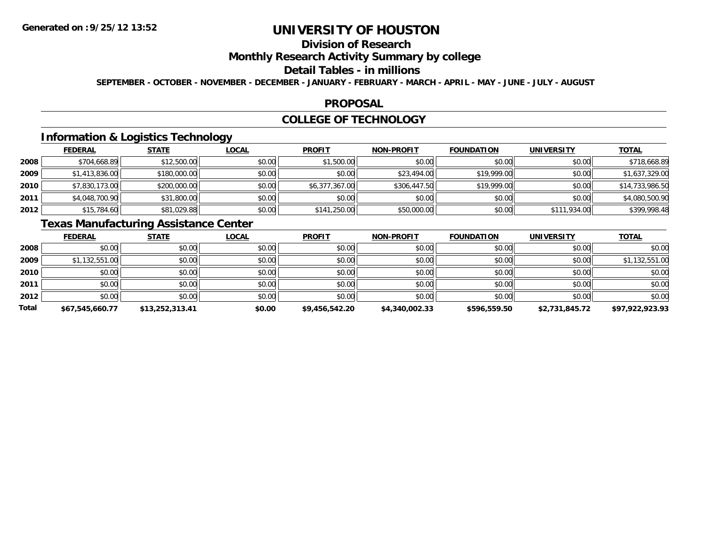# **Division of Research**

## **Monthly Research Activity Summary by college**

#### **Detail Tables - in millions**

**SEPTEMBER - OCTOBER - NOVEMBER - DECEMBER - JANUARY - FEBRUARY - MARCH - APRIL - MAY - JUNE - JULY - AUGUST**

#### **PROPOSAL**

### **COLLEGE OF TECHNOLOGY**

## **Information & Logistics Technology**

|      | <b>FEDERAL</b> | <b>STATE</b> | <u>LOCAL</u> | <b>PROFIT</b>  | <b>NON-PROFIT</b> | <b>FOUNDATION</b> | <b>UNIVERSITY</b> | <b>TOTAL</b>    |
|------|----------------|--------------|--------------|----------------|-------------------|-------------------|-------------------|-----------------|
| 2008 | \$704,668.89   | \$12,500.00  | \$0.00       | \$1,500.00     | \$0.00            | \$0.00            | \$0.00            | \$718,668.89    |
| 2009 | \$1,413,836.00 | \$180,000.00 | \$0.00       | \$0.00         | \$23,494.00       | \$19,999.00       | \$0.00            | \$1,637,329.00  |
| 2010 | \$7,830,173.00 | \$200,000.00 | \$0.00       | \$6,377,367.00 | \$306,447.50      | \$19,999.00       | \$0.00            | \$14,733,986.50 |
| 2011 | \$4,048,700.90 | \$31,800.00  | \$0.00       | \$0.00         | \$0.00            | \$0.00            | \$0.00            | \$4,080,500.90  |
| 2012 | \$15,784.60    | \$81,029.88  | \$0.00       | \$141,250.00   | \$50,000.00       | \$0.00            | \$111,934.00      | \$399,998.48    |

## **Texas Manufacturing Assistance Center**

|       | <u>FEDERAL</u>  | <b>STATE</b>    | <b>LOCAL</b> | <b>PROFIT</b>  | <b>NON-PROFIT</b> | <b>FOUNDATION</b> | <b>UNIVERSITY</b> | <b>TOTAL</b>    |
|-------|-----------------|-----------------|--------------|----------------|-------------------|-------------------|-------------------|-----------------|
| 2008  | \$0.00          | \$0.00          | \$0.00       | \$0.00         | \$0.00            | \$0.00            | \$0.00            | \$0.00          |
| 2009  | \$1,132,551.00  | \$0.00          | \$0.00       | \$0.00         | \$0.00            | \$0.00            | \$0.00            | \$1,132,551.00  |
| 2010  | \$0.00          | \$0.00          | \$0.00       | \$0.00         | \$0.00            | \$0.00            | \$0.00            | \$0.00          |
| 2011  | \$0.00          | \$0.00          | \$0.00       | \$0.00         | \$0.00            | \$0.00            | \$0.00            | \$0.00          |
| 2012  | \$0.00          | \$0.00          | \$0.00       | \$0.00         | \$0.00            | \$0.00            | \$0.00            | \$0.00          |
| Total | \$67,545,660.77 | \$13,252,313.41 | \$0.00       | \$9,456,542.20 | \$4,340,002.33    | \$596,559.50      | \$2,731,845.72    | \$97,922,923.93 |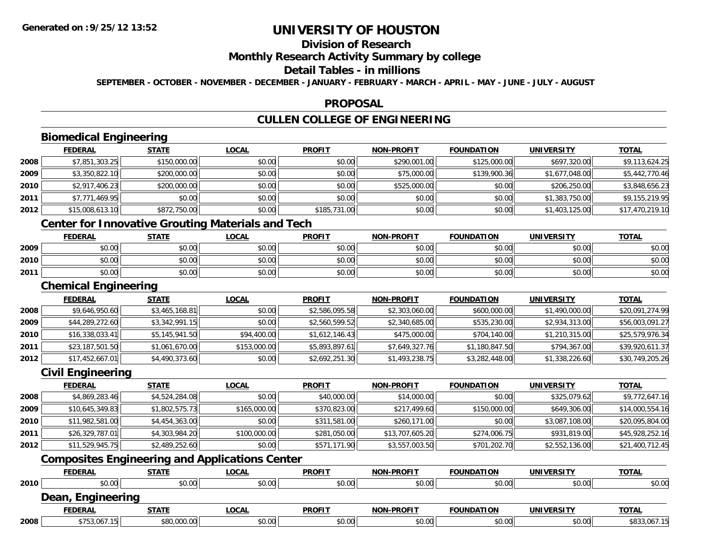# **Division of Research**

### **Monthly Research Activity Summary by college**

### **Detail Tables - in millions**

**SEPTEMBER - OCTOBER - NOVEMBER - DECEMBER - JANUARY - FEBRUARY - MARCH - APRIL - MAY - JUNE - JULY - AUGUST**

#### **PROPOSAL**

# **CULLEN COLLEGE OF ENGINEERING**

# **Biomedical Engineering**

|      | <b>Biomedical Engineering</b> |              |              |               |                   |                   |                   |                 |  |  |
|------|-------------------------------|--------------|--------------|---------------|-------------------|-------------------|-------------------|-----------------|--|--|
|      | <b>FEDERAL</b>                | <b>STATE</b> | <b>LOCAL</b> | <b>PROFIT</b> | <b>NON-PROFIT</b> | <b>FOUNDATION</b> | <b>UNIVERSITY</b> | <b>TOTAL</b>    |  |  |
| 2008 | \$7,851,303.25                | \$150,000.00 | \$0.00       | \$0.00        | \$290,001.00      | \$125,000.00      | \$697,320.00      | \$9,113,624.25  |  |  |
| 2009 | \$3,350,822.10                | \$200,000.00 | \$0.00       | \$0.00        | \$75,000.00       | \$139,900.36      | \$1,677,048.00    | \$5,442,770.46  |  |  |
| 2010 | \$2,917,406.23                | \$200,000.00 | \$0.00       | \$0.00        | \$525,000.00      | \$0.00            | \$206,250.00      | \$3,848,656.23  |  |  |
| 2011 | \$7,771,469.95                | \$0.00       | \$0.00       | \$0.00        | \$0.00            | \$0.00            | \$1,383,750.00    | \$9,155,219.95  |  |  |
| 2012 | \$15,008,613.10               | \$872,750.00 | \$0.00       | \$185,731.00  | \$0.00            | \$0.00            | \$1,403,125.00    | \$17,470,219.10 |  |  |
|      |                               |              |              |               |                   |                   |                   |                 |  |  |

## **Center for Innovative Grouting Materials and Tech**

|      | <b>FEDERAL</b> | <b>STATE</b>   | <u>LOCAL</u>  | <b>PROFIT</b>                                        | <b>NON-PROFIT</b> | <b>FOUNDATION</b> | UNIVERSITY | <b>TOTAL</b> |
|------|----------------|----------------|---------------|------------------------------------------------------|-------------------|-------------------|------------|--------------|
| 2009 | 0000<br>DU.UU  | \$0.00         | 0000<br>JU.UU | ≮∩ ∩∩<br><b>SU.UU</b>                                | \$0.00            | \$0.00            | \$0.00     | \$0.00       |
| 2010 | \$0.00         | ≮N UU<br>PU.UU | \$0.00        | $\mathsf{A}\cap\mathsf{A}\cap\mathsf{A}$<br>$-40.06$ | \$0.00            | \$0.00            | \$0.00     | \$0.00       |
| 2011 | \$0.00         | \$0.00         | \$0.00        | ≮N UU<br><b>SU.UU</b>                                | \$0.00            | \$0.00            | \$0.00     | \$0.00       |

### **Chemical Engineering**

|      | <b>FEDERAL</b>  | <b>STATE</b>   | <u>LOCAL</u> | <b>PROFIT</b>  | <b>NON-PROFIT</b> | <b>FOUNDATION</b> | <b>UNIVERSITY</b> | <u>TOTAL</u>    |
|------|-----------------|----------------|--------------|----------------|-------------------|-------------------|-------------------|-----------------|
| 2008 | \$9,646,950.60  | \$3,465,168.81 | \$0.00       | \$2,586,095.58 | \$2,303,060.00    | \$600,000.00      | \$1,490,000.00    | \$20,091,274.99 |
| 2009 | \$44,289,272.60 | \$3,342,991.15 | \$0.00       | \$2,560,599.52 | \$2,340,685.00    | \$535,230.00      | \$2,934,313.00    | \$56,003,091.27 |
| 2010 | \$16,338,033.41 | \$5,145,941.50 | \$94,400.00  | \$1,612,146.43 | \$475,000.00      | \$704,140.00      | \$1,210,315.00    | \$25,579,976.34 |
| 2011 | \$23,187,501.50 | \$1,061,670.00 | \$153,000.00 | \$5,893,897.61 | \$7,649,327.76    | \$1,180,847.50    | \$794,367.00      | \$39,920,611.37 |
| 2012 | \$17,452,667.01 | \$4,490,373.60 | \$0.00       | \$2,692,251.30 | \$1,493,238.75    | \$3,282,448.00    | \$1,338,226.60    | \$30,749,205.26 |

#### **Civil Engineering**

|      | <b>FEDERAL</b>  | <b>STATE</b>   | <b>LOCAL</b> | <b>PROFIT</b> | <b>NON-PROFIT</b> | <b>FOUNDATION</b> | <b>UNIVERSITY</b> | <u>TOTAL</u>    |
|------|-----------------|----------------|--------------|---------------|-------------------|-------------------|-------------------|-----------------|
| 2008 | \$4,869,283.46  | \$4,524,284.08 | \$0.00       | \$40,000.00   | \$14,000.00       | \$0.00            | \$325,079.62      | \$9,772,647.16  |
| 2009 | \$10,645,349.83 | \$1,802,575.73 | \$165,000.00 | \$370,823.00  | \$217,499.60      | \$150,000.00      | \$649,306.00      | \$14,000,554.16 |
| 2010 | \$11,982,581.00 | \$4,454,363.00 | \$0.00       | \$311,581.00  | \$260,171.00      | \$0.00            | \$3,087,108.00    | \$20,095,804.00 |
| 2011 | \$26,329,787.01 | \$4,303,984.20 | \$100,000.00 | \$281,050.00  | \$13,707,605.20   | \$274,006.75      | \$931,819.00      | \$45,928,252.16 |
| 2012 | \$11,529,945.75 | \$2,489,252.60 | \$0.00       | \$571,171.90  | \$3,557,003.50    | \$701,202.70      | \$2,552,136.00    | \$21,400,712.45 |

## **Composites Engineering and Applications Center**

|      | <b>FEDERAL</b>    | <u>STATE</u> | <u>LOCAL</u> | <b>PROFIT</b> | <b>NON-PROFIT</b> | <b>FOUNDATION</b> | UNIVERSITY | <b>TOTAL</b> |
|------|-------------------|--------------|--------------|---------------|-------------------|-------------------|------------|--------------|
| 2010 | \$0.00            | \$0.00       | \$0.00       | \$0.00        | \$0.00            | \$0.00            | \$0.00     | \$0.00       |
|      | Dean, Engineering |              |              |               |                   |                   |            |              |
|      | <b>FEDERAL</b>    | <u>STATE</u> | <u>LOCAL</u> | <b>PROFIT</b> | <b>NON-PROFIT</b> | <b>FOUNDATION</b> | UNIVERSITY | <b>TOTAL</b> |
| 2008 | \$753,067.15      | \$80,000.00  | \$0.00       | \$0.00        | \$0.00            | \$0.00            | \$0.00     | \$833,067.15 |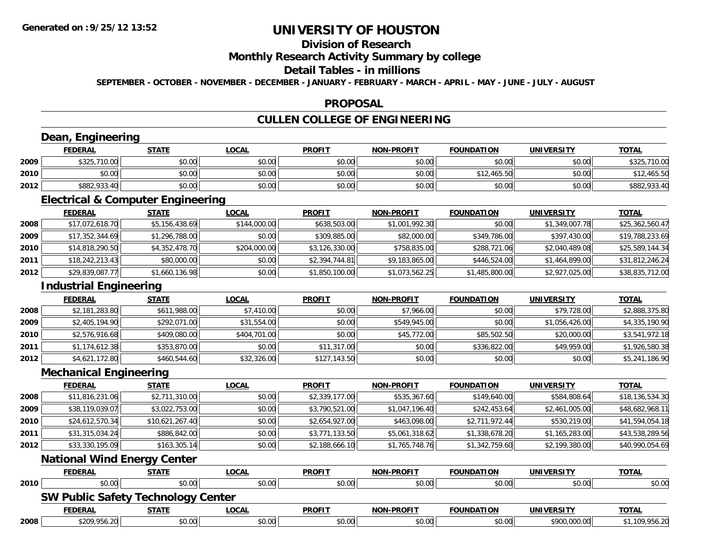# **Division of Research**

### **Monthly Research Activity Summary by college**

### **Detail Tables - in millions**

**SEPTEMBER - OCTOBER - NOVEMBER - DECEMBER - JANUARY - FEBRUARY - MARCH - APRIL - MAY - JUNE - JULY - AUGUST**

#### **PROPOSAL**

# **CULLEN COLLEGE OF ENGINEERING**

### **Dean, Engineering**

|      | <b>FEDERAL</b> | <b>STATE</b> | <u>LOCAL</u> | <b>PROFIT</b> | <b>NON-PROFIT</b> | <b>FOUNDATION</b> | UNIVERSITY | <b>TOTAL</b>    |
|------|----------------|--------------|--------------|---------------|-------------------|-------------------|------------|-----------------|
| 2009 | \$325,710.00   | \$0.00       | \$0.00       | \$0.00        | \$0.00            | \$0.00            | \$0.00     | \$325<br>710.00 |
| 2010 | \$0.00         | \$0.00       | \$0.00       | \$0.00        | \$0.00            | \$12,465.50       | \$0.00     | 12,465.50       |
| 2012 | \$882,933.40   | \$0.00       | \$0.00       | \$0.00        | \$0.00            | \$0.00            | \$0.00     | \$882,933.4     |

<u> 1980 - Andrea Station Barbara, actor a component de la componentación de la componentación de la componentaci</u>

### **Electrical & Computer Engineering**

<u> 1980 - Johann Barbara, martxa amerikan per</u>

|      | <u>FEDERAL</u>  | <b>STATE</b>   | <b>LOCAL</b> | <b>PROFIT</b>  | <b>NON-PROFIT</b> | <b>FOUNDATION</b> | UNIVERSITY     | <u>TOTAL</u>    |
|------|-----------------|----------------|--------------|----------------|-------------------|-------------------|----------------|-----------------|
| 2008 | \$17,072,618.70 | \$5,156,438.69 | \$144,000.00 | \$638,503.00   | \$1,001,992.30    | \$0.00            | \$1,349,007.78 | \$25,362,560.47 |
| 2009 | \$17,352,344.69 | \$1,296,788.00 | \$0.00       | \$309,885.00   | \$82,000.00       | \$349,786.00      | \$397,430.00   | \$19,788,233.69 |
| 2010 | \$14,818,290.50 | \$4,352,478.70 | \$204,000.00 | \$3,126,330.00 | \$758,835,00      | \$288,721.06      | \$2,040,489.08 | \$25,589,144.34 |
| 2011 | \$18,242,213.43 | \$80,000.00    | \$0.00       | \$2.394.744.81 | \$9,183,865.00    | \$446,524,00      | \$1,464,899.00 | \$31,812,246.24 |
| 2012 | \$29,839,087.77 | \$1,660,136.98 | \$0.00       | \$1,850,100.00 | \$1,073,562.25    | \$1,485,800.00    | \$2,927,025.00 | \$38,835,712.00 |

### **Industrial Engineering**

|      | Industrial Engineering |              |              |               |                   |                   |                   |                |  |  |  |
|------|------------------------|--------------|--------------|---------------|-------------------|-------------------|-------------------|----------------|--|--|--|
|      | <b>FEDERAL</b>         | <b>STATE</b> | <b>LOCAL</b> | <b>PROFIT</b> | <b>NON-PROFIT</b> | <b>FOUNDATION</b> | <b>UNIVERSITY</b> | <b>TOTAL</b>   |  |  |  |
| 2008 | \$2,181,283.80         | \$611,988.00 | \$7,410.00   | \$0.00        | \$7,966.00        | \$0.00            | \$79,728.00       | \$2,888,375.80 |  |  |  |
| 2009 | \$2,405,194.90         | \$292,071.00 | \$31,554.00  | \$0.00        | \$549,945.00      | \$0.00            | \$1,056,426.00    | \$4,335,190.90 |  |  |  |
| 2010 | \$2,576,916.68         | \$409,080.00 | \$404,701.00 | \$0.00        | \$45,772.00       | \$85,502.50       | \$20,000.00       | \$3,541,972.18 |  |  |  |
| 2011 | \$1,174,612.38         | \$353,870.00 | \$0.00       | \$11,317.00   | \$0.00            | \$336,822.00      | \$49,959.00       | \$1,926,580.38 |  |  |  |
| 2012 | \$4,621,172.80         | \$460,544.60 | \$32,326.00  | \$127,143.50  | \$0.00            | \$0.00            | \$0.00            | \$5,241,186.90 |  |  |  |

<u> 1989 - Johann Stoff, deutscher Stoffen und der Stoffen und der Stoffen und der Stoffen und der Stoffen und de</u>

#### **Mechanical Engineering**

|      | <b>FEDERAL</b>  | <u>STATE</u>    | <b>LOCAL</b> | <b>PROFIT</b>  | <b>NON-PROFIT</b> | <b>FOUNDATION</b> | <b>UNIVERSITY</b> | <b>TOTAL</b>    |
|------|-----------------|-----------------|--------------|----------------|-------------------|-------------------|-------------------|-----------------|
| 2008 | \$11,816,231.06 | \$2,711,310.00  | \$0.00       | \$2,339,177.00 | \$535,367.60      | \$149,640.00      | \$584,808.64      | \$18,136,534.30 |
| 2009 | \$38,119,039.07 | \$3,022,753.00  | \$0.00       | \$3,790,521.00 | \$1,047,196.40    | \$242,453.64      | \$2,461,005.00    | \$48,682,968.11 |
| 2010 | \$24,612,570.34 | \$10,621,267.40 | \$0.00       | \$2,654,927.00 | \$463,098.00      | \$2,711,972.44    | \$530,219.00      | \$41,594,054.18 |
| 2011 | \$31,315,034.24 | \$886,842.00    | \$0.00       | \$3,771,133.50 | \$5,061,318.62    | \$1,338,678.20    | \$1,165,283.00    | \$43,538,289.56 |
| 2012 | \$33,330,195.09 | \$163,305.14    | \$0.00       | \$2,188,666.10 | \$1,765,748.76    | \$1,342,759.60    | \$2,199,380.00    | \$40,990,054.69 |

#### **National Wind Energy Center**

|      | <u>FEDERAL</u>                            | <b>STATE</b> | <u>LOCAL</u> | <b>PROFIT</b> | <b>NON-PROFIT</b> | <b>FOUNDATION</b> | <b>UNIVERSITY</b> | <b>TOTAL</b>   |
|------|-------------------------------------------|--------------|--------------|---------------|-------------------|-------------------|-------------------|----------------|
| 2010 | \$0.00                                    | \$0.00       | \$0.00       | \$0.00        | \$0.00            | \$0.00            | \$0.00            | \$0.00         |
|      | <b>SW Public Safety Technology Center</b> |              |              |               |                   |                   |                   |                |
|      | <u>FEDERAL</u>                            | <u>STATE</u> | <u>LOCAL</u> | <b>PROFIT</b> | <b>NON-PROFIT</b> | <b>FOUNDATION</b> | UNIVERSITY        | <b>TOTAL</b>   |
| 2008 | \$209,956.20                              | \$0.00       | \$0.00       | \$0.00        | \$0.00            | \$0.00            | \$900,000.00      | \$1,109,956.20 |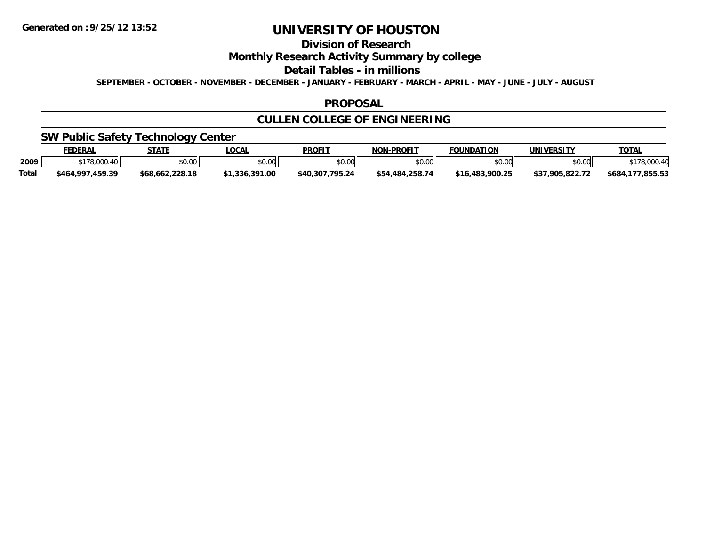# **Division of Research**

**Monthly Research Activity Summary by college**

**Detail Tables - in millions**

**SEPTEMBER - OCTOBER - NOVEMBER - DECEMBER - JANUARY - FEBRUARY - MARCH - APRIL - MAY - JUNE - JULY - AUGUST**

#### **PROPOSAL**

## **CULLEN COLLEGE OF ENGINEERING**

## **SW Public Safety Technology Center**

|              | <b>EDERAL</b>        | <b>STATE</b>    | <b>LOCAL</b>     | <b>PROFIT</b>       | <b>J-PROFIT</b><br><b>NON</b> | <b>FOUNDATION</b>          | UNIVERSITY    | <b>TOTAL</b>               |
|--------------|----------------------|-----------------|------------------|---------------------|-------------------------------|----------------------------|---------------|----------------------------|
| 2009         | 0.170000<br>$\sim$   | ልስ ስስ<br>יש.ט   | ደስ ሰሰ<br>DU.UU   | ≮N UU<br>DU.UU      | \$0.00                        | ደሀ ሀሀ                      | \$0.00        | .001                       |
| <b>Total</b> | .459.39<br>\$464,997 | \$68.662.228.18 | .391.00<br>.336. | .795.24<br>\$40.307 | 258.74<br>.484                | .900.25<br><b>\$16 483</b> | .7.905.822.72 | OEE ES<br>\$684<br>,800.03 |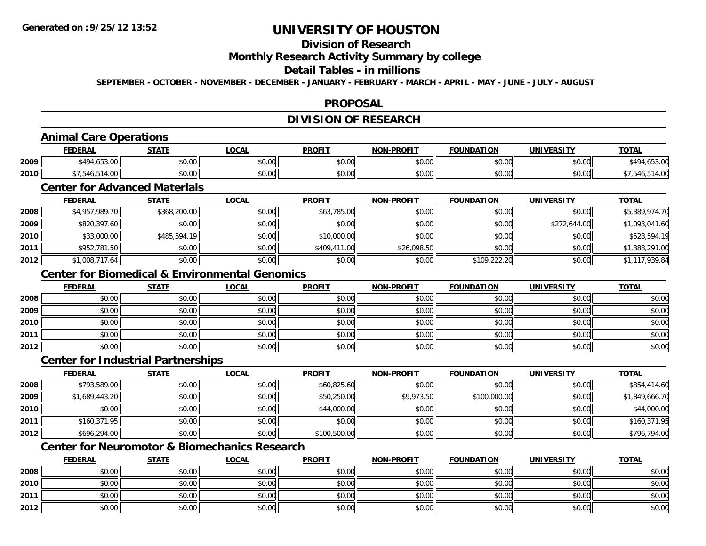# **Division of Research**

### **Monthly Research Activity Summary by college**

### **Detail Tables - in millions**

**SEPTEMBER - OCTOBER - NOVEMBER - DECEMBER - JANUARY - FEBRUARY - MARCH - APRIL - MAY - JUNE - JULY - AUGUST**

## **PROPOSAL**

# **DIVISION OF RESEARCH**

# **Animal Care Operations**

|      | <b>FEDERAL</b>               | CTATE         | .OCAI                | <b>PROFIT</b>   | -PROFIT<br><b>NIONI</b> | <b>FOUNDATION</b>  | UNIVERSITY    | <b>TOTAL</b> |
|------|------------------------------|---------------|----------------------|-----------------|-------------------------|--------------------|---------------|--------------|
| 2009 | \$494<br>$\epsilon = \alpha$ | 0.00<br>JU.UU | 0.00<br>JU.UU        | \$0.00<br>JU.UU | 0000<br>JU.UU           | $\sim$ 00<br>טט.טע | 0000<br>PU.UU | .49/<br>     |
| 2010 | ᠇.∪៶                         | 0.00<br>PU.UU | 0.00<br><b>JU.UU</b> | \$0.00<br>JU.UU | \$0.00                  | $\sim$ 00<br>vu.uu | 0000<br>JU.UU |              |

## **Center for Advanced Materials**

|      | <b>FEDERAL</b> | <u>STATE</u> | <b>LOCAL</b> | <b>PROFIT</b> | <b>NON-PROFIT</b> | <b>FOUNDATION</b> | <b>UNIVERSITY</b> | <b>TOTAL</b>   |
|------|----------------|--------------|--------------|---------------|-------------------|-------------------|-------------------|----------------|
| 2008 | \$4,957,989.70 | \$368,200.00 | \$0.00       | \$63,785.00   | \$0.00            | \$0.00            | \$0.00            | \$5,389,974.70 |
| 2009 | \$820,397.60   | \$0.00       | \$0.00       | \$0.00        | \$0.00            | \$0.00            | \$272,644.00      | \$1,093,041.60 |
| 2010 | \$33,000.00    | \$485,594.19 | \$0.00       | \$10,000.00   | \$0.00            | \$0.00            | \$0.00            | \$528,594.19   |
| 2011 | \$952,781.50   | \$0.00       | \$0.00       | \$409,411.00  | \$26,098.50       | \$0.00            | \$0.00            | \$1,388,291.00 |
| 2012 | \$1,008,717.64 | \$0.00       | \$0.00       | \$0.00        | \$0.00            | \$109,222.20      | \$0.00            | \$1,117,939.84 |

## **Center for Biomedical & Environmental Genomics**

|      | <b>FEDERAL</b> | <b>STATE</b> | <u>LOCAL</u> | <b>PROFIT</b> | <b>NON-PROFIT</b> | <b>FOUNDATION</b> | <b>UNIVERSITY</b> | <b>TOTAL</b> |
|------|----------------|--------------|--------------|---------------|-------------------|-------------------|-------------------|--------------|
| 2008 | \$0.00         | \$0.00       | \$0.00       | \$0.00        | \$0.00            | \$0.00            | \$0.00            | \$0.00       |
| 2009 | \$0.00         | \$0.00       | \$0.00       | \$0.00        | \$0.00            | \$0.00            | \$0.00            | \$0.00       |
| 2010 | \$0.00         | \$0.00       | \$0.00       | \$0.00        | \$0.00            | \$0.00            | \$0.00            | \$0.00       |
| 2011 | \$0.00         | \$0.00       | \$0.00       | \$0.00        | \$0.00            | \$0.00            | \$0.00            | \$0.00       |
| 2012 | \$0.00         | \$0.00       | \$0.00       | \$0.00        | \$0.00            | \$0.00            | \$0.00            | \$0.00       |

## **Center for Industrial Partnerships**

|      | <b>FEDERAL</b> | <b>STATE</b> | <u>LOCAL</u> | <b>PROFIT</b> | <b>NON-PROFIT</b> | <b>FOUNDATION</b> | <b>UNIVERSITY</b> | <b>TOTAL</b>   |
|------|----------------|--------------|--------------|---------------|-------------------|-------------------|-------------------|----------------|
| 2008 | \$793,589.00   | \$0.00       | \$0.00       | \$60,825.60   | \$0.00            | \$0.00            | \$0.00            | \$854,414.60   |
| 2009 | \$1,689,443.20 | \$0.00       | \$0.00       | \$50,250.00   | \$9,973.50        | \$100,000.00      | \$0.00            | \$1,849,666.70 |
| 2010 | \$0.00         | \$0.00       | \$0.00       | \$44,000.00   | \$0.00            | \$0.00            | \$0.00            | \$44,000.00    |
| 2011 | \$160,371.95   | \$0.00       | \$0.00       | \$0.00        | \$0.00            | \$0.00            | \$0.00            | \$160,371.95   |
| 2012 | \$696,294.00   | \$0.00       | \$0.00       | \$100,500.00  | \$0.00            | \$0.00            | \$0.00            | \$796,794.00   |

## **Center for Neuromotor & Biomechanics Research**

|      | <b>FEDERAL</b> | <b>STATE</b> | <u>LOCAL</u> | <b>PROFIT</b> | <b>NON-PROFIT</b> | <b>FOUNDATION</b> | <b>UNIVERSITY</b> | <b>TOTAL</b> |
|------|----------------|--------------|--------------|---------------|-------------------|-------------------|-------------------|--------------|
| 2008 | \$0.00         | \$0.00       | \$0.00       | \$0.00        | \$0.00            | \$0.00            | \$0.00            | \$0.00       |
| 2010 | \$0.00         | \$0.00       | \$0.00       | \$0.00        | \$0.00            | \$0.00            | \$0.00            | \$0.00       |
| 2011 | \$0.00         | \$0.00       | \$0.00       | \$0.00        | \$0.00            | \$0.00            | \$0.00            | \$0.00       |
| 2012 | \$0.00         | \$0.00       | \$0.00       | \$0.00        | \$0.00            | \$0.00            | \$0.00            | \$0.00       |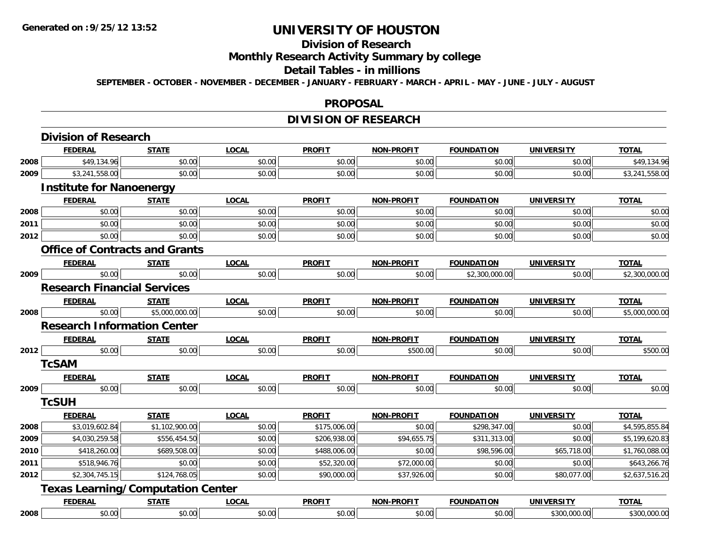#### **Division of Research**

**Monthly Research Activity Summary by college**

#### **Detail Tables - in millions**

**SEPTEMBER - OCTOBER - NOVEMBER - DECEMBER - JANUARY - FEBRUARY - MARCH - APRIL - MAY - JUNE - JULY - AUGUST**

#### **PROPOSAL**

## **DIVISION OF RESEARCH**

|      | <b>Division of Research</b>              |                |              |               |                   |                   |                   |                |
|------|------------------------------------------|----------------|--------------|---------------|-------------------|-------------------|-------------------|----------------|
|      | <b>FEDERAL</b>                           | <b>STATE</b>   | <b>LOCAL</b> | <b>PROFIT</b> | NON-PROFIT        | <b>FOUNDATION</b> | <b>UNIVERSITY</b> | <b>TOTAL</b>   |
| 2008 | \$49,134.96                              | \$0.00         | \$0.00       | \$0.00        | \$0.00            | \$0.00            | \$0.00            | \$49,134.96    |
| 2009 | \$3,241,558.00                           | \$0.00         | \$0.00       | \$0.00        | \$0.00            | \$0.00            | \$0.00            | \$3,241,558.00 |
|      | <b>Institute for Nanoenergy</b>          |                |              |               |                   |                   |                   |                |
|      | <b>FEDERAL</b>                           | <b>STATE</b>   | <b>LOCAL</b> | <b>PROFIT</b> | NON-PROFIT        | <b>FOUNDATION</b> | <b>UNIVERSITY</b> | <b>TOTAL</b>   |
| 2008 | \$0.00                                   | \$0.00         | \$0.00       | \$0.00        | \$0.00            | \$0.00            | \$0.00            | \$0.00         |
| 2011 | \$0.00                                   | \$0.00         | \$0.00       | \$0.00        | \$0.00            | \$0.00            | \$0.00            | \$0.00         |
| 2012 | \$0.00                                   | \$0.00         | \$0.00       | \$0.00        | \$0.00            | \$0.00            | \$0.00            | \$0.00         |
|      | <b>Office of Contracts and Grants</b>    |                |              |               |                   |                   |                   |                |
|      | <b>FEDERAL</b>                           | <b>STATE</b>   | <b>LOCAL</b> | <b>PROFIT</b> | NON-PROFIT        | <b>FOUNDATION</b> | UNIVERSITY        | <b>TOTAL</b>   |
| 2009 | \$0.00                                   | \$0.00         | \$0.00       | \$0.00        | \$0.00            | \$2,300,000.00    | \$0.00            | \$2,300,000.00 |
|      | <b>Research Financial Services</b>       |                |              |               |                   |                   |                   |                |
|      | <b>FEDERAL</b>                           | <b>STATE</b>   | <b>LOCAL</b> | <b>PROFIT</b> | NON-PROFIT        | <b>FOUNDATION</b> | <b>UNIVERSITY</b> | <b>TOTAL</b>   |
| 2008 | \$0.00                                   | \$5,000,000.00 | \$0.00       | \$0.00        | \$0.00            | \$0.00            | \$0.00            | \$5,000,000.00 |
|      | <b>Research Information Center</b>       |                |              |               |                   |                   |                   |                |
|      | <b>FEDERAL</b>                           | <b>STATE</b>   | <b>LOCAL</b> | <b>PROFIT</b> | <b>NON-PROFIT</b> | <b>FOUNDATION</b> | <b>UNIVERSITY</b> | <b>TOTAL</b>   |
| 2012 | \$0.00                                   | \$0.00         | \$0.00       | \$0.00        | \$500.00          | \$0.00            | \$0.00            | \$500.00       |
|      | <b>TcSAM</b>                             |                |              |               |                   |                   |                   |                |
|      | <b>FEDERAL</b>                           | <b>STATE</b>   | <b>LOCAL</b> | <b>PROFIT</b> | NON-PROFIT        | <b>FOUNDATION</b> | <b>UNIVERSITY</b> | <b>TOTAL</b>   |
| 2009 | \$0.00                                   | \$0.00         | \$0.00       | \$0.00        | \$0.00            | \$0.00            | \$0.00            | \$0.00         |
|      | <b>TcSUH</b>                             |                |              |               |                   |                   |                   |                |
|      | <b>FEDERAL</b>                           | <b>STATE</b>   | <b>LOCAL</b> | <b>PROFIT</b> | <b>NON-PROFIT</b> | <b>FOUNDATION</b> | <b>UNIVERSITY</b> | <b>TOTAL</b>   |
| 2008 | \$3,019,602.84                           | \$1,102,900.00 | \$0.00       | \$175,006.00  | \$0.00            | \$298,347.00      | \$0.00            | \$4,595,855.84 |
| 2009 | \$4,030,259.58                           | \$556,454.50   | \$0.00       | \$206,938.00  | \$94,655.75       | \$311,313.00      | \$0.00            | \$5,199,620.83 |
| 2010 | \$418,260.00                             | \$689,508.00   | \$0.00       | \$488,006.00  | \$0.00            | \$98,596.00       | \$65,718.00       | \$1,760,088.00 |
| 2011 | \$518,946.76                             | \$0.00         | \$0.00       | \$52,320.00   | \$72,000.00       | \$0.00            | \$0.00            | \$643,266.76   |
| 2012 | \$2,304,745.15                           | \$124,768.05   | \$0.00       | \$90,000.00   | \$37,926.00       | \$0.00            | \$80,077.00       | \$2,637,516.20 |
|      | <b>Texas Learning/Computation Center</b> |                |              |               |                   |                   |                   |                |
|      | <b>FEDERAL</b>                           | <b>STATE</b>   | <b>LOCAL</b> | <b>PROFIT</b> | NON-PROFIT        | <b>FOUNDATION</b> | <b>UNIVERSITY</b> | <b>TOTAL</b>   |
| 2008 | \$0.00                                   | \$0.00         | \$0.00       | \$0.00        | \$0.00            | \$0.00            | \$300,000.00      | \$300,000.00   |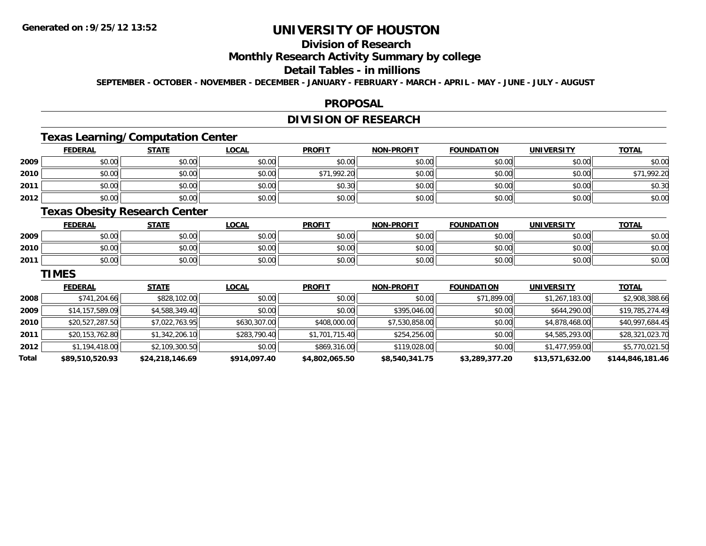# **Division of Research**

## **Monthly Research Activity Summary by college**

## **Detail Tables - in millions**

**SEPTEMBER - OCTOBER - NOVEMBER - DECEMBER - JANUARY - FEBRUARY - MARCH - APRIL - MAY - JUNE - JULY - AUGUST**

#### **PROPOSAL**

## **DIVISION OF RESEARCH**

## **Texas Learning/Computation Center**

|      | <b>FEDERAL</b> | <b>STATE</b> | <b>LOCAL</b> | <b>PROFIT</b> | <b>NON-PROFIT</b> | <b>FOUNDATION</b> | <b>UNIVERSITY</b> | <b>TOTAL</b> |
|------|----------------|--------------|--------------|---------------|-------------------|-------------------|-------------------|--------------|
| 2009 | \$0.00         | \$0.00       | \$0.00       | \$0.00        | \$0.00            | \$0.00            | \$0.00            | \$0.00       |
| 2010 | \$0.00         | \$0.00       | \$0.00       | \$71,992.20   | \$0.00            | \$0.00            | \$0.00            | \$71,992.20  |
| 2011 | \$0.00         | \$0.00       | \$0.00       | \$0.30        | \$0.00            | \$0.00            | \$0.00            | \$0.30       |
| 2012 | \$0.00         | \$0.00       | \$0.00       | \$0.00        | \$0.00            | \$0.00            | \$0.00            | \$0.00       |

## **Texas Obesity Research Center**

|      | <b>FEDERAL</b> | <b>STATE</b>                 | LOCAL                | <b>PROFIT</b> | <b>NON-PROFIT</b> | <b>FOUNDATION</b> | <b>UNIVERSITY</b> | <u>TOTAL</u> |
|------|----------------|------------------------------|----------------------|---------------|-------------------|-------------------|-------------------|--------------|
| 2009 | 60.00<br>,U.UU | Ψυ<br>$\sim$<br>JU.UU        | 0000<br><b>JU.UU</b> | \$0.00        | \$0.00            | \$0.00            | \$0.00            | \$0.00       |
| 2010 | \$0.00         | 0.000<br>PU.U                | 0000<br>\$U.UU       | \$0.00        | \$0.00            | \$0.00            | \$0.00            | \$0.00       |
| 2011 | \$0.00         | <b>ሰሳ</b><br>$\sim$<br>JU.UU | \$0.00               | \$0.00        | \$0.00            | \$0.00            | \$0.00            | \$0.00       |

#### **TIMES**

|       | <b>FEDERAL</b>  | <b>STATE</b>    | <b>LOCAL</b> | <b>PROFIT</b>  | <b>NON-PROFIT</b> | <b>FOUNDATION</b> | UNIVERSITY      | <b>TOTAL</b>     |
|-------|-----------------|-----------------|--------------|----------------|-------------------|-------------------|-----------------|------------------|
| 2008  | \$741,204.66    | \$828,102.00    | \$0.00       | \$0.00         | \$0.00            | \$71,899.00       | \$1,267,183.00  | \$2,908,388.66   |
| 2009  | \$14,157,589.09 | \$4,588,349.40  | \$0.00       | \$0.00         | \$395,046,00      | \$0.00            | \$644,290.00    | \$19,785,274.49  |
| 2010  | \$20,527,287.50 | \$7,022,763.95  | \$630,307.00 | \$408,000.00   | \$7,530,858.00    | \$0.00            | \$4,878,468.00  | \$40,997,684.45  |
| 2011  | \$20,153,762.80 | \$1,342,206.10  | \$283,790.40 | \$1,701,715.40 | \$254,256.00      | \$0.00            | \$4,585,293.00  | \$28,321,023.70  |
| 2012  | \$1,194,418.00  | \$2,109,300.50  | \$0.00       | \$869,316.00   | \$119,028.00      | \$0.00            | \$1,477,959.00  | \$5,770,021.50   |
| Total | \$89,510,520.93 | \$24,218,146.69 | \$914,097.40 | \$4,802,065.50 | \$8,540,341.75    | \$3,289,377.20    | \$13,571,632.00 | \$144,846,181.46 |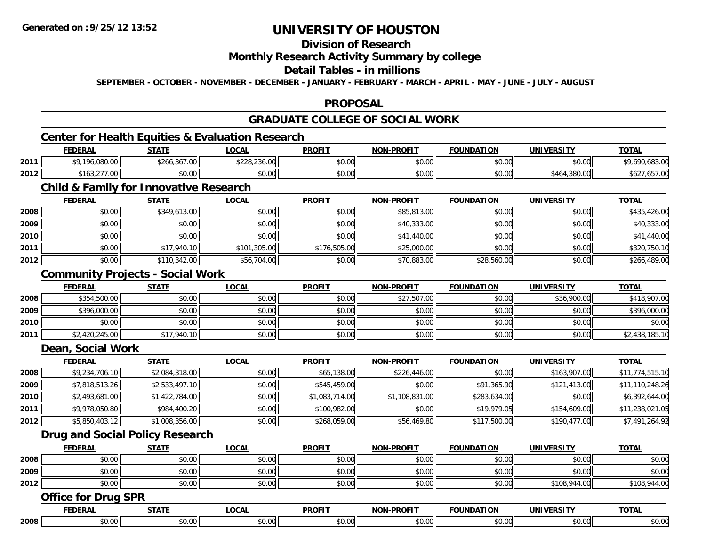# **Division of Research**

### **Monthly Research Activity Summary by college**

### **Detail Tables - in millions**

**SEPTEMBER - OCTOBER - NOVEMBER - DECEMBER - JANUARY - FEBRUARY - MARCH - APRIL - MAY - JUNE - JULY - AUGUST**

## **PROPOSAL**

# **GRADUATE COLLEGE OF SOCIAL WORK**

## **Center for Health Equities & Evaluation Research**

|      | <b>FEDERAL</b>                                            | <b>STATE</b>                    | .OCAL                                        | <b>PROFIT</b>                   | <b>NON-PROFIT</b> | <b>FOUNDATION</b> | UNIVERSITY        | <u>тота.</u>                                |
|------|-----------------------------------------------------------|---------------------------------|----------------------------------------------|---------------------------------|-------------------|-------------------|-------------------|---------------------------------------------|
| 2011 | 00000<br><b>¢0 10</b><br>.u8u.uu                          | $+0/1$<br>0/700<br>\$266.367.00 | $\cdots$<br>$\sim$<br>$\sim$<br>DZZ0.Z30.UUL | $n \cap \Omega$<br><b>JU.UU</b> | \$0.00            | \$0.00            | \$0.00            | 10000<br>$\sim$<br>- , .090,083.00 <b>.</b> |
| 2012 | $\sim$ $\sim$ $\sim$ $\sim$ $\sim$ $\sim$<br>\$163.277.00 | ሶስ ሰሰ<br>JU.UU                  | ቀስ ስስ<br>DU.UU                               | \$0.00                          | \$0.00            | \$0.00            | 4.380.00<br>\$464 | $\sim$<br>50Z /<br>.007.00                  |

# **Child & Family for Innovative Research**

|      | <b>FEDERAL</b> | <u>STATE</u> | <u>LOCAL</u> | <b>PROFIT</b> | <b>NON-PROFIT</b> | <b>FOUNDATION</b> | <b>UNIVERSITY</b> | <b>TOTAL</b> |
|------|----------------|--------------|--------------|---------------|-------------------|-------------------|-------------------|--------------|
| 2008 | \$0.00         | \$349,613.00 | \$0.00       | \$0.00        | \$85,813.00       | \$0.00            | \$0.00            | \$435,426.00 |
| 2009 | \$0.00         | \$0.00       | \$0.00       | \$0.00        | \$40,333.00       | \$0.00            | \$0.00            | \$40,333.00  |
| 2010 | \$0.00         | \$0.00       | \$0.00       | \$0.00        | \$41,440.00       | \$0.00            | \$0.00            | \$41,440.00  |
| 2011 | \$0.00         | \$17,940.10  | \$101,305.00 | \$176,505.00  | \$25,000.00       | \$0.00            | \$0.00            | \$320,750.10 |
| 2012 | \$0.00         | \$110,342.00 | \$56,704.00  | \$0.00        | \$70,883.00       | \$28,560.00       | \$0.00            | \$266,489.00 |

## **Community Projects - Social Work**

|      | <b>FEDERAL</b> | STATE       | <u>LOCAL</u> | <b>PROFIT</b> | <b>NON-PROFIT</b> | FOUNDATION | <b>UNIVERSITY</b> | <b>TOTAL</b>   |
|------|----------------|-------------|--------------|---------------|-------------------|------------|-------------------|----------------|
| 2008 | \$354,500.00   | \$0.00      | \$0.00       | \$0.00        | \$27,507.00       | \$0.00     | \$36,900.00       | \$418,907.00   |
| 2009 | \$396,000.00   | \$0.00      | \$0.00       | \$0.00        | \$0.00            | \$0.00     | \$0.00            | \$396,000.00   |
| 2010 | \$0.00         | \$0.00      | \$0.00       | \$0.00        | \$0.00            | \$0.00     | \$0.00            | \$0.00         |
| 2011 | \$2,420,245.00 | \$17,940.10 | \$0.00       | \$0.00        | \$0.00            | \$0.00     | \$0.00            | \$2,438,185.10 |

#### **Dean, Social Work**

|      | <b>FEDERAL</b> | <b>STATE</b>   | <b>LOCAL</b> | <b>PROFIT</b>  | <b>NON-PROFIT</b> | <b>FOUNDATION</b> | <b>UNIVERSITY</b> | <b>TOTAL</b>    |
|------|----------------|----------------|--------------|----------------|-------------------|-------------------|-------------------|-----------------|
| 2008 | \$9,234,706.10 | \$2,084,318.00 | \$0.00       | \$65,138.00    | \$226,446.00      | \$0.00            | \$163,907.00      | \$11,774,515.10 |
| 2009 | \$7,818,513.26 | \$2,533,497.10 | \$0.00       | \$545,459.00   | \$0.00            | \$91,365.90       | \$121,413.00      | \$11,110,248.26 |
| 2010 | \$2,493,681.00 | \$1,422,784.00 | \$0.00       | \$1,083,714.00 | \$1,108,831.00    | \$283,634.00      | \$0.00            | \$6,392,644.00  |
| 2011 | \$9,978,050.80 | \$984,400.20   | \$0.00       | \$100,982.00   | \$0.00            | \$19,979.05       | \$154,609.00      | \$11,238,021.05 |
| 2012 | \$5,850,403.12 | \$1,008,356.00 | \$0.00       | \$268,059.00   | \$56,469.80       | \$117,500.00      | \$190,477.00      | \$7,491,264.92  |

## **Drug and Social Policy Research**

|      | <b>FEDERAL</b> | <b>STATE</b> | LOCAI           | <b>PROFIT</b> | DDOCI <sub>2</sub><br>810 R | <b>FOUNDATION</b> | <b><i>INIVERSITY</i></b><br>ERƏL | <b>TOTAL</b> |
|------|----------------|--------------|-----------------|---------------|-----------------------------|-------------------|----------------------------------|--------------|
| 2008 | 0000<br>,u.uu  | ¢∩<br>JU.UU  | ልስ ስስ<br>JU.UU  | \$0.00        | \$0.00                      | 40.00<br>JU.UU    | \$0.00                           | \$0.00       |
| 2009 | 0000<br>DU.UU  | ÷0<br>JU.UU  | 0000<br>JU.UU   | \$0.00        | \$0.00                      | \$0.00            | \$0.00                           | \$0.00       |
| 2012 | \$0.00         | \$0.00       | ልስ ስስ<br>\$U.UU | \$0.00        | \$0.00                      | \$0.00            | \$108,944.00                     | .944.00      |

#### **Office for Drug SPR**

|      | <b>CENED</b><br>R.F | $\sim$ $\sim$ $\sim$ $\sim$             | $\sim$ $\sim$ $\sim$<br>"<br>.UUAI | <b>DDOEIT</b><br>- r. l.    |                        | INDATION         | JNIVI<br>----             | $-2 - 1$<br>$\overline{\phantom{a}}$ |
|------|---------------------|-----------------------------------------|------------------------------------|-----------------------------|------------------------|------------------|---------------------------|--------------------------------------|
| 2008 | ሶስ ሰሰ<br>JU.UU      | $\uparrow$ $\uparrow$<br>$\mathbf{u}$ . |                                    | $\sim$<br>$\sim$<br>$\cdot$ | $\sim$ $\sim$<br>,,,,, | $\sim$<br>⊸∪.∪\≞ | $\sim$ 00<br><b>DU.UU</b> | JU.UU                                |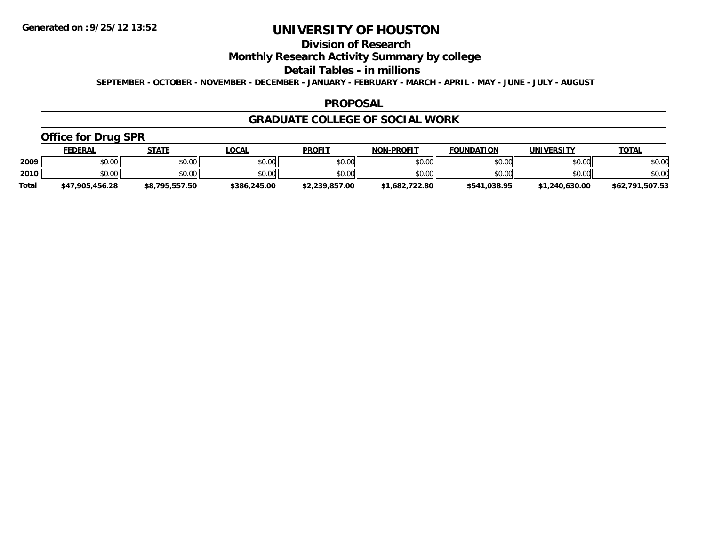# **Division of Research**

## **Monthly Research Activity Summary by college**

#### **Detail Tables - in millions**

**SEPTEMBER - OCTOBER - NOVEMBER - DECEMBER - JANUARY - FEBRUARY - MARCH - APRIL - MAY - JUNE - JULY - AUGUST**

#### **PROPOSAL**

#### **GRADUATE COLLEGE OF SOCIAL WORK**

## **Office for Drug SPR**

|              | <u>FEDERAL</u>  | <b>STATE</b>   | <u>_OCAL</u> | <b>PROFIT</b>  | <b>NON-PROFIT</b> | <b>FOUNDATION</b> | UNIVERSITY     | <b>TOTAL</b>    |
|--------------|-----------------|----------------|--------------|----------------|-------------------|-------------------|----------------|-----------------|
| 2009         | \$0.00          | \$0.00         | \$0.00       | \$0.00         | \$0.00            | \$0.00            | \$0.00         | \$0.00          |
| 2010         | \$0.00          | \$0.00         | \$0.00       | \$0.00         | \$0.00            | \$0.00            | \$0.00         | \$0.00          |
| <b>Total</b> | \$47,905,456.28 | \$8,795,557.50 | \$386,245.00 | \$2,239,857.00 | \$1,682,722.80    | \$541,038.95      | \$1,240,630.00 | \$62,791,507.53 |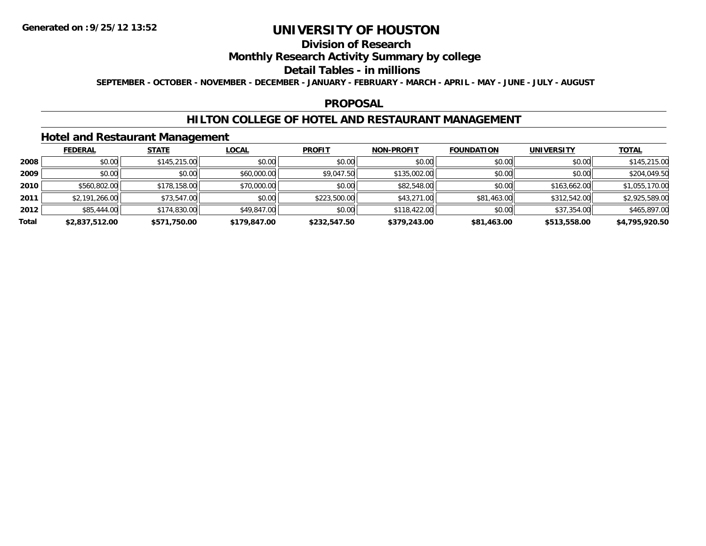# **Division of Research**

## **Monthly Research Activity Summary by college**

#### **Detail Tables - in millions**

**SEPTEMBER - OCTOBER - NOVEMBER - DECEMBER - JANUARY - FEBRUARY - MARCH - APRIL - MAY - JUNE - JULY - AUGUST**

#### **PROPOSAL**

### **HILTON COLLEGE OF HOTEL AND RESTAURANT MANAGEMENT**

### **Hotel and Restaurant Management**

|       | <b>FEDERAL</b> | <b>STATE</b> | <u>LOCAL</u> | <b>PROFIT</b> | <b>NON-PROFIT</b> | <b>FOUNDATION</b> | <b>UNIVERSITY</b> | <b>TOTAL</b>   |
|-------|----------------|--------------|--------------|---------------|-------------------|-------------------|-------------------|----------------|
| 2008  | \$0.00         | \$145,215.00 | \$0.00       | \$0.00        | \$0.00            | \$0.00            | \$0.00            | \$145,215.00   |
| 2009  | \$0.00         | \$0.00       | \$60,000.00  | \$9,047.50    | \$135,002.00      | \$0.00            | \$0.00            | \$204,049.50   |
| 2010  | \$560,802.00   | \$178,158.00 | \$70,000.00  | \$0.00        | \$82,548.00       | \$0.00            | \$163,662.00      | \$1,055,170.00 |
| 2011  | \$2,191,266.00 | \$73,547.00  | \$0.00       | \$223,500.00  | \$43,271.00       | \$81,463.00       | \$312,542.00      | \$2,925,589.00 |
| 2012  | \$85,444.00    | \$174,830.00 | \$49,847.00  | \$0.00        | \$118,422.00      | \$0.00            | \$37,354.00       | \$465,897.00   |
| Total | \$2,837,512.00 | \$571,750.00 | \$179,847.00 | \$232,547.50  | \$379,243.00      | \$81,463.00       | \$513,558.00      | \$4,795,920.50 |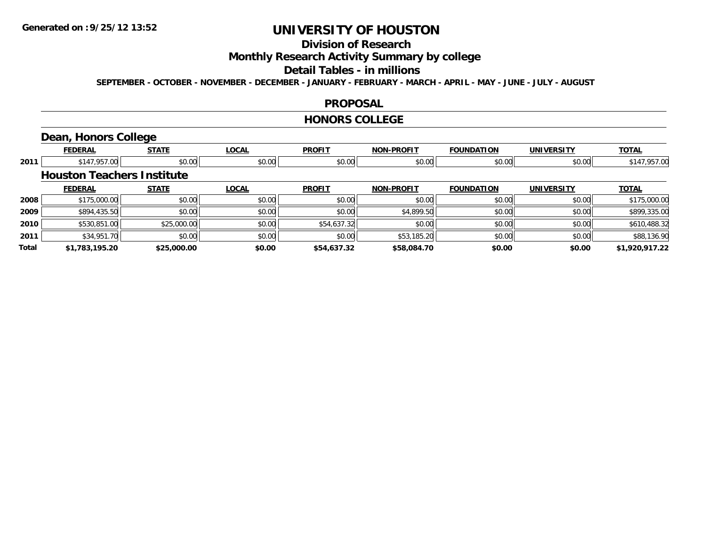# **Division of Research**

**Monthly Research Activity Summary by college**

#### **Detail Tables - in millions**

**SEPTEMBER - OCTOBER - NOVEMBER - DECEMBER - JANUARY - FEBRUARY - MARCH - APRIL - MAY - JUNE - JULY - AUGUST**

#### **PROPOSAL**

#### **HONORS COLLEGE**

# **Dean, Honors College**

|       | <b>FEDERAL</b>                    | <b>STATE</b> | <b>LOCAL</b> | <b>PROFIT</b> | <b>NON-PROFIT</b> | <b>FOUNDATION</b> | <b>UNIVERSITY</b> | <b>TOTAL</b>   |
|-------|-----------------------------------|--------------|--------------|---------------|-------------------|-------------------|-------------------|----------------|
| 2011  | \$147,957.00                      | \$0.00       | \$0.00       | \$0.00        | \$0.00            | \$0.00            | \$0.00            | \$147,957.00   |
|       | <b>Houston Teachers Institute</b> |              |              |               |                   |                   |                   |                |
|       | <b>FEDERAL</b>                    | <b>STATE</b> | <b>LOCAL</b> | <b>PROFIT</b> | <b>NON-PROFIT</b> | <b>FOUNDATION</b> | <b>UNIVERSITY</b> | <b>TOTAL</b>   |
| 2008  | \$175,000.00                      | \$0.00       | \$0.00       | \$0.00        | \$0.00            | \$0.00            | \$0.00            | \$175,000.00   |
| 2009  | \$894,435.50                      | \$0.00       | \$0.00       | \$0.00        | \$4,899.50        | \$0.00            | \$0.00            | \$899,335.00   |
| 2010  | \$530,851.00                      | \$25,000.00  | \$0.00       | \$54,637.32   | \$0.00            | \$0.00            | \$0.00            | \$610,488.32   |
| 2011  | \$34,951.70                       | \$0.00       | \$0.00       | \$0.00        | \$53,185.20       | \$0.00            | \$0.00            | \$88,136.90    |
| Total | \$1,783,195.20                    | \$25,000.00  | \$0.00       | \$54,637.32   | \$58,084.70       | \$0.00            | \$0.00            | \$1,920,917.22 |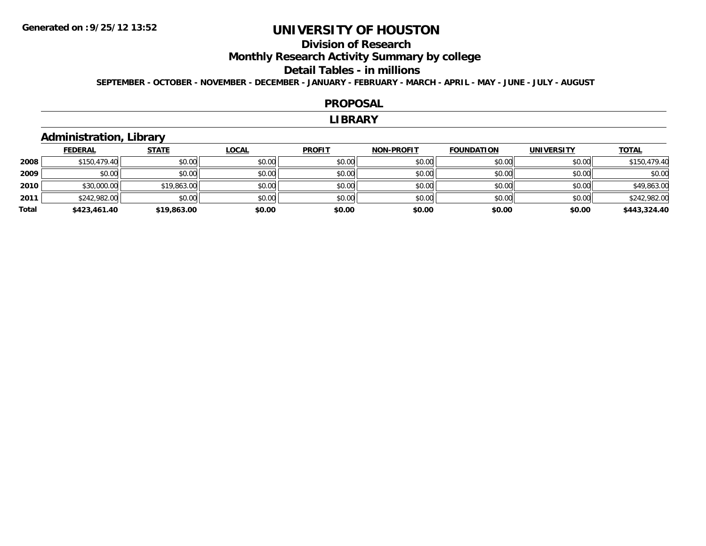# **Division of Research**

**Monthly Research Activity Summary by college**

#### **Detail Tables - in millions**

**SEPTEMBER - OCTOBER - NOVEMBER - DECEMBER - JANUARY - FEBRUARY - MARCH - APRIL - MAY - JUNE - JULY - AUGUST**

#### **PROPOSAL**

#### **LIBRARY**

## **Administration, Library**

|       | <b>FEDERAL</b> | <b>STATE</b> | <u>LOCAL</u> | <b>PROFIT</b> | <b>NON-PROFIT</b> | <b>FOUNDATION</b> | <b>UNIVERSITY</b> | <b>TOTAL</b> |
|-------|----------------|--------------|--------------|---------------|-------------------|-------------------|-------------------|--------------|
| 2008  | \$150,479.40   | \$0.00       | \$0.00       | \$0.00        | \$0.00            | \$0.00            | \$0.00            | \$150,479.40 |
| 2009  | \$0.00         | \$0.00       | \$0.00       | \$0.00        | \$0.00            | \$0.00            | \$0.00            | \$0.00       |
| 2010  | \$30,000.00    | \$19,863.00  | \$0.00       | \$0.00        | \$0.00            | \$0.00            | \$0.00            | \$49,863.00  |
| 2011  | \$242,982.00   | \$0.00       | \$0.00       | \$0.00        | \$0.00            | \$0.00            | \$0.00            | \$242,982.00 |
| Total | \$423,461.40   | \$19,863.00  | \$0.00       | \$0.00        | \$0.00            | \$0.00            | \$0.00            | \$443,324.40 |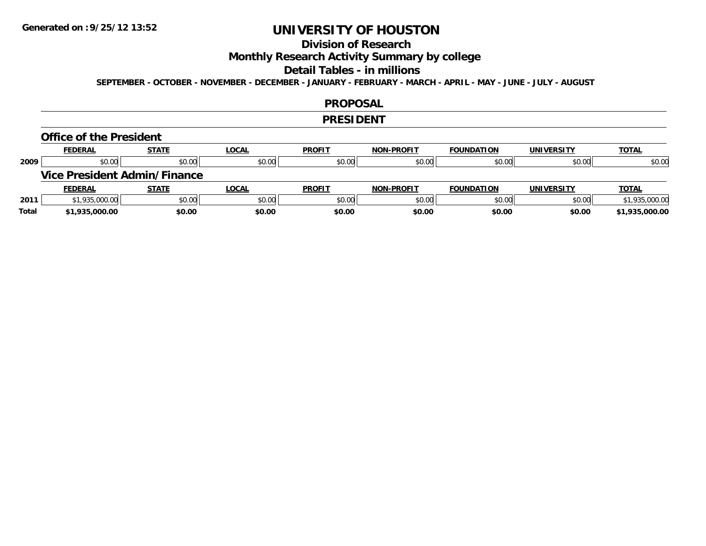# **Division of Research**

**Monthly Research Activity Summary by college**

#### **Detail Tables - in millions**

**SEPTEMBER - OCTOBER - NOVEMBER - DECEMBER - JANUARY - FEBRUARY - MARCH - APRIL - MAY - JUNE - JULY - AUGUST**

#### **PROPOSAL**

#### **PRESIDENT**

#### **Office of the President**

|      | <b>FEDERAL</b>                      | <b>STATE</b> | <u>LOCAL</u> | <b>PROFIT</b> | <b>NON-PROFIT</b> | <b>FOUNDATION</b> | <b>UNIVERSITY</b> | <b>TOTAL</b>   |
|------|-------------------------------------|--------------|--------------|---------------|-------------------|-------------------|-------------------|----------------|
| 2009 | \$0.00                              | \$0.00       | \$0.00       | \$0.00        | \$0.00            | \$0.00            | \$0.00            | \$0.00         |
|      | <b>Vice President Admin/Finance</b> |              |              |               |                   |                   |                   |                |
|      |                                     |              |              |               |                   |                   |                   |                |
|      | <b>FEDERAL</b>                      | <u>STATE</u> | <u>LOCAL</u> | <b>PROFIT</b> | <b>NON-PROFIT</b> | <b>FOUNDATION</b> | <b>UNIVERSITY</b> | <b>TOTAL</b>   |
| 2011 | \$1,935,000.00                      | \$0.00       | \$0.00       | \$0.00        | \$0.00            | \$0.00            | \$0.00            | \$1,935,000.00 |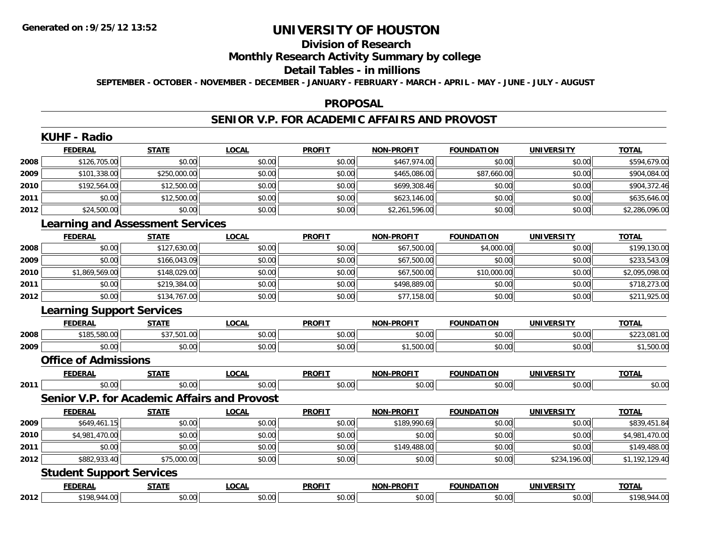# **Division of Research**

## **Monthly Research Activity Summary by college**

#### **Detail Tables - in millions**

**SEPTEMBER - OCTOBER - NOVEMBER - DECEMBER - JANUARY - FEBRUARY - MARCH - APRIL - MAY - JUNE - JULY - AUGUST**

#### **PROPOSAL**

### **SENIOR V.P. FOR ACADEMIC AFFAIRS AND PROVOST**

|      | <b>KUHF - Radio</b>                     |              |                                              |               |                   |                   |                   |                |
|------|-----------------------------------------|--------------|----------------------------------------------|---------------|-------------------|-------------------|-------------------|----------------|
|      | <b>FEDERAL</b>                          | <b>STATE</b> | <b>LOCAL</b>                                 | <b>PROFIT</b> | <b>NON-PROFIT</b> | <b>FOUNDATION</b> | <b>UNIVERSITY</b> | <b>TOTAL</b>   |
| 2008 | \$126,705.00                            | \$0.00       | \$0.00                                       | \$0.00        | \$467,974.00      | \$0.00            | \$0.00            | \$594,679.00   |
| 2009 | \$101,338.00                            | \$250,000.00 | \$0.00                                       | \$0.00        | \$465,086.00      | \$87,660.00       | \$0.00            | \$904,084.00   |
| 2010 | \$192,564.00                            | \$12,500.00  | \$0.00                                       | \$0.00        | \$699,308.46      | \$0.00            | \$0.00            | \$904,372.46   |
| 2011 | \$0.00                                  | \$12,500.00  | \$0.00                                       | \$0.00        | \$623,146.00      | \$0.00            | \$0.00            | \$635,646.00   |
| 2012 | \$24,500.00                             | \$0.00       | \$0.00                                       | \$0.00        | \$2,261,596.00    | \$0.00            | \$0.00            | \$2,286,096.00 |
|      | <b>Learning and Assessment Services</b> |              |                                              |               |                   |                   |                   |                |
|      | <b>FEDERAL</b>                          | <b>STATE</b> | <b>LOCAL</b>                                 | <b>PROFIT</b> | <b>NON-PROFIT</b> | <b>FOUNDATION</b> | <b>UNIVERSITY</b> | <b>TOTAL</b>   |
| 2008 | \$0.00                                  | \$127,630.00 | \$0.00                                       | \$0.00        | \$67,500.00       | \$4,000.00        | \$0.00            | \$199,130.00   |
| 2009 | \$0.00                                  | \$166,043.09 | \$0.00                                       | \$0.00        | \$67,500.00       | \$0.00            | \$0.00            | \$233,543.09   |
| 2010 | \$1,869,569.00                          | \$148,029.00 | \$0.00                                       | \$0.00        | \$67,500.00       | \$10,000.00       | \$0.00            | \$2,095,098.00 |
| 2011 | \$0.00                                  | \$219,384.00 | \$0.00                                       | \$0.00        | \$498,889.00      | \$0.00            | \$0.00            | \$718,273.00   |
| 2012 | \$0.00                                  | \$134,767.00 | \$0.00                                       | \$0.00        | \$77,158.00       | \$0.00            | \$0.00            | \$211,925.00   |
|      | <b>Learning Support Services</b>        |              |                                              |               |                   |                   |                   |                |
|      | <b>FEDERAL</b>                          | <b>STATE</b> | <b>LOCAL</b>                                 | <b>PROFIT</b> | <b>NON-PROFIT</b> | <b>FOUNDATION</b> | <b>UNIVERSITY</b> | <b>TOTAL</b>   |
| 2008 | \$185,580.00                            | \$37,501.00  | \$0.00                                       | \$0.00        | \$0.00            | \$0.00            | \$0.00            | \$223,081.00   |
| 2009 | \$0.00                                  | \$0.00       | \$0.00                                       | \$0.00        | \$1,500.00        | \$0.00            | \$0.00            | \$1,500.00     |
|      | <b>Office of Admissions</b>             |              |                                              |               |                   |                   |                   |                |
|      | <b>FEDERAL</b>                          | <b>STATE</b> | <b>LOCAL</b>                                 | <b>PROFIT</b> | <b>NON-PROFIT</b> | <b>FOUNDATION</b> | <b>UNIVERSITY</b> | <b>TOTAL</b>   |
| 2011 | \$0.00                                  | \$0.00       | \$0.00                                       | \$0.00        | \$0.00            | \$0.00            | \$0.00            | \$0.00         |
|      |                                         |              | Senior V.P. for Academic Affairs and Provost |               |                   |                   |                   |                |
|      | <b>FEDERAL</b>                          | <b>STATE</b> | <b>LOCAL</b>                                 | <b>PROFIT</b> | <b>NON-PROFIT</b> | <b>FOUNDATION</b> | <b>UNIVERSITY</b> | <b>TOTAL</b>   |
| 2009 | \$649,461.15                            | \$0.00       | \$0.00                                       | \$0.00        | \$189,990.69      | \$0.00            | \$0.00            | \$839,451.84   |
| 2010 | \$4,981,470.00                          | \$0.00       | \$0.00                                       | \$0.00        | \$0.00            | \$0.00            | \$0.00            | \$4,981,470.00 |
| 2011 | \$0.00                                  | \$0.00       | \$0.00                                       | \$0.00        | \$149,488.00      | \$0.00            | \$0.00            | \$149,488.00   |
| 2012 | \$882,933.40                            | \$75,000.00  | \$0.00                                       | \$0.00        | \$0.00            | \$0.00            | \$234,196.00      | \$1,192,129.40 |
|      | <b>Student Support Services</b>         |              |                                              |               |                   |                   |                   |                |
|      | <b>FEDERAL</b>                          | <b>STATE</b> | <b>LOCAL</b>                                 | <b>PROFIT</b> | NON-PROFIT        | <b>FOUNDATION</b> | <b>UNIVERSITY</b> | <b>TOTAL</b>   |
| 2012 | \$198,944.00                            | \$0.00       | \$0.00                                       | \$0.00        | \$0.00            | \$0.00            | \$0.00            | \$198,944.00   |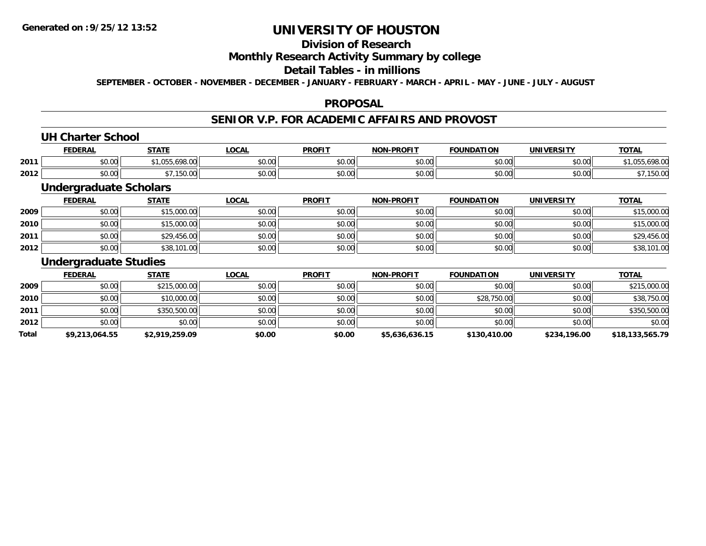## **Division of Research**

## **Monthly Research Activity Summary by college**

## **Detail Tables - in millions**

**SEPTEMBER - OCTOBER - NOVEMBER - DECEMBER - JANUARY - FEBRUARY - MARCH - APRIL - MAY - JUNE - JULY - AUGUST**

#### **PROPOSAL**

#### **SENIOR V.P. FOR ACADEMIC AFFAIRS AND PROVOST**

#### **UH Charter School**

|      | <b>FEDERAI</b>     | <b>STATE</b>                    | ne n<br>. UUA. | <b>PROFIT</b> | <b>DDAEIT</b><br><b>NIONI</b> | <b>FOUNDATION</b>    | UNIVERSITY    | <b>TOTAL</b> |
|------|--------------------|---------------------------------|----------------|---------------|-------------------------------|----------------------|---------------|--------------|
| 2011 | ሶስ ሰሰ<br>pu.uu     | $\sim$<br><sub>r</sub><br>70.VC | vo.oo          | 0000<br>JU.UU | 0000<br>pu.uu                 | 0000<br><b>DU.UU</b> | \$0.00        | $\sim$       |
| 2012 | $\sim$ 00<br>PU.UU | -<br>JU.UV                      | vu.vu          | 0000<br>JU.UU | 0 <sup>0</sup><br>PU.UU       | 0000<br>DU.UU        | 0000<br>JU.UU | 150.U        |

### **Undergraduate Scholars**

|      | <b>FEDERAL</b> | <u>STATE</u> | <u>LOCAL</u> | <b>PROFIT</b> | <b>NON-PROFIT</b> | <b>FOUNDATION</b> | <b>UNIVERSITY</b> | <b>TOTAL</b> |
|------|----------------|--------------|--------------|---------------|-------------------|-------------------|-------------------|--------------|
| 2009 | \$0.00         | \$15,000.00  | \$0.00       | \$0.00        | \$0.00            | \$0.00            | \$0.00            | \$15,000.00  |
| 2010 | \$0.00         | \$15,000.00  | \$0.00       | \$0.00        | \$0.00            | \$0.00            | \$0.00            | \$15,000.00  |
| 2011 | \$0.00         | \$29,456.00  | \$0.00       | \$0.00        | \$0.00            | \$0.00            | \$0.00            | \$29,456.00  |
| 2012 | \$0.00         | \$38,101.00  | \$0.00       | \$0.00        | \$0.00            | \$0.00            | \$0.00            | \$38,101.00  |

#### **Undergraduate Studies**

|       | <b>FEDERAL</b> | <u>STATE</u>   | <u>LOCAL</u> | <b>PROFIT</b> | <b>NON-PROFIT</b> | <b>FOUNDATION</b> | <b>UNIVERSITY</b> | <b>TOTAL</b>    |
|-------|----------------|----------------|--------------|---------------|-------------------|-------------------|-------------------|-----------------|
| 2009  | \$0.00         | \$215,000.00   | \$0.00       | \$0.00        | \$0.00            | \$0.00            | \$0.00            | \$215,000.00    |
| 2010  | \$0.00         | \$10,000.00    | \$0.00       | \$0.00        | \$0.00            | \$28,750.00       | \$0.00            | \$38,750.00     |
| 2011  | \$0.00         | \$350,500.00   | \$0.00       | \$0.00        | \$0.00            | \$0.00            | \$0.00            | \$350,500.00    |
| 2012  | \$0.00         | \$0.00         | \$0.00       | \$0.00        | \$0.00            | \$0.00            | \$0.00            | \$0.00          |
| Total | \$9,213,064.55 | \$2,919,259.09 | \$0.00       | \$0.00        | \$5,636,636.15    | \$130,410.00      | \$234,196.00      | \$18,133,565.79 |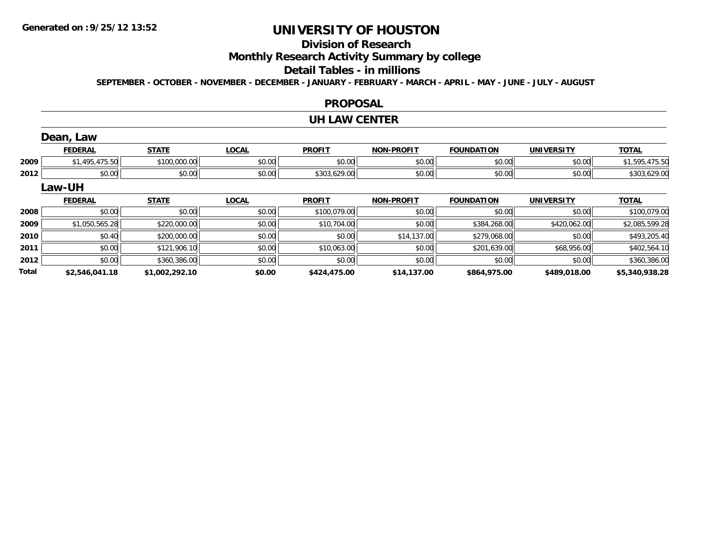**2012**

**Total**

# **UNIVERSITY OF HOUSTON**

# **Division of Research**

**Monthly Research Activity Summary by college**

#### **Detail Tables - in millions**

**SEPTEMBER - OCTOBER - NOVEMBER - DECEMBER - JANUARY - FEBRUARY - MARCH - APRIL - MAY - JUNE - JULY - AUGUST**

#### **PROPOSAL**

#### **UH LAW CENTER**

|      | Dean, Law      |              |              |               |                   |                   |                   |                |
|------|----------------|--------------|--------------|---------------|-------------------|-------------------|-------------------|----------------|
|      | <b>FEDERAL</b> | <b>STATE</b> | <b>LOCAL</b> | <b>PROFIT</b> | <b>NON-PROFIT</b> | <b>FOUNDATION</b> | <b>UNIVERSITY</b> | <b>TOTAL</b>   |
| 2009 | \$1,495,475.50 | \$100,000.00 | \$0.00       | \$0.00        | \$0.00            | \$0.00            | \$0.00            | \$1,595,475.50 |
| 2012 | \$0.00         | \$0.00       | \$0.00       | \$303,629.00  | \$0.00            | \$0.00            | \$0.00            | \$303,629.00   |
|      | Law-UH         |              |              |               |                   |                   |                   |                |
|      | <b>FEDERAL</b> | <b>STATE</b> | <b>LOCAL</b> | <b>PROFIT</b> | NON-PROFIT        | <b>FOUNDATION</b> | <b>UNIVERSITY</b> | <b>TOTAL</b>   |
| 2008 | \$0.00         | \$0.00       | \$0.00       | \$100,079.00  | \$0.00            | \$0.00            | \$0.00            | \$100,079.00   |
| 2009 | \$1,050,565.28 | \$220,000.00 | \$0.00       | \$10,704.00   | \$0.00            | \$384,268.00      | \$420,062.00      | \$2,085,599.28 |
| 2010 | \$0.40         | \$200,000.00 | \$0.00       | \$0.00        | \$14,137.00       | \$279,068.00      | \$0.00            | \$493,205.40   |
| 2011 | \$0.00         | \$121,906.10 | \$0.00       | \$10,063.00   | \$0.00            | \$201,639.00      | \$68,956.00       | \$402,564.10   |

2 | \$0.00|| \$360,386.00|| \$0.00|| \$0.00|| \$0.00|| \$0.00|| \$360,386.00

**\$2,546,041.18 \$1,002,292.10 \$0.00 \$424,475.00 \$14,137.00 \$864,975.00 \$489,018.00 \$5,340,938.28**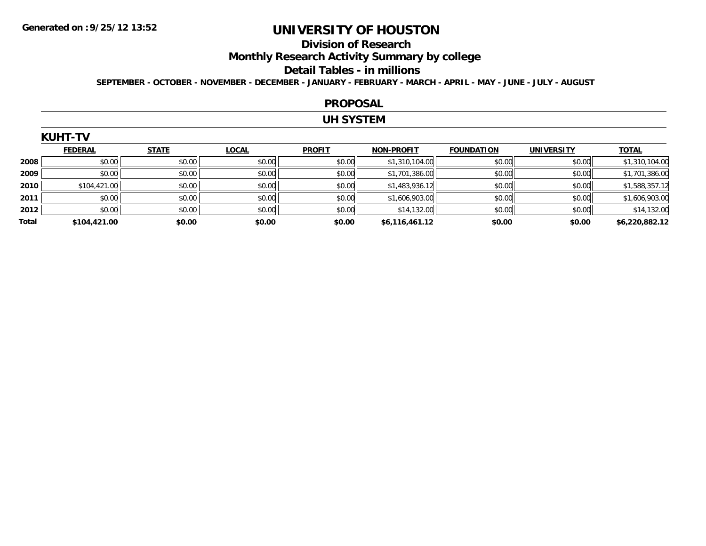#### **Division of Research**

**Monthly Research Activity Summary by college**

#### **Detail Tables - in millions**

**SEPTEMBER - OCTOBER - NOVEMBER - DECEMBER - JANUARY - FEBRUARY - MARCH - APRIL - MAY - JUNE - JULY - AUGUST**

#### **PROPOSAL**

## **UH SYSTEM**

| UHT<br>KI |  |
|-----------|--|
|-----------|--|

|       | <b>FEDERAL</b> | <b>STATE</b> | <b>LOCAL</b> | <b>PROFIT</b> | <b>NON-PROFIT</b> | <b>FOUNDATION</b> | <b>UNIVERSITY</b> | <b>TOTAL</b>   |
|-------|----------------|--------------|--------------|---------------|-------------------|-------------------|-------------------|----------------|
| 2008  | \$0.00         | \$0.00       | \$0.00       | \$0.00        | \$1,310,104.00    | \$0.00            | \$0.00            | \$1,310,104.00 |
| 2009  | \$0.00         | \$0.00       | \$0.00       | \$0.00        | \$1,701,386.00    | \$0.00            | \$0.00            | \$1,701,386.00 |
| 2010  | \$104,421.00   | \$0.00       | \$0.00       | \$0.00        | \$1,483,936.12    | \$0.00            | \$0.00            | \$1,588,357.12 |
| 2011  | \$0.00         | \$0.00       | \$0.00       | \$0.00        | \$1,606,903.00    | \$0.00            | \$0.00            | \$1,606,903.00 |
| 2012  | \$0.00         | \$0.00       | \$0.00       | \$0.00        | \$14,132.00       | \$0.00            | \$0.00            | \$14,132.00    |
| Total | \$104,421.00   | \$0.00       | \$0.00       | \$0.00        | \$6,116,461.12    | \$0.00            | \$0.00            | \$6,220,882.12 |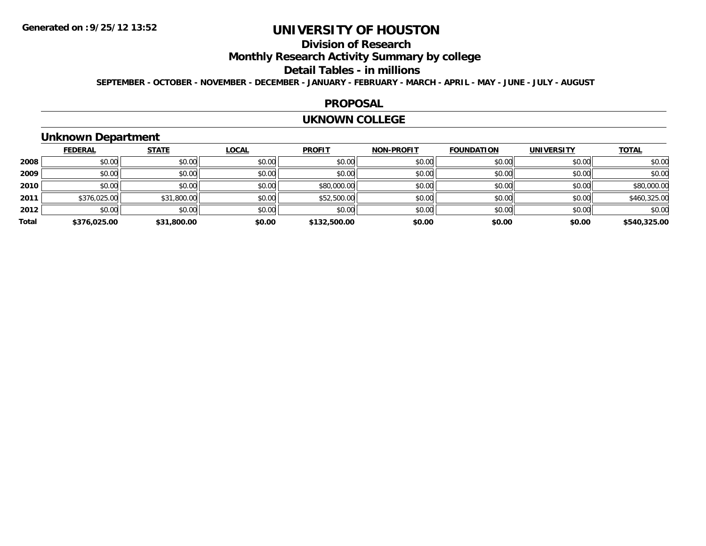# **Division of Research**

**Monthly Research Activity Summary by college**

#### **Detail Tables - in millions**

**SEPTEMBER - OCTOBER - NOVEMBER - DECEMBER - JANUARY - FEBRUARY - MARCH - APRIL - MAY - JUNE - JULY - AUGUST**

#### **PROPOSAL**

#### **UKNOWN COLLEGE**

## **Unknown Department**

|       | <b>FEDERAL</b> | <b>STATE</b> | <b>LOCAL</b> | <b>PROFIT</b> | NON-PROFIT | <b>FOUNDATION</b> | <b>UNIVERSITY</b> | <b>TOTAL</b> |
|-------|----------------|--------------|--------------|---------------|------------|-------------------|-------------------|--------------|
| 2008  | \$0.00         | \$0.00       | \$0.00       | \$0.00        | \$0.00     | \$0.00            | \$0.00            | \$0.00       |
| 2009  | \$0.00         | \$0.00       | \$0.00       | \$0.00        | \$0.00     | \$0.00            | \$0.00            | \$0.00       |
| 2010  | \$0.00         | \$0.00       | \$0.00       | \$80,000.00   | \$0.00     | \$0.00            | \$0.00            | \$80,000.00  |
| 2011  | \$376,025.00   | \$31,800.00  | \$0.00       | \$52,500.00   | \$0.00     | \$0.00            | \$0.00            | \$460,325.00 |
| 2012  | \$0.00         | \$0.00       | \$0.00       | \$0.00        | \$0.00     | \$0.00            | \$0.00            | \$0.00       |
| Total | \$376,025.00   | \$31,800.00  | \$0.00       | \$132,500.00  | \$0.00     | \$0.00            | \$0.00            | \$540,325.00 |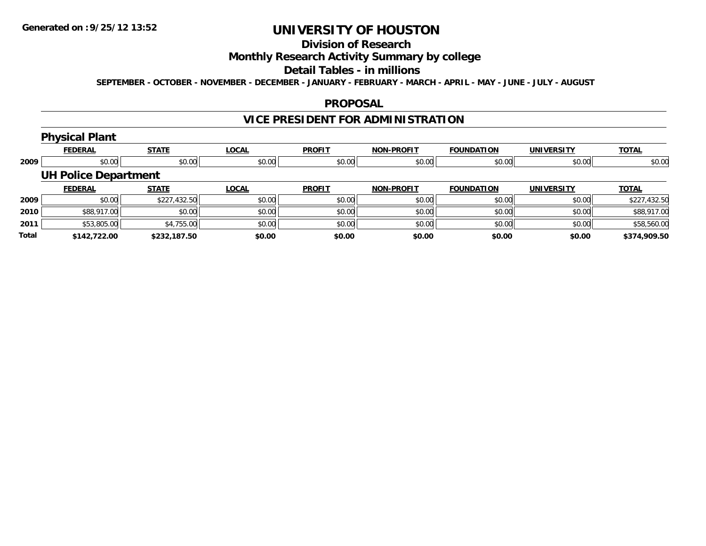# **Division of Research**

## **Monthly Research Activity Summary by college**

#### **Detail Tables - in millions**

**SEPTEMBER - OCTOBER - NOVEMBER - DECEMBER - JANUARY - FEBRUARY - MARCH - APRIL - MAY - JUNE - JULY - AUGUST**

#### **PROPOSAL**

# **VICE PRESIDENT FOR ADMINISTRATION**

# **Physical Plant**

|       | <b>FEDERAL</b>              | <b>STATE</b> | <b>LOCAL</b> | <b>PROFIT</b> | <b>NON-PROFIT</b> | <b>FOUNDATION</b> | <b>UNIVERSITY</b> | <b>TOTAL</b> |
|-------|-----------------------------|--------------|--------------|---------------|-------------------|-------------------|-------------------|--------------|
| 2009  | \$0.00                      | \$0.00       | \$0.00       | \$0.00        | \$0.00            | \$0.00            | \$0.00            | \$0.00       |
|       | <b>UH Police Department</b> |              |              |               |                   |                   |                   |              |
|       | <b>FEDERAL</b>              | <b>STATE</b> | <b>LOCAL</b> | <b>PROFIT</b> | <b>NON-PROFIT</b> | <b>FOUNDATION</b> | <b>UNIVERSITY</b> | <b>TOTAL</b> |
| 2009  | \$0.00                      | \$227,432.50 | \$0.00       | \$0.00        | \$0.00            | \$0.00            | \$0.00            | \$227,432.50 |
| 2010  | \$88,917.00                 | \$0.00       | \$0.00       | \$0.00        | \$0.00            | \$0.00            | \$0.00            | \$88,917.00  |
| 2011  | \$53,805.00                 | \$4,755.00   | \$0.00       | \$0.00        | \$0.00            | \$0.00            | \$0.00            | \$58,560.00  |
| Total | \$142,722.00                | \$232,187.50 | \$0.00       | \$0.00        | \$0.00            | \$0.00            | \$0.00            | \$374,909.50 |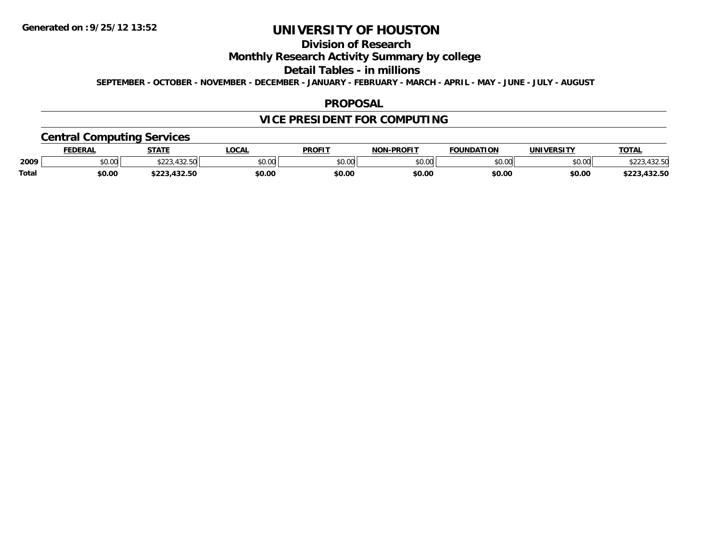# **Division of Research**

## **Monthly Research Activity Summary by college**

#### **Detail Tables - in millions**

**SEPTEMBER - OCTOBER - NOVEMBER - DECEMBER - JANUARY - FEBRUARY - MARCH - APRIL - MAY - JUNE - JULY - AUGUST**

#### **PROPOSAL**

# **VICE PRESIDENT FOR COMPUTING**

## **Central Computing Services**

|       | <b>FEDERAL</b> | <b>STATE</b>                   | .OCAL  | <b>PROFIT</b> | <b>NON-PROFIT</b> | <b>FOUNDATION</b> | <b>UNIVERSITY</b> | <b>TOTAL</b>                   |
|-------|----------------|--------------------------------|--------|---------------|-------------------|-------------------|-------------------|--------------------------------|
| 2009  | \$0.00         | 100E<br>ふへへへ<br>7 <i>34.39</i> | \$0.00 | \$0.00        | 0000<br>PO.OO     | \$0.00            | \$0.00            | $\land \land \land$<br>,432.OU |
| Total | \$0.00         | 122 50<br>,452.56              | \$0.00 | \$0.00        | \$0.00            | \$0.00            | \$0.00            | ,432.50<br>ホへへへ                |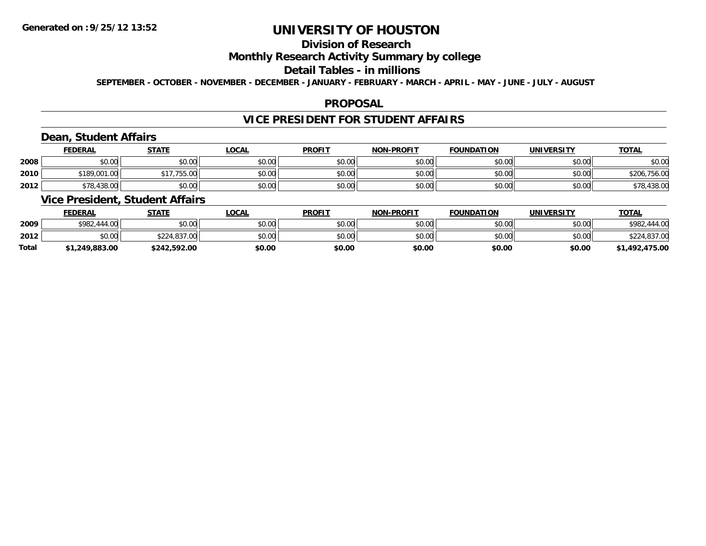# **Division of Research**

## **Monthly Research Activity Summary by college**

#### **Detail Tables - in millions**

**SEPTEMBER - OCTOBER - NOVEMBER - DECEMBER - JANUARY - FEBRUARY - MARCH - APRIL - MAY - JUNE - JULY - AUGUST**

#### **PROPOSAL**

### **VICE PRESIDENT FOR STUDENT AFFAIRS**

## **Dean, Student Affairs**

|      | <b>FEDERAL</b> | <b>STATE</b> | <b>LOCAL</b> | <b>PROFIT</b> | <b>NON-PROFIT</b> | <b>FOUNDATION</b> | UNIVERSITY | <b>TOTAL</b> |
|------|----------------|--------------|--------------|---------------|-------------------|-------------------|------------|--------------|
| 2008 | \$0.00         | \$0.00       | \$0.00       | \$0.00        | \$0.00            | \$0.00            | \$0.00     | \$0.00       |
| 2010 | \$189,001.00   | \$17.755.00  | \$0.00       | \$0.00        | \$0.00            | \$0.00            | \$0.00     | \$206,756.00 |
| 2012 | \$78,438.00    | \$0.00       | \$0.00       | \$0.00        | \$0.00            | \$0.00            | \$0.00     | \$78,438.00  |

# **Vice President, Student Affairs**

|              | <b>FEDERAL</b> | <u>STATE</u> | <b>LOCAL</b> | <b>PROFIT</b> | <b>NON-PROFIT</b> | <b>FOUNDATION</b> | <b>UNIVERSITY</b> | <b>TOTAL</b>      |
|--------------|----------------|--------------|--------------|---------------|-------------------|-------------------|-------------------|-------------------|
| 2009         | \$982,444.00   | \$0.00       | \$0.00       | \$0.00        | \$0.00            | \$0.00            | \$0.00            | \$982.<br>.444.00 |
| 2012         | \$0.00         | \$224,837,00 | \$0.00       | \$0.00        | \$0.00            | \$0.00            | \$0.00            | \$224,837.00      |
| <b>Total</b> | \$1,249,883.00 | \$242,592.00 | \$0.00       | \$0.00        | \$0.00            | \$0.00            | \$0.00            | \$1,492,475.00    |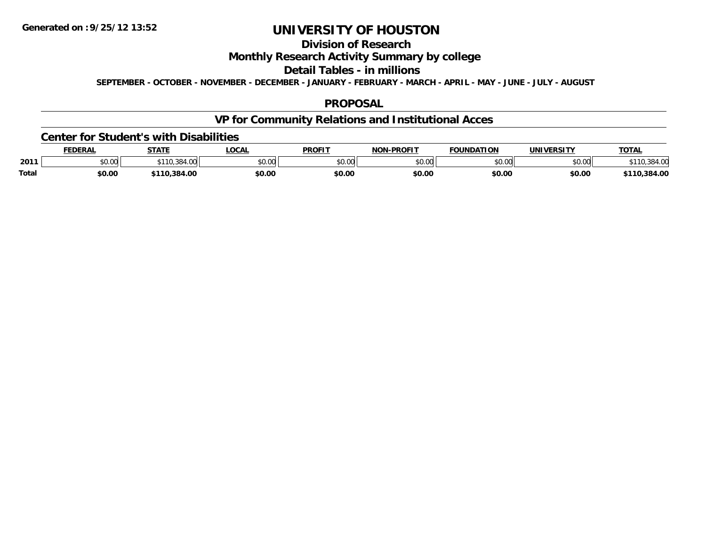# **Division of Research**

## **Monthly Research Activity Summary by college**

#### **Detail Tables - in millions**

**SEPTEMBER - OCTOBER - NOVEMBER - DECEMBER - JANUARY - FEBRUARY - MARCH - APRIL - MAY - JUNE - JULY - AUGUST**

#### **PROPOSAL**

# **VP for Community Relations and Institutional Acces**

#### **Center for Student's with Disabilities**

|              | <b>FEDERAL</b> | <b>STATE</b>         | LOCAI          | <b>PROFIT</b> | -PROFIT<br><b>NON</b> | <b>FOUNDATION</b>  | <b>UNIVERSITY</b> | <b>TOTAL</b> |
|--------------|----------------|----------------------|----------------|---------------|-----------------------|--------------------|-------------------|--------------|
| 2011         | JU.UU          | 384<br>$. \, \cdots$ | ልስ ስስ<br>JU.UU | 0.00<br>ט.טע  | \$0.00                | $\sim$ 00<br>JU.UU | \$0.00            |              |
| <b>Total</b> | \$0.00         | .384.00              | \$0.OC         | \$0.00        | \$0.00                | \$0.00             | \$0.00            | .384.00      |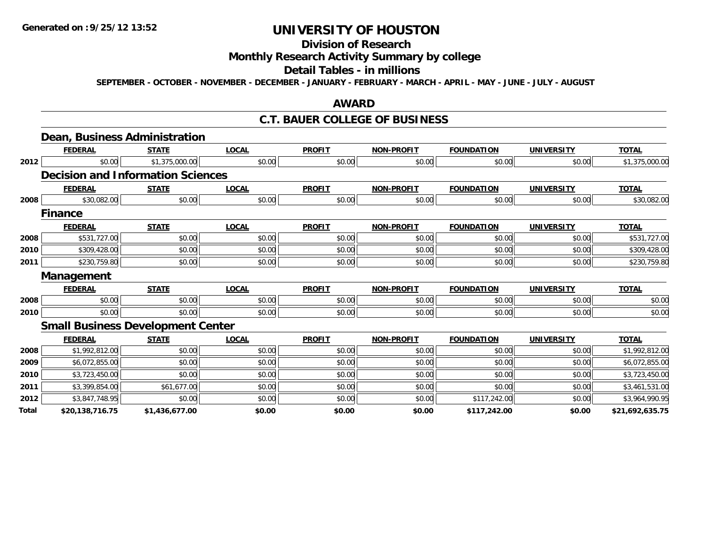# **Division of Research**

## **Monthly Research Activity Summary by college**

### **Detail Tables - in millions**

**SEPTEMBER - OCTOBER - NOVEMBER - DECEMBER - JANUARY - FEBRUARY - MARCH - APRIL - MAY - JUNE - JULY - AUGUST**

### **AWARD**

### **C.T. BAUER COLLEGE OF BUSINESS**

|       | Dean, Business Administration            |                |              |               |                   |                   |                   |                 |
|-------|------------------------------------------|----------------|--------------|---------------|-------------------|-------------------|-------------------|-----------------|
|       | <b>FEDERAL</b>                           | <b>STATE</b>   | <b>LOCAL</b> | <b>PROFIT</b> | <b>NON-PROFIT</b> | <b>FOUNDATION</b> | <b>UNIVERSITY</b> | <b>TOTAL</b>    |
| 2012  | \$0.00                                   | \$1,375,000.00 | \$0.00       | \$0.00        | \$0.00            | \$0.00            | \$0.00            | \$1,375,000.00  |
|       | <b>Decision and Information Sciences</b> |                |              |               |                   |                   |                   |                 |
|       | <b>FEDERAL</b>                           | <b>STATE</b>   | <b>LOCAL</b> | <b>PROFIT</b> | <b>NON-PROFIT</b> | <b>FOUNDATION</b> | <b>UNIVERSITY</b> | <b>TOTAL</b>    |
| 2008  | \$30,082.00                              | \$0.00         | \$0.00       | \$0.00        | \$0.00            | \$0.00            | \$0.00            | \$30,082.00     |
|       | <b>Finance</b>                           |                |              |               |                   |                   |                   |                 |
|       | <b>FEDERAL</b>                           | <b>STATE</b>   | <b>LOCAL</b> | <b>PROFIT</b> | <b>NON-PROFIT</b> | <b>FOUNDATION</b> | <b>UNIVERSITY</b> | <b>TOTAL</b>    |
| 2008  | \$531,727.00                             | \$0.00         | \$0.00       | \$0.00        | \$0.00            | \$0.00            | \$0.00            | \$531,727.00    |
| 2010  | \$309,428.00                             | \$0.00         | \$0.00       | \$0.00        | \$0.00            | \$0.00            | \$0.00            | \$309,428.00    |
| 2011  | \$230,759.80                             | \$0.00         | \$0.00       | \$0.00        | \$0.00            | \$0.00            | \$0.00            | \$230,759.80    |
|       | <b>Management</b>                        |                |              |               |                   |                   |                   |                 |
|       | <b>FEDERAL</b>                           | <b>STATE</b>   | <b>LOCAL</b> | <b>PROFIT</b> | <b>NON-PROFIT</b> | <b>FOUNDATION</b> | <b>UNIVERSITY</b> | <b>TOTAL</b>    |
| 2008  | \$0.00                                   | \$0.00         | \$0.00       | \$0.00        | \$0.00            | \$0.00            | \$0.00            | \$0.00          |
| 2010  | \$0.00                                   | \$0.00         | \$0.00       | \$0.00        | \$0.00            | \$0.00            | \$0.00            | \$0.00          |
|       | <b>Small Business Development Center</b> |                |              |               |                   |                   |                   |                 |
|       | <b>FEDERAL</b>                           | <b>STATE</b>   | <b>LOCAL</b> | <b>PROFIT</b> | <b>NON-PROFIT</b> | <b>FOUNDATION</b> | <b>UNIVERSITY</b> | <b>TOTAL</b>    |
| 2008  | \$1,992,812.00                           | \$0.00         | \$0.00       | \$0.00        | \$0.00            | \$0.00            | \$0.00            | \$1,992,812.00  |
| 2009  | \$6,072,855.00                           | \$0.00         | \$0.00       | \$0.00        | \$0.00            | \$0.00            | \$0.00            | \$6,072,855.00  |
| 2010  | \$3,723,450.00                           | \$0.00         | \$0.00       | \$0.00        | \$0.00            | \$0.00            | \$0.00            | \$3,723,450.00  |
| 2011  | \$3,399,854.00                           | \$61,677.00    | \$0.00       | \$0.00        | \$0.00            | \$0.00            | \$0.00            | \$3,461,531.00  |
| 2012  | \$3,847,748.95                           | \$0.00         | \$0.00       | \$0.00        | \$0.00            | \$117,242.00      | \$0.00            | \$3,964,990.95  |
| Total | \$20,138,716.75                          | \$1,436,677.00 | \$0.00       | \$0.00        | \$0.00            | \$117,242.00      | \$0.00            | \$21,692,635.75 |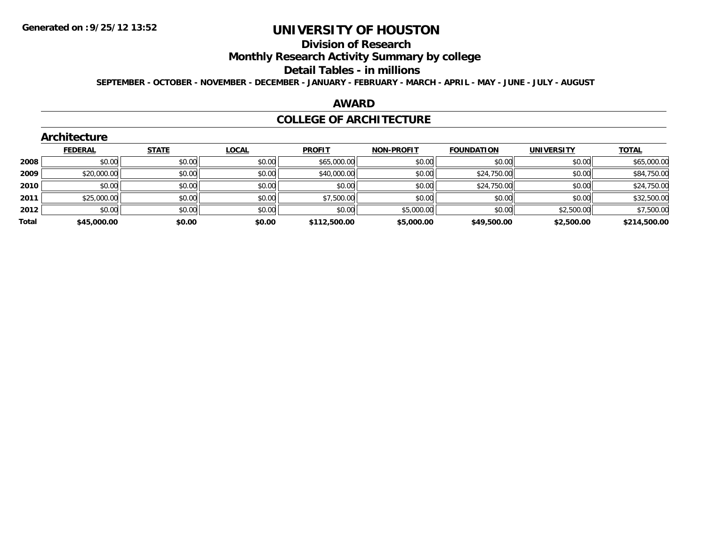# **Division of Research**

**Monthly Research Activity Summary by college**

#### **Detail Tables - in millions**

**SEPTEMBER - OCTOBER - NOVEMBER - DECEMBER - JANUARY - FEBRUARY - MARCH - APRIL - MAY - JUNE - JULY - AUGUST**

### **AWARD**

### **COLLEGE OF ARCHITECTURE**

|       | ALCHITECTULE   |              |              |               |                   |                   |                   |              |
|-------|----------------|--------------|--------------|---------------|-------------------|-------------------|-------------------|--------------|
|       | <b>FEDERAL</b> | <b>STATE</b> | <b>LOCAL</b> | <b>PROFIT</b> | <b>NON-PROFIT</b> | <b>FOUNDATION</b> | <b>UNIVERSITY</b> | <b>TOTAL</b> |
| 2008  | \$0.00         | \$0.00       | \$0.00       | \$65,000.00   | \$0.00            | \$0.00            | \$0.00            | \$65,000.00  |
| 2009  | \$20,000.00    | \$0.00       | \$0.00       | \$40,000.00   | \$0.00            | \$24,750.00       | \$0.00            | \$84,750.00  |
| 2010  | \$0.00         | \$0.00       | \$0.00       | \$0.00        | \$0.00            | \$24,750.00       | \$0.00            | \$24,750.00  |
| 2011  | \$25,000.00    | \$0.00       | \$0.00       | \$7,500.00    | \$0.00            | \$0.00            | \$0.00            | \$32,500.00  |
| 2012  | \$0.00         | \$0.00       | \$0.00       | \$0.00        | \$5,000.00        | \$0.00            | \$2,500.00        | \$7,500.00   |
| Total | \$45,000.00    | \$0.00       | \$0.00       | \$112,500.00  | \$5,000.00        | \$49,500.00       | \$2,500.00        | \$214,500.00 |
|       |                |              |              |               |                   |                   |                   |              |

#### **Architecture**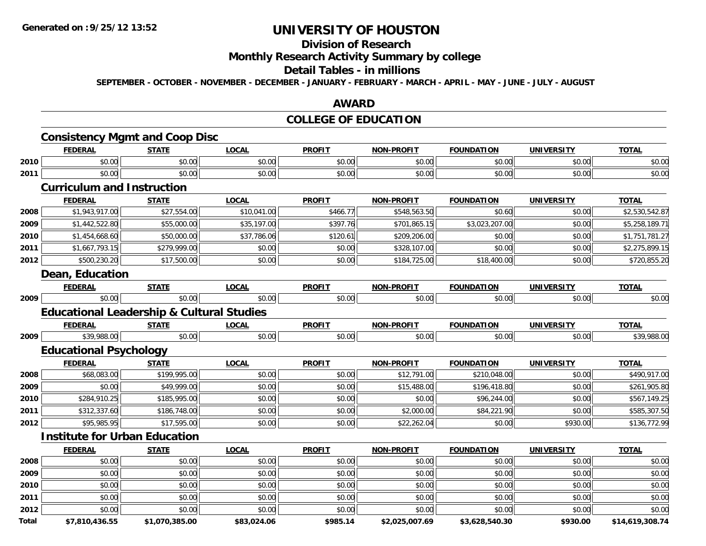## **Division of Research**

## **Monthly Research Activity Summary by college**

### **Detail Tables - in millions**

**SEPTEMBER - OCTOBER - NOVEMBER - DECEMBER - JANUARY - FEBRUARY - MARCH - APRIL - MAY - JUNE - JULY - AUGUST**

### **AWARD**

## **COLLEGE OF EDUCATION**

|       | <b>FEDERAL</b>                                       | <b>STATE</b>   | <b>LOCAL</b> | <b>PROFIT</b> | <b>NON-PROFIT</b> | <b>FOUNDATION</b> | <b>UNIVERSITY</b> | <b>TOTAL</b>    |
|-------|------------------------------------------------------|----------------|--------------|---------------|-------------------|-------------------|-------------------|-----------------|
| 2010  | \$0.00                                               | \$0.00         | \$0.00       | \$0.00        | \$0.00            | \$0.00            | \$0.00            | \$0.00          |
| 2011  | \$0.00                                               | \$0.00         | \$0.00       | \$0.00        | \$0.00            | \$0.00            | \$0.00            | \$0.00          |
|       | <b>Curriculum and Instruction</b>                    |                |              |               |                   |                   |                   |                 |
|       | <b>FEDERAL</b>                                       | <b>STATE</b>   | <b>LOCAL</b> | <b>PROFIT</b> | <b>NON-PROFIT</b> | <b>FOUNDATION</b> | <b>UNIVERSITY</b> | <b>TOTAL</b>    |
| 2008  | \$1,943,917.00                                       | \$27,554.00    | \$10,041.00  | \$466.77      | \$548,563.50      | \$0.60            | \$0.00            | \$2,530,542.87  |
| 2009  | \$1,442,522.80                                       | \$55,000.00    | \$35,197.00  | \$397.76      | \$701,865.15      | \$3,023,207.00    | \$0.00            | \$5,258,189.71  |
| 2010  | \$1,454,668.60                                       | \$50,000.00    | \$37,786.06  | \$120.61      | \$209,206.00      | \$0.00            | \$0.00            | \$1,751,781.27  |
| 2011  | \$1,667,793.15                                       | \$279,999.00   | \$0.00       | \$0.00        | \$328,107.00      | \$0.00            | \$0.00            | \$2,275,899.15  |
| 2012  | \$500,230.20                                         | \$17,500.00    | \$0.00       | \$0.00        | \$184,725.00      | \$18,400.00       | \$0.00            | \$720,855.20    |
|       | Dean, Education                                      |                |              |               |                   |                   |                   |                 |
|       | <b>FEDERAL</b>                                       | <b>STATE</b>   | <b>LOCAL</b> | <b>PROFIT</b> | <b>NON-PROFIT</b> | <b>FOUNDATION</b> | <b>UNIVERSITY</b> | <b>TOTAL</b>    |
| 2009  | \$0.00                                               | \$0.00         | \$0.00       | \$0.00        | \$0.00            | \$0.00            | \$0.00            | \$0.00          |
|       | <b>Educational Leadership &amp; Cultural Studies</b> |                |              |               |                   |                   |                   |                 |
|       | <b>FEDERAL</b>                                       | <b>STATE</b>   | <b>LOCAL</b> | <b>PROFIT</b> | <b>NON-PROFIT</b> | <b>FOUNDATION</b> | <b>UNIVERSITY</b> | <b>TOTAL</b>    |
| 2009  | \$39,988.00                                          | \$0.00         | \$0.00       | \$0.00        | \$0.00            | \$0.00            | \$0.00            | \$39,988.00     |
|       | <b>Educational Psychology</b>                        |                |              |               |                   |                   |                   |                 |
|       | <b>FEDERAL</b>                                       | <b>STATE</b>   | <b>LOCAL</b> | <b>PROFIT</b> | <b>NON-PROFIT</b> | <b>FOUNDATION</b> | <b>UNIVERSITY</b> | <b>TOTAL</b>    |
| 2008  | \$68,083.00                                          | \$199,995.00   | \$0.00       | \$0.00        | \$12,791.00       | \$210,048.00      | \$0.00            | \$490,917.00    |
| 2009  | \$0.00                                               | \$49,999.00    | \$0.00       | \$0.00        | \$15,488.00       | \$196,418.80      | \$0.00            | \$261,905.80    |
| 2010  | \$284,910.25                                         | \$185,995.00   | \$0.00       | \$0.00        | \$0.00            | \$96,244.00       | \$0.00            | \$567,149.25    |
| 2011  | \$312,337.60                                         | \$186,748.00   | \$0.00       | \$0.00        | \$2,000.00        | \$84,221.90       | \$0.00            | \$585,307.50    |
| 2012  | \$95,985.95                                          | \$17,595.00    | \$0.00       | \$0.00        | \$22,262.04       | \$0.00            | \$930.00          | \$136,772.99    |
|       | <b>Institute for Urban Education</b>                 |                |              |               |                   |                   |                   |                 |
|       | <b>FEDERAL</b>                                       | <b>STATE</b>   | <b>LOCAL</b> | <b>PROFIT</b> | <b>NON-PROFIT</b> | <b>FOUNDATION</b> | <b>UNIVERSITY</b> | <b>TOTAL</b>    |
| 2008  | \$0.00                                               | \$0.00         | \$0.00       | \$0.00        | \$0.00            | \$0.00            | \$0.00            | \$0.00          |
| 2009  | \$0.00                                               | \$0.00         | \$0.00       | \$0.00        | \$0.00            | \$0.00            | \$0.00            | \$0.00          |
| 2010  | \$0.00                                               | \$0.00         | \$0.00       | \$0.00        | \$0.00            | \$0.00            | \$0.00            | \$0.00          |
| 2011  | \$0.00                                               | \$0.00         | \$0.00       | \$0.00        | \$0.00            | \$0.00            | \$0.00            | \$0.00          |
| 2012  | \$0.00                                               | \$0.00         | \$0.00       | \$0.00        | \$0.00            | \$0.00            | \$0.00            | \$0.00          |
| Total | \$7,810,436.55                                       | \$1,070,385.00 | \$83,024.06  | \$985.14      | \$2,025,007.69    | \$3,628,540.30    | \$930.00          | \$14,619,308.74 |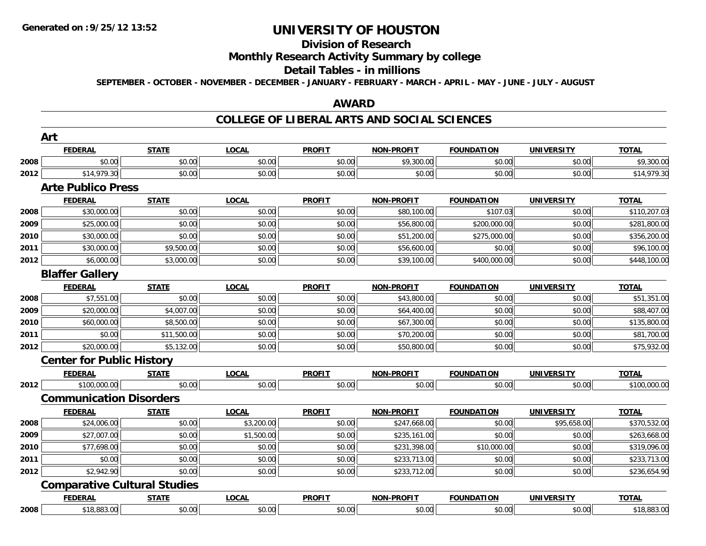#### **Division of Research**

## **Monthly Research Activity Summary by college**

#### **Detail Tables - in millions**

**SEPTEMBER - OCTOBER - NOVEMBER - DECEMBER - JANUARY - FEBRUARY - MARCH - APRIL - MAY - JUNE - JULY - AUGUST**

### **AWARD**

### **COLLEGE OF LIBERAL ARTS AND SOCIAL SCIENCES**

|      | <b>Art</b>                          |              |              |               |                   |                   |                   |              |
|------|-------------------------------------|--------------|--------------|---------------|-------------------|-------------------|-------------------|--------------|
|      | <b>FEDERAL</b>                      | <b>STATE</b> | <b>LOCAL</b> | <b>PROFIT</b> | <b>NON-PROFIT</b> | <b>FOUNDATION</b> | <b>UNIVERSITY</b> | <b>TOTAL</b> |
| 2008 | \$0.00                              | \$0.00       | \$0.00       | \$0.00        | \$9,300.00        | \$0.00            | \$0.00            | \$9,300.00   |
| 2012 | \$14,979.30                         | \$0.00       | \$0.00       | \$0.00        | \$0.00            | \$0.00            | \$0.00            | \$14,979.30  |
|      | <b>Arte Publico Press</b>           |              |              |               |                   |                   |                   |              |
|      | <b>FEDERAL</b>                      | <b>STATE</b> | <b>LOCAL</b> | <b>PROFIT</b> | <b>NON-PROFIT</b> | <b>FOUNDATION</b> | <b>UNIVERSITY</b> | <b>TOTAL</b> |
| 2008 | \$30,000.00                         | \$0.00       | \$0.00       | \$0.00        | \$80,100.00       | \$107.03          | \$0.00            | \$110,207.03 |
| 2009 | \$25,000.00                         | \$0.00       | \$0.00       | \$0.00        | \$56,800.00       | \$200,000.00      | \$0.00            | \$281,800.00 |
| 2010 | \$30,000.00                         | \$0.00       | \$0.00       | \$0.00        | \$51,200.00       | \$275,000.00      | \$0.00            | \$356,200.00 |
| 2011 | \$30,000.00                         | \$9,500.00   | \$0.00       | \$0.00        | \$56,600.00       | \$0.00            | \$0.00            | \$96,100.00  |
| 2012 | \$6,000.00                          | \$3,000.00   | \$0.00       | \$0.00        | \$39,100.00       | \$400,000.00      | \$0.00            | \$448,100.00 |
|      | <b>Blaffer Gallery</b>              |              |              |               |                   |                   |                   |              |
|      | <b>FEDERAL</b>                      | <b>STATE</b> | <b>LOCAL</b> | <b>PROFIT</b> | <b>NON-PROFIT</b> | <b>FOUNDATION</b> | <b>UNIVERSITY</b> | <b>TOTAL</b> |
| 2008 | \$7,551.00                          | \$0.00       | \$0.00       | \$0.00        | \$43,800.00       | \$0.00            | \$0.00            | \$51,351.00  |
| 2009 | \$20,000.00                         | \$4,007.00   | \$0.00       | \$0.00        | \$64,400.00       | \$0.00            | \$0.00            | \$88,407.00  |
| 2010 | \$60,000.00                         | \$8,500.00   | \$0.00       | \$0.00        | \$67,300.00       | \$0.00            | \$0.00            | \$135,800.00 |
| 2011 | \$0.00                              | \$11,500.00  | \$0.00       | \$0.00        | \$70,200.00       | \$0.00            | \$0.00            | \$81,700.00  |
| 2012 | \$20,000.00                         | \$5,132.00   | \$0.00       | \$0.00        | \$50,800.00       | \$0.00            | \$0.00            | \$75,932.00  |
|      | <b>Center for Public History</b>    |              |              |               |                   |                   |                   |              |
|      | <b>FEDERAL</b>                      | <b>STATE</b> | <b>LOCAL</b> | <b>PROFIT</b> | <b>NON-PROFIT</b> | <b>FOUNDATION</b> | <b>UNIVERSITY</b> | <b>TOTAL</b> |
| 2012 | \$100,000.00                        | \$0.00       | \$0.00       | \$0.00        | \$0.00            | \$0.00            | \$0.00            | \$100,000.00 |
|      | <b>Communication Disorders</b>      |              |              |               |                   |                   |                   |              |
|      | <b>FEDERAL</b>                      | <b>STATE</b> | <b>LOCAL</b> | <b>PROFIT</b> | <b>NON-PROFIT</b> | <b>FOUNDATION</b> | <b>UNIVERSITY</b> | <b>TOTAL</b> |
| 2008 | \$24,006.00                         | \$0.00       | \$3,200.00   | \$0.00        | \$247,668.00      | \$0.00            | \$95,658.00       | \$370,532.00 |
| 2009 | \$27,007.00                         | \$0.00       | \$1,500.00   | \$0.00        | \$235,161.00      | \$0.00            | \$0.00            | \$263,668.00 |
| 2010 | \$77,698.00                         | \$0.00       | \$0.00       | \$0.00        | \$231,398.00      | \$10,000.00       | \$0.00            | \$319,096.00 |
| 2011 | \$0.00                              | \$0.00       | \$0.00       | \$0.00        | \$233,713.00      | \$0.00            | \$0.00            | \$233,713.00 |
| 2012 | \$2,942.90                          | \$0.00       | \$0.00       | \$0.00        | \$233,712.00      | \$0.00            | \$0.00            | \$236,654.90 |
|      | <b>Comparative Cultural Studies</b> |              |              |               |                   |                   |                   |              |
|      | <b>FEDERAL</b>                      | <b>STATE</b> | <b>LOCAL</b> | <b>PROFIT</b> | <b>NON-PROFIT</b> | <b>FOUNDATION</b> | <b>UNIVERSITY</b> | <b>TOTAL</b> |
| 2008 | \$18,883.00                         | \$0.00       | \$0.00       | \$0.00        | \$0.00            | \$0.00            | \$0.00            | \$18,883.00  |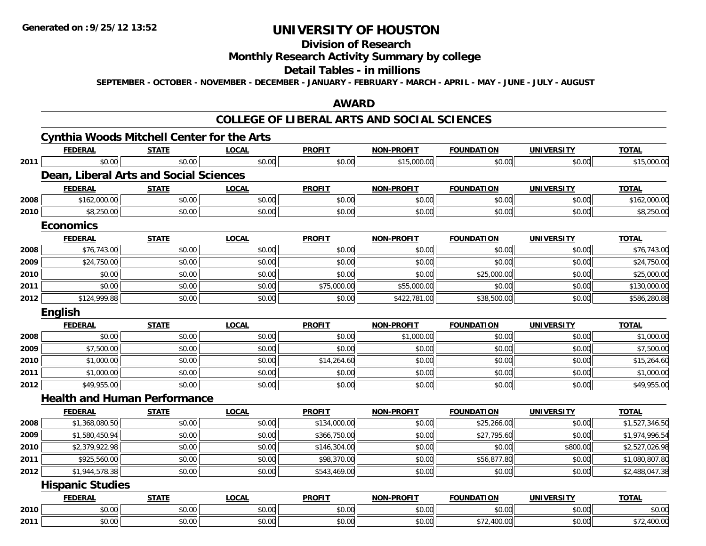# **Division of Research**

## **Monthly Research Activity Summary by college**

### **Detail Tables - in millions**

**SEPTEMBER - OCTOBER - NOVEMBER - DECEMBER - JANUARY - FEBRUARY - MARCH - APRIL - MAY - JUNE - JULY - AUGUST**

### **AWARD**

### **COLLEGE OF LIBERAL ARTS AND SOCIAL SCIENCES**

|      | <b>Cynthia Woods Mitchell Center for the Arts</b> |              |              |               |                   |                   |                   |                |
|------|---------------------------------------------------|--------------|--------------|---------------|-------------------|-------------------|-------------------|----------------|
|      | <b>FEDERAL</b>                                    | <b>STATE</b> | <b>LOCAL</b> | <b>PROFIT</b> | <b>NON-PROFIT</b> | <b>FOUNDATION</b> | <b>UNIVERSITY</b> | <b>TOTAL</b>   |
| 2011 | \$0.00                                            | \$0.00       | \$0.00       | \$0.00        | \$15,000.00       | \$0.00            | \$0.00            | \$15,000.00    |
|      | Dean, Liberal Arts and Social Sciences            |              |              |               |                   |                   |                   |                |
|      | <b>FEDERAL</b>                                    | <b>STATE</b> | <b>LOCAL</b> | <b>PROFIT</b> | <b>NON-PROFIT</b> | <b>FOUNDATION</b> | <b>UNIVERSITY</b> | <b>TOTAL</b>   |
| 2008 | \$162,000.00                                      | \$0.00       | \$0.00       | \$0.00        | \$0.00            | \$0.00            | \$0.00            | \$162,000.00   |
| 2010 | \$8,250.00                                        | \$0.00       | \$0.00       | \$0.00        | \$0.00            | \$0.00            | \$0.00            | \$8,250.00     |
|      | <b>Economics</b>                                  |              |              |               |                   |                   |                   |                |
|      | <b>FEDERAL</b>                                    | <b>STATE</b> | <b>LOCAL</b> | <b>PROFIT</b> | <b>NON-PROFIT</b> | <b>FOUNDATION</b> | <b>UNIVERSITY</b> | <b>TOTAL</b>   |
| 2008 | \$76,743.00                                       | \$0.00       | \$0.00       | \$0.00        | \$0.00            | \$0.00            | \$0.00            | \$76,743.00    |
| 2009 | \$24,750.00                                       | \$0.00       | \$0.00       | \$0.00        | \$0.00            | \$0.00            | \$0.00            | \$24,750.00    |
| 2010 | \$0.00                                            | \$0.00       | \$0.00       | \$0.00        | \$0.00            | \$25,000.00       | \$0.00            | \$25,000.00    |
| 2011 | \$0.00                                            | \$0.00       | \$0.00       | \$75,000.00   | \$55,000.00       | \$0.00            | \$0.00            | \$130,000.00   |
| 2012 | \$124,999.88                                      | \$0.00       | \$0.00       | \$0.00        | \$422,781.00      | \$38,500.00       | \$0.00            | \$586,280.88   |
|      | <b>English</b>                                    |              |              |               |                   |                   |                   |                |
|      | <b>FEDERAL</b>                                    | <b>STATE</b> | <b>LOCAL</b> | <b>PROFIT</b> | <b>NON-PROFIT</b> | <b>FOUNDATION</b> | <b>UNIVERSITY</b> | <b>TOTAL</b>   |
| 2008 | \$0.00                                            | \$0.00       | \$0.00       | \$0.00        | \$1,000.00        | \$0.00            | \$0.00            | \$1,000.00     |
| 2009 | \$7,500.00                                        | \$0.00       | \$0.00       | \$0.00        | \$0.00            | \$0.00            | \$0.00            | \$7,500.00     |
| 2010 | \$1,000.00                                        | \$0.00       | \$0.00       | \$14,264.60   | \$0.00            | \$0.00            | \$0.00            | \$15,264.60    |
| 2011 | \$1,000.00                                        | \$0.00       | \$0.00       | \$0.00        | \$0.00            | \$0.00            | \$0.00            | \$1,000.00     |
| 2012 | \$49,955.00                                       | \$0.00       | \$0.00       | \$0.00        | \$0.00            | \$0.00            | \$0.00            | \$49,955.00    |
|      | <b>Health and Human Performance</b>               |              |              |               |                   |                   |                   |                |
|      | <b>FEDERAL</b>                                    | <b>STATE</b> | <b>LOCAL</b> | <b>PROFIT</b> | <b>NON-PROFIT</b> | <b>FOUNDATION</b> | <b>UNIVERSITY</b> | <b>TOTAL</b>   |
| 2008 | \$1,368,080.50                                    | \$0.00       | \$0.00       | \$134,000.00  | \$0.00            | \$25,266.00       | \$0.00            | \$1,527,346.50 |
| 2009 | \$1,580,450.94                                    | \$0.00       | \$0.00       | \$366,750.00  | \$0.00            | \$27,795.60       | \$0.00            | \$1,974,996.54 |
| 2010 | \$2,379,922.98                                    | \$0.00       | \$0.00       | \$146,304.00  | \$0.00            | \$0.00            | \$800.00          | \$2,527,026.98 |
| 2011 | \$925,560.00                                      | \$0.00       | \$0.00       | \$98,370.00   | \$0.00            | \$56,877.80       | \$0.00            | \$1,080,807.80 |
| 2012 | \$1,944,578.38                                    | \$0.00       | \$0.00       | \$543,469.00  | \$0.00            | \$0.00            | \$0.00            | \$2,488,047.38 |
|      | <b>Hispanic Studies</b>                           |              |              |               |                   |                   |                   |                |
|      | <b>FEDERAL</b>                                    | <b>STATE</b> | <b>LOCAL</b> | <b>PROFIT</b> | <b>NON-PROFIT</b> | <b>FOUNDATION</b> | <b>UNIVERSITY</b> | <b>TOTAL</b>   |
| 2010 | \$0.00                                            | \$0.00       | \$0.00       | \$0.00        | \$0.00            | \$0.00            | \$0.00            | \$0.00         |
| 2011 | \$0.00                                            | \$0.00       | \$0.00       | \$0.00        | \$0.00            | \$72,400.00       | \$0.00            | \$72,400.00    |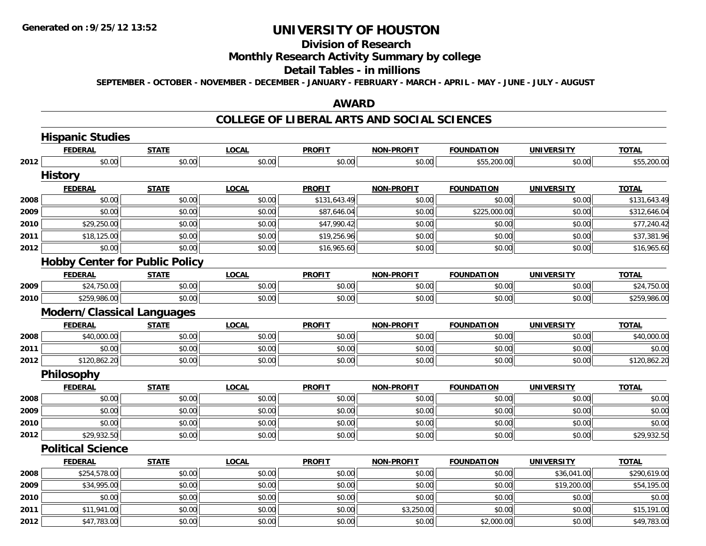**2012**

# **UNIVERSITY OF HOUSTON**

# **Division of Research**

## **Monthly Research Activity Summary by college**

### **Detail Tables - in millions**

**SEPTEMBER - OCTOBER - NOVEMBER - DECEMBER - JANUARY - FEBRUARY - MARCH - APRIL - MAY - JUNE - JULY - AUGUST**

### **AWARD**

### **COLLEGE OF LIBERAL ARTS AND SOCIAL SCIENCES**

|      | <b>Hispanic Studies</b>               |              |              |               |                   |                   |                   |              |
|------|---------------------------------------|--------------|--------------|---------------|-------------------|-------------------|-------------------|--------------|
|      | <b>FEDERAL</b>                        | <b>STATE</b> | <b>LOCAL</b> | <b>PROFIT</b> | <b>NON-PROFIT</b> | <b>FOUNDATION</b> | <b>UNIVERSITY</b> | <b>TOTAL</b> |
| 2012 | \$0.00                                | \$0.00       | \$0.00       | \$0.00        | \$0.00            | \$55,200.00       | \$0.00            | \$55,200.00  |
|      | <b>History</b>                        |              |              |               |                   |                   |                   |              |
|      | <b>FEDERAL</b>                        | <b>STATE</b> | <b>LOCAL</b> | <b>PROFIT</b> | <b>NON-PROFIT</b> | <b>FOUNDATION</b> | <b>UNIVERSITY</b> | <b>TOTAL</b> |
| 2008 | \$0.00                                | \$0.00       | \$0.00       | \$131,643.49  | \$0.00            | \$0.00            | \$0.00            | \$131,643.49 |
| 2009 | \$0.00                                | \$0.00       | \$0.00       | \$87,646.04   | \$0.00            | \$225,000.00      | \$0.00            | \$312,646.04 |
| 2010 | \$29,250.00                           | \$0.00       | \$0.00       | \$47,990.42   | \$0.00            | \$0.00            | \$0.00            | \$77,240.42  |
| 2011 | \$18,125.00                           | \$0.00       | \$0.00       | \$19,256.96   | \$0.00            | \$0.00            | \$0.00            | \$37,381.96  |
| 2012 | \$0.00                                | \$0.00       | \$0.00       | \$16,965.60   | \$0.00            | \$0.00            | \$0.00            | \$16,965.60  |
|      | <b>Hobby Center for Public Policy</b> |              |              |               |                   |                   |                   |              |
|      | <b>FEDERAL</b>                        | <b>STATE</b> | <b>LOCAL</b> | <b>PROFIT</b> | <b>NON-PROFIT</b> | <b>FOUNDATION</b> | <b>UNIVERSITY</b> | <b>TOTAL</b> |
| 2009 | \$24,750.00                           | \$0.00       | \$0.00       | \$0.00        | \$0.00            | \$0.00            | \$0.00            | \$24,750.00  |
| 2010 | \$259,986.00                          | \$0.00       | \$0.00       | \$0.00        | \$0.00            | \$0.00            | \$0.00            | \$259,986.00 |
|      | <b>Modern/Classical Languages</b>     |              |              |               |                   |                   |                   |              |
|      | <b>FEDERAL</b>                        | <b>STATE</b> | <b>LOCAL</b> | <b>PROFIT</b> | <b>NON-PROFIT</b> | <b>FOUNDATION</b> | <b>UNIVERSITY</b> | <b>TOTAL</b> |
| 2008 | \$40,000.00                           | \$0.00       | \$0.00       | \$0.00        | \$0.00            | \$0.00            | \$0.00            | \$40,000.00  |
| 2011 | \$0.00                                | \$0.00       | \$0.00       | \$0.00        | \$0.00            | \$0.00            | \$0.00            | \$0.00       |
| 2012 | \$120,862.20                          | \$0.00       | \$0.00       | \$0.00        | \$0.00            | \$0.00            | \$0.00            | \$120,862.20 |
|      | Philosophy                            |              |              |               |                   |                   |                   |              |
|      | <b>FEDERAL</b>                        | <b>STATE</b> | <b>LOCAL</b> | <b>PROFIT</b> | <b>NON-PROFIT</b> | <b>FOUNDATION</b> | <b>UNIVERSITY</b> | <b>TOTAL</b> |
| 2008 | \$0.00                                | \$0.00       | \$0.00       | \$0.00        | \$0.00            | \$0.00            | \$0.00            | \$0.00       |
| 2009 | \$0.00                                | \$0.00       | \$0.00       | \$0.00        | \$0.00            | \$0.00            | \$0.00            | \$0.00       |
| 2010 | \$0.00                                | \$0.00       | \$0.00       | \$0.00        | \$0.00            | \$0.00            | \$0.00            | \$0.00       |
| 2012 | \$29,932.50                           | \$0.00       | \$0.00       | \$0.00        | \$0.00            | \$0.00            | \$0.00            | \$29,932.50  |
|      | <b>Political Science</b>              |              |              |               |                   |                   |                   |              |
|      | <b>FEDERAL</b>                        | <b>STATE</b> | <b>LOCAL</b> | <b>PROFIT</b> | <b>NON-PROFIT</b> | <b>FOUNDATION</b> | <b>UNIVERSITY</b> | <b>TOTAL</b> |
| 2008 | \$254,578.00                          | \$0.00       | \$0.00       | \$0.00        | \$0.00            | \$0.00            | \$36,041.00       | \$290,619.00 |
| 2009 | \$34,995.00                           | \$0.00       | \$0.00       | \$0.00        | \$0.00            | \$0.00            | \$19,200.00       | \$54,195.00  |
| 2010 | \$0.00                                | \$0.00       | \$0.00       | \$0.00        | \$0.00            | \$0.00            | \$0.00            | \$0.00       |
| 2011 | \$11,941.00                           | \$0.00       | \$0.00       | \$0.00        | \$3,250.00        | \$0.00            | \$0.00            | \$15,191.00  |

\$47,783.00 \$0.00 \$0.00 \$0.00 \$0.00 \$2,000.00 \$0.00 \$49,783.00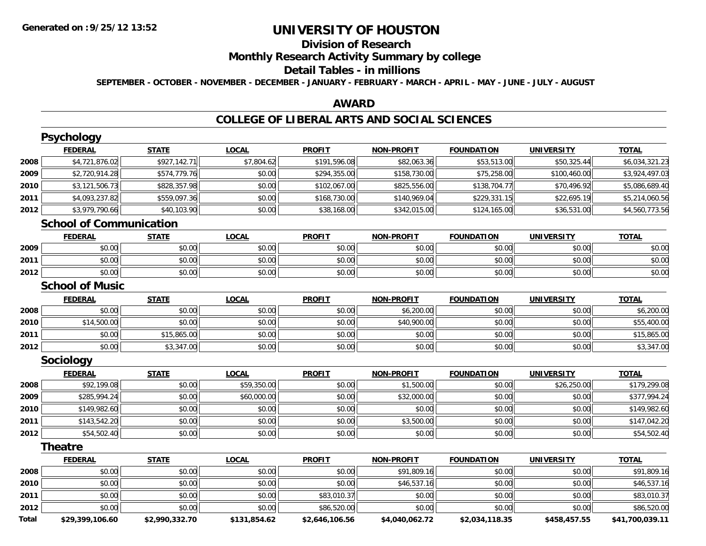## **Division of Research**

## **Monthly Research Activity Summary by college**

#### **Detail Tables - in millions**

**SEPTEMBER - OCTOBER - NOVEMBER - DECEMBER - JANUARY - FEBRUARY - MARCH - APRIL - MAY - JUNE - JULY - AUGUST**

### **AWARD**

### **COLLEGE OF LIBERAL ARTS AND SOCIAL SCIENCES**

|              | <b>Psychology</b>              |                |              |                |                   |                   |                   |                 |
|--------------|--------------------------------|----------------|--------------|----------------|-------------------|-------------------|-------------------|-----------------|
|              | <b>FEDERAL</b>                 | <b>STATE</b>   | <b>LOCAL</b> | <b>PROFIT</b>  | <b>NON-PROFIT</b> | <b>FOUNDATION</b> | <b>UNIVERSITY</b> | <b>TOTAL</b>    |
| 2008         | \$4,721,876.02                 | \$927,142.71   | \$7,804.62   | \$191,596.08   | \$82,063.36       | \$53,513.00       | \$50,325.44       | \$6,034,321.23  |
| 2009         | \$2,720,914.28                 | \$574,779.76   | \$0.00       | \$294,355.00   | \$158,730.00      | \$75,258.00       | \$100,460.00      | \$3,924,497.03  |
| 2010         | \$3,121,506.73                 | \$828,357.98   | \$0.00       | \$102,067.00   | \$825,556.00      | \$138,704.77      | \$70,496.92       | \$5,086,689.40  |
| 2011         | \$4,093,237.82                 | \$559,097.36   | \$0.00       | \$168,730.00   | \$140,969.04      | \$229,331.15      | \$22,695.19       | \$5,214,060.56  |
| 2012         | \$3,979,790.66                 | \$40,103.90    | \$0.00       | \$38,168.00    | \$342,015.00      | \$124,165.00      | \$36,531.00       | \$4,560,773.56  |
|              | <b>School of Communication</b> |                |              |                |                   |                   |                   |                 |
|              | <b>FEDERAL</b>                 | <b>STATE</b>   | <b>LOCAL</b> | <b>PROFIT</b>  | <b>NON-PROFIT</b> | <b>FOUNDATION</b> | <b>UNIVERSITY</b> | <b>TOTAL</b>    |
| 2009         | \$0.00                         | \$0.00         | \$0.00       | \$0.00         | \$0.00            | \$0.00            | \$0.00            | \$0.00          |
| 2011         | \$0.00                         | \$0.00         | \$0.00       | \$0.00         | \$0.00            | \$0.00            | \$0.00            | \$0.00          |
| 2012         | \$0.00                         | \$0.00         | \$0.00       | \$0.00         | \$0.00            | \$0.00            | \$0.00            | \$0.00          |
|              | <b>School of Music</b>         |                |              |                |                   |                   |                   |                 |
|              | <b>FEDERAL</b>                 | <b>STATE</b>   | <b>LOCAL</b> | <b>PROFIT</b>  | <b>NON-PROFIT</b> | <b>FOUNDATION</b> | <b>UNIVERSITY</b> | <b>TOTAL</b>    |
| 2008         | \$0.00                         | \$0.00         | \$0.00       | \$0.00         | \$6,200.00        | \$0.00            | \$0.00            | \$6,200.00      |
| 2010         | \$14,500.00                    | \$0.00         | \$0.00       | \$0.00         | \$40,900.00       | \$0.00            | \$0.00            | \$55,400.00     |
| 2011         | \$0.00                         | \$15,865.00    | \$0.00       | \$0.00         | \$0.00            | \$0.00            | \$0.00            | \$15,865.00     |
| 2012         | \$0.00                         | \$3,347.00     | \$0.00       | \$0.00         | \$0.00            | \$0.00            | \$0.00            | \$3,347.00      |
|              | <b>Sociology</b>               |                |              |                |                   |                   |                   |                 |
|              | <b>FEDERAL</b>                 | <b>STATE</b>   | <b>LOCAL</b> | <b>PROFIT</b>  | <b>NON-PROFIT</b> | <b>FOUNDATION</b> | <b>UNIVERSITY</b> | <b>TOTAL</b>    |
| 2008         | \$92,199.08                    | \$0.00         | \$59,350.00  | \$0.00         | \$1,500.00        | \$0.00            | \$26,250.00       | \$179,299.08    |
| 2009         | \$285,994.24                   | \$0.00         | \$60,000.00  | \$0.00         | \$32,000.00       | \$0.00            | \$0.00            | \$377,994.24    |
| 2010         | \$149,982.60                   | \$0.00         | \$0.00       | \$0.00         | \$0.00            | \$0.00            | \$0.00            | \$149,982.60    |
| 2011         | \$143,542.20                   | \$0.00         | \$0.00       | \$0.00         | \$3,500.00        | \$0.00            | \$0.00            | \$147,042.20    |
| 2012         | \$54,502.40                    | \$0.00         | \$0.00       | \$0.00         | \$0.00            | \$0.00            | \$0.00            | \$54,502.40     |
|              | <b>Theatre</b>                 |                |              |                |                   |                   |                   |                 |
|              | <b>FEDERAL</b>                 | <b>STATE</b>   | <b>LOCAL</b> | <b>PROFIT</b>  | <b>NON-PROFIT</b> | <b>FOUNDATION</b> | <b>UNIVERSITY</b> | <b>TOTAL</b>    |
| 2008         | \$0.00                         | \$0.00         | \$0.00       | \$0.00         | \$91,809.16       | \$0.00            | \$0.00            | \$91,809.16     |
| 2010         | \$0.00                         | \$0.00         | \$0.00       | \$0.00         | \$46,537.16       | \$0.00            | \$0.00            | \$46,537.16     |
| 2011         | \$0.00                         | \$0.00         | \$0.00       | \$83,010.37    | \$0.00            | \$0.00            | \$0.00            | \$83,010.37     |
| 2012         | \$0.00                         | \$0.00         | \$0.00       | \$86,520.00    | \$0.00            | \$0.00            | \$0.00            | \$86,520.00     |
| <b>Total</b> | \$29,399,106.60                | \$2,990,332.70 | \$131,854.62 | \$2,646,106.56 | \$4,040,062.72    | \$2,034,118.35    | \$458,457.55      | \$41,700,039.11 |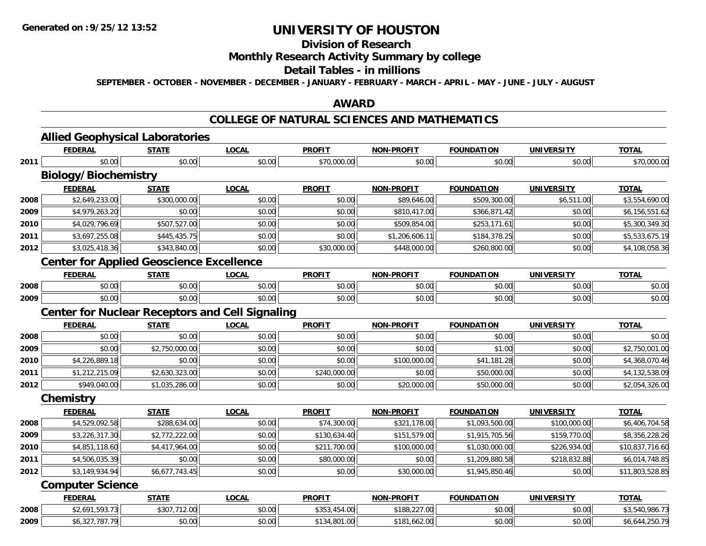## **Division of Research**

## **Monthly Research Activity Summary by college**

### **Detail Tables - in millions**

**SEPTEMBER - OCTOBER - NOVEMBER - DECEMBER - JANUARY - FEBRUARY - MARCH - APRIL - MAY - JUNE - JULY - AUGUST**

### **AWARD**

## **COLLEGE OF NATURAL SCIENCES AND MATHEMATICS**

|      | <b>Allied Geophysical Laboratories</b>                 |                |              |               |                   |                   |                   |                 |
|------|--------------------------------------------------------|----------------|--------------|---------------|-------------------|-------------------|-------------------|-----------------|
|      | <b>FEDERAL</b>                                         | <b>STATE</b>   | <b>LOCAL</b> | <b>PROFIT</b> | <b>NON-PROFIT</b> | <b>FOUNDATION</b> | <b>UNIVERSITY</b> | <b>TOTAL</b>    |
| 2011 | \$0.00                                                 | \$0.00         | \$0.00       | \$70,000.00   | \$0.00            | \$0.00            | \$0.00            | \$70,000.00     |
|      | <b>Biology/Biochemistry</b>                            |                |              |               |                   |                   |                   |                 |
|      | <b>FEDERAL</b>                                         | <b>STATE</b>   | <b>LOCAL</b> | <b>PROFIT</b> | <b>NON-PROFIT</b> | <b>FOUNDATION</b> | <b>UNIVERSITY</b> | <b>TOTAL</b>    |
| 2008 | \$2,649,233.00                                         | \$300,000.00   | \$0.00       | \$0.00        | \$89,646.00       | \$509,300.00      | \$6,511.00        | \$3,554,690.00  |
| 2009 | \$4,979,263.20                                         | \$0.00         | \$0.00       | \$0.00        | \$810,417.00      | \$366,871.42      | \$0.00            | \$6,156,551.62  |
| 2010 | \$4,029,796.69                                         | \$507,527.00   | \$0.00       | \$0.00        | \$509,854.00      | \$253,171.61      | \$0.00            | \$5,300,349.30  |
| 2011 | \$3,697,255.08                                         | \$445,435.75   | \$0.00       | \$0.00        | \$1,206,606.11    | \$184,378.25      | \$0.00            | \$5,533,675.19  |
| 2012 | \$3,025,418.36                                         | \$343,840.00   | \$0.00       | \$30,000.00   | \$448,000.00      | \$260,800.00      | \$0.00            | \$4,108,058.36  |
|      | <b>Center for Applied Geoscience Excellence</b>        |                |              |               |                   |                   |                   |                 |
|      | <b>FEDERAL</b>                                         | <b>STATE</b>   | <b>LOCAL</b> | <b>PROFIT</b> | <b>NON-PROFIT</b> | <b>FOUNDATION</b> | <b>UNIVERSITY</b> | <b>TOTAL</b>    |
| 2008 | \$0.00                                                 | \$0.00         | \$0.00       | \$0.00        | \$0.00            | \$0.00            | \$0.00            | \$0.00          |
| 2009 | \$0.00                                                 | \$0.00         | \$0.00       | \$0.00        | \$0.00            | \$0.00            | \$0.00            | \$0.00          |
|      | <b>Center for Nuclear Receptors and Cell Signaling</b> |                |              |               |                   |                   |                   |                 |
|      | <b>FEDERAL</b>                                         | <b>STATE</b>   | <b>LOCAL</b> | <b>PROFIT</b> | <b>NON-PROFIT</b> | <b>FOUNDATION</b> | <b>UNIVERSITY</b> | <b>TOTAL</b>    |
| 2008 | \$0.00                                                 | \$0.00         | \$0.00       | \$0.00        | \$0.00            | \$0.00            | \$0.00            | \$0.00          |
| 2009 | \$0.00                                                 | \$2,750,000.00 | \$0.00       | \$0.00        | \$0.00            | \$1.00            | \$0.00            | \$2,750,001.00  |
| 2010 | \$4,226,889.18                                         | \$0.00         | \$0.00       | \$0.00        | \$100,000.00      | \$41,181.28       | \$0.00            | \$4,368,070.46  |
| 2011 | \$1,212,215.09                                         | \$2,630,323.00 | \$0.00       | \$240,000.00  | \$0.00            | \$50,000.00       | \$0.00            | \$4,132,538.09  |
| 2012 | \$949,040.00                                           | \$1,035,286.00 | \$0.00       | \$0.00        | \$20,000.00       | \$50,000.00       | \$0.00            | \$2,054,326.00  |
|      | Chemistry                                              |                |              |               |                   |                   |                   |                 |
|      | <b>FEDERAL</b>                                         | <b>STATE</b>   | <b>LOCAL</b> | <b>PROFIT</b> | <b>NON-PROFIT</b> | <b>FOUNDATION</b> | <b>UNIVERSITY</b> | <b>TOTAL</b>    |
| 2008 | \$4,529,092.58                                         | \$288,634.00   | \$0.00       | \$74,300.00   | \$321,178.00      | \$1,093,500.00    | \$100,000.00      | \$6,406,704.58  |
| 2009 | \$3,226,317.30                                         | \$2,772,222.00 | \$0.00       | \$130,634.40  | \$151,579.00      | \$1,915,705.56    | \$159,770.00      | \$8,356,228.26  |
| 2010 | \$4,851,118.60                                         | \$4,417,964.00 | \$0.00       | \$211,700.00  | \$100,000.00      | \$1,030,000.00    | \$226,934.00      | \$10,837,716.60 |
| 2011 | \$4,506,035.39                                         | \$0.00         | \$0.00       | \$80,000.00   | \$0.00            | \$1,209,880.58    | \$218,832.88      | \$6,014,748.85  |
| 2012 | \$3,149,934.94                                         | \$6,677,743.45 | \$0.00       | \$0.00        | \$30,000.00       | \$1,945,850.46    | \$0.00            | \$11,803,528.85 |
|      | <b>Computer Science</b>                                |                |              |               |                   |                   |                   |                 |
|      | <b>FEDERAL</b>                                         | <b>STATE</b>   | <b>LOCAL</b> | <b>PROFIT</b> | <b>NON-PROFIT</b> | <b>FOUNDATION</b> | <b>UNIVERSITY</b> | <b>TOTAL</b>    |
| 2008 | \$2,691,593.73                                         | \$307,712.00   | \$0.00       | \$353,454.00  | \$188,227.00      | \$0.00            | \$0.00            | \$3,540,986.73  |
| 2009 | \$6,327,787.79                                         | \$0.00         | \$0.00       | \$134,801.00  | \$181,662.00      | \$0.00            | \$0.00            | \$6,644,250.79  |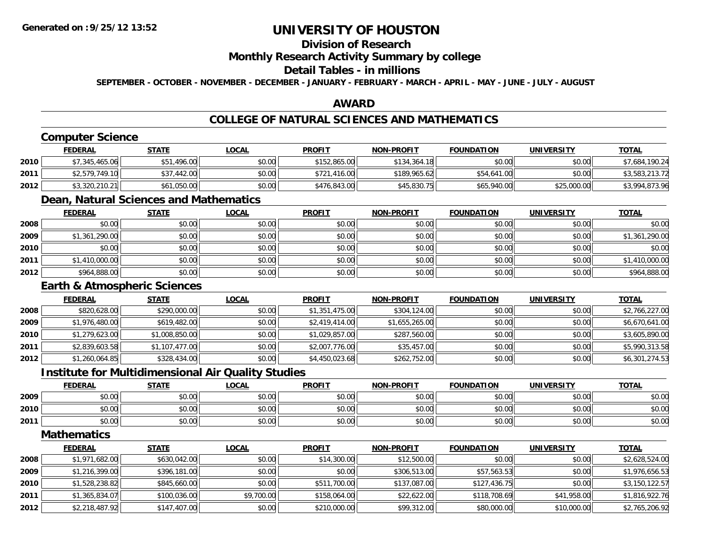## **Division of Research**

### **Monthly Research Activity Summary by college**

## **Detail Tables - in millions**

**SEPTEMBER - OCTOBER - NOVEMBER - DECEMBER - JANUARY - FEBRUARY - MARCH - APRIL - MAY - JUNE - JULY - AUGUST**

## **AWARD**

## **COLLEGE OF NATURAL SCIENCES AND MATHEMATICS**

## **Computer Science**

|      | <b>FEDERAL</b> | <u>STATE</u> | <u>LOCAL</u> | <b>PROFIT</b> | <b>NON-PROFIT</b> | <b>FOUNDATION</b> | <b>UNIVERSITY</b> | <b>TOTAL</b>   |
|------|----------------|--------------|--------------|---------------|-------------------|-------------------|-------------------|----------------|
| 2010 | \$7,345,465.06 | .496.00      | \$0.00       | \$152,865.00  | \$134,364.18      | \$0.00            | \$0.00            | \$7,684,190.24 |
| 2011 | \$2,579,749.10 | \$37,442.00  | \$0.00       | \$721,416.00  | \$189,965.62      | \$54,641.00       | \$0.00            | \$3,583,213.72 |
| 2012 | \$3,320,210.21 | \$61,050.00  | \$0.00       | \$476,843,00  | \$45,830.75       | \$65,940.00       | \$25,000.00       | \$3,994,873.96 |

## **Dean, Natural Sciences and Mathematics**

|      | <b>FEDERAL</b> | <b>STATE</b> | <u>LOCAL</u> | <b>PROFIT</b> | <b>NON-PROFIT</b> | <b>FOUNDATION</b> | <b>UNIVERSITY</b> | <b>TOTAL</b>   |
|------|----------------|--------------|--------------|---------------|-------------------|-------------------|-------------------|----------------|
| 2008 | \$0.00         | \$0.00       | \$0.00       | \$0.00        | \$0.00            | \$0.00            | \$0.00            | \$0.00         |
| 2009 | \$1,361,290.00 | \$0.00       | \$0.00       | \$0.00        | \$0.00            | \$0.00            | \$0.00            | \$1,361,290.00 |
| 2010 | \$0.00         | \$0.00       | \$0.00       | \$0.00        | \$0.00            | \$0.00            | \$0.00            | \$0.00         |
| 2011 | \$1,410,000.00 | \$0.00       | \$0.00       | \$0.00        | \$0.00            | \$0.00            | \$0.00            | \$1,410,000.00 |
| 2012 | \$964,888.00   | \$0.00       | \$0.00       | \$0.00        | \$0.00            | \$0.00            | \$0.00            | \$964,888.00   |

## **Earth & Atmospheric Sciences**

|      | <b>FEDERAL</b> | <b>STATE</b>   | <b>LOCAL</b> | <b>PROFIT</b>  | <b>NON-PROFIT</b> | <b>FOUNDATION</b> | <b>UNIVERSITY</b> | <b>TOTAL</b>   |
|------|----------------|----------------|--------------|----------------|-------------------|-------------------|-------------------|----------------|
| 2008 | \$820,628.00   | \$290,000.00   | \$0.00       | \$1,351,475.00 | \$304,124.00      | \$0.00            | \$0.00            | \$2,766,227.00 |
| 2009 | \$1,976,480.00 | \$619,482.00   | \$0.00       | \$2,419,414.00 | \$1,655,265.00    | \$0.00            | \$0.00            | \$6,670,641.00 |
| 2010 | \$1,279,623.00 | \$1,008,850.00 | \$0.00       | \$1,029,857.00 | \$287,560.00      | \$0.00            | \$0.00            | \$3,605,890.00 |
| 2011 | \$2,839,603.58 | \$1,107,477.00 | \$0.00       | \$2,007,776.00 | \$35,457.00       | \$0.00            | \$0.00            | \$5,990,313.58 |
| 2012 | \$1,260,064.85 | \$328,434.00   | \$0.00       | \$4,450,023.68 | \$262,752.00      | \$0.00            | \$0.00            | \$6,301,274.53 |

### **Institute for Multidimensional Air Quality Studies**

|      | <b>FEDERAL</b> | <b>STATE</b>  | <b>LOCAL</b>   | <b>PROFIT</b>        | <b>NON-PROFIT</b>    | <b>FOUNDATION</b> | <b>UNIVERSITY</b> | <b>TOTAL</b> |
|------|----------------|---------------|----------------|----------------------|----------------------|-------------------|-------------------|--------------|
| 2009 | 0000<br>pu.uu  | ልስ ስስ<br>JU.U | 0000<br>JU.UU  | $\triangle$<br>vv.vv | 0000<br><b>JU.UU</b> | \$0.00            | \$0.00            | \$0.00       |
| 2010 | 0000<br>ט.טע   | n or<br>JU.U  | nn na<br>DU.UU | $\sim$ $\sim$        | \$0.00               | \$0.00            | \$0.00            | \$0.00       |
| 2011 | 0000<br>DU.UU  | 0.00<br>50.UC | \$0.00         | $\sim$<br>JU.UU      | \$0.00               | \$0.00            | \$0.00            | \$0.00       |

## **Mathematics**

|      | <b>FEDERAL</b> | <b>STATE</b> | <b>LOCAL</b> | <b>PROFIT</b> | <b>NON-PROFIT</b> | <b>FOUNDATION</b> | <b>UNIVERSITY</b> | <b>TOTAL</b>   |
|------|----------------|--------------|--------------|---------------|-------------------|-------------------|-------------------|----------------|
| 2008 | \$1,971,682.00 | \$630,042.00 | \$0.00       | \$14,300.00   | \$12,500.00       | \$0.00            | \$0.00            | \$2,628,524.00 |
| 2009 | \$1,216,399.00 | \$396,181.00 | \$0.00       | \$0.00        | \$306,513.00      | \$57,563.53       | \$0.00            | \$1,976,656.53 |
| 2010 | \$1,528,238.82 | \$845,660.00 | \$0.00       | \$511,700.00  | \$137,087.00      | \$127,436.75      | \$0.00            | \$3,150,122.57 |
| 2011 | \$1,365,834.07 | \$100,036.00 | \$9,700.00   | \$158,064.00  | \$22,622.00       | \$118,708.69      | \$41,958.00       | \$1,816,922.76 |
| 2012 | \$2,218,487.92 | \$147,407.00 | \$0.00       | \$210,000.00  | \$99,312.00       | \$80,000.00       | \$10,000.00       | \$2,765,206.92 |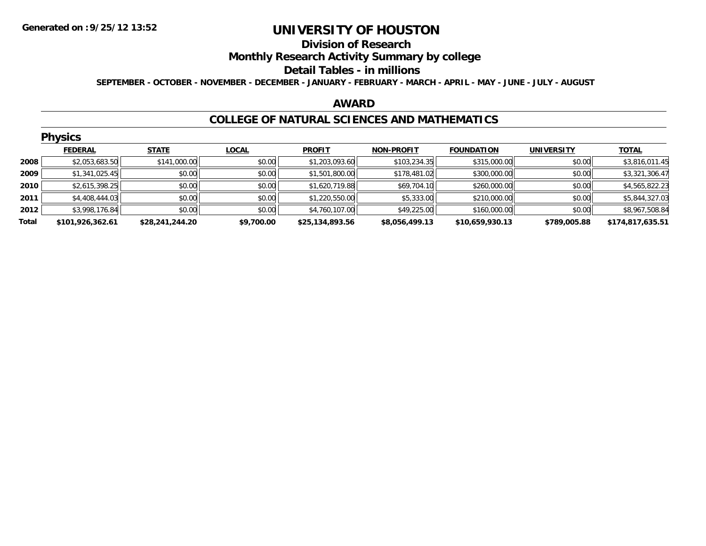#### **Division of Research**

**Monthly Research Activity Summary by college**

#### **Detail Tables - in millions**

**SEPTEMBER - OCTOBER - NOVEMBER - DECEMBER - JANUARY - FEBRUARY - MARCH - APRIL - MAY - JUNE - JULY - AUGUST**

#### **AWARD**

### **COLLEGE OF NATURAL SCIENCES AND MATHEMATICS**

|       | <b>Physics</b>   |                 |              |                 |                   |                   |                   |                  |  |  |  |
|-------|------------------|-----------------|--------------|-----------------|-------------------|-------------------|-------------------|------------------|--|--|--|
|       | <b>FEDERAL</b>   | <b>STATE</b>    | <b>LOCAL</b> | <b>PROFIT</b>   | <b>NON-PROFIT</b> | <b>FOUNDATION</b> | <b>UNIVERSITY</b> | <b>TOTAL</b>     |  |  |  |
| 2008  | \$2,053,683.50   | \$141,000.00    | \$0.00       | \$1,203,093.60  | \$103,234.35      | \$315,000.00      | \$0.00            | \$3,816,011.45   |  |  |  |
| 2009  | \$1,341,025.45   | \$0.00          | \$0.00       | \$1,501,800.00  | \$178,481.02      | \$300,000.00      | \$0.00            | \$3,321,306.47   |  |  |  |
| 2010  | \$2,615,398.25   | \$0.00          | \$0.00       | \$1,620,719.88  | \$69,704.10       | \$260,000.00      | \$0.00            | \$4,565,822.23   |  |  |  |
| 2011  | \$4,408,444.03   | \$0.00          | \$0.00       | \$1,220,550.00  | \$5,333.00        | \$210,000.00      | \$0.00            | \$5,844,327.03   |  |  |  |
| 2012  | \$3,998,176.84   | \$0.00          | \$0.00       | \$4,760,107.00  | \$49,225.00       | \$160,000.00      | \$0.00            | \$8,967,508.84   |  |  |  |
| Total | \$101,926,362.61 | \$28,241,244.20 | \$9,700.00   | \$25,134,893.56 | \$8,056,499.13    | \$10,659,930.13   | \$789,005.88      | \$174,817,635.51 |  |  |  |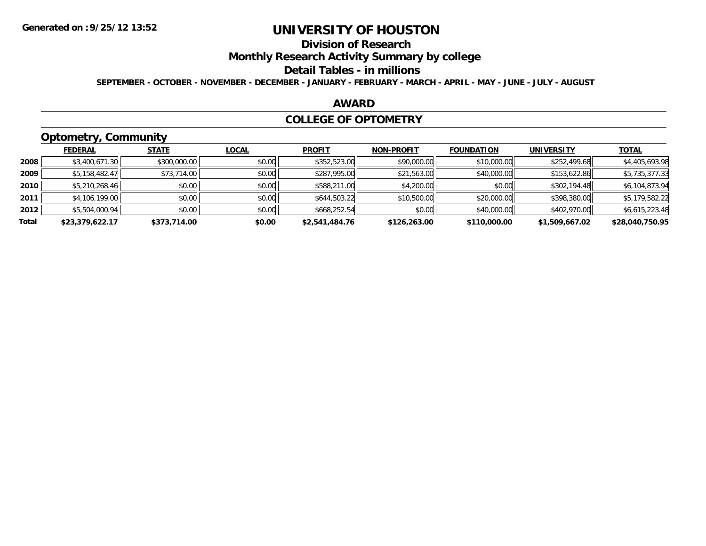# **Division of Research**

**Monthly Research Activity Summary by college**

#### **Detail Tables - in millions**

**SEPTEMBER - OCTOBER - NOVEMBER - DECEMBER - JANUARY - FEBRUARY - MARCH - APRIL - MAY - JUNE - JULY - AUGUST**

### **AWARD**

### **COLLEGE OF OPTOMETRY**

# **Optometry, Community**

|       | .               |              |              |                |                   |                   |                   |                 |
|-------|-----------------|--------------|--------------|----------------|-------------------|-------------------|-------------------|-----------------|
|       | <b>FEDERAL</b>  | <b>STATE</b> | <b>LOCAL</b> | <b>PROFIT</b>  | <b>NON-PROFIT</b> | <b>FOUNDATION</b> | <b>UNIVERSITY</b> | <b>TOTAL</b>    |
| 2008  | \$3,400,671.30  | \$300,000.00 | \$0.00       | \$352,523.00   | \$90,000.00       | \$10,000.00       | \$252,499.68      | \$4,405,693.98  |
| 2009  | \$5,158,482.47  | \$73,714.00  | \$0.00       | \$287,995.00   | \$21,563.00       | \$40,000.00       | \$153,622.86      | \$5,735,377.33  |
| 2010  | \$5,210,268.46  | \$0.00       | \$0.00       | \$588,211.00   | \$4,200.00        | \$0.00            | \$302,194.48      | \$6,104,873.94  |
| 2011  | \$4,106,199.00  | \$0.00       | \$0.00       | \$644,503.22   | \$10,500.00       | \$20,000.00       | \$398,380.00      | \$5,179,582.22  |
| 2012  | \$5,504,000.94  | \$0.00       | \$0.00       | \$668,252.54   | \$0.00            | \$40,000.00       | \$402,970.00      | \$6,615,223.48  |
| Total | \$23,379,622.17 | \$373,714.00 | \$0.00       | \$2,541,484.76 | \$126,263.00      | \$110,000.00      | \$1,509,667.02    | \$28,040,750.95 |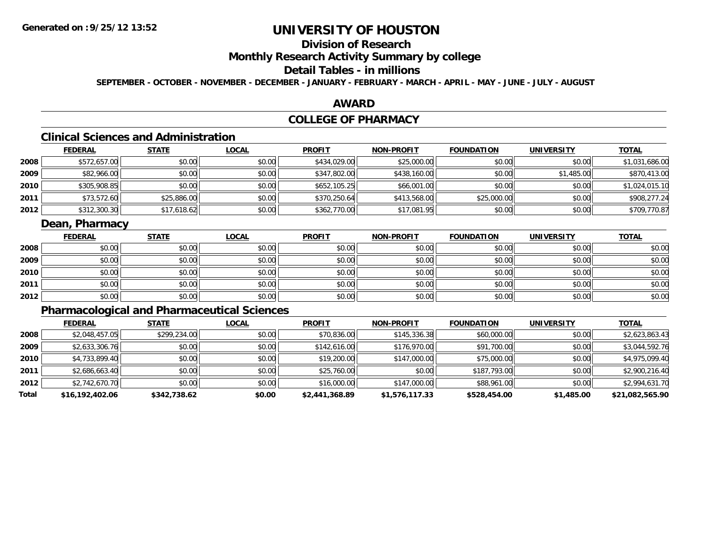## **Division of Research**

**Monthly Research Activity Summary by college**

## **Detail Tables - in millions**

**SEPTEMBER - OCTOBER - NOVEMBER - DECEMBER - JANUARY - FEBRUARY - MARCH - APRIL - MAY - JUNE - JULY - AUGUST**

### **AWARD**

## **COLLEGE OF PHARMACY**

# **Clinical Sciences and Administration**

|      | <b>FEDERAL</b> | <u>STATE</u> | <b>LOCAL</b> | <b>PROFIT</b> | <b>NON-PROFIT</b> | <b>FOUNDATION</b> | <b>UNIVERSITY</b> | <b>TOTAL</b>   |
|------|----------------|--------------|--------------|---------------|-------------------|-------------------|-------------------|----------------|
| 2008 | \$572,657.00   | \$0.00       | \$0.00       | \$434,029.00  | \$25,000.00       | \$0.00            | \$0.00            | \$1,031,686.00 |
| 2009 | \$82,966.00    | \$0.00       | \$0.00       | \$347,802.00  | \$438,160.00      | \$0.00            | \$1,485.00        | \$870,413.00   |
| 2010 | \$305,908.85   | \$0.00       | \$0.00       | \$652,105.25  | \$66,001.00       | \$0.00            | \$0.00            | \$1,024,015.10 |
| 2011 | \$73,572.60    | \$25,886.00  | \$0.00       | \$370,250.64  | \$413,568.00      | \$25,000.00       | \$0.00            | \$908,277.24   |
| 2012 | \$312,300.30   | \$17,618.62  | \$0.00       | \$362,770.00  | \$17,081.95       | \$0.00            | \$0.00            | \$709,770.87   |

## **Dean, Pharmacy**

|      | <b>FEDERAL</b> | <b>STATE</b> | <u>LOCAL</u> | <b>PROFIT</b> | <b>NON-PROFIT</b> | <b>FOUNDATION</b> | <b>UNIVERSITY</b> | <b>TOTAL</b> |
|------|----------------|--------------|--------------|---------------|-------------------|-------------------|-------------------|--------------|
| 2008 | \$0.00         | \$0.00       | \$0.00       | \$0.00        | \$0.00            | \$0.00            | \$0.00            | \$0.00       |
| 2009 | \$0.00         | \$0.00       | \$0.00       | \$0.00        | \$0.00            | \$0.00            | \$0.00            | \$0.00       |
| 2010 | \$0.00         | \$0.00       | \$0.00       | \$0.00        | \$0.00            | \$0.00            | \$0.00            | \$0.00       |
| 2011 | \$0.00         | \$0.00       | \$0.00       | \$0.00        | \$0.00            | \$0.00            | \$0.00            | \$0.00       |
| 2012 | \$0.00         | \$0.00       | \$0.00       | \$0.00        | \$0.00            | \$0.00            | \$0.00            | \$0.00       |

# **Pharmacological and Pharmaceutical Sciences**

|       | <b>FEDERAL</b>  | <b>STATE</b> | <b>LOCAL</b> | <b>PROFIT</b>  | <b>NON-PROFIT</b> | <b>FOUNDATION</b> | <b>UNIVERSITY</b> | <b>TOTAL</b>    |
|-------|-----------------|--------------|--------------|----------------|-------------------|-------------------|-------------------|-----------------|
| 2008  | \$2,048,457.05  | \$299,234.00 | \$0.00       | \$70,836.00    | \$145,336.38      | \$60,000.00       | \$0.00            | \$2,623,863.43  |
| 2009  | \$2,633,306.76  | \$0.00       | \$0.00       | \$142,616.00   | \$176,970.00      | \$91,700.00       | \$0.00            | \$3,044,592.76  |
| 2010  | \$4,733,899.40  | \$0.00       | \$0.00       | \$19,200.00    | \$147,000.00      | \$75,000.00       | \$0.00            | \$4,975,099.40  |
| 2011  | \$2,686,663.40  | \$0.00       | \$0.00       | \$25,760.00    | \$0.00            | \$187.793.00      | \$0.00            | \$2,900,216.40  |
| 2012  | \$2,742,670.70  | \$0.00       | \$0.00       | \$16,000.00    | \$147,000.00      | \$88,961.00       | \$0.00            | \$2,994,631.70  |
| Total | \$16,192,402.06 | \$342,738.62 | \$0.00       | \$2,441,368.89 | \$1,576,117.33    | \$528,454.00      | \$1,485.00        | \$21,082,565.90 |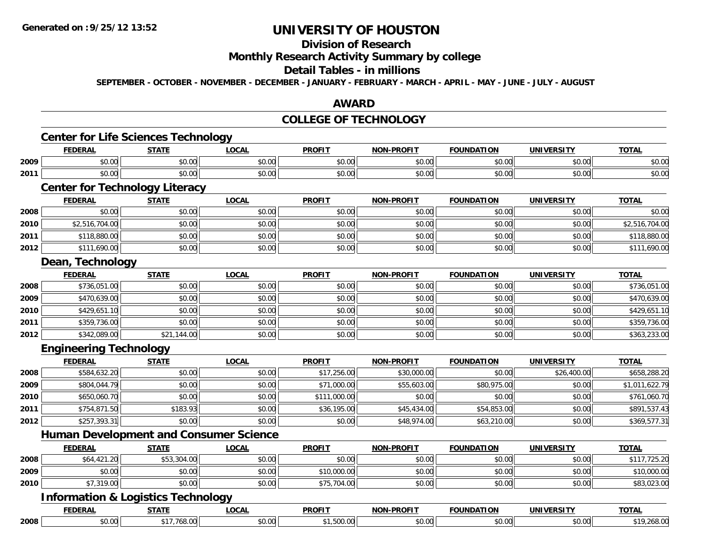#### **Division of Research**

## **Monthly Research Activity Summary by college**

### **Detail Tables - in millions**

**SEPTEMBER - OCTOBER - NOVEMBER - DECEMBER - JANUARY - FEBRUARY - MARCH - APRIL - MAY - JUNE - JULY - AUGUST**

### **AWARD**

### **COLLEGE OF TECHNOLOGY**

|      | <b>FEDERAL</b>                                | <b>STATE</b> | <b>LOCAL</b> | <b>PROFIT</b> | <b>NON-PROFIT</b> | <b>FOUNDATION</b> | <b>UNIVERSITY</b> | <b>TOTAL</b>   |
|------|-----------------------------------------------|--------------|--------------|---------------|-------------------|-------------------|-------------------|----------------|
| 2009 | \$0.00                                        | \$0.00       | \$0.00       | \$0.00        | \$0.00            | \$0.00            | \$0.00            | \$0.00         |
| 2011 | \$0.00                                        | \$0.00       | \$0.00       | \$0.00        | \$0.00            | \$0.00            | \$0.00            | \$0.00         |
|      | <b>Center for Technology Literacy</b>         |              |              |               |                   |                   |                   |                |
|      | <b>FEDERAL</b>                                | <b>STATE</b> | <b>LOCAL</b> | <b>PROFIT</b> | <b>NON-PROFIT</b> | <b>FOUNDATION</b> | <b>UNIVERSITY</b> | <b>TOTAL</b>   |
| 2008 | \$0.00                                        | \$0.00       | \$0.00       | \$0.00        | \$0.00            | \$0.00            | \$0.00            | \$0.00         |
| 2010 | \$2,516,704.00                                | \$0.00       | \$0.00       | \$0.00        | \$0.00            | \$0.00            | \$0.00            | \$2,516,704.00 |
| 2011 | \$118,880.00                                  | \$0.00       | \$0.00       | \$0.00        | \$0.00            | \$0.00            | \$0.00            | \$118,880.00   |
| 2012 | \$111,690.00                                  | \$0.00       | \$0.00       | \$0.00        | \$0.00            | \$0.00            | \$0.00            | \$111,690.00   |
|      | Dean, Technology                              |              |              |               |                   |                   |                   |                |
|      | <b>FEDERAL</b>                                | <b>STATE</b> | <b>LOCAL</b> | <b>PROFIT</b> | <b>NON-PROFIT</b> | <b>FOUNDATION</b> | <b>UNIVERSITY</b> | <b>TOTAL</b>   |
| 2008 | \$736,051.00                                  | \$0.00       | \$0.00       | \$0.00        | \$0.00            | \$0.00            | \$0.00            | \$736,051.00   |
| 2009 | \$470,639.00                                  | \$0.00       | \$0.00       | \$0.00        | \$0.00            | \$0.00            | \$0.00            | \$470,639.00   |
| 2010 | \$429,651.10                                  | \$0.00       | \$0.00       | \$0.00        | \$0.00            | \$0.00            | \$0.00            | \$429,651.10   |
| 2011 | \$359,736.00                                  | \$0.00       | \$0.00       | \$0.00        | \$0.00            | \$0.00            | \$0.00            | \$359,736.00   |
| 2012 | \$342,089.00                                  | \$21,144.00  | \$0.00       | \$0.00        | \$0.00            | \$0.00            | \$0.00            | \$363,233.00   |
|      | <b>Engineering Technology</b>                 |              |              |               |                   |                   |                   |                |
|      | <b>FEDERAL</b>                                | <b>STATE</b> | <b>LOCAL</b> | <b>PROFIT</b> | <b>NON-PROFIT</b> | <b>FOUNDATION</b> | <b>UNIVERSITY</b> | <b>TOTAL</b>   |
| 2008 | \$584,632.20                                  | \$0.00       | \$0.00       | \$17,256.00   | \$30,000.00       | \$0.00            | \$26,400.00       | \$658,288.20   |
| 2009 | \$804,044.79                                  | \$0.00       | \$0.00       | \$71,000.00   | \$55,603.00       | \$80,975.00       | \$0.00            | \$1,011,622.79 |
| 2010 | \$650,060.70                                  | \$0.00       | \$0.00       | \$111,000.00  | \$0.00            | \$0.00            | \$0.00            | \$761,060.70   |
| 2011 | \$754,871.50                                  | \$183.93     | \$0.00       | \$36,195.00   | \$45,434.00       | \$54,853.00       | \$0.00            | \$891,537.43   |
| 2012 | \$257,393.31                                  | \$0.00       | \$0.00       | \$0.00        | \$48,974.00       | \$63,210.00       | \$0.00            | \$369,577.31   |
|      | <b>Human Development and Consumer Science</b> |              |              |               |                   |                   |                   |                |
|      | <b>FEDERAL</b>                                | <b>STATE</b> | <b>LOCAL</b> | <b>PROFIT</b> | <b>NON-PROFIT</b> | <b>FOUNDATION</b> | <b>UNIVERSITY</b> | <b>TOTAL</b>   |
| 2008 | \$64,421.20                                   | \$53,304.00  | \$0.00       | \$0.00        | \$0.00            | \$0.00            | \$0.00            | \$117,725.20   |
| 2009 | \$0.00                                        | \$0.00       | \$0.00       | \$10,000.00   | \$0.00            | \$0.00            | \$0.00            | \$10,000.00    |
| 2010 | \$7,319.00                                    | \$0.00       | \$0.00       | \$75,704.00   | \$0.00            | \$0.00            | \$0.00            | \$83,023.00    |
|      | <b>Information &amp; Logistics Technology</b> |              |              |               |                   |                   |                   |                |
|      | <b>FEDERAL</b>                                | <b>STATE</b> | <b>LOCAL</b> | <b>PROFIT</b> | <b>NON-PROFIT</b> | <b>FOUNDATION</b> | <b>UNIVERSITY</b> | <b>TOTAL</b>   |
| 2008 | \$0.00                                        | \$17,768.00  | \$0.00       | \$1,500.00    | \$0.00            | \$0.00            | \$0.00            | \$19,268.00    |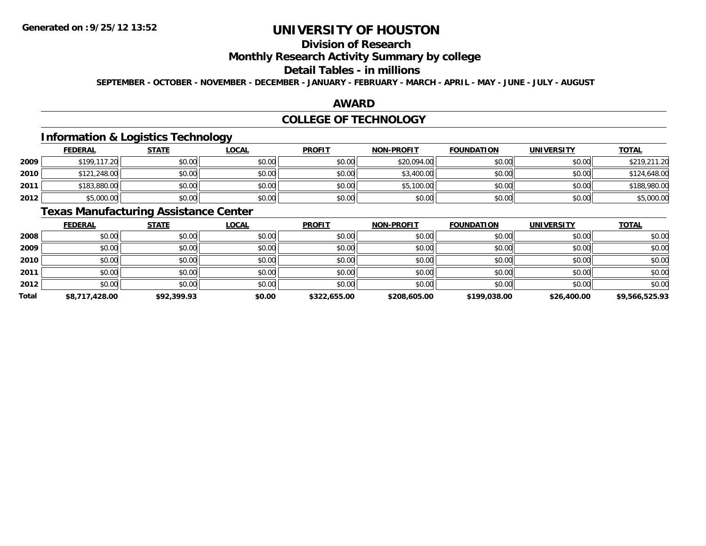## **Division of Research**

**Monthly Research Activity Summary by college**

### **Detail Tables - in millions**

**SEPTEMBER - OCTOBER - NOVEMBER - DECEMBER - JANUARY - FEBRUARY - MARCH - APRIL - MAY - JUNE - JULY - AUGUST**

### **AWARD**

### **COLLEGE OF TECHNOLOGY**

## **Information & Logistics Technology**

|      | <b>FEDERAL</b> | <u>STATE</u> | <u>LOCAL</u> | <b>PROFIT</b> | <b>NON-PROFIT</b> | <b>FOUNDATION</b> | <b>UNIVERSITY</b> | <b>TOTAL</b> |
|------|----------------|--------------|--------------|---------------|-------------------|-------------------|-------------------|--------------|
| 2009 | \$199,117.20   | \$0.00       | \$0.00       | \$0.00        | \$20,094.00       | \$0.00            | \$0.00            | \$219,211.20 |
| 2010 | \$121,248.00   | \$0.00       | \$0.00       | \$0.00        | \$3,400.00        | \$0.00            | \$0.00            | \$124,648.00 |
| 2011 | \$183,880.00   | \$0.00       | \$0.00       | \$0.00        | \$5,100.00        | \$0.00            | \$0.00            | \$188,980.00 |
| 2012 | \$5,000.00     | \$0.00       | \$0.00       | \$0.00        | \$0.00            | \$0.00            | \$0.00            | \$5,000.00   |

## **Texas Manufacturing Assistance Center**

|              | <b>FEDERAL</b> | <b>STATE</b> | <u>LOCAL</u> | <b>PROFIT</b> | <b>NON-PROFIT</b> | <b>FOUNDATION</b> | <b>UNIVERSITY</b> | <b>TOTAL</b>   |
|--------------|----------------|--------------|--------------|---------------|-------------------|-------------------|-------------------|----------------|
| 2008         | \$0.00         | \$0.00       | \$0.00       | \$0.00        | \$0.00            | \$0.00            | \$0.00            | \$0.00         |
| 2009         | \$0.00         | \$0.00       | \$0.00       | \$0.00        | \$0.00            | \$0.00            | \$0.00            | \$0.00         |
| 2010         | \$0.00         | \$0.00       | \$0.00       | \$0.00        | \$0.00            | \$0.00            | \$0.00            | \$0.00         |
| 2011         | \$0.00         | \$0.00       | \$0.00       | \$0.00        | \$0.00            | \$0.00            | \$0.00            | \$0.00         |
| 2012         | \$0.00         | \$0.00       | \$0.00       | \$0.00        | \$0.00            | \$0.00            | \$0.00            | \$0.00         |
| <b>Total</b> | \$8,717,428.00 | \$92,399.93  | \$0.00       | \$322,655.00  | \$208,605.00      | \$199,038.00      | \$26,400.00       | \$9,566,525.93 |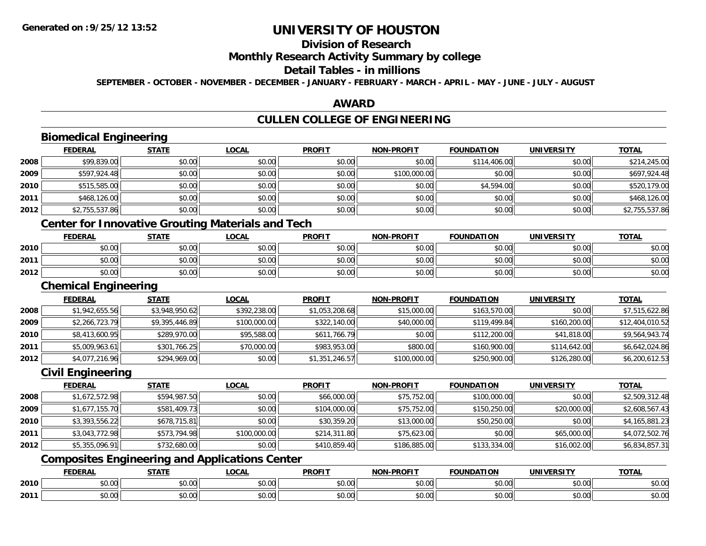**2011**

# **UNIVERSITY OF HOUSTON**

# **Division of Research**

# **Monthly Research Activity Summary by college**

### **Detail Tables - in millions**

**SEPTEMBER - OCTOBER - NOVEMBER - DECEMBER - JANUARY - FEBRUARY - MARCH - APRIL - MAY - JUNE - JULY - AUGUST**

### **AWARD**

# **CULLEN COLLEGE OF ENGINEERING**

|      | <b>FEDERAL</b>              | <b>STATE</b>   | <b>LOCAL</b>                                             | <b>PROFIT</b>  | <b>NON-PROFIT</b> | <b>FOUNDATION</b> | <b>UNIVERSITY</b> | <b>TOTAL</b>    |
|------|-----------------------------|----------------|----------------------------------------------------------|----------------|-------------------|-------------------|-------------------|-----------------|
| 2008 | \$99,839.00                 | \$0.00         | \$0.00                                                   | \$0.00         | \$0.00            | \$114,406.00      | \$0.00            | \$214,245.00    |
| 2009 | \$597,924.48                | \$0.00         | \$0.00                                                   | \$0.00         | \$100,000.00      | \$0.00            | \$0.00            | \$697,924.48    |
| 2010 | \$515,585.00                | \$0.00         | \$0.00                                                   | \$0.00         | \$0.00            | \$4,594.00        | \$0.00            | \$520,179.00    |
| 2011 | \$468,126.00                | \$0.00         | \$0.00                                                   | \$0.00         | \$0.00            | \$0.00            | \$0.00            | \$468,126.00    |
| 2012 | \$2,755,537.86              | \$0.00         | \$0.00                                                   | \$0.00         | \$0.00            | \$0.00            | \$0.00            | \$2,755,537.86  |
|      |                             |                | <b>Center for Innovative Grouting Materials and Tech</b> |                |                   |                   |                   |                 |
|      | <b>FEDERAL</b>              | <b>STATE</b>   | <b>LOCAL</b>                                             | <b>PROFIT</b>  | <b>NON-PROFIT</b> | <b>FOUNDATION</b> | <b>UNIVERSITY</b> | <b>TOTAL</b>    |
| 2010 | \$0.00                      | \$0.00         | \$0.00                                                   | \$0.00         | \$0.00            | \$0.00            | \$0.00            | \$0.00          |
| 2011 | \$0.00                      | \$0.00         | \$0.00                                                   | \$0.00         | \$0.00            | \$0.00            | \$0.00            | \$0.00          |
| 2012 | \$0.00                      | \$0.00         | \$0.00                                                   | \$0.00         | \$0.00            | \$0.00            | \$0.00            | \$0.00          |
|      | <b>Chemical Engineering</b> |                |                                                          |                |                   |                   |                   |                 |
|      | <b>FEDERAL</b>              | <b>STATE</b>   | <b>LOCAL</b>                                             | <b>PROFIT</b>  | <b>NON-PROFIT</b> | <b>FOUNDATION</b> | <b>UNIVERSITY</b> | <b>TOTAL</b>    |
| 2008 | \$1,942,655.56              | \$3,948,950.62 | \$392,238.00                                             | \$1,053,208.68 | \$15,000.00       | \$163,570.00      | \$0.00            | \$7,515,622.86  |
| 2009 | \$2,266,723.79              | \$9,395,446.89 | \$100,000.00                                             | \$322,140.00   | \$40,000.00       | \$119,499.84      | \$160,200.00      | \$12,404,010.52 |
| 2010 | \$8,413,600.95              | \$289,970.00   | \$95,588.00                                              | \$611,766.79   | \$0.00            | \$112,200.00      | \$41,818.00       | \$9,564,943.74  |
| 2011 | \$5,009,963.61              | \$301,766.25   | \$70,000.00                                              | \$983,953.00   | \$800.00          | \$160,900.00      | \$114,642.00      | \$6,642,024.86  |
| 2012 | \$4,077,216.96              | \$294,969.00   | \$0.00                                                   | \$1,351,246.57 | \$100,000.00      | \$250,900.00      | \$126,280.00      | \$6,200,612.53  |
|      | <b>Civil Engineering</b>    |                |                                                          |                |                   |                   |                   |                 |
|      | <b>FEDERAL</b>              | <b>STATE</b>   | <b>LOCAL</b>                                             | <b>PROFIT</b>  | <b>NON-PROFIT</b> | <b>FOUNDATION</b> | <b>UNIVERSITY</b> | <b>TOTAL</b>    |
| 2008 | \$1,672,572.98              | \$594,987.50   | \$0.00                                                   | \$66,000.00    | \$75,752.00       | \$100,000.00      | \$0.00            | \$2,509,312.48  |
| 2009 | \$1,677,155.70              | \$581,409.73   | \$0.00                                                   | \$104,000.00   | \$75,752.00       | \$150,250.00      | \$20,000.00       | \$2,608,567.43  |
| 2010 | \$3,393,556.22              | \$678,715.81   | \$0.00                                                   | \$30,359.20    | \$13,000.00       | \$50,250.00       | \$0.00            | \$4,165,881.23  |
| 2011 | \$3,043,772.98              | \$573,794.98   | \$100,000.00                                             | \$214,311.80   | \$75,623.00       | \$0.00            | \$65,000.00       | \$4,072,502.76  |
| 2012 | \$5,355,096.91              | \$732,680.00   | \$0.00                                                   | \$410,859.40   | \$186,885.00      | \$133,334.00      | \$16,002.00       | \$6,834,857.31  |
|      |                             |                | <b>Composites Engineering and Applications Center</b>    |                |                   |                   |                   |                 |
|      | <b>FEDERAL</b>              | <b>STATE</b>   | <b>LOCAL</b>                                             | <b>PROFIT</b>  | NON-PROFIT        | <b>FOUNDATION</b> | <b>UNIVERSITY</b> | <b>TOTAL</b>    |
| 2010 | \$0.00                      | \$0.00         | \$0.00                                                   | \$0.00         | \$0.00            | \$0.00            | \$0.00            | \$0.00          |

\$0.00 \$0.00 \$0.00 \$0.00 \$0.00 \$0.00 \$0.00 \$0.00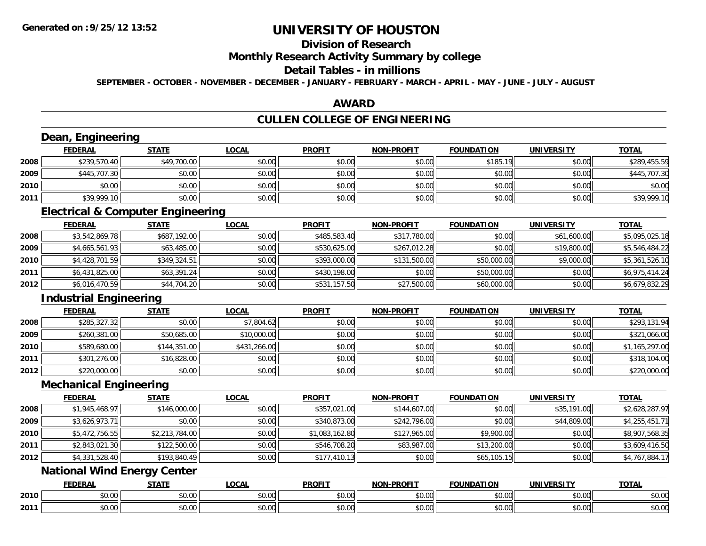# **Division of Research**

## **Monthly Research Activity Summary by college**

#### **Detail Tables - in millions**

**SEPTEMBER - OCTOBER - NOVEMBER - DECEMBER - JANUARY - FEBRUARY - MARCH - APRIL - MAY - JUNE - JULY - AUGUST**

### **AWARD**

## **CULLEN COLLEGE OF ENGINEERING**

|      | Dean, Engineering                            |                |              |                |                   |                   |                   |                |
|------|----------------------------------------------|----------------|--------------|----------------|-------------------|-------------------|-------------------|----------------|
|      | <b>FEDERAL</b>                               | <b>STATE</b>   | <b>LOCAL</b> | <b>PROFIT</b>  | <b>NON-PROFIT</b> | <b>FOUNDATION</b> | <b>UNIVERSITY</b> | <b>TOTAL</b>   |
| 2008 | \$239,570.40                                 | \$49,700.00    | \$0.00       | \$0.00         | \$0.00            | \$185.19          | \$0.00            | \$289,455.59   |
| 2009 | \$445,707.30                                 | \$0.00         | \$0.00       | \$0.00         | \$0.00            | \$0.00            | \$0.00            | \$445,707.30   |
| 2010 | \$0.00                                       | \$0.00         | \$0.00       | \$0.00         | \$0.00            | \$0.00            | \$0.00            | \$0.00         |
| 2011 | \$39,999.10                                  | \$0.00         | \$0.00       | \$0.00         | \$0.00            | \$0.00            | \$0.00            | \$39,999.10    |
|      | <b>Electrical &amp; Computer Engineering</b> |                |              |                |                   |                   |                   |                |
|      | <b>FEDERAL</b>                               | <b>STATE</b>   | <b>LOCAL</b> | <b>PROFIT</b>  | <b>NON-PROFIT</b> | <b>FOUNDATION</b> | <b>UNIVERSITY</b> | <b>TOTAL</b>   |
| 2008 | \$3,542,869.78                               | \$687,192.00   | \$0.00       | \$485,583.40   | \$317,780.00      | \$0.00            | \$61,600.00       | \$5,095,025.18 |
| 2009 | \$4,665,561.93                               | \$63,485.00    | \$0.00       | \$530,625.00   | \$267,012.28      | \$0.00            | \$19,800.00       | \$5,546,484.22 |
| 2010 | \$4,428,701.59                               | \$349,324.51   | \$0.00       | \$393,000.00   | \$131,500.00      | \$50,000.00       | \$9,000.00        | \$5,361,526.10 |
| 2011 | \$6,431,825.00                               | \$63,391.24    | \$0.00       | \$430,198.00   | \$0.00            | \$50,000.00       | \$0.00            | \$6,975,414.24 |
| 2012 | \$6,016,470.59                               | \$44,704.20    | \$0.00       | \$531,157.50   | \$27,500.00       | \$60,000.00       | \$0.00            | \$6,679,832.29 |
|      | <b>Industrial Engineering</b>                |                |              |                |                   |                   |                   |                |
|      | <b>FEDERAL</b>                               | <b>STATE</b>   | <b>LOCAL</b> | <b>PROFIT</b>  | <b>NON-PROFIT</b> | <b>FOUNDATION</b> | <b>UNIVERSITY</b> | <b>TOTAL</b>   |
| 2008 | \$285,327.32                                 | \$0.00         | \$7,804.62   | \$0.00         | \$0.00            | \$0.00            | \$0.00            | \$293,131.94   |
| 2009 | \$260,381.00                                 | \$50,685.00    | \$10,000.00  | \$0.00         | \$0.00            | \$0.00            | \$0.00            | \$321,066.00   |
| 2010 | \$589,680.00                                 | \$144,351.00   | \$431,266.00 | \$0.00         | \$0.00            | \$0.00            | \$0.00            | \$1,165,297.00 |
| 2011 | \$301,276.00                                 | \$16,828.00    | \$0.00       | \$0.00         | \$0.00            | \$0.00            | \$0.00            | \$318,104.00   |
| 2012 | \$220,000.00                                 | \$0.00         | \$0.00       | \$0.00         | \$0.00            | \$0.00            | \$0.00            | \$220,000.00   |
|      | <b>Mechanical Engineering</b>                |                |              |                |                   |                   |                   |                |
|      | <b>FEDERAL</b>                               | <b>STATE</b>   | <b>LOCAL</b> | <b>PROFIT</b>  | <b>NON-PROFIT</b> | <b>FOUNDATION</b> | <b>UNIVERSITY</b> | <b>TOTAL</b>   |
| 2008 | \$1,945,468.97                               | \$146,000.00   | \$0.00       | \$357,021.00   | \$144,607.00      | \$0.00            | \$35,191.00       | \$2,628,287.97 |
| 2009 | \$3,626,973.71                               | \$0.00         | \$0.00       | \$340,873.00   | \$242,796.00      | \$0.00            | \$44,809.00       | \$4,255,451.71 |
| 2010 | \$5,472,756.55                               | \$2,213,784.00 | \$0.00       | \$1,083,162.80 | \$127,965.00      | \$9,900.00        | \$0.00            | \$8,907,568.35 |
| 2011 | \$2,843,021.30                               | \$122,500.00   | \$0.00       | \$546,708.20   | \$83,987.00       | \$13,200.00       | \$0.00            | \$3,609,416.50 |
| 2012 | \$4,331,528.40                               | \$193,840.49   | \$0.00       | \$177,410.13   | \$0.00            | \$65,105.15       | \$0.00            | \$4,767,884.17 |
|      | <b>National Wind Energy Center</b>           |                |              |                |                   |                   |                   |                |
|      | <b>FEDERAL</b>                               | <b>STATE</b>   | <b>LOCAL</b> | <b>PROFIT</b>  | <b>NON-PROFIT</b> | <b>FOUNDATION</b> | <b>UNIVERSITY</b> | <b>TOTAL</b>   |
| 2010 | \$0.00                                       | \$0.00         | \$0.00       | \$0.00         | \$0.00            | \$0.00            | \$0.00            | \$0.00         |
| 2011 | \$0.00                                       | \$0.00         | \$0.00       | \$0.00         | \$0.00            | \$0.00            | \$0.00            | \$0.00         |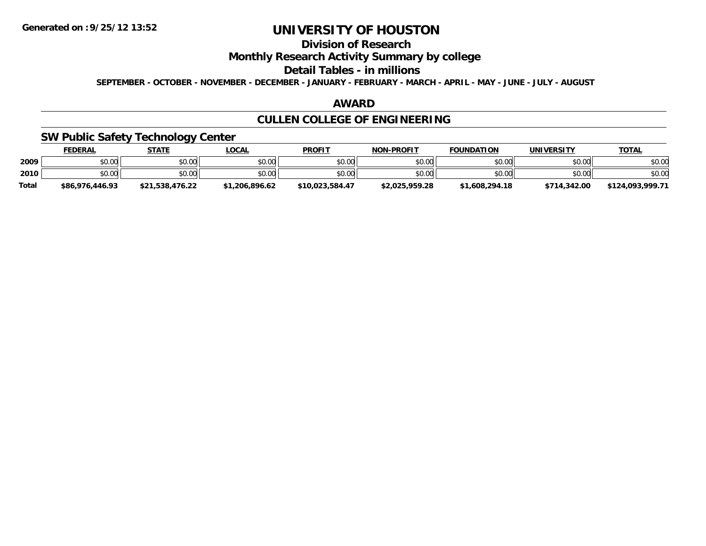## **Division of Research**

**Monthly Research Activity Summary by college**

#### **Detail Tables - in millions**

**SEPTEMBER - OCTOBER - NOVEMBER - DECEMBER - JANUARY - FEBRUARY - MARCH - APRIL - MAY - JUNE - JULY - AUGUST**

### **AWARD**

# **CULLEN COLLEGE OF ENGINEERING**

## **SW Public Safety Technology Center**

|              | <b>FEDERAL</b>  | <b>STATE</b>    | <u>LOCAL</u> | <b>PROFIT</b>   | <b>NON-PROFIT</b> | <b>FOUNDATION</b> | UNIVERSITY   | <b>TOTAL</b>     |
|--------------|-----------------|-----------------|--------------|-----------------|-------------------|-------------------|--------------|------------------|
| 2009         | \$0.00          | \$0.00          | \$0.00       | \$0.00          | \$0.00            | \$0.00            | \$0.00       | \$0.00           |
| 2010         | \$0.00          | \$0.00          | \$0.00       | \$0.00          | \$0.00            | \$0.00            | \$0.00       | \$0.00           |
| <b>Total</b> | \$86,976,446.93 | \$21.538.476.22 | 1.206.896.62 | \$10.023.584.47 | \$2.025.959.28    | \$1,608,294.18    | \$714,342.00 | \$124.093.999.71 |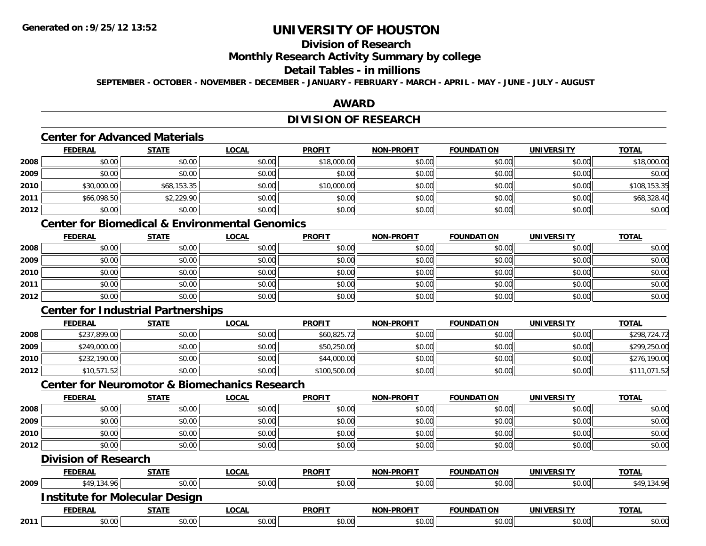## **Division of Research**

### **Monthly Research Activity Summary by college**

### **Detail Tables - in millions**

**SEPTEMBER - OCTOBER - NOVEMBER - DECEMBER - JANUARY - FEBRUARY - MARCH - APRIL - MAY - JUNE - JULY - AUGUST**

### **AWARD**

## **DIVISION OF RESEARCH**

## **Center for Advanced Materials**

|      | <b>FEDERAL</b> | <b>STATE</b> | <b>LOCAL</b> | <b>PROFIT</b> | <b>NON-PROFIT</b> | <b>FOUNDATION</b> | <b>UNIVERSITY</b> | <b>TOTAL</b> |
|------|----------------|--------------|--------------|---------------|-------------------|-------------------|-------------------|--------------|
| 2008 | \$0.00         | \$0.00       | \$0.00       | \$18,000.00   | \$0.00            | \$0.00            | \$0.00            | \$18,000.00  |
| 2009 | \$0.00         | \$0.00       | \$0.00       | \$0.00        | \$0.00            | \$0.00            | \$0.00            | \$0.00       |
| 2010 | \$30,000.00    | \$68,153.35  | \$0.00       | \$10,000.00   | \$0.00            | \$0.00            | \$0.00            | \$108,153.35 |
| 2011 | \$66,098.50    | \$2,229.90   | \$0.00       | \$0.00        | \$0.00            | \$0.00            | \$0.00            | \$68,328.40  |
| 2012 | \$0.00         | \$0.00       | \$0.00       | \$0.00        | \$0.00            | \$0.00            | \$0.00            | \$0.00       |

## **Center for Biomedical & Environmental Genomics**

|      | <u>FEDERAL</u> | <u>STATE</u> | <u>LOCAL</u> | <b>PROFIT</b> | <b>NON-PROFIT</b> | <b>FOUNDATION</b> | <b>UNIVERSITY</b> | <b>TOTAL</b> |
|------|----------------|--------------|--------------|---------------|-------------------|-------------------|-------------------|--------------|
| 2008 | \$0.00         | \$0.00       | \$0.00       | \$0.00        | \$0.00            | \$0.00            | \$0.00            | \$0.00       |
| 2009 | \$0.00         | \$0.00       | \$0.00       | \$0.00        | \$0.00            | \$0.00            | \$0.00            | \$0.00       |
| 2010 | \$0.00         | \$0.00       | \$0.00       | \$0.00        | \$0.00            | \$0.00            | \$0.00            | \$0.00       |
| 2011 | \$0.00         | \$0.00       | \$0.00       | \$0.00        | \$0.00            | \$0.00            | \$0.00            | \$0.00       |
| 2012 | \$0.00         | \$0.00       | \$0.00       | \$0.00        | \$0.00            | \$0.00            | \$0.00            | \$0.00       |

## **Center for Industrial Partnerships**

|      | <b>FEDERAL</b> | STATE  | <u>LOCAL</u> | <b>PROFIT</b> | <b>NON-PROFIT</b> | <b>FOUNDATION</b> | <b>UNIVERSITY</b> | <b>TOTAL</b> |
|------|----------------|--------|--------------|---------------|-------------------|-------------------|-------------------|--------------|
| 2008 | \$237,899.00   | \$0.00 | \$0.00       | \$60,825.72   | \$0.00            | \$0.00            | \$0.00            | \$298,724.72 |
| 2009 | \$249,000.00   | \$0.00 | \$0.00       | \$50,250.00   | \$0.00            | \$0.00            | \$0.00            | \$299,250.00 |
| 2010 | \$232,190.00   | \$0.00 | \$0.00       | \$44,000.00   | \$0.00            | \$0.00            | \$0.00            | \$276,190.00 |
| 2012 | \$10,571.52    | \$0.00 | \$0.00       | \$100,500.00  | \$0.00            | \$0.00            | \$0.00            | \$111,071.52 |

### **Center for Neuromotor & Biomechanics Research**

|      | <b>FEDERAL</b>                        | <b>STATE</b> | <b>LOCAL</b> | <b>PROFIT</b> | <b>NON-PROFIT</b> | <b>FOUNDATION</b> | <b>UNIVERSITY</b> | <b>TOTAL</b> |
|------|---------------------------------------|--------------|--------------|---------------|-------------------|-------------------|-------------------|--------------|
| 2008 | \$0.00                                | \$0.00       | \$0.00       | \$0.00        | \$0.00            | \$0.00            | \$0.00            | \$0.00       |
| 2009 | \$0.00                                | \$0.00       | \$0.00       | \$0.00        | \$0.00            | \$0.00            | \$0.00            | \$0.00       |
| 2010 | \$0.00                                | \$0.00       | \$0.00       | \$0.00        | \$0.00            | \$0.00            | \$0.00            | \$0.00       |
| 2012 | \$0.00                                | \$0.00       | \$0.00       | \$0.00        | \$0.00            | \$0.00            | \$0.00            | \$0.00       |
|      | <b>Division of Research</b>           |              |              |               |                   |                   |                   |              |
|      | <b>FEDERAL</b>                        | <b>STATE</b> | <b>LOCAL</b> | <b>PROFIT</b> | <b>NON-PROFIT</b> | <b>FOUNDATION</b> | <b>UNIVERSITY</b> | <b>TOTAL</b> |
| 2009 | \$49,134.96                           | \$0.00       | \$0.00       | \$0.00        | \$0.00            | \$0.00            | \$0.00            | \$49,134.96  |
|      | <b>Institute for Molecular Design</b> |              |              |               |                   |                   |                   |              |
|      | <b>FEDERAL</b>                        | <b>STATE</b> | <b>LOCAL</b> | <b>PROFIT</b> | <b>NON-PROFIT</b> | <b>FOUNDATION</b> | <b>UNIVERSITY</b> | <b>TOTAL</b> |
|      |                                       |              |              |               |                   |                   |                   |              |

**2011**\$0.00 \$0.00 \$0.00 \$0.00 \$0.00 \$0.00 \$0.00 \$0.00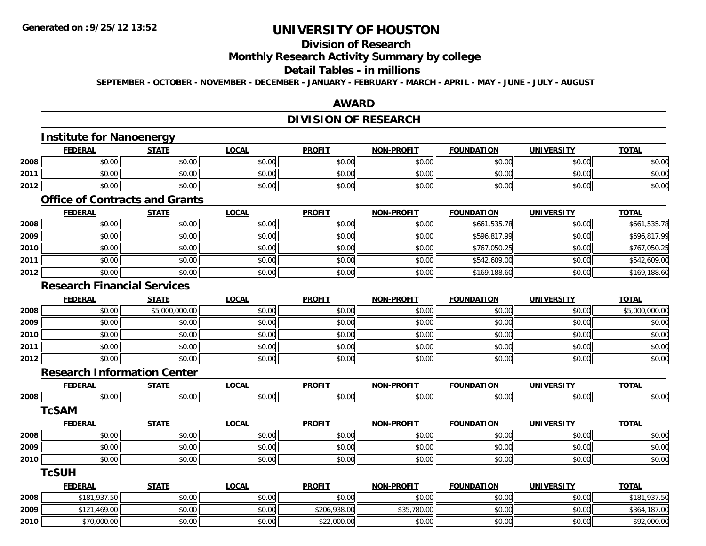## **Division of Research**

### **Monthly Research Activity Summary by college**

### **Detail Tables - in millions**

**SEPTEMBER - OCTOBER - NOVEMBER - DECEMBER - JANUARY - FEBRUARY - MARCH - APRIL - MAY - JUNE - JULY - AUGUST**

### **AWARD**

## **DIVISION OF RESEARCH**

# **Institute for Nanoenergy**

|      | <b>FEDERAL</b> | <b>STATE</b> | LOCAL  | <b>PROFIT</b> | <b>NON-PROFIT</b> | <b>FOUNDATION</b> | <b>UNIVERSITY</b> | <b>TOTAL</b> |
|------|----------------|--------------|--------|---------------|-------------------|-------------------|-------------------|--------------|
| 2008 | \$0.00         | \$0.00       | \$0.00 | \$0.00        | \$0.00            | \$0.00            | \$0.00            | \$0.00       |
| 2011 | \$0.00         | \$0.00       | \$0.00 | \$0.00        | \$0.00            | \$0.00            | \$0.00            | \$0.00       |
| 2012 | \$0.00         | \$0.00       | \$0.00 | \$0.00        | \$0.00            | \$0.00            | \$0.00            | \$0.00       |

### **Office of Contracts and Grants**

|      | <u>FEDERAL</u> | <u>STATE</u> | <b>LOCAL</b> | <b>PROFIT</b> | <b>NON-PROFIT</b> | <b>FOUNDATION</b> | <b>UNIVERSITY</b> | <b>TOTAL</b> |
|------|----------------|--------------|--------------|---------------|-------------------|-------------------|-------------------|--------------|
| 2008 | \$0.00         | \$0.00       | \$0.00       | \$0.00        | \$0.00            | \$661,535.78      | \$0.00            | \$661,535.78 |
| 2009 | \$0.00         | \$0.00       | \$0.00       | \$0.00        | \$0.00            | \$596,817.99      | \$0.00            | \$596,817.99 |
| 2010 | \$0.00         | \$0.00       | \$0.00       | \$0.00        | \$0.00            | \$767,050.25      | \$0.00            | \$767,050.25 |
| 2011 | \$0.00         | \$0.00       | \$0.00       | \$0.00        | \$0.00            | \$542,609.00      | \$0.00            | \$542,609.00 |
| 2012 | \$0.00         | \$0.00       | \$0.00       | \$0.00        | \$0.00            | \$169,188.60      | \$0.00            | \$169,188.60 |

### **Research Financial Services**

|      | <b>FEDERAL</b> | <b>STATE</b>   | <u>LOCAL</u> | <b>PROFIT</b> | <b>NON-PROFIT</b> | <b>FOUNDATION</b> | <b>UNIVERSITY</b> | <b>TOTAL</b>   |
|------|----------------|----------------|--------------|---------------|-------------------|-------------------|-------------------|----------------|
| 2008 | \$0.00         | \$5,000,000.00 | \$0.00       | \$0.00        | \$0.00            | \$0.00            | \$0.00            | \$5,000,000.00 |
| 2009 | \$0.00         | \$0.00         | \$0.00       | \$0.00        | \$0.00            | \$0.00            | \$0.00            | \$0.00         |
| 2010 | \$0.00         | \$0.00         | \$0.00       | \$0.00        | \$0.00            | \$0.00            | \$0.00            | \$0.00         |
| 2011 | \$0.00         | \$0.00         | \$0.00       | \$0.00        | \$0.00            | \$0.00            | \$0.00            | \$0.00         |
| 2012 | \$0.00         | \$0.00         | \$0.00       | \$0.00        | \$0.00            | \$0.00            | \$0.00            | \$0.00         |

### **Research Information Center**

|      | Research Information Center |              |              |               |                   |                   |                   |              |
|------|-----------------------------|--------------|--------------|---------------|-------------------|-------------------|-------------------|--------------|
|      | <b>FEDERAL</b>              | <b>STATE</b> | <b>LOCAL</b> | <b>PROFIT</b> | <b>NON-PROFIT</b> | <b>FOUNDATION</b> | <b>UNIVERSITY</b> | <b>TOTAL</b> |
| 2008 | \$0.00                      | \$0.00       | \$0.00       | \$0.00        | \$0.00            | \$0.00            | \$0.00            | \$0.00       |
|      | TcSAM                       |              |              |               |                   |                   |                   |              |
|      | <b>FEDERAL</b>              | <b>STATE</b> | <b>LOCAL</b> | <b>PROFIT</b> | <b>NON-PROFIT</b> | <b>FOUNDATION</b> | <b>UNIVERSITY</b> | <b>TOTAL</b> |
| 2008 | \$0.00                      | \$0.00       | \$0.00       | \$0.00        | \$0.00            | \$0.00            | \$0.00            | \$0.00       |
| 2009 | \$0.00                      | \$0.00       | \$0.00       | \$0.00        | \$0.00            | \$0.00            | \$0.00            | \$0.00       |
| 2010 | \$0.00                      | \$0.00       | \$0.00       | \$0.00        | \$0.00            | \$0.00            | \$0.00            | \$0.00       |
|      | TcSUH                       |              |              |               |                   |                   |                   |              |
|      |                             |              |              |               |                   |                   |                   |              |

|      | <u>FEDERAL</u> | <b>STATE</b> | <u>LOCAL</u> | <b>PROFIT</b> | <b>NON-PROFIT</b> | <b>FOUNDATION</b> | UNIVERSITY | <b>TOTAL</b> |
|------|----------------|--------------|--------------|---------------|-------------------|-------------------|------------|--------------|
| 2008 | \$181,937.50   | \$0.00       | \$0.00       | \$0.00        | \$0.00            | \$0.00            | \$0.00     | \$181,937.50 |
| 2009 | \$121,469.00   | \$0.00       | \$0.00       | \$206,938.00  | \$35,780.00       | \$0.00            | \$0.00     | \$364,187.00 |
| 2010 | \$70,000.00    | \$0.00       | \$0.00       | \$22,000.00   | \$0.00            | \$0.00            | \$0.00     | \$92,000.00  |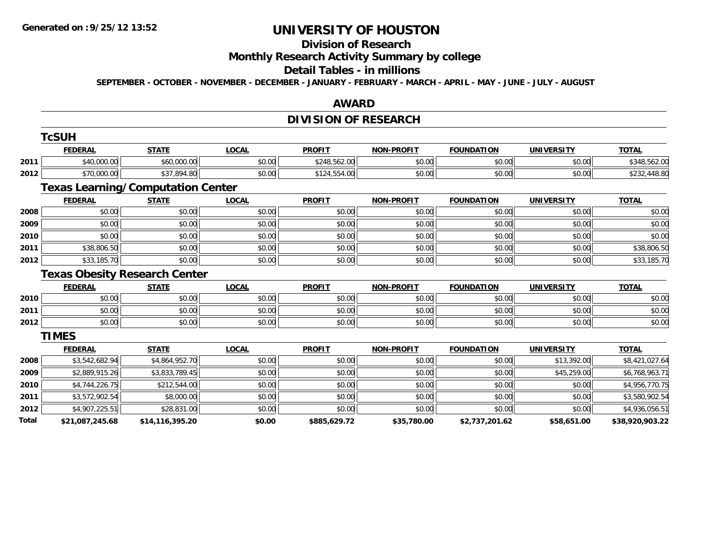#### **Division of Research**

**Monthly Research Activity Summary by college**

#### **Detail Tables - in millions**

**SEPTEMBER - OCTOBER - NOVEMBER - DECEMBER - JANUARY - FEBRUARY - MARCH - APRIL - MAY - JUNE - JULY - AUGUST**

#### **AWARD**

# **DIVISION OF RESEARCH**

|       | <b>TcSUH</b>    |                                          |              |               |                   |                   |                   |                 |
|-------|-----------------|------------------------------------------|--------------|---------------|-------------------|-------------------|-------------------|-----------------|
|       | <b>FEDERAL</b>  | <b>STATE</b>                             | <b>LOCAL</b> | <b>PROFIT</b> | <b>NON-PROFIT</b> | <b>FOUNDATION</b> | <b>UNIVERSITY</b> | <b>TOTAL</b>    |
| 2011  | \$40,000.00     | \$60,000.00                              | \$0.00       | \$248,562.00  | \$0.00            | \$0.00            | \$0.00            | \$348,562.00    |
| 2012  | \$70,000.00     | \$37,894.80                              | \$0.00       | \$124,554.00  | \$0.00            | \$0.00            | \$0.00            | \$232,448.80    |
|       |                 | <b>Texas Learning/Computation Center</b> |              |               |                   |                   |                   |                 |
|       | <b>FEDERAL</b>  | <b>STATE</b>                             | <b>LOCAL</b> | <b>PROFIT</b> | <b>NON-PROFIT</b> | <b>FOUNDATION</b> | <b>UNIVERSITY</b> | <b>TOTAL</b>    |
| 2008  | \$0.00          | \$0.00                                   | \$0.00       | \$0.00        | \$0.00            | \$0.00            | \$0.00            | \$0.00          |
| 2009  | \$0.00          | \$0.00                                   | \$0.00       | \$0.00        | \$0.00            | \$0.00            | \$0.00            | \$0.00          |
| 2010  | \$0.00          | \$0.00                                   | \$0.00       | \$0.00        | \$0.00            | \$0.00            | \$0.00            | \$0.00          |
| 2011  | \$38,806.50     | \$0.00                                   | \$0.00       | \$0.00        | \$0.00            | \$0.00            | \$0.00            | \$38,806.50     |
| 2012  | \$33,185.70     | \$0.00                                   | \$0.00       | \$0.00        | \$0.00            | \$0.00            | \$0.00            | \$33,185.70     |
|       |                 | <b>Texas Obesity Research Center</b>     |              |               |                   |                   |                   |                 |
|       | <b>FEDERAL</b>  | <b>STATE</b>                             | <b>LOCAL</b> | <b>PROFIT</b> | <b>NON-PROFIT</b> | <b>FOUNDATION</b> | <b>UNIVERSITY</b> | <b>TOTAL</b>    |
| 2010  | \$0.00          | \$0.00                                   | \$0.00       | \$0.00        | \$0.00            | \$0.00            | \$0.00            | \$0.00          |
| 2011  | \$0.00          | \$0.00                                   | \$0.00       | \$0.00        | \$0.00            | \$0.00            | \$0.00            | \$0.00          |
| 2012  | \$0.00          | \$0.00                                   | \$0.00       | \$0.00        | \$0.00            | \$0.00            | \$0.00            | \$0.00          |
|       | <b>TIMES</b>    |                                          |              |               |                   |                   |                   |                 |
|       | <b>FEDERAL</b>  | <b>STATE</b>                             | <b>LOCAL</b> | <b>PROFIT</b> | <b>NON-PROFIT</b> | <b>FOUNDATION</b> | <b>UNIVERSITY</b> | <b>TOTAL</b>    |
| 2008  | \$3,542,682.94  | \$4,864,952.70                           | \$0.00       | \$0.00        | \$0.00            | \$0.00            | \$13,392.00       | \$8,421,027.64  |
| 2009  | \$2,889,915.26  | \$3,833,789.45                           | \$0.00       | \$0.00        | \$0.00            | \$0.00            | \$45,259.00       | \$6,768,963.71  |
| 2010  | \$4,744,226.75  | \$212,544.00                             | \$0.00       | \$0.00        | \$0.00            | \$0.00            | \$0.00            | \$4,956,770.75  |
| 2011  | \$3,572,902.54  | \$8,000.00                               | \$0.00       | \$0.00        | \$0.00            | \$0.00            | \$0.00            | \$3,580,902.54  |
| 2012  | \$4,907,225.51  | \$28,831.00                              | \$0.00       | \$0.00        | \$0.00            | \$0.00            | \$0.00            | \$4,936,056.51  |
| Total | \$21,087,245.68 | \$14,116,395.20                          | \$0.00       | \$885,629.72  | \$35,780.00       | \$2,737,201.62    | \$58,651.00       | \$38,920,903.22 |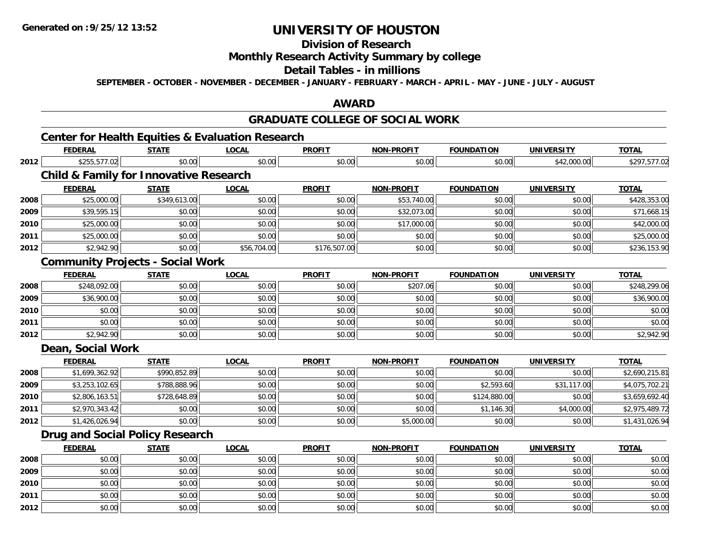**2011**

**2012**

# **UNIVERSITY OF HOUSTON**

## **Division of Research**

## **Monthly Research Activity Summary by college**

### **Detail Tables - in millions**

**SEPTEMBER - OCTOBER - NOVEMBER - DECEMBER - JANUARY - FEBRUARY - MARCH - APRIL - MAY - JUNE - JULY - AUGUST**

### **AWARD**

## **GRADUATE COLLEGE OF SOCIAL WORK**

# **Center for Health Equities & Evaluation Research**

|      | <b>FEDERAL</b>    | <b>STATE</b>                                      | <b>LOCAL</b> | <b>PROFIT</b> | <b>NON-PROFIT</b> | <b>FOUNDATION</b> | <b>UNIVERSITY</b> | <b>TOTAL</b>   |
|------|-------------------|---------------------------------------------------|--------------|---------------|-------------------|-------------------|-------------------|----------------|
| 2012 | \$255,577.02      | \$0.00                                            | \$0.00       | \$0.00        | \$0.00            | \$0.00            | \$42,000.00       | \$297,577.02   |
|      |                   | <b>Child &amp; Family for Innovative Research</b> |              |               |                   |                   |                   |                |
|      | <b>FEDERAL</b>    | <b>STATE</b>                                      | <b>LOCAL</b> | <b>PROFIT</b> | <b>NON-PROFIT</b> | <b>FOUNDATION</b> | <b>UNIVERSITY</b> | <b>TOTAL</b>   |
| 2008 | \$25,000.00       | \$349,613.00                                      | \$0.00       | \$0.00        | \$53,740.00       | \$0.00            | \$0.00            | \$428,353.00   |
| 2009 | \$39,595.15       | \$0.00                                            | \$0.00       | \$0.00        | \$32,073.00       | \$0.00            | \$0.00            | \$71,668.15    |
| 2010 | \$25,000.00       | \$0.00                                            | \$0.00       | \$0.00        | \$17,000.00       | \$0.00            | \$0.00            | \$42,000.00    |
| 2011 | \$25,000.00       | \$0.00                                            | \$0.00       | \$0.00        | \$0.00            | \$0.00            | \$0.00            | \$25,000.00    |
| 2012 | \$2,942.90        | \$0.00                                            | \$56,704.00  | \$176,507.00  | \$0.00            | \$0.00            | \$0.00            | \$236,153.90   |
|      |                   | <b>Community Projects - Social Work</b>           |              |               |                   |                   |                   |                |
|      | <b>FEDERAL</b>    | <b>STATE</b>                                      | <b>LOCAL</b> | <b>PROFIT</b> | <b>NON-PROFIT</b> | <b>FOUNDATION</b> | <b>UNIVERSITY</b> | <b>TOTAL</b>   |
| 2008 | \$248,092.00      | \$0.00                                            | \$0.00       | \$0.00        | \$207.06          | \$0.00            | \$0.00            | \$248,299.06   |
| 2009 | \$36,900.00       | \$0.00                                            | \$0.00       | \$0.00        | \$0.00            | \$0.00            | \$0.00            | \$36,900.00    |
| 2010 | \$0.00            | \$0.00                                            | \$0.00       | \$0.00        | \$0.00            | \$0.00            | \$0.00            | \$0.00         |
| 2011 | \$0.00            | \$0.00                                            | \$0.00       | \$0.00        | \$0.00            | \$0.00            | \$0.00            | \$0.00         |
| 2012 | \$2,942.90        | \$0.00                                            | \$0.00       | \$0.00        | \$0.00            | \$0.00            | \$0.00            | \$2,942.90     |
|      | Dean, Social Work |                                                   |              |               |                   |                   |                   |                |
|      | <b>FEDERAL</b>    | <b>STATE</b>                                      | <b>LOCAL</b> | <b>PROFIT</b> | <b>NON-PROFIT</b> | <b>FOUNDATION</b> | <b>UNIVERSITY</b> | <b>TOTAL</b>   |
| 2008 | \$1,699,362.92    | \$990,852.89                                      | \$0.00       | \$0.00        | \$0.00            | \$0.00            | \$0.00            | \$2,690,215.81 |
| 2009 | \$3,253,102.65    | \$788,888.96                                      | \$0.00       | \$0.00        | \$0.00            | \$2,593.60        | \$31,117.00       | \$4,075,702.21 |
| 2010 | \$2,806,163.51    | \$728,648.89                                      | \$0.00       | \$0.00        | \$0.00            | \$124,880.00      | \$0.00            | \$3,659,692.40 |
| 2011 | \$2,970,343.42    | \$0.00                                            | \$0.00       | \$0.00        | \$0.00            | \$1,146.30        | \$4,000.00        | \$2,975,489.72 |
| 2012 | \$1,426,026.94    | \$0.00                                            | \$0.00       | \$0.00        | \$5,000.00        | \$0.00            | \$0.00            | \$1,431,026.94 |
|      |                   | <b>Drug and Social Policy Research</b>            |              |               |                   |                   |                   |                |
|      | <b>FEDERAL</b>    | <b>STATE</b>                                      | <b>LOCAL</b> | <b>PROFIT</b> | <b>NON-PROFIT</b> | <b>FOUNDATION</b> | <b>UNIVERSITY</b> | <b>TOTAL</b>   |
| 2008 | \$0.00            | \$0.00                                            | \$0.00       | \$0.00        | \$0.00            | \$0.00            | \$0.00            | \$0.00         |
| 2009 | \$0.00            | \$0.00                                            | \$0.00       | \$0.00        | \$0.00            | \$0.00            | \$0.00            | \$0.00         |
| 2010 | \$0.00            | \$0.00                                            | \$0.00       | \$0.00        | \$0.00            | \$0.00            | \$0.00            | \$0.00         |

\$0.00 \$0.00 \$0.00 \$0.00 \$0.00 \$0.00 \$0.00 \$0.00

2 | \$0.00 \$0.00 \$0.00 \$0.00 \$0.00 \$0.00 \$0.00 \$0.00 \$0.00 \$0.00 \$0.00 \$0.00 \$0.00 \$0.00 \$0.00 \$0.00 \$0.00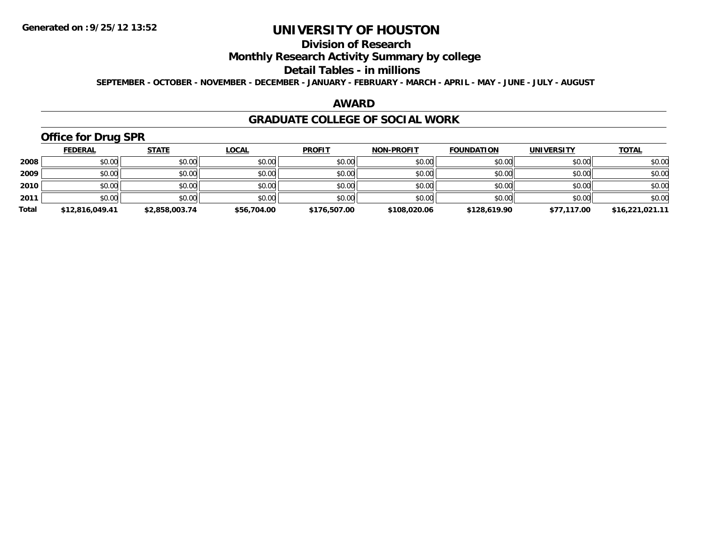## **Division of Research**

## **Monthly Research Activity Summary by college**

#### **Detail Tables - in millions**

**SEPTEMBER - OCTOBER - NOVEMBER - DECEMBER - JANUARY - FEBRUARY - MARCH - APRIL - MAY - JUNE - JULY - AUGUST**

#### **AWARD**

### **GRADUATE COLLEGE OF SOCIAL WORK**

# **Office for Drug SPR**

|       | <b>FEDERAL</b>  | <u>STATE</u>   | <b>LOCAL</b> | <b>PROFIT</b> | <b>NON-PROFIT</b> | <b>FOUNDATION</b> | <b>UNIVERSITY</b> | <b>TOTAL</b>    |
|-------|-----------------|----------------|--------------|---------------|-------------------|-------------------|-------------------|-----------------|
| 2008  | \$0.00          | \$0.00         | \$0.00       | \$0.00        | \$0.00            | \$0.00            | \$0.00            | \$0.00          |
| 2009  | \$0.00          | \$0.00         | \$0.00       | \$0.00        | \$0.00            | \$0.00            | \$0.00            | \$0.00          |
| 2010  | \$0.00          | \$0.00         | \$0.00       | \$0.00        | \$0.00            | \$0.00            | \$0.00            | \$0.00          |
| 2011  | \$0.00          | \$0.00         | \$0.00       | \$0.00        | \$0.00            | \$0.00            | \$0.00            | \$0.00          |
| Total | \$12,816,049.41 | \$2,858,003.74 | \$56,704.00  | \$176,507.00  | \$108,020.06      | \$128,619.90      | \$77,117.00       | \$16,221,021.11 |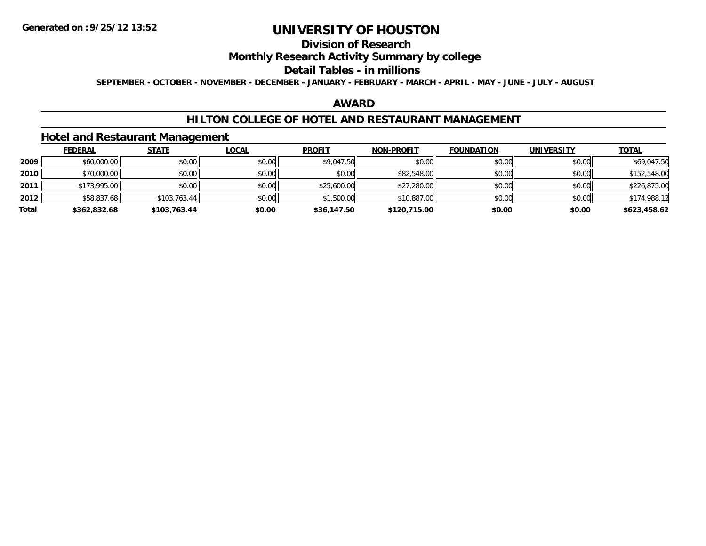## **Division of Research**

## **Monthly Research Activity Summary by college**

### **Detail Tables - in millions**

**SEPTEMBER - OCTOBER - NOVEMBER - DECEMBER - JANUARY - FEBRUARY - MARCH - APRIL - MAY - JUNE - JULY - AUGUST**

### **AWARD**

### **HILTON COLLEGE OF HOTEL AND RESTAURANT MANAGEMENT**

### **Hotel and Restaurant Management**

|       | <b>FEDERAL</b> | <b>STATE</b> | <u>LOCAL</u> | <b>PROFIT</b> | <b>NON-PROFIT</b> | <b>FOUNDATION</b> | <b>UNIVERSITY</b> | <u>TOTAL</u> |
|-------|----------------|--------------|--------------|---------------|-------------------|-------------------|-------------------|--------------|
| 2009  | \$60,000.00    | \$0.00       | \$0.00       | \$9,047.50    | \$0.00            | \$0.00            | \$0.00            | \$69,047.50  |
| 2010  | \$70,000.00    | \$0.00       | \$0.00       | \$0.00        | \$82,548.00       | \$0.00            | \$0.00            | \$152,548.00 |
| 2011  | \$173,995.00   | \$0.00       | \$0.00       | \$25,600.00   | \$27,280.00       | \$0.00            | \$0.00            | \$226,875.00 |
| 2012  | \$58,837.68    | \$103,763.44 | \$0.00       | \$1,500.00    | \$10,887.00       | \$0.00            | \$0.00            | \$174,988.12 |
| Total | \$362,832.68   | \$103,763.44 | \$0.00       | \$36,147.50   | \$120,715.00      | \$0.00            | \$0.00            | \$623,458.62 |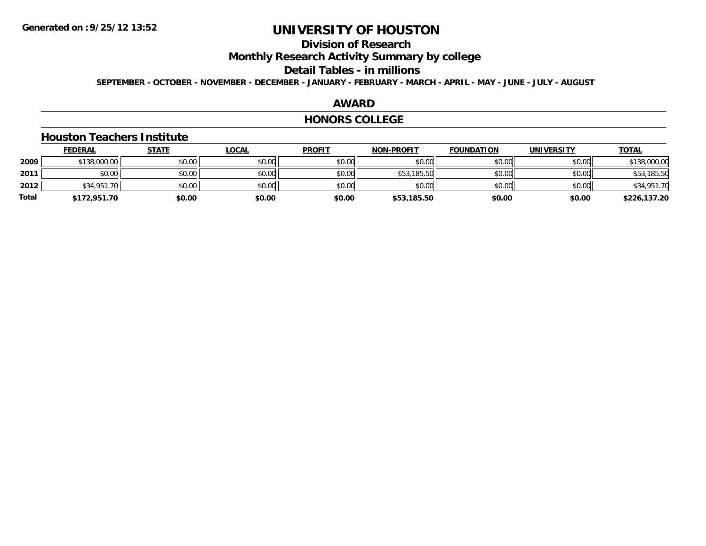## **Division of Research**

**Monthly Research Activity Summary by college**

#### **Detail Tables - in millions**

**SEPTEMBER - OCTOBER - NOVEMBER - DECEMBER - JANUARY - FEBRUARY - MARCH - APRIL - MAY - JUNE - JULY - AUGUST**

### **AWARD**

### **HONORS COLLEGE**

### **Houston Teachers Institute**

|       | <b>FEDERAL</b> | <b>STATE</b> | <u>LOCAL</u> | <b>PROFIT</b> | <b>NON-PROFIT</b> | <b>FOUNDATION</b> | UNIVERSITY | <b>TOTAL</b> |
|-------|----------------|--------------|--------------|---------------|-------------------|-------------------|------------|--------------|
| 2009  | \$138,000.00   | \$0.00       | \$0.00       | \$0.00        | \$0.00            | \$0.00            | \$0.00     | \$138,000.00 |
| 2011  | \$0.00         | \$0.00       | \$0.00       | \$0.00        | \$53,185.50       | \$0.00            | \$0.00     | \$53,185.50  |
| 2012  | \$34,951.70    | \$0.00       | \$0.00       | \$0.00        | \$0.00            | \$0.00            | \$0.00     | \$34,951.70  |
| Total | \$172,951.70   | \$0.00       | \$0.00       | \$0.00        | \$53,185.50       | \$0.00            | \$0.00     | \$226,137.20 |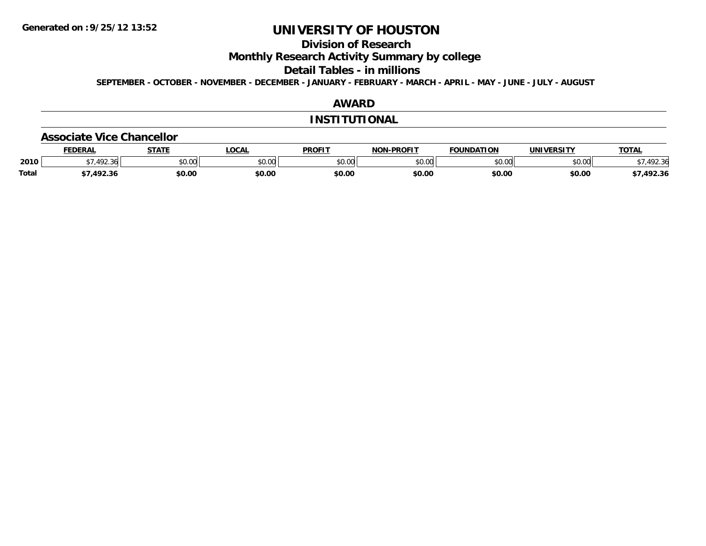## **Division of Research**

**Monthly Research Activity Summary by college**

**Detail Tables - in millions**

**SEPTEMBER - OCTOBER - NOVEMBER - DECEMBER - JANUARY - FEBRUARY - MARCH - APRIL - MAY - JUNE - JULY - AUGUST**

### **AWARD**

### **INSTITUTIONAL**

#### **Associate Vice Chancellor**

|              | <b>EDERAL</b> | <b>CTATE</b> | <b>OCAL</b> | <b>PROFIT</b> | -PROFIT<br>NON-I | FOUNDATION   | <b>UNIVERSITY</b> | <b>TOTA</b>                  |
|--------------|---------------|--------------|-------------|---------------|------------------|--------------|-------------------|------------------------------|
| 2010         | 72.30         | \$0.00       | JU.UU       | \$0.00        | ልስ ስስ<br>JU.UU   | 0000<br>ט.טע | 0.001<br>PU.UU    | $\mathcal{L}$<br>.92.30<br>՝ |
| <b>Total</b> | 1022<br>92.30 | \$0.00       | \$0.00      | \$0.00        | \$0.00           | \$0.00       | \$0.00            | 492.36                       |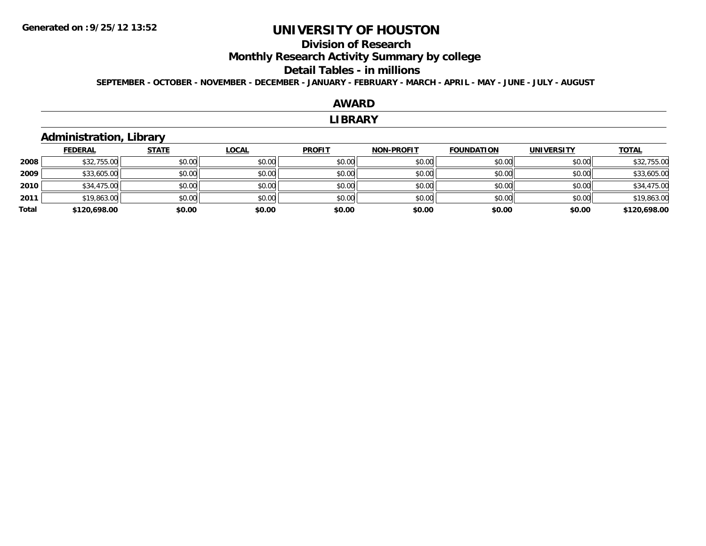## **Division of Research**

**Monthly Research Activity Summary by college**

#### **Detail Tables - in millions**

**SEPTEMBER - OCTOBER - NOVEMBER - DECEMBER - JANUARY - FEBRUARY - MARCH - APRIL - MAY - JUNE - JULY - AUGUST**

# **AWARD**

#### **LIBRARY**

## **Administration, Library**

|       | <b>FEDERAL</b> | <b>STATE</b> | <b>LOCAL</b> | <b>PROFIT</b> | <b>NON-PROFIT</b> | <b>FOUNDATION</b> | <b>UNIVERSITY</b> | <b>TOTAL</b> |
|-------|----------------|--------------|--------------|---------------|-------------------|-------------------|-------------------|--------------|
| 2008  | \$32,755.00    | \$0.00       | \$0.00       | \$0.00        | \$0.00            | \$0.00            | \$0.00            | \$32,755.00  |
| 2009  | \$33,605.00    | \$0.00       | \$0.00       | \$0.00        | \$0.00            | \$0.00            | \$0.00            | \$33,605.00  |
| 2010  | \$34,475.00    | \$0.00       | \$0.00       | \$0.00        | \$0.00            | \$0.00            | \$0.00            | \$34,475.00  |
| 2011  | \$19,863.00    | \$0.00       | \$0.00       | \$0.00        | \$0.00            | \$0.00            | \$0.00            | \$19,863.00  |
| Total | \$120,698.00   | \$0.00       | \$0.00       | \$0.00        | \$0.00            | \$0.00            | \$0.00            | \$120,698.00 |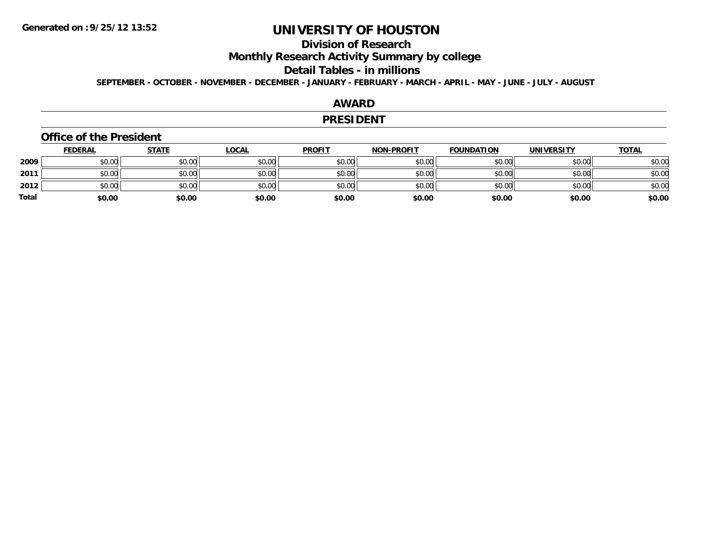## **Division of Research**

**Monthly Research Activity Summary by college**

#### **Detail Tables - in millions**

**SEPTEMBER - OCTOBER - NOVEMBER - DECEMBER - JANUARY - FEBRUARY - MARCH - APRIL - MAY - JUNE - JULY - AUGUST**

### **AWARD**

#### **PRESIDENT**

### **Office of the President**

|              | <u>FEDERAL</u> | <u>STATE</u> | <u>LOCAL</u> | <b>PROFIT</b> | <b>NON-PROFIT</b> | <b>FOUNDATION</b> | <b>UNIVERSITY</b> | <b>TOTAL</b> |
|--------------|----------------|--------------|--------------|---------------|-------------------|-------------------|-------------------|--------------|
| 2009         | \$0.00         | \$0.00       | \$0.00       | \$0.00        | \$0.00            | \$0.00            | \$0.00            | \$0.00       |
| 2011         | \$0.00         | \$0.00       | \$0.00       | \$0.00        | \$0.00            | \$0.00            | \$0.00            | \$0.00       |
| 2012         | \$0.00         | \$0.00       | \$0.00       | \$0.00        | \$0.00            | \$0.00            | \$0.00            | \$0.00       |
| <b>Total</b> | \$0.00         | \$0.00       | \$0.00       | \$0.00        | \$0.00            | \$0.00            | \$0.00            | \$0.00       |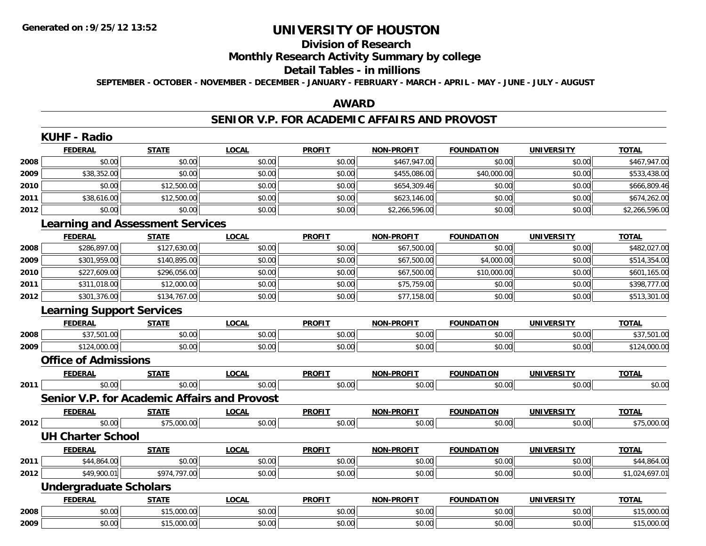#### **Division of Research**

## **Monthly Research Activity Summary by college**

#### **Detail Tables - in millions**

**SEPTEMBER - OCTOBER - NOVEMBER - DECEMBER - JANUARY - FEBRUARY - MARCH - APRIL - MAY - JUNE - JULY - AUGUST**

### **AWARD**

### **SENIOR V.P. FOR ACADEMIC AFFAIRS AND PROVOST**

|      | <b>KUHF - Radio</b>              |                                                     |              |               |                   |                   |                   |                |  |  |
|------|----------------------------------|-----------------------------------------------------|--------------|---------------|-------------------|-------------------|-------------------|----------------|--|--|
|      | <b>FEDERAL</b>                   | <b>STATE</b>                                        | <b>LOCAL</b> | <b>PROFIT</b> | <b>NON-PROFIT</b> | <b>FOUNDATION</b> | <b>UNIVERSITY</b> | <b>TOTAL</b>   |  |  |
| 2008 | \$0.00                           | \$0.00                                              | \$0.00       | \$0.00        | \$467,947.00      | \$0.00            | \$0.00            | \$467,947.00   |  |  |
| 2009 | \$38,352.00                      | \$0.00                                              | \$0.00       | \$0.00        | \$455,086.00      | \$40,000.00       | \$0.00            | \$533,438.00   |  |  |
| 2010 | \$0.00                           | \$12,500.00                                         | \$0.00       | \$0.00        | \$654,309.46      | \$0.00            | \$0.00            | \$666,809.46   |  |  |
| 2011 | \$38,616.00                      | \$12,500.00                                         | \$0.00       | \$0.00        | \$623,146.00      | \$0.00            | \$0.00            | \$674,262.00   |  |  |
| 2012 | \$0.00                           | \$0.00                                              | \$0.00       | \$0.00        | \$2,266,596.00    | \$0.00            | \$0.00            | \$2,266,596.00 |  |  |
|      |                                  | <b>Learning and Assessment Services</b>             |              |               |                   |                   |                   |                |  |  |
|      | <b>FEDERAL</b>                   | <b>STATE</b>                                        | <b>LOCAL</b> | <b>PROFIT</b> | <b>NON-PROFIT</b> | <b>FOUNDATION</b> | <b>UNIVERSITY</b> | <b>TOTAL</b>   |  |  |
| 2008 | \$286,897.00                     | \$127,630.00                                        | \$0.00       | \$0.00        | \$67,500.00       | \$0.00            | \$0.00            | \$482,027.00   |  |  |
| 2009 | \$301,959.00                     | \$140,895.00                                        | \$0.00       | \$0.00        | \$67,500.00       | \$4,000.00        | \$0.00            | \$514,354.00   |  |  |
| 2010 | \$227,609.00                     | \$296,056.00                                        | \$0.00       | \$0.00        | \$67,500.00       | \$10,000.00       | \$0.00            | \$601,165.00   |  |  |
| 2011 | \$311,018.00                     | \$12,000.00                                         | \$0.00       | \$0.00        | \$75,759.00       | \$0.00            | \$0.00            | \$398,777.00   |  |  |
| 2012 | \$301,376.00                     | \$134,767.00                                        | \$0.00       | \$0.00        | \$77,158.00       | \$0.00            | \$0.00            | \$513,301.00   |  |  |
|      | <b>Learning Support Services</b> |                                                     |              |               |                   |                   |                   |                |  |  |
|      | <b>FEDERAL</b>                   | <b>STATE</b>                                        | <b>LOCAL</b> | <b>PROFIT</b> | NON-PROFIT        | <b>FOUNDATION</b> | <b>UNIVERSITY</b> | <b>TOTAL</b>   |  |  |
| 2008 | \$37,501.00                      | \$0.00                                              | \$0.00       | \$0.00        | \$0.00            | \$0.00            | \$0.00            | \$37,501.00    |  |  |
| 2009 | \$124,000.00                     | \$0.00                                              | \$0.00       | \$0.00        | \$0.00            | \$0.00            | \$0.00            | \$124,000.00   |  |  |
|      | <b>Office of Admissions</b>      |                                                     |              |               |                   |                   |                   |                |  |  |
|      | <b>FEDERAL</b>                   | <b>STATE</b>                                        | <b>LOCAL</b> | <b>PROFIT</b> | <b>NON-PROFIT</b> | <b>FOUNDATION</b> | <b>UNIVERSITY</b> | <b>TOTAL</b>   |  |  |
| 2011 | \$0.00                           | \$0.00                                              | \$0.00       | \$0.00        | \$0.00            | \$0.00            | \$0.00            | \$0.00         |  |  |
|      |                                  | <b>Senior V.P. for Academic Affairs and Provost</b> |              |               |                   |                   |                   |                |  |  |
|      | <b>FEDERAL</b>                   | <b>STATE</b>                                        | <b>LOCAL</b> | <b>PROFIT</b> | NON-PROFIT        | <b>FOUNDATION</b> | <b>UNIVERSITY</b> | <b>TOTAL</b>   |  |  |
| 2012 | \$0.00                           | \$75,000.00                                         | \$0.00       | \$0.00        | \$0.00            | \$0.00            | \$0.00            | \$75,000.00    |  |  |
|      | <b>UH Charter School</b>         |                                                     |              |               |                   |                   |                   |                |  |  |
|      | <b>FEDERAL</b>                   | <b>STATE</b>                                        | <b>LOCAL</b> | <b>PROFIT</b> | NON-PROFIT        | <b>FOUNDATION</b> | <b>UNIVERSITY</b> | <b>TOTAL</b>   |  |  |
| 2011 | \$44,864.00                      | \$0.00                                              | \$0.00       | \$0.00        | \$0.00            | \$0.00            | \$0.00            | \$44,864.00    |  |  |
| 2012 | \$49,900.01                      | \$974,797.00                                        | \$0.00       | \$0.00        | \$0.00            | \$0.00            | \$0.00            | \$1,024,697.01 |  |  |
|      | <b>Undergraduate Scholars</b>    |                                                     |              |               |                   |                   |                   |                |  |  |
|      | <b>FEDERAL</b>                   | <b>STATE</b>                                        | <b>LOCAL</b> | <b>PROFIT</b> | NON-PROFIT        | <b>FOUNDATION</b> | <b>UNIVERSITY</b> | <b>TOTAL</b>   |  |  |
| 2008 | \$0.00                           | \$15,000.00                                         | \$0.00       | \$0.00        | \$0.00            | \$0.00            | \$0.00            | \$15,000.00    |  |  |
| 2009 | \$0.00                           | \$15,000.00                                         | \$0.00       | \$0.00        | \$0.00            | \$0.00            | \$0.00            | \$15,000.00    |  |  |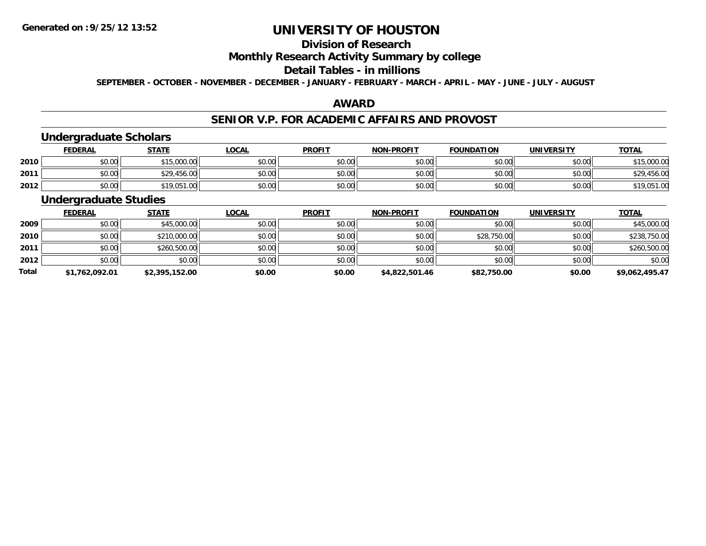# **Division of Research**

## **Monthly Research Activity Summary by college**

### **Detail Tables - in millions**

**SEPTEMBER - OCTOBER - NOVEMBER - DECEMBER - JANUARY - FEBRUARY - MARCH - APRIL - MAY - JUNE - JULY - AUGUST**

### **AWARD**

### **SENIOR V.P. FOR ACADEMIC AFFAIRS AND PROVOST**

# **Undergraduate Scholars**

|      | <b>FEDERAL</b> | <b>STATE</b>     | <u>LOCAL</u> | <b>PROFIT</b> | <b>NON-PROFIT</b> | <b>FOUNDATION</b> | <b>UNIVERSITY</b> | <b>TOTAL</b> |
|------|----------------|------------------|--------------|---------------|-------------------|-------------------|-------------------|--------------|
| 2010 | \$0.00         | 15,000.00<br>ぐっに | \$0.00       | \$0.00        | \$0.00            | \$0.00            | \$0.00            | \$15,000.00  |
| 2011 | \$0.00         | \$29,456.00      | \$0.00       | \$0.00        | \$0.00            | \$0.00            | \$0.00            | \$29,456.00  |
| 2012 | \$0.00         | \$19,051.00      | \$0.00       | \$0.00        | \$0.00            | \$0.00            | \$0.00            | \$19,051.00  |

### **Undergraduate Studies**

|              | <b>FEDERAL</b> | <b>STATE</b>   | <u>LOCAL</u> | <b>PROFIT</b> | <b>NON-PROFIT</b> | <b>FOUNDATION</b> | <b>UNIVERSITY</b> | <b>TOTAL</b>   |
|--------------|----------------|----------------|--------------|---------------|-------------------|-------------------|-------------------|----------------|
| 2009         | \$0.00         | \$45,000.00    | \$0.00       | \$0.00        | \$0.00            | \$0.00            | \$0.00            | \$45,000.00    |
| 2010         | \$0.00         | \$210,000.00   | \$0.00       | \$0.00        | \$0.00            | \$28,750.00       | \$0.00            | \$238,750.00   |
| 2011         | \$0.00         | \$260,500.00   | \$0.00       | \$0.00        | \$0.00            | \$0.00            | \$0.00            | \$260,500.00   |
| 2012         | \$0.00         | \$0.00         | \$0.00       | \$0.00        | \$0.00            | \$0.00            | \$0.00            | \$0.00         |
| <b>Total</b> | \$1,762,092.01 | \$2,395,152.00 | \$0.00       | \$0.00        | \$4,822,501.46    | \$82,750.00       | \$0.00            | \$9,062,495.47 |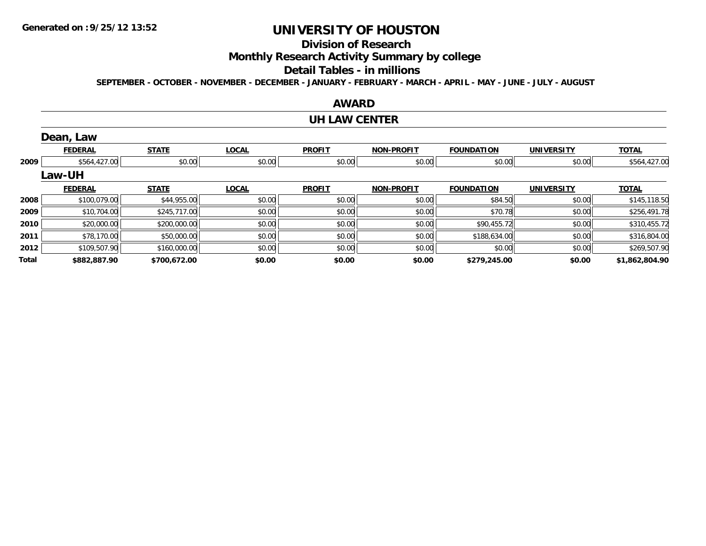## **Division of Research**

**Monthly Research Activity Summary by college**

#### **Detail Tables - in millions**

**SEPTEMBER - OCTOBER - NOVEMBER - DECEMBER - JANUARY - FEBRUARY - MARCH - APRIL - MAY - JUNE - JULY - AUGUST**

# **AWARD**

#### **UH LAW CENTER**

|              | Dean, Law      |              |              |               |                   |                   |                   |                |
|--------------|----------------|--------------|--------------|---------------|-------------------|-------------------|-------------------|----------------|
|              | <b>FEDERAL</b> | <b>STATE</b> | <b>LOCAL</b> | <b>PROFIT</b> | <b>NON-PROFIT</b> | <b>FOUNDATION</b> | <b>UNIVERSITY</b> | <b>TOTAL</b>   |
| 2009         | \$564,427.00   | \$0.00       | \$0.00       | \$0.00        | \$0.00            | \$0.00            | \$0.00            | \$564,427.00   |
|              | Law-UH         |              |              |               |                   |                   |                   |                |
|              | <b>FEDERAL</b> | <b>STATE</b> | <b>LOCAL</b> | <b>PROFIT</b> | <b>NON-PROFIT</b> | <b>FOUNDATION</b> | <b>UNIVERSITY</b> | <b>TOTAL</b>   |
| 2008         | \$100,079.00   | \$44,955.00  | \$0.00       | \$0.00        | \$0.00            | \$84.50           | \$0.00            | \$145,118.50   |
| 2009         | \$10,704.00    | \$245,717.00 | \$0.00       | \$0.00        | \$0.00            | \$70.78           | \$0.00            | \$256,491.78   |
| 2010         | \$20,000.00    | \$200,000.00 | \$0.00       | \$0.00        | \$0.00            | \$90,455.72       | \$0.00            | \$310,455.72   |
| 2011         | \$78,170.00    | \$50,000.00  | \$0.00       | \$0.00        | \$0.00            | \$188,634.00      | \$0.00            | \$316,804.00   |
| 2012         | \$109,507.90   | \$160,000.00 | \$0.00       | \$0.00        | \$0.00            | \$0.00            | \$0.00            | \$269,507.90   |
| <b>Total</b> | \$882,887.90   | \$700,672.00 | \$0.00       | \$0.00        | \$0.00            | \$279,245.00      | \$0.00            | \$1,862,804.90 |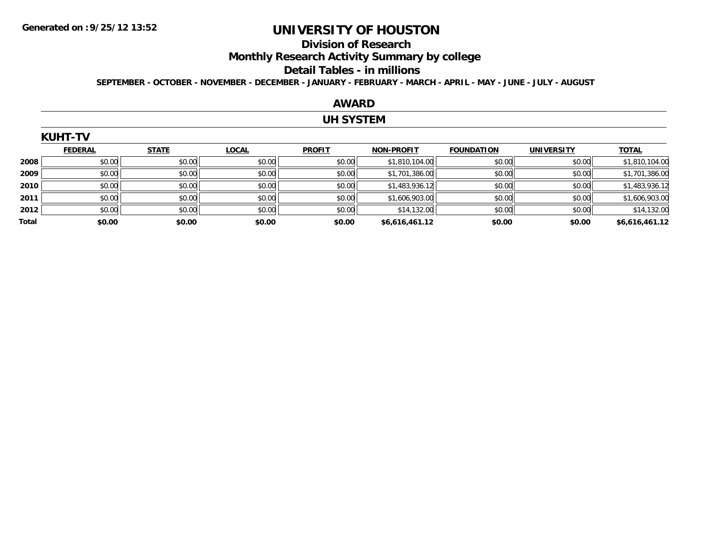#### **Division of Research**

**Monthly Research Activity Summary by college**

#### **Detail Tables - in millions**

**SEPTEMBER - OCTOBER - NOVEMBER - DECEMBER - JANUARY - FEBRUARY - MARCH - APRIL - MAY - JUNE - JULY - AUGUST**

### **AWARD**

### **UH SYSTEM**

|       | KUHI-IV        |              |              |               |                   |                   |                   |                |
|-------|----------------|--------------|--------------|---------------|-------------------|-------------------|-------------------|----------------|
|       | <b>FEDERAL</b> | <b>STATE</b> | <b>LOCAL</b> | <b>PROFIT</b> | <b>NON-PROFIT</b> | <b>FOUNDATION</b> | <b>UNIVERSITY</b> | <b>TOTAL</b>   |
| 2008  | \$0.00         | \$0.00       | \$0.00       | \$0.00        | \$1,810,104.00    | \$0.00            | \$0.00            | \$1,810,104.00 |
| 2009  | \$0.00         | \$0.00       | \$0.00       | \$0.00        | \$1,701,386.00    | \$0.00            | \$0.00            | \$1,701,386.00 |
| 2010  | \$0.00         | \$0.00       | \$0.00       | \$0.00        | \$1,483,936.12    | \$0.00            | \$0.00            | \$1,483,936.12 |
| 2011  | \$0.00         | \$0.00       | \$0.00       | \$0.00        | \$1,606,903.00    | \$0.00            | \$0.00            | \$1,606,903.00 |
| 2012  | \$0.00         | \$0.00       | \$0.00       | \$0.00        | \$14,132.00       | \$0.00            | \$0.00            | \$14,132.00    |
| Total | \$0.00         | \$0.00       | \$0.00       | \$0.00        | \$6,616,461.12    | \$0.00            | \$0.00            | \$6,616,461.12 |

# $K$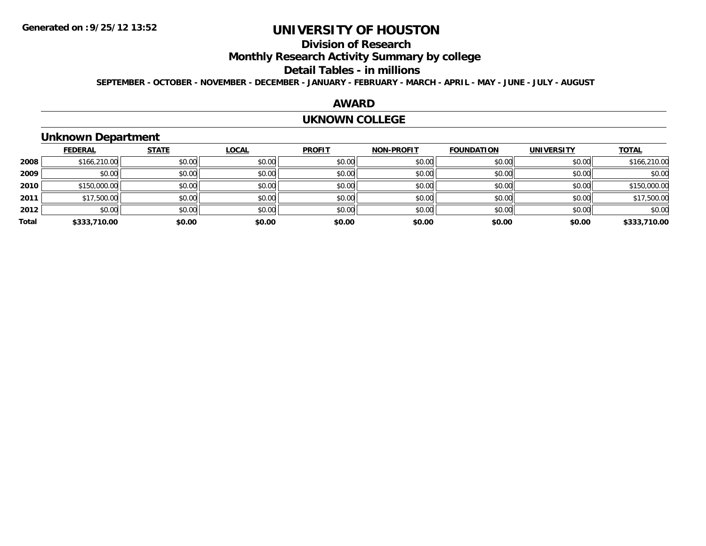## **Division of Research**

**Monthly Research Activity Summary by college**

#### **Detail Tables - in millions**

**SEPTEMBER - OCTOBER - NOVEMBER - DECEMBER - JANUARY - FEBRUARY - MARCH - APRIL - MAY - JUNE - JULY - AUGUST**

### **AWARD**

#### **UKNOWN COLLEGE**

## **Unknown Department**

|       | <b>FEDERAL</b> | <b>STATE</b> | <b>LOCAL</b> | <b>PROFIT</b> | <b>NON-PROFIT</b> | <b>FOUNDATION</b> | <b>UNIVERSITY</b> | <b>TOTAL</b> |
|-------|----------------|--------------|--------------|---------------|-------------------|-------------------|-------------------|--------------|
| 2008  | \$166,210.00   | \$0.00       | \$0.00       | \$0.00        | \$0.00            | \$0.00            | \$0.00            | \$166,210.00 |
| 2009  | \$0.00         | \$0.00       | \$0.00       | \$0.00        | \$0.00            | \$0.00            | \$0.00            | \$0.00       |
| 2010  | \$150,000.00   | \$0.00       | \$0.00       | \$0.00        | \$0.00            | \$0.00            | \$0.00            | \$150,000.00 |
| 2011  | \$17,500.00    | \$0.00       | \$0.00       | \$0.00        | \$0.00            | \$0.00            | \$0.00            | \$17,500.00  |
| 2012  | \$0.00         | \$0.00       | \$0.00       | \$0.00        | \$0.00            | \$0.00            | \$0.00            | \$0.00       |
| Total | \$333,710.00   | \$0.00       | \$0.00       | \$0.00        | \$0.00            | \$0.00            | \$0.00            | \$333,710.00 |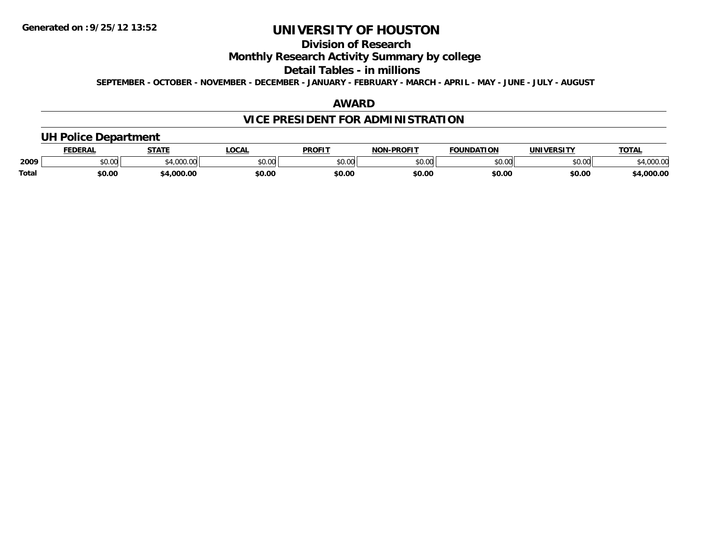## **Division of Research**

## **Monthly Research Activity Summary by college**

#### **Detail Tables - in millions**

**SEPTEMBER - OCTOBER - NOVEMBER - DECEMBER - JANUARY - FEBRUARY - MARCH - APRIL - MAY - JUNE - JULY - AUGUST**

### **AWARD**

# **VICE PRESIDENT FOR ADMINISTRATION**

## **UH Police Department**

|       | FEDERAI | <b>CTATE</b>                 | LOCAI         | <b>PROFIT</b>         | <b>J-PROFIT</b><br>NON | <b>FOUNDATION</b> | UNIVERSITY | <b>TOTAL</b>   |
|-------|---------|------------------------------|---------------|-----------------------|------------------------|-------------------|------------|----------------|
| 2009  | \$0.00  | $\sim$<br>$\alpha$<br>100.00 | 0000<br>JU.UU | <b>¢∩ ∩∩</b><br>JU.UU | 0000<br>vu.uu -        | \$0.00            | \$0.00     | 0000<br>uuu.uu |
| Total | \$0.00  | .000.00                      | \$0.OC        | \$0.00                | \$0.00                 | \$0.00            | \$0.00     | ,000.00        |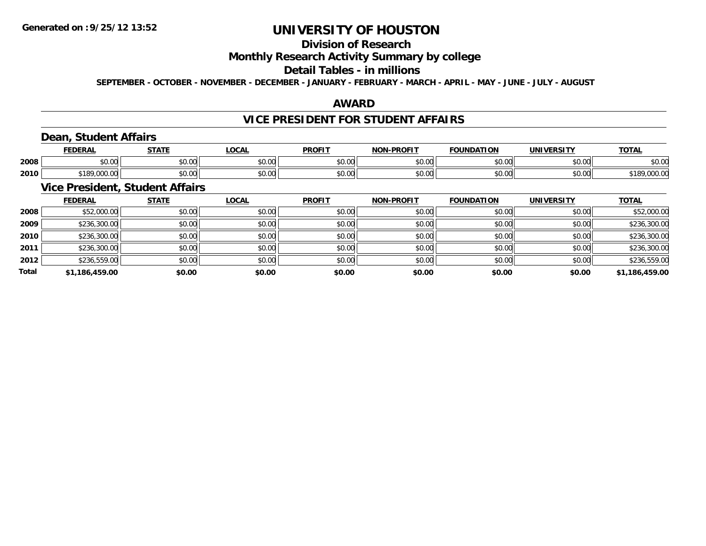# **Division of Research**

## **Monthly Research Activity Summary by college**

### **Detail Tables - in millions**

**SEPTEMBER - OCTOBER - NOVEMBER - DECEMBER - JANUARY - FEBRUARY - MARCH - APRIL - MAY - JUNE - JULY - AUGUST**

### **AWARD**

### **VICE PRESIDENT FOR STUDENT AFFAIRS**

## **Dean, Student Affairs**

|      | <b>FEDERAI</b>                              | C T A T T            | $\sim$<br>UUNL          | <b>PROFIT</b> | <b>LDDOFIT</b><br>NON | <b>FOUNDATION</b>      | IINIIVEDCITV       | <b>TOTAL</b>     |
|------|---------------------------------------------|----------------------|-------------------------|---------------|-----------------------|------------------------|--------------------|------------------|
| 2008 | ሶስ ሰሰ<br>JU.UU                              | 0000<br><b>JU.UU</b> | 0 <sub>0</sub><br>JU.UU | 0000<br>JU.UU | \$0.00                | $\sim$ $\sim$<br>JU.UU | 0.00<br>JU.UU      | $\sim$<br>\$U.UU |
| 2010 | <b>¢100.</b><br>$\sim$<br>∘ I O`<br>,uuu.uu | 0000<br><b>JU.UU</b> | 0000<br>JU.UU           | 0000<br>JU.UU | \$0.00                | ሐሴ ሴሮ<br>JU.UU         | $\sim$ 00<br>JU.UU | ю<br>,,,,,,,,    |

### **Vice President, Student Affairs**

|              | <b>FEDERAL</b> | <b>STATE</b> | <b>LOCAL</b> | <b>PROFIT</b> | <b>NON-PROFIT</b> | <b>FOUNDATION</b> | <b>UNIVERSITY</b> | <b>TOTAL</b>   |
|--------------|----------------|--------------|--------------|---------------|-------------------|-------------------|-------------------|----------------|
| 2008         | \$52,000.00    | \$0.00       | \$0.00       | \$0.00        | \$0.00            | \$0.00            | \$0.00            | \$52,000.00    |
| 2009         | \$236,300.00   | \$0.00       | \$0.00       | \$0.00        | \$0.00            | \$0.00            | \$0.00            | \$236,300.00   |
| 2010         | \$236,300.00   | \$0.00       | \$0.00       | \$0.00        | \$0.00            | \$0.00            | \$0.00            | \$236,300.00   |
| 2011         | \$236,300.00   | \$0.00       | \$0.00       | \$0.00        | \$0.00            | \$0.00            | \$0.00            | \$236,300.00   |
| 2012         | \$236,559.00   | \$0.00       | \$0.00       | \$0.00        | \$0.00            | \$0.00            | \$0.00            | \$236,559.00   |
| <b>Total</b> | \$1,186,459.00 | \$0.00       | \$0.00       | \$0.00        | \$0.00            | \$0.00            | \$0.00            | \$1,186,459.00 |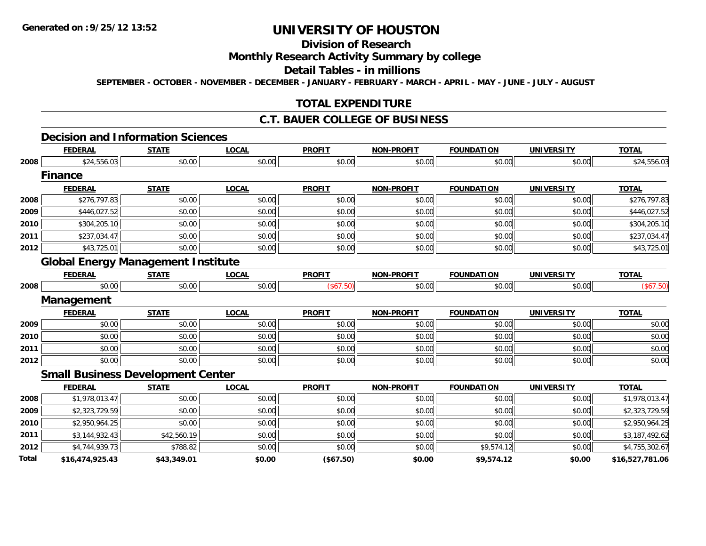**Total**

# **UNIVERSITY OF HOUSTON**

## **Division of Research**

## **Monthly Research Activity Summary by college**

### **Detail Tables - in millions**

**SEPTEMBER - OCTOBER - NOVEMBER - DECEMBER - JANUARY - FEBRUARY - MARCH - APRIL - MAY - JUNE - JULY - AUGUST**

### **TOTAL EXPENDITURE**

### **C.T. BAUER COLLEGE OF BUSINESS**

#### **Decision and Information Sciences**

|      | <b>FEDERAL</b>                            | <b>STATE</b> | <b>LOCAL</b> | <b>PROFIT</b> | <b>NON-PROFIT</b> | <b>FOUNDATION</b> | <b>UNIVERSITY</b> | <b>TOTAL</b>   |
|------|-------------------------------------------|--------------|--------------|---------------|-------------------|-------------------|-------------------|----------------|
| 2008 | \$24,556.03                               | \$0.00       | \$0.00       | \$0.00        | \$0.00            | \$0.00            | \$0.00            | \$24,556.03    |
|      | <b>Finance</b>                            |              |              |               |                   |                   |                   |                |
|      | <b>FEDERAL</b>                            | <b>STATE</b> | <b>LOCAL</b> | <b>PROFIT</b> | <b>NON-PROFIT</b> | <b>FOUNDATION</b> | <b>UNIVERSITY</b> | <b>TOTAL</b>   |
| 2008 | \$276,797.83                              | \$0.00       | \$0.00       | \$0.00        | \$0.00            | \$0.00            | \$0.00            | \$276,797.83   |
| 2009 | \$446,027.52                              | \$0.00       | \$0.00       | \$0.00        | \$0.00            | \$0.00            | \$0.00            | \$446,027.52   |
| 2010 | \$304,205.10                              | \$0.00       | \$0.00       | \$0.00        | \$0.00            | \$0.00            | \$0.00            | \$304,205.10   |
| 2011 | \$237,034.47                              | \$0.00       | \$0.00       | \$0.00        | \$0.00            | \$0.00            | \$0.00            | \$237,034.47   |
| 2012 | \$43,725.01                               | \$0.00       | \$0.00       | \$0.00        | \$0.00            | \$0.00            | \$0.00            | \$43,725.01    |
|      | <b>Global Energy Management Institute</b> |              |              |               |                   |                   |                   |                |
|      | <b>FEDERAL</b>                            | <b>STATE</b> | <b>LOCAL</b> | <b>PROFIT</b> | <b>NON-PROFIT</b> | <b>FOUNDATION</b> | <b>UNIVERSITY</b> | <b>TOTAL</b>   |
| 2008 | \$0.00                                    | \$0.00       | \$0.00       | (\$67.50)     | \$0.00            | \$0.00            | \$0.00            | (\$67.50)      |
|      | Management                                |              |              |               |                   |                   |                   |                |
|      | <b>FEDERAL</b>                            | <b>STATE</b> | <b>LOCAL</b> | <b>PROFIT</b> | <b>NON-PROFIT</b> | <b>FOUNDATION</b> | <b>UNIVERSITY</b> | <b>TOTAL</b>   |
| 2009 | \$0.00                                    | \$0.00       | \$0.00       | \$0.00        | \$0.00            | \$0.00            | \$0.00            | \$0.00         |
| 2010 | \$0.00                                    | \$0.00       | \$0.00       | \$0.00        | \$0.00            | \$0.00            | \$0.00            | \$0.00         |
| 2011 | \$0.00                                    | \$0.00       | \$0.00       | \$0.00        | \$0.00            | \$0.00            | \$0.00            | \$0.00         |
| 2012 | \$0.00                                    | \$0.00       | \$0.00       | \$0.00        | \$0.00            | \$0.00            | \$0.00            | \$0.00         |
|      | <b>Small Business Development Center</b>  |              |              |               |                   |                   |                   |                |
|      | <b>FEDERAL</b>                            | <b>STATE</b> | <b>LOCAL</b> | <b>PROFIT</b> | <b>NON-PROFIT</b> | <b>FOUNDATION</b> | <b>UNIVERSITY</b> | <b>TOTAL</b>   |
| 2008 | \$1,978,013.47                            | \$0.00       | \$0.00       | \$0.00        | \$0.00            | \$0.00            | \$0.00            | \$1,978,013.47 |
| 2009 | \$2,323,729.59                            | \$0.00       | \$0.00       | \$0.00        | \$0.00            | \$0.00            | \$0.00            | \$2,323,729.59 |
| 2010 | \$2,950,964.25                            | \$0.00       | \$0.00       | \$0.00        | \$0.00            | \$0.00            | \$0.00            | \$2,950,964.25 |
| 2011 | \$3,144,932.43                            | \$42,560.19  | \$0.00       | \$0.00        | \$0.00            | \$0.00            | \$0.00            | \$3,187,492.62 |
| 2012 | \$4,744,939.73                            | \$788.82     | \$0.00       | \$0.00        | \$0.00            | \$9,574.12        | \$0.00            | \$4,755,302.67 |

**\$16,474,925.43 \$43,349.01 \$0.00 (\$67.50) \$0.00 \$9,574.12 \$0.00 \$16,527,781.06**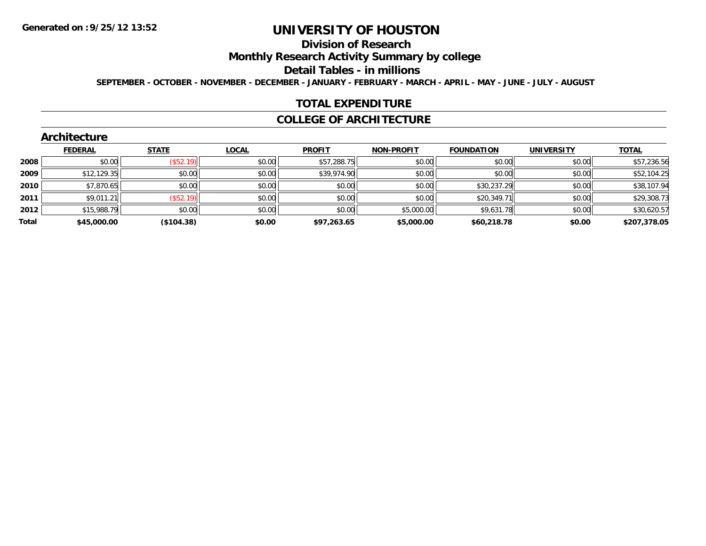## **Division of Research**

**Monthly Research Activity Summary by college**

**Detail Tables - in millions**

**SEPTEMBER - OCTOBER - NOVEMBER - DECEMBER - JANUARY - FEBRUARY - MARCH - APRIL - MAY - JUNE - JULY - AUGUST**

### **TOTAL EXPENDITURE**

### **COLLEGE OF ARCHITECTURE**

### **Architecture**

|       | <b>FEDERAL</b> | <b>STATE</b> | <b>LOCAL</b> | <b>PROFIT</b> | <b>NON-PROFIT</b> | <b>FOUNDATION</b> | <b>UNIVERSITY</b> | <b>TOTAL</b> |
|-------|----------------|--------------|--------------|---------------|-------------------|-------------------|-------------------|--------------|
| 2008  | \$0.00         | (\$52.19)    | \$0.00       | \$57,288.75   | \$0.00            | \$0.00            | \$0.00            | \$57,236.56  |
| 2009  | \$12,129.35    | \$0.00       | \$0.00       | \$39,974.90   | \$0.00            | \$0.00            | \$0.00            | \$52,104.25  |
| 2010  | \$7,870.65     | \$0.00       | \$0.00       | \$0.00        | \$0.00            | \$30,237.29       | \$0.00            | \$38,107.94  |
| 2011  | \$9,011.21     | (S52.19)     | \$0.00       | \$0.00        | \$0.00            | \$20,349.71       | \$0.00            | \$29,308.73  |
| 2012  | \$15,988.79    | \$0.00       | \$0.00       | \$0.00        | \$5,000.00        | \$9,631.78        | \$0.00            | \$30,620.57  |
| Total | \$45,000.00    | (\$104.38)   | \$0.00       | \$97,263.65   | \$5,000.00        | \$60,218.78       | \$0.00            | \$207,378.05 |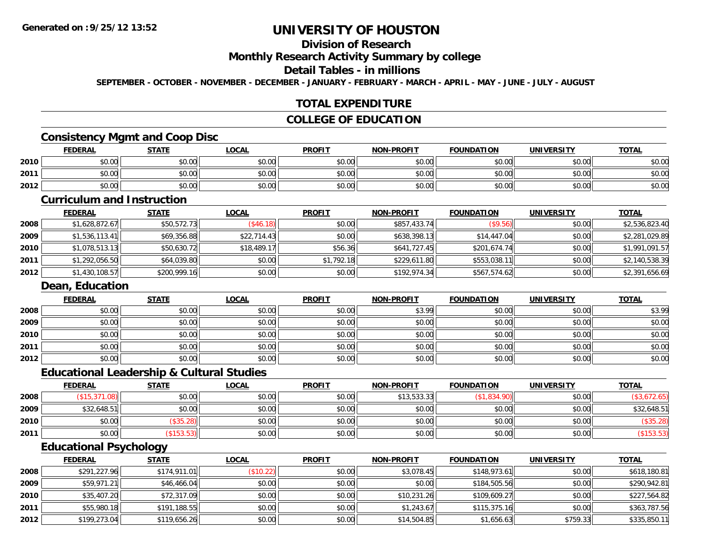# **Division of Research**

#### **Monthly Research Activity Summary by college**

#### **Detail Tables - in millions**

**SEPTEMBER - OCTOBER - NOVEMBER - DECEMBER - JANUARY - FEBRUARY - MARCH - APRIL - MAY - JUNE - JULY - AUGUST**

### **TOTAL EXPENDITURE**

#### **COLLEGE OF EDUCATION**

#### **Consistency Mgmt and Coop Disc**

|      | <b>FEDERAL</b> | <b>STATE</b> | <b>LOCAL</b> | <b>PROFIT</b> | NON-PROFIT | <b>FOUNDATION</b> | <b>UNIVERSITY</b> | <b>TOTAL</b> |
|------|----------------|--------------|--------------|---------------|------------|-------------------|-------------------|--------------|
| 2010 | \$0.00         | \$0.00       | \$0.00       | \$0.00        | \$0.00     | \$0.00            | \$0.00            | \$0.00       |
| 2011 | \$0.00         | \$0.00       | \$0.00       | \$0.00        | \$0.00     | \$0.00            | \$0.00            | \$0.00       |
| 2012 | \$0.00         | \$0.00       | \$0.00       | \$0.00        | \$0.00     | \$0.00            | \$0.00            | \$0.00       |

#### **Curriculum and Instruction**

|      | <u>FEDERAL</u> | <b>STATE</b> | <b>LOCAL</b> | <b>PROFIT</b> | <b>NON-PROFIT</b> | <b>FOUNDATION</b> | <b>UNIVERSITY</b> | <b>TOTAL</b>   |
|------|----------------|--------------|--------------|---------------|-------------------|-------------------|-------------------|----------------|
| 2008 | \$1,628,872.67 | \$50,572.73  | (\$46.18)    | \$0.00        | \$857,433.74      | (S9.56)           | \$0.00            | \$2,536,823.40 |
| 2009 | \$1,536,113.41 | \$69,356.88  | \$22.714.43  | \$0.00        | \$638,398.13      | \$14,447.04       | \$0.00            | \$2,281,029.89 |
| 2010 | \$1,078,513.13 | \$50,630.72  | \$18,489.17  | \$56.36       | \$641,727.45      | \$201,674.74      | \$0.00            | \$1,991,091.57 |
| 2011 | \$1,292,056.50 | \$64,039.80  | \$0.00       | \$1,792.18    | \$229,611.80      | \$553,038.11      | \$0.00            | \$2,140,538.39 |
| 2012 | \$1,430,108.57 | \$200,999.16 | \$0.00       | \$0.00        | \$192,974.34      | \$567,574.62      | \$0.00            | \$2,391,656.69 |

#### **Dean, Education**

|      | <b>FEDERAL</b> | <b>STATE</b> | <u>LOCAL</u> | <b>PROFIT</b> | <b>NON-PROFIT</b> | <b>FOUNDATION</b> | <b>UNIVERSITY</b> | <b>TOTAL</b> |
|------|----------------|--------------|--------------|---------------|-------------------|-------------------|-------------------|--------------|
| 2008 | \$0.00         | \$0.00       | \$0.00       | \$0.00        | \$3.99            | \$0.00            | \$0.00            | \$3.99       |
| 2009 | \$0.00         | \$0.00       | \$0.00       | \$0.00        | \$0.00            | \$0.00            | \$0.00            | \$0.00       |
| 2010 | \$0.00         | \$0.00       | \$0.00       | \$0.00        | \$0.00            | \$0.00            | \$0.00            | \$0.00       |
| 2011 | \$0.00         | \$0.00       | \$0.00       | \$0.00        | \$0.00            | \$0.00            | \$0.00            | \$0.00       |
| 2012 | \$0.00         | \$0.00       | \$0.00       | \$0.00        | \$0.00            | \$0.00            | \$0.00            | \$0.00       |

#### **Educational Leadership & Cultural Studies**

|      | <u>FEDERAL</u>      | <b>STATE</b> | <u>LOCAL</u> | <b>PROFIT</b> | <b>NON-PROFIT</b> | <b>FOUNDATION</b> | <b>UNIVERSITY</b> | <b>TOTAL</b> |
|------|---------------------|--------------|--------------|---------------|-------------------|-------------------|-------------------|--------------|
| 2008 | (\$15,371<br>(0.08) | \$0.00       | \$0.00       | \$0.00        | \$13,533.33       | \$1,834.90)       | \$0.00            |              |
| 2009 | \$32,648.51         | \$0.00       | \$0.00       | \$0.00        | \$0.00            | \$0.00            | \$0.00            | \$32,648.51  |
| 2010 | \$0.00              | \$35.28      | \$0.00       | \$0.00        | \$0.00            | \$0.00            | \$0.00            | (\$35.28)    |
| 2011 | \$0.00              | \$153.53     | \$0.00       | \$0.00        | \$0.00            | \$0.00            | \$0.00            | (\$153.53)   |

## **Educational Psychology**

|      | <b>FEDERAL</b> | <u>STATE</u> | <u>LOCAL</u> | <b>PROFIT</b> | <b>NON-PROFIT</b> | <b>FOUNDATION</b> | <b>UNIVERSITY</b> | <b>TOTAL</b> |
|------|----------------|--------------|--------------|---------------|-------------------|-------------------|-------------------|--------------|
| 2008 | \$291,227.96   | \$174,911.01 | (\$10.22)    | \$0.00        | \$3,078.45        | \$148,973.61      | \$0.00            | \$618,180.81 |
| 2009 | \$59,971.21    | \$46,466.04  | \$0.00       | \$0.00        | \$0.00            | \$184,505.56      | \$0.00            | \$290,942.81 |
| 2010 | \$35,407.20    | \$72,317.09  | \$0.00       | \$0.00        | \$10,231.26       | \$109,609.27      | \$0.00            | \$227,564.82 |
| 2011 | \$55,980.18    | \$191,188.55 | \$0.00       | \$0.00        | \$1,243.67        | \$115,375.16      | \$0.00            | \$363,787.56 |
| 2012 | \$199,273.04   | \$119,656.26 | \$0.00       | \$0.00        | \$14,504.85       | \$1,656.63        | \$759.33          | \$335,850.11 |

<u> 1989 - Johann Stoff, deutscher Stoff, der Stoff, der Stoff, der Stoff, der Stoff, der Stoff, der Stoff, der S</u>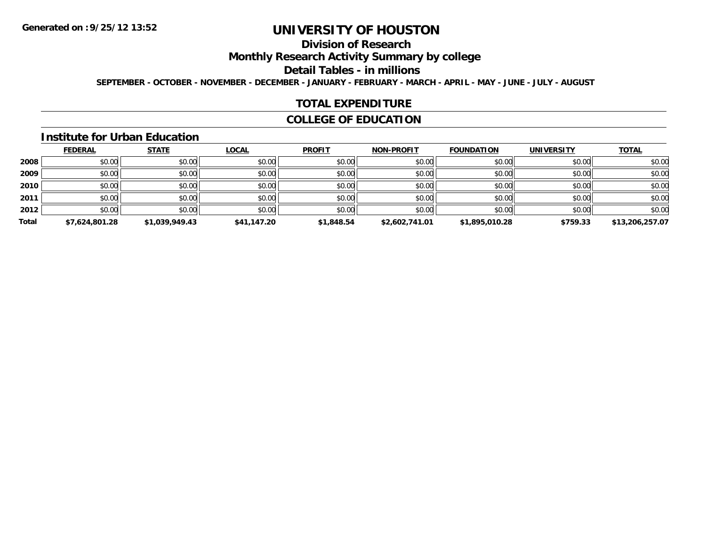# **Division of Research**

**Monthly Research Activity Summary by college**

#### **Detail Tables - in millions**

**SEPTEMBER - OCTOBER - NOVEMBER - DECEMBER - JANUARY - FEBRUARY - MARCH - APRIL - MAY - JUNE - JULY - AUGUST**

#### **TOTAL EXPENDITURE**

### **COLLEGE OF EDUCATION**

#### **Institute for Urban Education**

|       | <b>FEDERAL</b> | <b>STATE</b>   | <b>LOCAL</b> | <b>PROFIT</b> | <b>NON-PROFIT</b> | <b>FOUNDATION</b> | <b>UNIVERSITY</b> | <b>TOTAL</b>    |
|-------|----------------|----------------|--------------|---------------|-------------------|-------------------|-------------------|-----------------|
| 2008  | \$0.00         | \$0.00         | \$0.00       | \$0.00        | \$0.00            | \$0.00            | \$0.00            | \$0.00          |
| 2009  | \$0.00         | \$0.00         | \$0.00       | \$0.00        | \$0.00            | \$0.00            | \$0.00            | \$0.00          |
| 2010  | \$0.00         | \$0.00         | \$0.00       | \$0.00        | \$0.00            | \$0.00            | \$0.00            | \$0.00          |
| 2011  | \$0.00         | \$0.00         | \$0.00       | \$0.00        | \$0.00            | \$0.00            | \$0.00            | \$0.00          |
| 2012  | \$0.00         | \$0.00         | \$0.00       | \$0.00        | \$0.00            | \$0.00            | \$0.00            | \$0.00          |
| Total | \$7,624,801.28 | \$1.039.949.43 | \$41,147.20  | \$1,848.54    | \$2,602,741.01    | \$1,895,010.28    | \$759.33          | \$13,206,257.07 |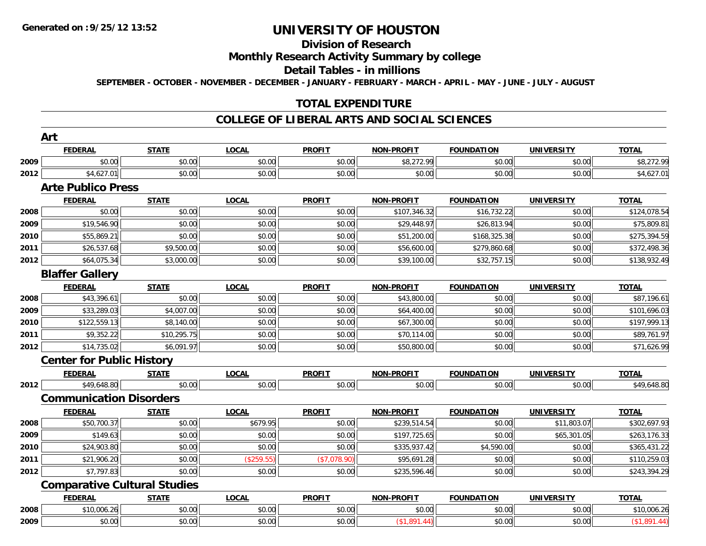# **Division of Research**

### **Monthly Research Activity Summary by college**

#### **Detail Tables - in millions**

**SEPTEMBER - OCTOBER - NOVEMBER - DECEMBER - JANUARY - FEBRUARY - MARCH - APRIL - MAY - JUNE - JULY - AUGUST**

### **TOTAL EXPENDITURE**

#### **COLLEGE OF LIBERAL ARTS AND SOCIAL SCIENCES**

|      | <b>FEDERAL</b>                      | <b>STATE</b> | <b>LOCAL</b> | <b>PROFIT</b> | NON-PROFIT        | <b>FOUNDATION</b> | <b>UNIVERSITY</b> | <b>TOTAL</b> |
|------|-------------------------------------|--------------|--------------|---------------|-------------------|-------------------|-------------------|--------------|
| 2009 | \$0.00                              | \$0.00       | \$0.00       | \$0.00        | \$8,272.99        | \$0.00            | \$0.00            | \$8,272.99   |
| 2012 | \$4,627.01                          | \$0.00       | \$0.00       | \$0.00        | \$0.00            | \$0.00            | \$0.00            | \$4,627.01   |
|      | <b>Arte Publico Press</b>           |              |              |               |                   |                   |                   |              |
|      | <b>FEDERAL</b>                      | <b>STATE</b> | <b>LOCAL</b> | <b>PROFIT</b> | <b>NON-PROFIT</b> | <b>FOUNDATION</b> | <b>UNIVERSITY</b> | <b>TOTAL</b> |
| 2008 | \$0.00                              | \$0.00       | \$0.00       | \$0.00        | \$107,346.32      | \$16,732.22       | \$0.00            | \$124,078.54 |
| 2009 | \$19,546.90                         | \$0.00       | \$0.00       | \$0.00        | \$29,448.97       | \$26,813.94       | \$0.00            | \$75,809.81  |
| 2010 | \$55,869.21                         | \$0.00       | \$0.00       | \$0.00        | \$51,200.00       | \$168,325.38      | \$0.00            | \$275,394.59 |
| 2011 | \$26,537.68                         | \$9,500.00   | \$0.00       | \$0.00        | \$56,600.00       | \$279,860.68      | \$0.00            | \$372,498.36 |
| 2012 | \$64,075.34                         | \$3,000.00   | \$0.00       | \$0.00        | \$39,100.00       | \$32,757.15       | \$0.00            | \$138,932.49 |
|      | <b>Blaffer Gallery</b>              |              |              |               |                   |                   |                   |              |
|      | <b>FEDERAL</b>                      | <b>STATE</b> | <b>LOCAL</b> | <b>PROFIT</b> | <b>NON-PROFIT</b> | <b>FOUNDATION</b> | <b>UNIVERSITY</b> | <b>TOTAL</b> |
| 2008 | \$43,396.61                         | \$0.00       | \$0.00       | \$0.00        | \$43,800.00       | \$0.00            | \$0.00            | \$87,196.61  |
| 2009 | \$33,289.03                         | \$4,007.00   | \$0.00       | \$0.00        | \$64,400.00       | \$0.00            | \$0.00            | \$101,696.03 |
| 2010 | \$122,559.13                        | \$8,140.00   | \$0.00       | \$0.00        | \$67,300.00       | \$0.00            | \$0.00            | \$197,999.13 |
| 2011 | \$9,352.22                          | \$10,295.75  | \$0.00       | \$0.00        | \$70,114.00       | \$0.00            | \$0.00            | \$89,761.97  |
| 2012 | \$14,735.02                         | \$6,091.97   | \$0.00       | \$0.00        | \$50,800.00       | \$0.00            | \$0.00            | \$71,626.99  |
|      | <b>Center for Public History</b>    |              |              |               |                   |                   |                   |              |
|      | <b>FEDERAL</b>                      | <b>STATE</b> | <b>LOCAL</b> | <b>PROFIT</b> | <b>NON-PROFIT</b> | <b>FOUNDATION</b> | <b>UNIVERSITY</b> | <b>TOTAL</b> |
| 2012 | \$49,648.80                         | \$0.00       | \$0.00       | \$0.00        | \$0.00            | \$0.00            | \$0.00            | \$49,648.80  |
|      | <b>Communication Disorders</b>      |              |              |               |                   |                   |                   |              |
|      | <b>FEDERAL</b>                      | <b>STATE</b> | <b>LOCAL</b> | <b>PROFIT</b> | <b>NON-PROFIT</b> | <b>FOUNDATION</b> | <b>UNIVERSITY</b> | <b>TOTAL</b> |
| 2008 | \$50,700.37                         | \$0.00       | \$679.95     | \$0.00        | \$239,514.54      | \$0.00            | \$11,803.07       | \$302,697.93 |
| 2009 | \$149.63                            | \$0.00       | \$0.00       | \$0.00        | \$197,725.65      | \$0.00            | \$65,301.05       | \$263,176.33 |
| 2010 | \$24,903.80                         | \$0.00       | \$0.00       | \$0.00        | \$335,937.42      | \$4,590.00        | \$0.00            | \$365,431.22 |
| 2011 | \$21,906.20                         | \$0.00       | (\$259.55)   | (\$7,078.90)  | \$95,691.28       | \$0.00            | \$0.00            | \$110,259.03 |
| 2012 | \$7,797.83                          | \$0.00       | \$0.00       | \$0.00        | \$235,596.46      | \$0.00            | \$0.00            | \$243,394.29 |
|      | <b>Comparative Cultural Studies</b> |              |              |               |                   |                   |                   |              |
|      | <b>FEDERAL</b>                      | <b>STATE</b> | <b>LOCAL</b> | <b>PROFIT</b> | <b>NON-PROFIT</b> | <b>FOUNDATION</b> | <b>UNIVERSITY</b> | <b>TOTAL</b> |
| 2008 | \$10,006.26                         | \$0.00       | \$0.00       | \$0.00        | \$0.00            | \$0.00            | \$0.00            | \$10,006.26  |
| 2009 | \$0.00                              | \$0.00       | \$0.00       | \$0.00        | (\$1,891.44)      | \$0.00            | \$0.00            | (\$1,891.44) |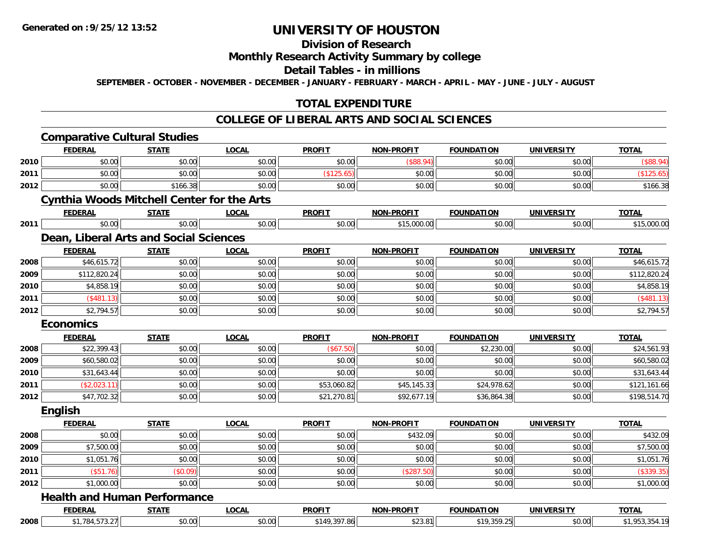# **Division of Research**

### **Monthly Research Activity Summary by college**

#### **Detail Tables - in millions**

**SEPTEMBER - OCTOBER - NOVEMBER - DECEMBER - JANUARY - FEBRUARY - MARCH - APRIL - MAY - JUNE - JULY - AUGUST**

### **TOTAL EXPENDITURE**

#### **COLLEGE OF LIBERAL ARTS AND SOCIAL SCIENCES**

|      | <b>Comparative Cultural Studies</b>               |              |              |               |                   |                   |                   |              |
|------|---------------------------------------------------|--------------|--------------|---------------|-------------------|-------------------|-------------------|--------------|
|      | <b>FEDERAL</b>                                    | <b>STATE</b> | <b>LOCAL</b> | <b>PROFIT</b> | <b>NON-PROFIT</b> | <b>FOUNDATION</b> | <b>UNIVERSITY</b> | <b>TOTAL</b> |
| 2010 | \$0.00                                            | \$0.00       | \$0.00       | \$0.00        | $($ \$88.94)      | \$0.00            | \$0.00            | (\$88.94)    |
| 2011 | \$0.00                                            | \$0.00       | \$0.00       | (\$125.65)    | \$0.00            | \$0.00            | \$0.00            | (\$125.65)   |
| 2012 | \$0.00                                            | \$166.38     | \$0.00       | \$0.00        | \$0.00            | \$0.00            | \$0.00            | \$166.38     |
|      | <b>Cynthia Woods Mitchell Center for the Arts</b> |              |              |               |                   |                   |                   |              |
|      | <b>FEDERAL</b>                                    | <b>STATE</b> | <b>LOCAL</b> | <b>PROFIT</b> | <b>NON-PROFIT</b> | <b>FOUNDATION</b> | <b>UNIVERSITY</b> | <b>TOTAL</b> |
| 2011 | \$0.00                                            | \$0.00       | \$0.00       | \$0.00        | \$15,000.00       | \$0.00            | \$0.00            | \$15,000.00  |
|      | Dean, Liberal Arts and Social Sciences            |              |              |               |                   |                   |                   |              |
|      | <b>FEDERAL</b>                                    | <b>STATE</b> | <b>LOCAL</b> | <b>PROFIT</b> | <b>NON-PROFIT</b> | <b>FOUNDATION</b> | <b>UNIVERSITY</b> | <b>TOTAL</b> |
| 2008 | \$46,615.72                                       | \$0.00       | \$0.00       | \$0.00        | \$0.00            | \$0.00            | \$0.00            | \$46,615.72  |
| 2009 | \$112,820.24                                      | \$0.00       | \$0.00       | \$0.00        | \$0.00            | \$0.00            | \$0.00            | \$112,820.24 |
| 2010 | \$4,858.19                                        | \$0.00       | \$0.00       | \$0.00        | \$0.00            | \$0.00            | \$0.00            | \$4,858.19   |
| 2011 | (\$481.13)                                        | \$0.00       | \$0.00       | \$0.00        | \$0.00            | \$0.00            | \$0.00            | (\$481.13)   |
| 2012 | \$2,794.57                                        | \$0.00       | \$0.00       | \$0.00        | \$0.00            | \$0.00            | \$0.00            | \$2,794.57   |
|      | <b>Economics</b>                                  |              |              |               |                   |                   |                   |              |
|      | <b>FEDERAL</b>                                    | <b>STATE</b> | <b>LOCAL</b> | <b>PROFIT</b> | <b>NON-PROFIT</b> | <b>FOUNDATION</b> | <b>UNIVERSITY</b> | <b>TOTAL</b> |
|      |                                                   |              |              |               |                   |                   |                   |              |
| 2008 | \$22,399.43                                       | \$0.00       | \$0.00       | (\$67.50)     | \$0.00            | \$2,230.00        | \$0.00            | \$24,561.93  |
| 2009 | \$60,580.02                                       | \$0.00       | \$0.00       | \$0.00        | \$0.00            | \$0.00            | \$0.00            | \$60,580.02  |
| 2010 | \$31,643.44                                       | \$0.00       | \$0.00       | \$0.00        | \$0.00            | \$0.00            | \$0.00            | \$31,643.44  |
| 2011 | (\$2,023.11)                                      | \$0.00       | \$0.00       | \$53,060.82   | \$45,145.33       | \$24,978.62       | \$0.00            | \$121,161.66 |
| 2012 | \$47,702.32                                       | \$0.00       | \$0.00       | \$21,270.81   | \$92,677.19       | \$36,864.38       | \$0.00            | \$198,514.70 |
|      | <b>English</b>                                    |              |              |               |                   |                   |                   |              |
|      | <b>FEDERAL</b>                                    | <b>STATE</b> | <b>LOCAL</b> | <b>PROFIT</b> | <b>NON-PROFIT</b> | <b>FOUNDATION</b> | <b>UNIVERSITY</b> | <b>TOTAL</b> |
| 2008 | \$0.00                                            | \$0.00       | \$0.00       | \$0.00        | \$432.09          | \$0.00            | \$0.00            | \$432.09     |
| 2009 | \$7,500.00                                        | \$0.00       | \$0.00       | \$0.00        | \$0.00            | \$0.00            | \$0.00            | \$7,500.00   |
| 2010 | \$1,051.76                                        | \$0.00       | \$0.00       | \$0.00        | \$0.00            | \$0.00            | \$0.00            | \$1,051.76   |
| 2011 | (\$51.76)                                         | (\$0.09)     | \$0.00       | \$0.00        | (\$287.50)        | \$0.00            | \$0.00            | (\$339.35)   |
| 2012 | \$1,000.00                                        | \$0.00       | \$0.00       | \$0.00        | \$0.00            | \$0.00            | \$0.00            | \$1,000.00   |
|      | <b>Health and Human Performance</b>               |              |              |               |                   |                   |                   |              |
|      | <b>FEDERAL</b>                                    | <b>STATE</b> | <b>LOCAL</b> | <b>PROFIT</b> | <b>NON-PROFIT</b> | <b>FOUNDATION</b> | <b>UNIVERSITY</b> | <b>TOTAL</b> |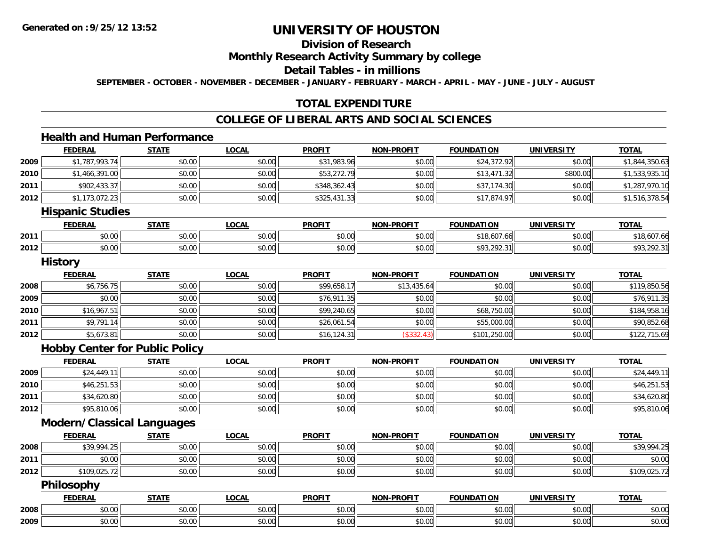# **Division of Research**

### **Monthly Research Activity Summary by college**

#### **Detail Tables - in millions**

**SEPTEMBER - OCTOBER - NOVEMBER - DECEMBER - JANUARY - FEBRUARY - MARCH - APRIL - MAY - JUNE - JULY - AUGUST**

### **TOTAL EXPENDITURE**

#### **COLLEGE OF LIBERAL ARTS AND SOCIAL SCIENCES**

# **Health and Human Performance**

|      | <b>FEDERAL</b>                        | <b>STATE</b> | <b>LOCAL</b> | <b>PROFIT</b> | <b>NON-PROFIT</b> | <b>FOUNDATION</b> | <b>UNIVERSITY</b> | <b>TOTAL</b>   |
|------|---------------------------------------|--------------|--------------|---------------|-------------------|-------------------|-------------------|----------------|
| 2009 | \$1,787,993.74                        | \$0.00       | \$0.00       | \$31,983.96   | \$0.00            | \$24,372.92       | \$0.00            | \$1,844,350.63 |
| 2010 | \$1,466,391.00                        | \$0.00       | \$0.00       | \$53,272.79   | \$0.00            | \$13,471.32       | \$800.00          | \$1,533,935.10 |
| 2011 | \$902,433.37                          | \$0.00       | \$0.00       | \$348,362.43  | \$0.00            | \$37,174.30       | \$0.00            | \$1,287,970.10 |
| 2012 | \$1,173,072.23                        | \$0.00       | \$0.00       | \$325,431.33  | \$0.00            | \$17,874.97       | \$0.00            | \$1,516,378.54 |
|      | <b>Hispanic Studies</b>               |              |              |               |                   |                   |                   |                |
|      | <b>FEDERAL</b>                        | <b>STATE</b> | <b>LOCAL</b> | <b>PROFIT</b> | <b>NON-PROFIT</b> | <b>FOUNDATION</b> | <b>UNIVERSITY</b> | <b>TOTAL</b>   |
| 2011 | \$0.00                                | \$0.00       | \$0.00       | \$0.00        | \$0.00            | \$18,607.66       | \$0.00            | \$18,607.66    |
| 2012 | \$0.00                                | \$0.00       | \$0.00       | \$0.00        | \$0.00            | \$93,292.31       | \$0.00            | \$93,292.31    |
|      | <b>History</b>                        |              |              |               |                   |                   |                   |                |
|      | <b>FEDERAL</b>                        | <b>STATE</b> | <b>LOCAL</b> | <b>PROFIT</b> | <b>NON-PROFIT</b> | <b>FOUNDATION</b> | <b>UNIVERSITY</b> | <b>TOTAL</b>   |
| 2008 | \$6,756.75                            | \$0.00       | \$0.00       | \$99,658.17   | \$13,435.64       | \$0.00            | \$0.00            | \$119,850.56   |
| 2009 | \$0.00                                | \$0.00       | \$0.00       | \$76,911.35   | \$0.00            | \$0.00            | \$0.00            | \$76,911.35    |
| 2010 | \$16,967.51                           | \$0.00       | \$0.00       | \$99,240.65   | \$0.00            | \$68,750.00       | \$0.00            | \$184,958.16   |
| 2011 | \$9,791.14                            | \$0.00       | \$0.00       | \$26,061.54   | \$0.00            | \$55,000.00       | \$0.00            | \$90,852.68    |
| 2012 | \$5,673.81                            | \$0.00       | \$0.00       | \$16,124.31   | (\$332.43)        | \$101,250.00      | \$0.00            | \$122,715.69   |
|      | <b>Hobby Center for Public Policy</b> |              |              |               |                   |                   |                   |                |
|      | <b>FEDERAL</b>                        | <b>STATE</b> | <b>LOCAL</b> | <b>PROFIT</b> | <b>NON-PROFIT</b> | <b>FOUNDATION</b> | <b>UNIVERSITY</b> | <b>TOTAL</b>   |
| 2009 | \$24,449.11                           | \$0.00       | \$0.00       | \$0.00        | \$0.00            | \$0.00            | \$0.00            | \$24,449.11    |
| 2010 | \$46,251.53                           | \$0.00       | \$0.00       | \$0.00        | \$0.00            | \$0.00            | \$0.00            | \$46,251.53    |
| 2011 | \$34,620.80                           | \$0.00       | \$0.00       | \$0.00        | \$0.00            | \$0.00            | \$0.00            | \$34,620.80    |
| 2012 | \$95,810.06                           | \$0.00       | \$0.00       | \$0.00        | \$0.00            | \$0.00            | \$0.00            | \$95,810.06    |
|      | Modern/Classical Languages            |              |              |               |                   |                   |                   |                |
|      | <b>FEDERAL</b>                        | <b>STATE</b> | <b>LOCAL</b> | <b>PROFIT</b> | <b>NON-PROFIT</b> | <b>FOUNDATION</b> | <b>UNIVERSITY</b> | <b>TOTAL</b>   |
| 2008 | \$39,994.25                           | \$0.00       | \$0.00       | \$0.00        | \$0.00            | \$0.00            | \$0.00            | \$39,994.25    |
| 2011 | \$0.00                                | \$0.00       | \$0.00       | \$0.00        | \$0.00            | \$0.00            | \$0.00            | \$0.00         |
| 2012 | \$109,025.72                          | \$0.00       | \$0.00       | \$0.00        | \$0.00            | \$0.00            | \$0.00            | \$109,025.72   |
|      | Philosophy                            |              |              |               |                   |                   |                   |                |
|      | <b>FEDERAL</b>                        | <b>STATE</b> | <b>LOCAL</b> | <b>PROFIT</b> | <b>NON-PROFIT</b> | <b>FOUNDATION</b> | <b>UNIVERSITY</b> | <b>TOTAL</b>   |
| 2008 | \$0.00                                | \$0.00       | \$0.00       | \$0.00        | \$0.00            | \$0.00            | \$0.00            | \$0.00         |
| 2009 | \$0.00                                | \$0.00       | \$0.00       | \$0.00        | \$0.00            | \$0.00            | \$0.00            | \$0.00         |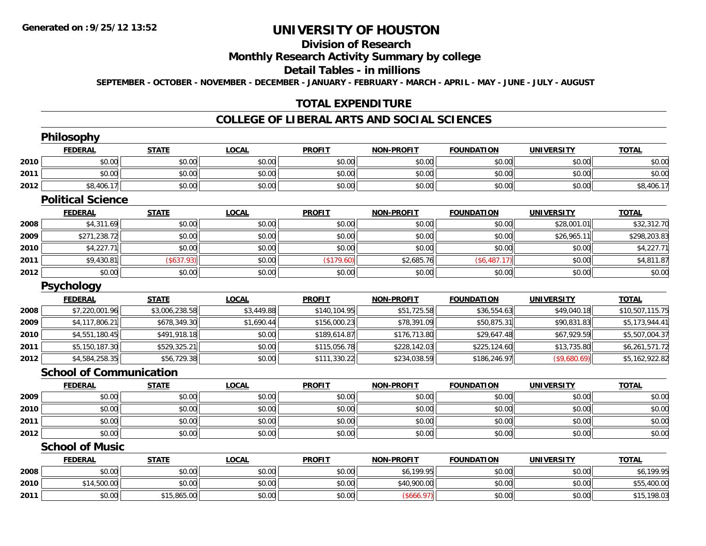# **Division of Research**

### **Monthly Research Activity Summary by college**

#### **Detail Tables - in millions**

**SEPTEMBER - OCTOBER - NOVEMBER - DECEMBER - JANUARY - FEBRUARY - MARCH - APRIL - MAY - JUNE - JULY - AUGUST**

### **TOTAL EXPENDITURE**

#### **COLLEGE OF LIBERAL ARTS AND SOCIAL SCIENCES**

|      | <b>Philosophy</b>              |                |              |               |                   |                   |                   |                 |
|------|--------------------------------|----------------|--------------|---------------|-------------------|-------------------|-------------------|-----------------|
|      | <b>FEDERAL</b>                 | <b>STATE</b>   | <b>LOCAL</b> | <b>PROFIT</b> | <b>NON-PROFIT</b> | <b>FOUNDATION</b> | <b>UNIVERSITY</b> | <b>TOTAL</b>    |
| 2010 | \$0.00                         | \$0.00         | \$0.00       | \$0.00        | \$0.00            | \$0.00            | \$0.00            | \$0.00          |
| 2011 | \$0.00                         | \$0.00         | \$0.00       | \$0.00        | \$0.00            | \$0.00            | \$0.00            | \$0.00          |
| 2012 | \$8,406.17                     | \$0.00         | \$0.00       | \$0.00        | \$0.00            | \$0.00            | \$0.00            | \$8,406.17      |
|      | <b>Political Science</b>       |                |              |               |                   |                   |                   |                 |
|      | <b>FEDERAL</b>                 | <b>STATE</b>   | <b>LOCAL</b> | <b>PROFIT</b> | <b>NON-PROFIT</b> | <b>FOUNDATION</b> | <b>UNIVERSITY</b> | <b>TOTAL</b>    |
| 2008 | \$4,311.69                     | \$0.00         | \$0.00       | \$0.00        | \$0.00            | \$0.00            | \$28,001.01       | \$32,312.70     |
| 2009 | \$271,238.72                   | \$0.00         | \$0.00       | \$0.00        | \$0.00            | \$0.00            | \$26,965.11       | \$298,203.83    |
| 2010 | \$4,227.71                     | \$0.00         | \$0.00       | \$0.00        | \$0.00            | \$0.00            | \$0.00            | \$4,227.71      |
| 2011 | \$9,430.81                     | (\$637.93)     | \$0.00       | (\$179.60)    | \$2,685.76        | (\$6,487.17)      | \$0.00            | \$4,811.87      |
| 2012 | \$0.00                         | \$0.00         | \$0.00       | \$0.00        | \$0.00            | \$0.00            | \$0.00            | \$0.00          |
|      | Psychology                     |                |              |               |                   |                   |                   |                 |
|      | <b>FEDERAL</b>                 | <b>STATE</b>   | <b>LOCAL</b> | <b>PROFIT</b> | <b>NON-PROFIT</b> | <b>FOUNDATION</b> | <b>UNIVERSITY</b> | <b>TOTAL</b>    |
| 2008 | \$7,220,001.96                 | \$3,006,238.58 | \$3,449.88   | \$140,104.95  | \$51,725.58       | \$36,554.63       | \$49,040.18       | \$10,507,115.75 |
| 2009 | \$4,117,806.21                 | \$678,349.30   | \$1,690.44   | \$156,000.23  | \$78,391.09       | \$50,875.31       | \$90,831.83       | \$5,173,944.41  |
| 2010 | \$4,551,180.45                 | \$491,918.18   | \$0.00       | \$189,614.87  | \$176,713.80      | \$29,647.48       | \$67,929.59       | \$5,507,004.37  |
| 2011 | \$5,150,187.30                 | \$529,325.21   | \$0.00       | \$115,056.78  | \$228,142.03      | \$225,124.60      | \$13,735.80       | \$6,261,571.72  |
| 2012 | \$4,584,258.35                 | \$56,729.38    | \$0.00       | \$111,330.22  | \$234,038.59      | \$186,246.97      | (\$9,680.69)      | \$5,162,922.82  |
|      | <b>School of Communication</b> |                |              |               |                   |                   |                   |                 |
|      | <b>FEDERAL</b>                 | <b>STATE</b>   | <b>LOCAL</b> | <b>PROFIT</b> | <b>NON-PROFIT</b> | <b>FOUNDATION</b> | <b>UNIVERSITY</b> | <b>TOTAL</b>    |
| 2009 | \$0.00                         | \$0.00         | \$0.00       | \$0.00        | \$0.00            | \$0.00            | \$0.00            | \$0.00          |
| 2010 | \$0.00                         | \$0.00         | \$0.00       | \$0.00        | \$0.00            | \$0.00            | \$0.00            | \$0.00          |
| 2011 | \$0.00                         | \$0.00         | \$0.00       | \$0.00        | \$0.00            | \$0.00            | \$0.00            | \$0.00          |
| 2012 | \$0.00                         | \$0.00         | \$0.00       | \$0.00        | \$0.00            | \$0.00            | \$0.00            | \$0.00          |
|      | <b>School of Music</b>         |                |              |               |                   |                   |                   |                 |
|      | <b>FEDERAL</b>                 | <b>STATE</b>   | <b>LOCAL</b> | <b>PROFIT</b> | <b>NON-PROFIT</b> | <b>FOUNDATION</b> | <b>UNIVERSITY</b> | <b>TOTAL</b>    |
| 2008 | \$0.00                         | \$0.00         | \$0.00       | \$0.00        | \$6,199.95        | \$0.00            | \$0.00            | \$6,199.95      |
| 2010 | \$14,500.00                    | \$0.00         | \$0.00       | \$0.00        | \$40,900.00       | \$0.00            | \$0.00            | \$55,400.00     |
| 2011 | \$0.00                         | \$15,865.00    | \$0.00       | \$0.00        | (\$666.97)        | \$0.00            | \$0.00            | \$15,198.03     |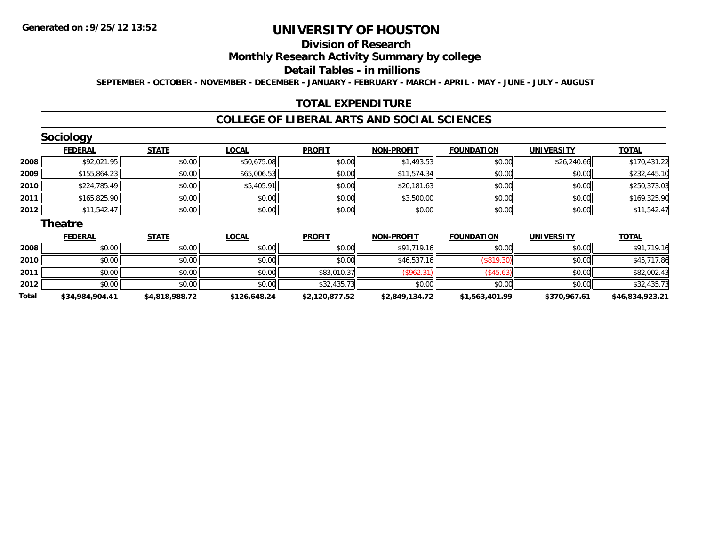# **Division of Research**

**Monthly Research Activity Summary by college**

#### **Detail Tables - in millions**

**SEPTEMBER - OCTOBER - NOVEMBER - DECEMBER - JANUARY - FEBRUARY - MARCH - APRIL - MAY - JUNE - JULY - AUGUST**

### **TOTAL EXPENDITURE**

#### **COLLEGE OF LIBERAL ARTS AND SOCIAL SCIENCES**

|      | <b>Sociology</b> |              |              |               |                   |                   |                   |              |
|------|------------------|--------------|--------------|---------------|-------------------|-------------------|-------------------|--------------|
|      | <b>FEDERAL</b>   | <b>STATE</b> | <b>LOCAL</b> | <b>PROFIT</b> | <b>NON-PROFIT</b> | <b>FOUNDATION</b> | <b>UNIVERSITY</b> | <b>TOTAL</b> |
| 2008 | \$92,021.95      | \$0.00       | \$50,675.08  | \$0.00        | \$1,493.53        | \$0.00            | \$26,240.66       | \$170,431.22 |
| 2009 | \$155,864.23     | \$0.00       | \$65,006.53  | \$0.00        | \$11,574.34       | \$0.00            | \$0.00            | \$232,445.10 |
| 2010 | \$224,785.49     | \$0.00       | \$5,405.91   | \$0.00        | \$20,181.63       | \$0.00            | \$0.00            | \$250,373.03 |
| 2011 | \$165,825.90     | \$0.00       | \$0.00       | \$0.00        | \$3,500.00        | \$0.00            | \$0.00            | \$169,325.90 |
| 2012 | \$11,542.47      | \$0.00       | \$0.00       | \$0.00        | \$0.00            | \$0.00            | \$0.00            | \$11,542.47  |
|      | <b>Theatre</b>   |              |              |               |                   |                   |                   |              |
|      | <b>FEDERAL</b>   | <b>STATE</b> | <b>LOCAL</b> | <b>PROFIT</b> | <b>NON-PROFIT</b> | <b>FOUNDATION</b> | <b>UNIVERSITY</b> | <b>TOTAL</b> |
| 2008 | \$0.00           | so ool       | \$0.00       | \$0.00        | \$91 719 16       | so ool            | \$0.00            | \$91 719 16  |

| Total | \$34,984,904.41 | \$4,818,988.72 | \$126,648.24 | \$2,120,877.52 | \$2,849,134.72 | \$1,563,401.99 | \$370,967.61 | \$46,834,923.21 |
|-------|-----------------|----------------|--------------|----------------|----------------|----------------|--------------|-----------------|
| 2012  | \$0.00          | \$0.00         | \$0.00       | \$32,435.73    | \$0.00         | \$0.00         | \$0.00       | \$32,435.73     |
| 2011  | \$0.00          | \$0.00         | \$0.00       | \$83,010.37    | $($ \$962.31)  | $($ \$45.63)   | \$0.00       | \$82,002.43     |
| 2010  | \$0.00          | \$0.00         | \$0.00       | \$0.00         | \$46,537.16    |                | \$0.00       | \$45,717.86     |
| 2008  | \$0.00          | \$0.00         | \$0.00       | \$0.00         | \$91,719.16    | \$0.00         | \$0.00       | \$91,719.16     |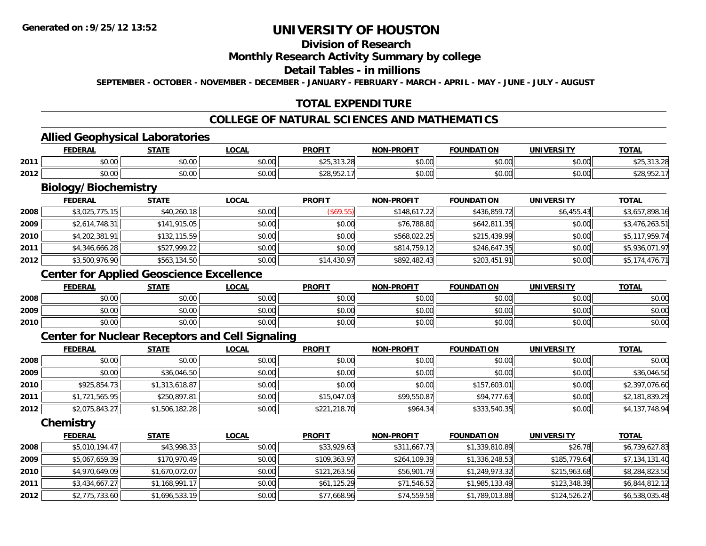# **Division of Research**

#### **Monthly Research Activity Summary by college**

#### **Detail Tables - in millions**

**SEPTEMBER - OCTOBER - NOVEMBER - DECEMBER - JANUARY - FEBRUARY - MARCH - APRIL - MAY - JUNE - JULY - AUGUST**

## **TOTAL EXPENDITURE**

## **COLLEGE OF NATURAL SCIENCES AND MATHEMATICS**

### **Allied Geophysical Laboratories**

|      | <b>FEDERAL</b>                                    | -----                  | .OCAI         | <b>PROFIT</b>           | <b>BBAFIT</b><br>יממ                                 | TON<br>במנ             |                    | $T^{\sim}$<br>. הוטי |
|------|---------------------------------------------------|------------------------|---------------|-------------------------|------------------------------------------------------|------------------------|--------------------|----------------------|
| 2011 | <b>↑∩</b><br>JU.UU                                | $\sim$ $\sim$<br>vv.vv | 0.00<br>DU.UU | .                       | $\uparrow$ $\uparrow$ $\uparrow$ $\uparrow$<br>pu.uu | $\sim$ $\sim$<br>טט.טע | 0.000<br>PO.OO     |                      |
| 2012 | $\mathbf{A} \mathbf{A}$<br>$\sim$ $\sim$<br>vv.vv | $\sim$ $\sim$<br>vv.vv | \$0.00        | $\Delta$<br>ר הם י<br>. | 0.00<br>pu.uu                                        | 0.00<br>טט.טע          | $\sim$ 00<br>JU.UU | $\cdots$<br>ں ے      |

# **Biology/Biochemistry**

|      | <b>FEDERAL</b> | <b>STATE</b> | <b>LOCAL</b> | <b>PROFIT</b> | <b>NON-PROFIT</b> | <b>FOUNDATION</b> | <b>UNIVERSITY</b> | <b>TOTAL</b>   |
|------|----------------|--------------|--------------|---------------|-------------------|-------------------|-------------------|----------------|
| 2008 | \$3,025,775.15 | \$40,260.18  | \$0.00       | (S69.55)      | \$148,617.22      | \$436,859.72      | \$6,455.43        | \$3,657,898.16 |
| 2009 | \$2,614,748.31 | \$141,915.05 | \$0.00       | \$0.00        | \$76,788.80       | \$642,811.35      | \$0.00            | \$3,476,263.51 |
| 2010 | \$4,202,381.91 | \$132,115.59 | \$0.00       | \$0.00        | \$568,022.25      | \$215,439.99      | \$0.00            | \$5,117,959.74 |
| 2011 | \$4,346,666.28 | \$527,999.22 | \$0.00       | \$0.00        | \$814,759.12      | \$246,647.35      | \$0.00            | \$5,936,071.97 |
| 2012 | \$3,500,976.90 | \$563,134.50 | \$0.00       | \$14,430.97   | \$892,482.43      | \$203,451.91      | \$0.00            | \$5,174,476.71 |

## **Center for Applied Geoscience Excellence**

|      | <b>FEDERAL</b> | <b>STATE</b> | <u>LOCAL</u> | <b>PROFIT</b> | <b>NON-PROFIT</b> | <b>FOUNDATION</b> | UNIVERSITY | <b>TOTAL</b> |
|------|----------------|--------------|--------------|---------------|-------------------|-------------------|------------|--------------|
| 2008 | \$0.00         | \$0.00       | \$0.00       | \$0.00        | \$0.00            | \$0.00            | \$0.00     | \$0.00       |
| 2009 | \$0.00         | \$0.00       | \$0.00       | \$0.00        | \$0.00            | \$0.00            | \$0.00     | \$0.00       |
| 2010 | \$0.00         | \$0.00       | \$0.00       | \$0.00        | \$0.00            | \$0.00            | \$0.00     | \$0.00       |

#### **Center for Nuclear Receptors and Cell Signaling**

|      | <u>FEDERAL</u> | <b>STATE</b>   | <u>LOCAL</u> | <b>PROFIT</b> | <b>NON-PROFIT</b> | <b>FOUNDATION</b> | <b>UNIVERSITY</b> | <b>TOTAL</b>   |
|------|----------------|----------------|--------------|---------------|-------------------|-------------------|-------------------|----------------|
| 2008 | \$0.00         | \$0.00         | \$0.00       | \$0.00        | \$0.00            | \$0.00            | \$0.00            | \$0.00         |
| 2009 | \$0.00         | \$36,046.50    | \$0.00       | \$0.00        | \$0.00            | \$0.00            | \$0.00            | \$36,046.50    |
| 2010 | \$925,854.73   | \$1,313,618.87 | \$0.00       | \$0.00        | \$0.00            | \$157,603.01      | \$0.00            | \$2,397,076.60 |
| 2011 | \$1,721,565.95 | \$250,897.81   | \$0.00       | \$15,047.03   | \$99,550.87       | \$94,777.63       | \$0.00            | \$2,181,839.29 |
| 2012 | \$2,075,843.27 | \$1,506,182.28 | \$0.00       | \$221,218.70  | \$964.34          | \$333,540.35      | \$0.00            | \$4,137,748.94 |

**Chemistry**

|      | <b>FEDERAL</b> | <b>STATE</b>   | <u>LOCAL</u> | <b>PROFIT</b> | <b>NON-PROFIT</b> | <b>FOUNDATION</b> | <b>UNIVERSITY</b> | <u>TOTAL</u>   |
|------|----------------|----------------|--------------|---------------|-------------------|-------------------|-------------------|----------------|
| 2008 | \$5,010,194.47 | \$43,998.33    | \$0.00       | \$33,929.63   | \$311.667.73      | \$1,339,810.89    | \$26.78           | \$6,739,627.83 |
| 2009 | \$5,067,659.39 | \$170,970.49   | \$0.00       | \$109,363.97  | \$264,109.39      | \$1,336,248.53    | \$185,779.64      | \$7,134,131.40 |
| 2010 | \$4,970,649.09 | \$1,670,072.07 | \$0.00       | \$121,263.56  | \$56,901.79       | \$1,249,973.32    | \$215,963.68      | \$8,284,823.50 |
| 2011 | \$3,434,667.27 | \$1,168,991.17 | \$0.00       | \$61,125.29   | \$71,546.52       | \$1,985,133.49    | \$123,348.39      | \$6,844,812.12 |
| 2012 | \$2,775,733.60 | \$1,696,533.19 | \$0.00       | \$77,668.96   | \$74,559.58       | \$1,789,013.88    | \$124,526.27      | \$6,538,035.48 |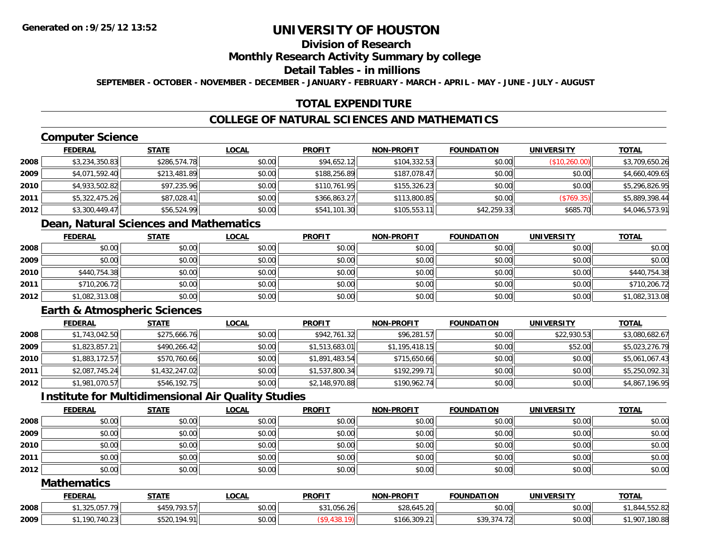# **Division of Research**

#### **Monthly Research Activity Summary by college**

#### **Detail Tables - in millions**

**SEPTEMBER - OCTOBER - NOVEMBER - DECEMBER - JANUARY - FEBRUARY - MARCH - APRIL - MAY - JUNE - JULY - AUGUST**

## **TOTAL EXPENDITURE**

## **COLLEGE OF NATURAL SCIENCES AND MATHEMATICS**

# **Computer Science**

|      | <b>FEDERAL</b> | <u>STATE</u> | <b>LOCAL</b> | <b>PROFIT</b> | <b>NON-PROFIT</b> | <b>FOUNDATION</b> | <b>UNIVERSITY</b> | <b>TOTAL</b>   |
|------|----------------|--------------|--------------|---------------|-------------------|-------------------|-------------------|----------------|
| 2008 | \$3,234,350.83 | \$286,574.78 | \$0.00       | \$94,652.12   | \$104,332.53      | \$0.00            | (S10, 260.00)     | \$3,709,650.26 |
| 2009 | \$4,071,592.40 | \$213,481.89 | \$0.00       | \$188,256.89  | \$187,078.47      | \$0.00            | \$0.00            | \$4,660,409.65 |
| 2010 | \$4,933,502.82 | \$97,235.96  | \$0.00       | \$110,761.95  | \$155,326.23      | \$0.00            | \$0.00            | \$5,296,826.95 |
| 2011 | \$5,322,475.26 | \$87,028.41  | \$0.00       | \$366,863.27  | \$113,800.85      | \$0.00            | (S769.35)         | \$5,889,398.44 |
| 2012 | \$3,300,449.47 | \$56,524.99  | \$0.00       | \$541,101.30  | \$105,553.11      | \$42,259.33       | \$685.70          | \$4,046,573.91 |

## **Dean, Natural Sciences and Mathematics**

|      | <b>FEDERAL</b> | <u>STATE</u> | <u>LOCAL</u> | <b>PROFIT</b> | <b>NON-PROFIT</b> | <b>FOUNDATION</b> | <b>UNIVERSITY</b> | <b>TOTAL</b>   |
|------|----------------|--------------|--------------|---------------|-------------------|-------------------|-------------------|----------------|
| 2008 | \$0.00         | \$0.00       | \$0.00       | \$0.00        | \$0.00            | \$0.00            | \$0.00            | \$0.00         |
| 2009 | \$0.00         | \$0.00       | \$0.00       | \$0.00        | \$0.00            | \$0.00            | \$0.00            | \$0.00         |
| 2010 | \$440,754.38   | \$0.00       | \$0.00       | \$0.00        | \$0.00            | \$0.00            | \$0.00            | \$440,754.38   |
| 2011 | \$710,206.72   | \$0.00       | \$0.00       | \$0.00        | \$0.00            | \$0.00            | \$0.00            | \$710,206.72   |
| 2012 | \$1,082,313.08 | \$0.00       | \$0.00       | \$0.00        | \$0.00            | \$0.00            | \$0.00            | \$1,082,313.08 |

## **Earth & Atmospheric Sciences**

|      | <b>FEDERAL</b> | <b>STATE</b>   | <b>LOCAL</b> | <b>PROFIT</b>  | <b>NON-PROFIT</b> | <b>FOUNDATION</b> | <b>UNIVERSITY</b> | <b>TOTAL</b>   |
|------|----------------|----------------|--------------|----------------|-------------------|-------------------|-------------------|----------------|
| 2008 | \$1,743,042.50 | \$275,666.76   | \$0.00       | \$942,761.32   | \$96,281.57       | \$0.00            | \$22,930.53       | \$3,080,682.67 |
| 2009 | \$1,823,857.21 | \$490,266.42   | \$0.00       | \$1,513,683.01 | \$1,195,418.15    | \$0.00            | \$52.00           | \$5,023,276.79 |
| 2010 | \$1,883,172.57 | \$570,760.66   | \$0.00       | \$1,891,483.54 | \$715,650.66      | \$0.00            | \$0.00            | \$5,061,067.43 |
| 2011 | \$2,087,745.24 | \$1,432,247.02 | \$0.00       | \$1,537,800.34 | \$192,299.71      | \$0.00            | \$0.00            | \$5,250,092.31 |
| 2012 | \$1,981,070.57 | \$546,192.75   | \$0.00       | \$2,148,970.88 | \$190,962.74      | \$0.00            | \$0.00            | \$4,867,196.95 |

### **Institute for Multidimensional Air Quality Studies**

|      | <b>FEDERAL</b> | <b>STATE</b> | <u>LOCAL</u> | <b>PROFIT</b> | <b>NON-PROFIT</b> | <b>FOUNDATION</b> | <b>UNIVERSITY</b> | <b>TOTAL</b> |
|------|----------------|--------------|--------------|---------------|-------------------|-------------------|-------------------|--------------|
| 2008 | \$0.00         | \$0.00       | \$0.00       | \$0.00        | \$0.00            | \$0.00            | \$0.00            | \$0.00       |
| 2009 | \$0.00         | \$0.00       | \$0.00       | \$0.00        | \$0.00            | \$0.00            | \$0.00            | \$0.00       |
| 2010 | \$0.00         | \$0.00       | \$0.00       | \$0.00        | \$0.00            | \$0.00            | \$0.00            | \$0.00       |
| 2011 | \$0.00         | \$0.00       | \$0.00       | \$0.00        | \$0.00            | \$0.00            | \$0.00            | \$0.00       |
| 2012 | \$0.00         | \$0.00       | \$0.00       | \$0.00        | \$0.00            | \$0.00            | \$0.00            | \$0.00       |

#### **Mathematics**

|      | <b>FEDERAL</b>                      | <b>STATE</b>                             | LOCAL  | <b>PROFIT</b> | <b>NON-PROFIT</b>             | <b>FOUNDATION</b>      | UNIVERSITY | <b>TOTAL</b>                           |
|------|-------------------------------------|------------------------------------------|--------|---------------|-------------------------------|------------------------|------------|----------------------------------------|
| 2008 | 225.25<br>1, J Z J , U J I . I 7 11 | 10257<br><b>t</b> 150<br>7J.J/I<br>, עדי | \$0.00 | \$31,056.26   | \$28,645.20                   | \$0.00                 | \$0.00     | $O$ $\Lambda$<br>∟0.25 د.،<br>- 644، ، |
| 2009 | 100.710.02<br>$-91/40.25$           | 104.01<br>$+ - - -$<br>- 194.<br>ט∠כּו   | \$0.00 |               | \$166,309.21<br>$\sim$ $\sim$ | $   -$<br>\$39<br>. I4 | \$0.00     | ,180.85<br>ററ                          |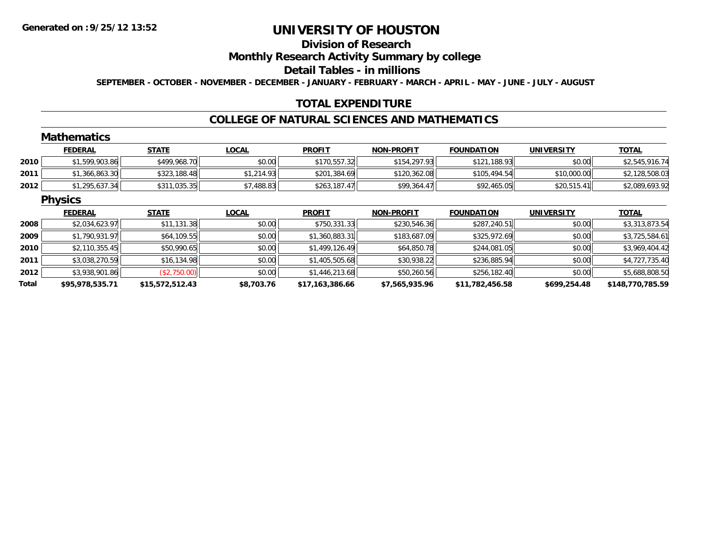### **Division of Research**

### **Monthly Research Activity Summary by college**

#### **Detail Tables - in millions**

**SEPTEMBER - OCTOBER - NOVEMBER - DECEMBER - JANUARY - FEBRUARY - MARCH - APRIL - MAY - JUNE - JULY - AUGUST**

### **TOTAL EXPENDITURE**

#### **COLLEGE OF NATURAL SCIENCES AND MATHEMATICS**

#### **Mathematics**

|      | <b>FEDERAL</b> | <b>STATE</b> | <u>LOCAL</u> | <b>PROFIT</b> | <b>NON-PROFIT</b> | <b>FOUNDATION</b> | UNIVERSITY  | <b>TOTAL</b>   |
|------|----------------|--------------|--------------|---------------|-------------------|-------------------|-------------|----------------|
| 2010 | \$1,599,903.86 | \$499,968.70 | \$0.00       | \$170,557.32  | \$154,297.93      | \$121,188.93      | \$0.00      | \$2,545,916.74 |
| 2011 | \$1,366,863.30 | \$323,188.48 | \$1,214.93   | \$201,384.69  | \$120,362.08      | \$105,494.54      | \$10,000.00 | \$2,128,508.03 |
| 2012 | \$1,295,637.34 | \$311,035.35 | \$7,488.83   | \$263,187.47  | \$99,364.47       | \$92,465.05       | \$20,515.41 | \$2,089,693.92 |

#### **Physics**

|       | <b>FEDERAL</b>  | <b>STATE</b>    | <b>LOCAL</b> | <b>PROFIT</b>   | <b>NON-PROFIT</b> | <b>FOUNDATION</b> | UNIVERSITY   | <b>TOTAL</b>     |
|-------|-----------------|-----------------|--------------|-----------------|-------------------|-------------------|--------------|------------------|
| 2008  | \$2,034,623.97  | \$11,131.38     | \$0.00       | \$750,331.33    | \$230,546.36      | \$287,240.51      | \$0.00       | \$3,313,873.54   |
| 2009  | \$1,790,931.97  | \$64,109.55     | \$0.00       | \$1,360,883.31  | \$183,687.09      | \$325,972.69      | \$0.00       | \$3,725,584.61   |
| 2010  | \$2,110,355.45  | \$50,990.65     | \$0.00       | \$1,499,126.49  | \$64,850.78       | \$244,081.05      | \$0.00       | \$3,969,404.42   |
| 2011  | \$3,038,270.59  | \$16,134.98     | \$0.00       | \$1,405,505.68  | \$30,938.22       | \$236,885.94      | \$0.00       | \$4,727,735.40   |
| 2012  | \$3,938,901.86  | (\$2,750.00)    | \$0.00       | \$1,446,213.68  | \$50,260.56       | \$256,182.40      | \$0.00       | \$5,688,808.50   |
| Total | \$95,978,535.71 | \$15,572,512.43 | \$8,703.76   | \$17,163,386.66 | \$7,565,935.96    | \$11,782,456.58   | \$699,254.48 | \$148,770,785.59 |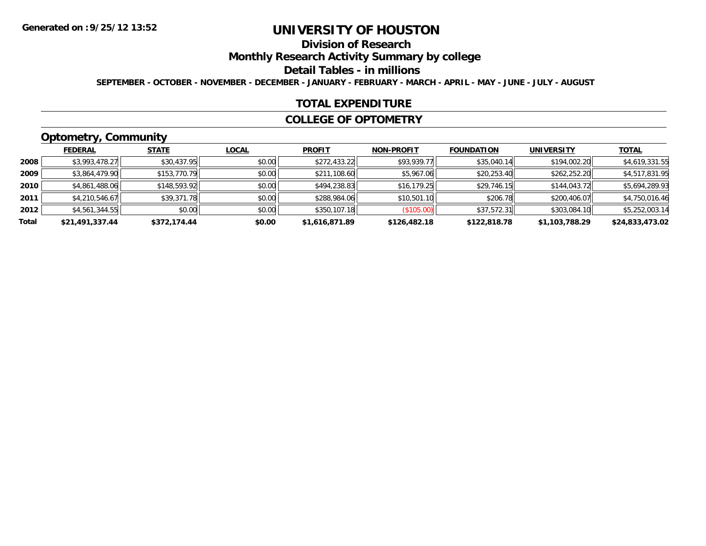# **Division of Research**

**Monthly Research Activity Summary by college**

#### **Detail Tables - in millions**

**SEPTEMBER - OCTOBER - NOVEMBER - DECEMBER - JANUARY - FEBRUARY - MARCH - APRIL - MAY - JUNE - JULY - AUGUST**

#### **TOTAL EXPENDITURE**

#### **COLLEGE OF OPTOMETRY**

# **Optometry, Community**

|       | ___             |              |              |                |                   |                   |                   |                 |
|-------|-----------------|--------------|--------------|----------------|-------------------|-------------------|-------------------|-----------------|
|       | <b>FEDERAL</b>  | <b>STATE</b> | <u>LOCAL</u> | <b>PROFIT</b>  | <b>NON-PROFIT</b> | <b>FOUNDATION</b> | <b>UNIVERSITY</b> | <b>TOTAL</b>    |
| 2008  | \$3,993,478.27  | \$30,437.95  | \$0.00       | \$272,433.22   | \$93,939.77       | \$35,040.14       | \$194,002.20      | \$4,619,331.55  |
| 2009  | \$3,864,479.90  | \$153,770.79 | \$0.00       | \$211,108.60   | \$5,967.06        | \$20,253.40       | \$262,252.20      | \$4,517,831.95  |
| 2010  | \$4,861,488.06  | \$148,593.92 | \$0.00       | \$494,238.83   | \$16, 179.25      | \$29,746.15       | \$144,043.72      | \$5,694,289.93  |
| 2011  | \$4,210,546.67  | \$39,371.78  | \$0.00       | \$288,984.06   | \$10,501.10       | \$206.78          | \$200,406.07      | \$4,750,016.46  |
| 2012  | \$4,561,344.55  | \$0.00       | \$0.00       | \$350,107.18   | (\$105.00)        | \$37,572.31       | \$303,084.10      | \$5,252,003.14  |
| Total | \$21,491,337.44 | \$372,174.44 | \$0.00       | \$1,616,871.89 | \$126,482.18      | \$122,818.78      | \$1,103,788.29    | \$24,833,473.02 |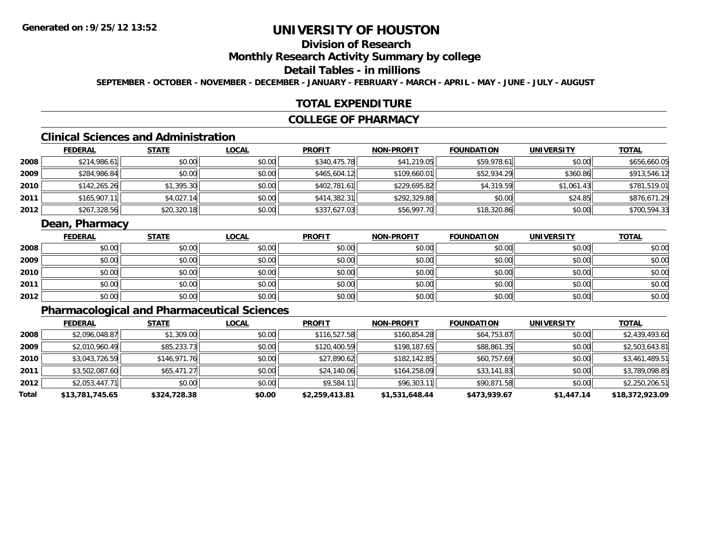# **Division of Research**

### **Monthly Research Activity Summary by college**

## **Detail Tables - in millions**

**SEPTEMBER - OCTOBER - NOVEMBER - DECEMBER - JANUARY - FEBRUARY - MARCH - APRIL - MAY - JUNE - JULY - AUGUST**

### **TOTAL EXPENDITURE**

#### **COLLEGE OF PHARMACY**

# **Clinical Sciences and Administration**

|      | <b>FEDERAL</b> | <b>STATE</b> | <b>LOCAL</b> | <b>PROFIT</b> | <b>NON-PROFIT</b> | <b>FOUNDATION</b> | <b>UNIVERSITY</b> | <b>TOTAL</b> |
|------|----------------|--------------|--------------|---------------|-------------------|-------------------|-------------------|--------------|
| 2008 | \$214,986.61   | \$0.00       | \$0.00       | \$340,475.78  | \$41,219.05       | \$59,978.61       | \$0.00            | \$656,660.05 |
| 2009 | \$284,986.84   | \$0.00       | \$0.00       | \$465,604.12  | \$109,660.01      | \$52,934.29       | \$360.86          | \$913,546.12 |
| 2010 | \$142,265.26   | \$1,395.30   | \$0.00       | \$402,781.61  | \$229,695.82      | \$4,319.59        | \$1.061.43        | \$781,519.01 |
| 2011 | \$165,907.11   | \$4,027.14   | \$0.00       | \$414,382.31  | \$292,329.88      | \$0.00            | \$24.85           | \$876,671.29 |
| 2012 | \$267,328.56   | \$20,320.18  | \$0.00       | \$337,627.03  | \$56,997.70       | \$18,320.86       | \$0.00            | \$700,594.33 |

## **Dean, Pharmacy**

|      | <u>FEDERAL</u> | <b>STATE</b> | <u>LOCAL</u> | <b>PROFIT</b> | <b>NON-PROFIT</b> | <b>FOUNDATION</b> | <b>UNIVERSITY</b> | <b>TOTAL</b> |
|------|----------------|--------------|--------------|---------------|-------------------|-------------------|-------------------|--------------|
| 2008 | \$0.00         | \$0.00       | \$0.00       | \$0.00        | \$0.00            | \$0.00            | \$0.00            | \$0.00       |
| 2009 | \$0.00         | \$0.00       | \$0.00       | \$0.00        | \$0.00            | \$0.00            | \$0.00            | \$0.00       |
| 2010 | \$0.00         | \$0.00       | \$0.00       | \$0.00        | \$0.00            | \$0.00            | \$0.00            | \$0.00       |
| 2011 | \$0.00         | \$0.00       | \$0.00       | \$0.00        | \$0.00            | \$0.00            | \$0.00            | \$0.00       |
| 2012 | \$0.00         | \$0.00       | \$0.00       | \$0.00        | \$0.00            | \$0.00            | \$0.00            | \$0.00       |

# **Pharmacological and Pharmaceutical Sciences**

|       | <b>FEDERAL</b>  | <b>STATE</b> | <b>LOCAL</b> | <b>PROFIT</b>  | <b>NON-PROFIT</b> | <b>FOUNDATION</b> | <b>UNIVERSITY</b> | <b>TOTAL</b>    |
|-------|-----------------|--------------|--------------|----------------|-------------------|-------------------|-------------------|-----------------|
| 2008  | \$2,096,048.87  | \$1,309.00   | \$0.00       | \$116,527.58   | \$160,854.28      | \$64,753.87       | \$0.00            | \$2,439,493.60  |
| 2009  | \$2,010,960.49  | \$85,233.73  | \$0.00       | \$120,400.59   | \$198,187.65      | \$88,861.35       | \$0.00            | \$2,503,643.81  |
| 2010  | \$3,043,726.59  | \$146,971.76 | \$0.00       | \$27,890.62    | \$182,142.85      | \$60,757.69       | \$0.00            | \$3,461,489.51  |
| 2011  | \$3,502,087.60  | \$65.471.27  | \$0.00       | \$24,140.06    | \$164,258.09      | \$33,141.83       | \$0.00            | \$3,789,098.85  |
| 2012  | \$2,053,447.71  | \$0.00       | \$0.00       | \$9,584.11     | \$96,303.11       | \$90,871.58       | \$0.00            | \$2,250,206.51  |
| Total | \$13,781,745.65 | \$324,728.38 | \$0.00       | \$2,259,413.81 | \$1,531,648.44    | \$473,939.67      | \$1,447.14        | \$18,372,923.09 |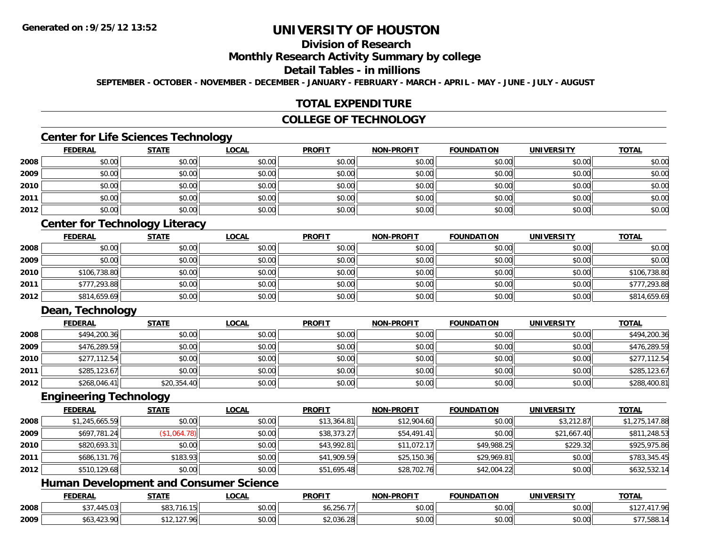# **Division of Research**

### **Monthly Research Activity Summary by college**

#### **Detail Tables - in millions**

**SEPTEMBER - OCTOBER - NOVEMBER - DECEMBER - JANUARY - FEBRUARY - MARCH - APRIL - MAY - JUNE - JULY - AUGUST**

### **TOTAL EXPENDITURE**

#### **COLLEGE OF TECHNOLOGY**

## **Center for Life Sciences Technology**

|      | <b>FEDERAL</b> | <b>STATE</b> | <b>LOCAL</b> | <b>PROFIT</b> | <b>NON-PROFIT</b> | <b>FOUNDATION</b> | <b>UNIVERSITY</b> | <b>TOTAL</b> |
|------|----------------|--------------|--------------|---------------|-------------------|-------------------|-------------------|--------------|
| 2008 | \$0.00         | \$0.00       | \$0.00       | \$0.00        | \$0.00            | \$0.00            | \$0.00            | \$0.00       |
| 2009 | \$0.00         | \$0.00       | \$0.00       | \$0.00        | \$0.00            | \$0.00            | \$0.00            | \$0.00       |
| 2010 | \$0.00         | \$0.00       | \$0.00       | \$0.00        | \$0.00            | \$0.00            | \$0.00            | \$0.00       |
| 2011 | \$0.00         | \$0.00       | \$0.00       | \$0.00        | \$0.00            | \$0.00            | \$0.00            | \$0.00       |
| 2012 | \$0.00         | \$0.00       | \$0.00       | \$0.00        | \$0.00            | \$0.00            | \$0.00            | \$0.00       |

# **Center for Technology Literacy**

|      | <u>FEDERAL</u> | <b>STATE</b> | <u>LOCAL</u> | <b>PROFIT</b> | <b>NON-PROFIT</b> | <b>FOUNDATION</b> | <b>UNIVERSITY</b> | <b>TOTAL</b> |
|------|----------------|--------------|--------------|---------------|-------------------|-------------------|-------------------|--------------|
| 2008 | \$0.00         | \$0.00       | \$0.00       | \$0.00        | \$0.00            | \$0.00            | \$0.00            | \$0.00       |
| 2009 | \$0.00         | \$0.00       | \$0.00       | \$0.00        | \$0.00            | \$0.00            | \$0.00            | \$0.00       |
| 2010 | \$106,738.80   | \$0.00       | \$0.00       | \$0.00        | \$0.00            | \$0.00            | \$0.00            | \$106,738.80 |
| 2011 | \$777,293.88   | \$0.00       | \$0.00       | \$0.00        | \$0.00            | \$0.00            | \$0.00            | \$777,293.88 |
| 2012 | \$814,659.69   | \$0.00       | \$0.00       | \$0.00        | \$0.00            | \$0.00            | \$0.00            | \$814,659.69 |

# **Dean, Technology**

|      | <u>FEDERAL</u> | <b>STATE</b> | <u>LOCAL</u> | <b>PROFIT</b> | <b>NON-PROFIT</b> | <b>FOUNDATION</b> | <b>UNIVERSITY</b> | <b>TOTAL</b> |
|------|----------------|--------------|--------------|---------------|-------------------|-------------------|-------------------|--------------|
| 2008 | \$494,200.36   | \$0.00       | \$0.00       | \$0.00        | \$0.00            | \$0.00            | \$0.00            | \$494,200.36 |
| 2009 | \$476,289.59   | \$0.00       | \$0.00       | \$0.00        | \$0.00            | \$0.00            | \$0.00            | \$476,289.59 |
| 2010 | \$277,112.54   | \$0.00       | \$0.00       | \$0.00        | \$0.00            | \$0.00            | \$0.00            | \$277,112.54 |
| 2011 | \$285,123.67   | \$0.00       | \$0.00       | \$0.00        | \$0.00            | \$0.00            | \$0.00            | \$285,123.67 |
| 2012 | \$268,046.41   | \$20,354.40  | \$0.00       | \$0.00        | \$0.00            | \$0.00            | \$0.00            | \$288,400.81 |

#### **Engineering Technology**

|      | <b>FEDERAL</b> | <b>STATE</b> | <b>LOCAL</b> | <b>PROFIT</b> | <b>NON-PROFIT</b> | <b>FOUNDATION</b> | <b>UNIVERSITY</b> | <b>TOTAL</b>   |
|------|----------------|--------------|--------------|---------------|-------------------|-------------------|-------------------|----------------|
| 2008 | \$1,245,665.59 | \$0.00       | \$0.00       | \$13,364.81   | \$12,904.60       | \$0.00            | \$3,212.87        | \$1,275,147.88 |
| 2009 | \$697,781.24   | (\$1,064.78) | \$0.00       | \$38,373.27   | \$54,491.41       | \$0.00            | \$21,667.40       | \$811,248.53   |
| 2010 | \$820,693.31   | \$0.00       | \$0.00       | \$43.992.81   | \$11,072.17       | \$49,988.25       | \$229.32          | \$925,975.86   |
| 2011 | \$686,131.76   | \$183.93     | \$0.00       | \$41,909.59   | \$25,150.36       | \$29,969.81       | \$0.00            | \$783,345.45   |
| 2012 | \$510,129.68   | \$0.00       | \$0.00       | \$51,695.48   | \$28,702.76       | \$42,004.22       | \$0.00            | \$632,532.14   |

### **Human Development and Consumer Science**

|      | <b>EDERAL</b>                                 | <b>STATE</b>                                                                                                             | <b>LOCAL</b>              | <b>PROFIT</b>  | <b>NON-PROFIT</b>                | <b>FOUNDATION</b> | <b>UNIVERSITY</b>             | <b>TOTAL</b> |
|------|-----------------------------------------------|--------------------------------------------------------------------------------------------------------------------------|---------------------------|----------------|----------------------------------|-------------------|-------------------------------|--------------|
| 2008 | $\uparrow$ $\uparrow$<br>1150<br>−−∪.∪<br>. پ | $\uparrow$ $\uparrow$<br>. טו                                                                                            | $\sim$<br>$\sim$<br>vv.vv | --<br>30.Z30.J | $\circ$ $\circ$ $\circ$<br>DU.UU | \$0.00            | 0000<br><b>DU.UU</b>          | 117 Q.A      |
| 2009 | .423.90                                       | $\mathbf{1}$ $\mathbf{1}$ $\mathbf{0}$ $\mathbf{1}$ $\mathbf{0}$ $\mathbf{1}$ $\mathbf{0}$<br>$\sqrt{2}$<br>. . <u>.</u> | $\sim$ 00<br>JU.UU        | \$2,036.28     | 0.00<br><b>DU.UU</b>             | \$0.00            | $\sim$ $\sim$<br><b>JU.UU</b> | ו .טטט,      |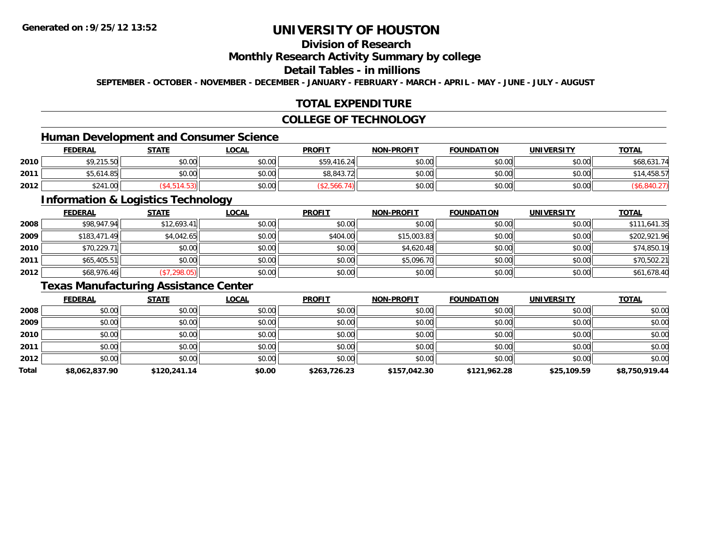# **Division of Research**

### **Monthly Research Activity Summary by college**

#### **Detail Tables - in millions**

**SEPTEMBER - OCTOBER - NOVEMBER - DECEMBER - JANUARY - FEBRUARY - MARCH - APRIL - MAY - JUNE - JULY - AUGUST**

## **TOTAL EXPENDITURE**

### **COLLEGE OF TECHNOLOGY**

## **Human Development and Consumer Science**

|      | <b>FEDERAL</b> | <b>STATE</b> | <u>LOCAL</u> | <b>PROFIT</b> | <b>NON-PROFIT</b> | <b>FOUNDATION</b> | <b>UNIVERSITY</b> | <b>TOTAL</b> |
|------|----------------|--------------|--------------|---------------|-------------------|-------------------|-------------------|--------------|
| 2010 | \$9,215.50     | \$0.00       | \$0.00       | \$59,416.24   | \$0.00            | \$0.00            | \$0.00            | \$68,631.74  |
| 2011 | \$5,614.85     | \$0.00       | \$0.00       | \$8,843.72    | \$0.00            | \$0.00            | \$0.00            | \$14,458.57  |
| 2012 | \$241.00       |              | \$0.00       |               | \$0.00            | \$0.00            | \$0.00            |              |

<u> 1989 - Johann Stoff, deutscher Stoffen und der Stoffen und der Stoffen und der Stoffen und der Stoffen und der</u>

## **Information & Logistics Technology**

|      | <b>FEDERAL</b> | <b>STATE</b> | <u>LOCAL</u> | <b>PROFIT</b> | <b>NON-PROFIT</b> | <b>FOUNDATION</b> | <b>UNIVERSITY</b> | <b>TOTAL</b> |
|------|----------------|--------------|--------------|---------------|-------------------|-------------------|-------------------|--------------|
| 2008 | \$98,947.94    | \$12,693.41  | \$0.00       | \$0.00        | \$0.00            | \$0.00            | \$0.00            | \$111,641.35 |
| 2009 | \$183,471.49   | \$4,042.65   | \$0.00       | \$404.00      | \$15,003.83       | \$0.00            | \$0.00            | \$202,921.96 |
| 2010 | \$70,229.71    | \$0.00       | \$0.00       | \$0.00        | \$4,620.48        | \$0.00            | \$0.00            | \$74,850.19  |
| 2011 | \$65,405.51    | \$0.00       | \$0.00       | \$0.00        | \$5,096.70        | \$0.00            | \$0.00            | \$70,502.21  |
| 2012 | \$68,976.46    | (\$7,298.05) | \$0.00       | \$0.00        | \$0.00            | \$0.00            | \$0.00            | \$61,678.40  |

## **Texas Manufacturing Assistance Center**

|       | <b>FEDERAL</b> | <b>STATE</b> | <b>LOCAL</b> | <b>PROFIT</b> | <b>NON-PROFIT</b> | <b>FOUNDATION</b> | <b>UNIVERSITY</b> | <b>TOTAL</b>   |
|-------|----------------|--------------|--------------|---------------|-------------------|-------------------|-------------------|----------------|
| 2008  | \$0.00         | \$0.00       | \$0.00       | \$0.00        | \$0.00            | \$0.00            | \$0.00            | \$0.00         |
| 2009  | \$0.00         | \$0.00       | \$0.00       | \$0.00        | \$0.00            | \$0.00            | \$0.00            | \$0.00         |
| 2010  | \$0.00         | \$0.00       | \$0.00       | \$0.00        | \$0.00            | \$0.00            | \$0.00            | \$0.00         |
| 2011  | \$0.00         | \$0.00       | \$0.00       | \$0.00        | \$0.00            | \$0.00            | \$0.00            | \$0.00         |
| 2012  | \$0.00         | \$0.00       | \$0.00       | \$0.00        | \$0.00            | \$0.00            | \$0.00            | \$0.00         |
| Total | \$8,062,837.90 | \$120,241.14 | \$0.00       | \$263,726.23  | \$157,042.30      | \$121,962.28      | \$25,109.59       | \$8,750,919.44 |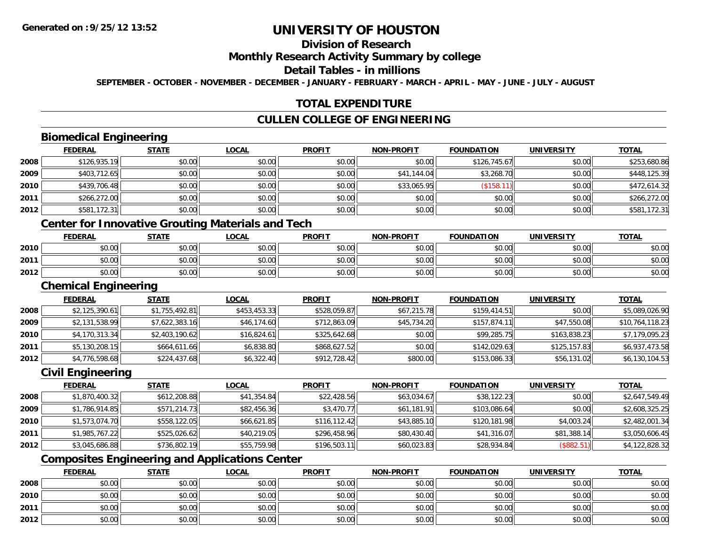# **Division of Research**

#### **Monthly Research Activity Summary by college**

#### **Detail Tables - in millions**

**SEPTEMBER - OCTOBER - NOVEMBER - DECEMBER - JANUARY - FEBRUARY - MARCH - APRIL - MAY - JUNE - JULY - AUGUST**

### **TOTAL EXPENDITURE**

## **CULLEN COLLEGE OF ENGINEERING**

## **Biomedical Engineering**

|      | <b>FEDERAL</b> | <b>STATE</b> | <u>LOCAL</u> | <b>PROFIT</b> | <b>NON-PROFIT</b> | <b>FOUNDATION</b> | <b>UNIVERSITY</b> | <b>TOTAL</b> |
|------|----------------|--------------|--------------|---------------|-------------------|-------------------|-------------------|--------------|
| 2008 | \$126,935.19   | \$0.00       | \$0.00       | \$0.00        | \$0.00            | \$126,745.67      | \$0.00            | \$253,680.86 |
| 2009 | \$403,712.65   | \$0.00       | \$0.00       | \$0.00        | \$41,144.04       | \$3,268.70        | \$0.00            | \$448,125.39 |
| 2010 | \$439,706.48   | \$0.00       | \$0.00       | \$0.00        | \$33,065.95       | (\$158.1          | \$0.00            | \$472,614.32 |
| 2011 | \$266,272.00   | \$0.00       | \$0.00       | \$0.00        | \$0.00            | \$0.00            | \$0.00            | \$266,272.00 |
| 2012 | \$581,172.31   | \$0.00       | \$0.00       | \$0.00        | \$0.00            | \$0.00            | \$0.00            | \$581,172.31 |

## **Center for Innovative Grouting Materials and Tech**

|      | <u>FEDERAL</u> | <b>STATE</b> | <u>LOCAL</u>  | <b>PROFIT</b> | <b>NON-PROFIT</b> | <b>FOUNDATION</b> | <b>UNIVERSITY</b> | <b>TOTAL</b> |
|------|----------------|--------------|---------------|---------------|-------------------|-------------------|-------------------|--------------|
| 2010 | \$0.00         | \$0.00       | 0.00<br>JU.UU | \$0.00        | \$0.00            | \$0.00            | \$0.00            | \$0.00       |
| 2011 | \$0.00         | \$0.00       | \$0.00        | \$0.00        | \$0.00            | \$0.00            | \$0.00            | \$0.00       |
| 2012 | \$0.00         | \$0.00       | \$0.00        | \$0.00        | \$0.00            | \$0.00            | \$0.00            | \$0.00       |

#### **Chemical Engineering**

|      | <b>FEDERAL</b> | <b>STATE</b>   | <b>LOCAL</b> | <b>PROFIT</b> | <b>NON-PROFIT</b> | <b>FOUNDATION</b> | <b>UNIVERSITY</b> | <b>TOTAL</b>    |
|------|----------------|----------------|--------------|---------------|-------------------|-------------------|-------------------|-----------------|
| 2008 | \$2,125,390.61 | \$1,755,492.81 | \$453,453.33 | \$528,059.87  | \$67,215.78       | \$159,414.51      | \$0.00            | \$5,089,026.90  |
| 2009 | \$2,131,538.99 | \$7,622,383.16 | \$46,174.60  | \$712,863.09  | \$45,734.20       | \$157,874.11      | \$47,550.08       | \$10,764,118.23 |
| 2010 | \$4,170,313.34 | \$2,403,190.62 | \$16,824.61  | \$325,642.68  | \$0.00            | \$99,285.75       | \$163,838.23      | \$7,179,095.23  |
| 2011 | \$5,130,208.15 | \$664,611.66   | \$6,838.80   | \$868,627.52  | \$0.00            | \$142,029.63      | \$125,157.83      | \$6,937,473.58  |
| 2012 | \$4,776,598.68 | \$224,437.68   | \$6,322.40   | \$912,728.42  | \$800.00          | \$153,086.33      | \$56,131.02       | \$6,130,104.53  |

#### **Civil Engineering**

|      | <b>FEDERAL</b> | <u>STATE</u> | <b>LOCAL</b> | <b>PROFIT</b> | <b>NON-PROFIT</b> | <b>FOUNDATION</b> | <b>UNIVERSITY</b> | <b>TOTAL</b>   |
|------|----------------|--------------|--------------|---------------|-------------------|-------------------|-------------------|----------------|
| 2008 | \$1,870,400.32 | \$612,208.88 | \$41,354.84  | \$22,428.56   | \$63,034.67       | \$38,122.23       | \$0.00            | \$2,647,549.49 |
| 2009 | \$1,786,914.85 | \$571,214.73 | \$82,456.36  | \$3,470.77    | \$61,181.91       | \$103,086.64      | \$0.00            | \$2,608,325.25 |
| 2010 | \$1,573,074.70 | \$558,122.05 | \$66,621.85  | \$116,112.42  | \$43,885.10       | \$120,181.98      | \$4,003.24        | \$2,482,001.34 |
| 2011 | \$1,985,767.22 | \$525,026.62 | \$40,219.05  | \$296,458.96  | \$80,430.40       | \$41,316.07       | \$81,388.14       | \$3,050,606.45 |
| 2012 | \$3,045,686.88 | \$736,802.19 | \$55,759.98  | \$196,503.11  | \$60,023.83       | \$28,934.84       | (\$882.51)        | \$4,122,828.32 |

# **Composites Engineering and Applications Center**

|      | <u>FEDERAL</u> | <b>STATE</b> | <b>LOCAL</b> | <b>PROFIT</b> | <b>NON-PROFIT</b> | <b>FOUNDATION</b> | <b>UNIVERSITY</b> | <b>TOTAL</b> |
|------|----------------|--------------|--------------|---------------|-------------------|-------------------|-------------------|--------------|
| 2008 | \$0.00         | \$0.00       | \$0.00       | \$0.00        | \$0.00            | \$0.00            | \$0.00            | \$0.00       |
| 2010 | \$0.00         | \$0.00       | \$0.00       | \$0.00        | \$0.00            | \$0.00            | \$0.00            | \$0.00       |
| 2011 | \$0.00         | \$0.00       | \$0.00       | \$0.00        | \$0.00            | \$0.00            | \$0.00            | \$0.00       |
| 2012 | \$0.00         | \$0.00       | \$0.00       | \$0.00        | \$0.00            | \$0.00            | \$0.00            | \$0.00       |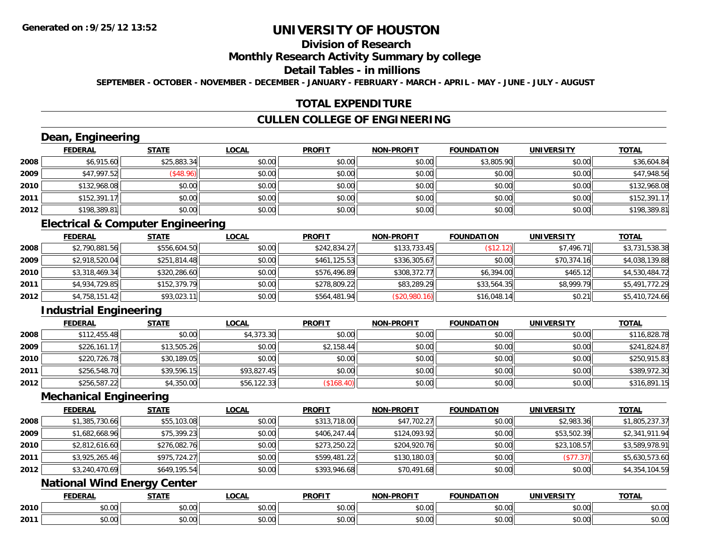# **Division of Research**

#### **Monthly Research Activity Summary by college**

#### **Detail Tables - in millions**

**SEPTEMBER - OCTOBER - NOVEMBER - DECEMBER - JANUARY - FEBRUARY - MARCH - APRIL - MAY - JUNE - JULY - AUGUST**

### **TOTAL EXPENDITURE**

## **CULLEN COLLEGE OF ENGINEERING**

# **Dean, Engineering**

|      | <b>FEDERAL</b> | <b>STATE</b> | <b>LOCAL</b> | <b>PROFIT</b> | <b>NON-PROFIT</b> | <b>FOUNDATION</b> | <b>UNIVERSITY</b> | <b>TOTAL</b> |
|------|----------------|--------------|--------------|---------------|-------------------|-------------------|-------------------|--------------|
| 2008 | \$6,915.60     | \$25,883.34  | \$0.00       | \$0.00        | \$0.00            | \$3,805.90        | \$0.00            | \$36,604.84  |
| 2009 | \$47,997.52    | \$48.96      | \$0.00       | \$0.00        | \$0.00            | \$0.00            | \$0.00            | \$47,948.56  |
| 2010 | \$132,968.08   | \$0.00       | \$0.00       | \$0.00        | \$0.00            | \$0.00            | \$0.00            | \$132,968.08 |
| 2011 | \$152,391.1    | \$0.00       | \$0.00       | \$0.00        | \$0.00            | \$0.00            | \$0.00            | \$152,391.17 |
| 2012 | \$198,389.81   | \$0.00       | \$0.00       | \$0.00        | \$0.00            | \$0.00            | \$0.00            | \$198,389.81 |

## **Electrical & Computer Engineering**

|      | <u>FEDERAL</u> | <b>STATE</b> | <b>LOCAL</b> | <b>PROFIT</b> | <b>NON-PROFIT</b> | <b>FOUNDATION</b> | <b>UNIVERSITY</b> | <b>TOTAL</b>   |
|------|----------------|--------------|--------------|---------------|-------------------|-------------------|-------------------|----------------|
| 2008 | \$2,790,881.56 | \$556,604.50 | \$0.00       | \$242,834.27  | \$133,733.45      | (\$12.12)         | \$7.496.71        | \$3,731,538.38 |
| 2009 | \$2,918,520.04 | \$251,814.48 | \$0.00       | \$461,125.53  | \$336,305.67      | \$0.00            | \$70,374.16       | \$4,038,139.88 |
| 2010 | \$3,318,469.34 | \$320,286.60 | \$0.00       | \$576,496.89  | \$308,372.77      | \$6,394.00        | \$465.12          | \$4,530,484.72 |
| 2011 | \$4,934,729.85 | \$152,379.79 | \$0.00       | \$278,809.22  | \$83,289.29       | \$33,564.35       | \$8,999.79        | \$5,491,772.29 |
| 2012 | \$4,758,151.42 | \$93,023.11  | \$0.00       | \$564,481.94  | (\$20,980.16)     | \$16,048.14       | \$0.21            | \$5,410,724.66 |

# **Industrial Engineering**

|      | <b>FEDERAL</b> | <b>STATE</b> | <u>LOCAL</u> | <b>PROFIT</b> | <b>NON-PROFIT</b> | <b>FOUNDATION</b> | <b>UNIVERSITY</b> | <b>TOTAL</b> |
|------|----------------|--------------|--------------|---------------|-------------------|-------------------|-------------------|--------------|
| 2008 | \$112,455.48   | \$0.00       | \$4,373.30   | \$0.00        | \$0.00            | \$0.00            | \$0.00            | \$116,828.78 |
| 2009 | \$226,161.17   | \$13,505.26  | \$0.00       | \$2,158.44    | \$0.00            | \$0.00            | \$0.00            | \$241,824.87 |
| 2010 | \$220,726.78   | \$30,189.05  | \$0.00       | \$0.00        | \$0.00            | \$0.00            | \$0.00            | \$250,915.83 |
| 2011 | \$256,548.70   | \$39,596.15  | \$93,827.45  | \$0.00        | \$0.00            | \$0.00            | \$0.00            | \$389,972.30 |
| 2012 | \$256,587.22   | \$4,350.00   | \$56,122.33  | (\$168.40)    | \$0.00            | \$0.00            | \$0.00            | \$316,891.15 |

#### **Mechanical Engineering**

|      | <b>FEDERAL</b> | <b>STATE</b> | <b>LOCAL</b> | <b>PROFIT</b> | <b>NON-PROFIT</b> | <b>FOUNDATION</b> | <b>UNIVERSITY</b> | <b>TOTAL</b>   |
|------|----------------|--------------|--------------|---------------|-------------------|-------------------|-------------------|----------------|
| 2008 | \$1,385,730.66 | \$55,103.08  | \$0.00       | \$313,718.00  | \$47,702.27       | \$0.00            | \$2,983.36        | \$1,805,237.37 |
| 2009 | \$1,682,668.96 | \$75,399.23  | \$0.00       | \$406,247.44  | \$124,093.92      | \$0.00            | \$53,502.39       | \$2,341,911.94 |
| 2010 | \$2,812,616.60 | \$276,082.76 | \$0.00       | \$273,250.22  | \$204,920.76      | \$0.00            | \$23,108.57       | \$3,589,978.91 |
| 2011 | \$3,925,265.46 | \$975,724.27 | \$0.00       | \$599,481.22  | \$130,180.03      | \$0.00            | (\$77.37)         | \$5,630,573.60 |
| 2012 | \$3,240,470.69 | \$649,195.54 | \$0.00       | \$393,946.68  | \$70,491.68       | \$0.00            | \$0.00            | \$4,354,104.59 |

## **National Wind Energy Center**

|      | <b>FEDERAL</b> | <b>STATE</b>    | LOCAL              | <b>PROFIT</b> | <b>NON-DDOEIT</b> | <b>FOUNDATION</b> | <b>UNIVERSITY</b>     | <b>TOTA</b><br>UINI   |
|------|----------------|-----------------|--------------------|---------------|-------------------|-------------------|-----------------------|-----------------------|
| 2010 | 0000<br>DU.UU  | ሖጣ<br>טט.       | $\sim$ 00<br>JU.UU | 0000<br>JU.UU | 0.00<br>DU.UU     | \$0.00            | 0.001<br><b>DU.UG</b> | 0000<br><b>JU.UU</b>  |
| 2011 | \$0.00         | $\sim$<br>טט.טע | $\sim$ 00<br>JU.UU | 0000<br>PO.OO | 0.00<br>JU.UU     | \$0.00            | 0000<br>JU.UU         | ልስ ሰሰ<br><b>JU.UU</b> |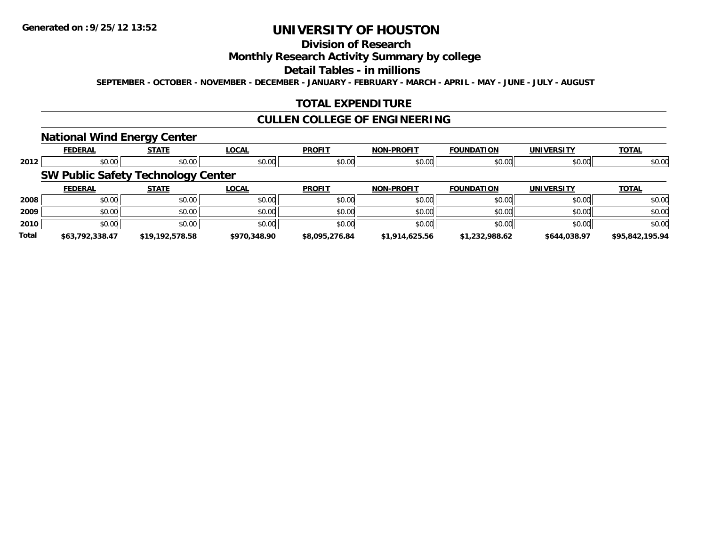# **Division of Research**

### **Monthly Research Activity Summary by college**

#### **Detail Tables - in millions**

**SEPTEMBER - OCTOBER - NOVEMBER - DECEMBER - JANUARY - FEBRUARY - MARCH - APRIL - MAY - JUNE - JULY - AUGUST**

## **TOTAL EXPENDITURE**

### **CULLEN COLLEGE OF ENGINEERING**

### **National Wind Energy Center**

|       | <b>FEDERAL</b>                            | --<br><b>STATE</b> | <b>LOCAL</b> | <b>PROFIT</b>  | <b>NON-PROFIT</b> | <b>FOUNDATION</b> | <b>UNIVERSITY</b> | <b>TOTAL</b>    |
|-------|-------------------------------------------|--------------------|--------------|----------------|-------------------|-------------------|-------------------|-----------------|
| 2012  | \$0.00                                    | \$0.00             | \$0.00       | \$0.00         | \$0.00            | \$0.00            | \$0.00            | \$0.00          |
|       | <b>SW Public Safety Technology Center</b> |                    |              |                |                   |                   |                   |                 |
|       | <b>FEDERAL</b>                            | <b>STATE</b>       | <b>LOCAL</b> | <b>PROFIT</b>  | <b>NON-PROFIT</b> | <b>FOUNDATION</b> | <b>UNIVERSITY</b> | <b>TOTAL</b>    |
| 2008  | \$0.00                                    | \$0.00             | \$0.00       | \$0.00         | \$0.00            | \$0.00            | \$0.00            | \$0.00          |
| 2009  | \$0.00                                    | \$0.00             | \$0.00       | \$0.00         | \$0.00            | \$0.00            | \$0.00            | \$0.00          |
| 2010  | \$0.00                                    | \$0.00             | \$0.00       | \$0.00         | \$0.00            | \$0.00            | \$0.00            | \$0.00          |
| Total | \$63.792.338.47                           | \$19,192,578.58    | \$970,348.90 | \$8,095,276.84 | \$1,914,625.56    | \$1,232,988.62    | \$644,038.97      | \$95,842,195.94 |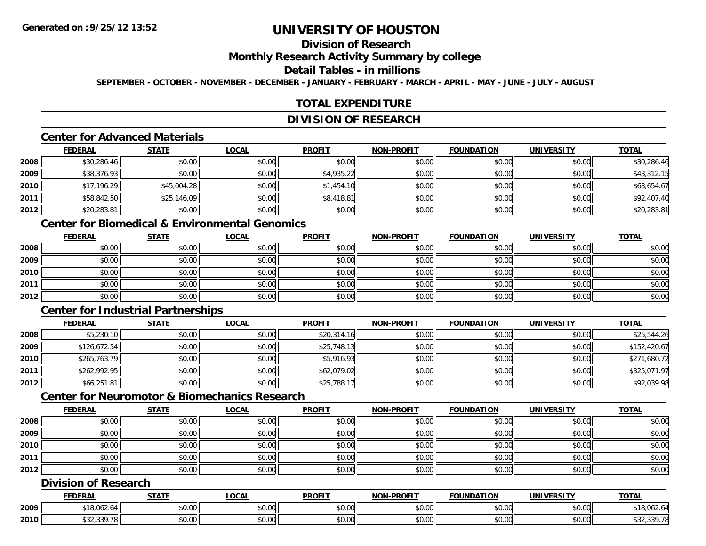# **Division of Research**

### **Monthly Research Activity Summary by college**

#### **Detail Tables - in millions**

**SEPTEMBER - OCTOBER - NOVEMBER - DECEMBER - JANUARY - FEBRUARY - MARCH - APRIL - MAY - JUNE - JULY - AUGUST**

## **TOTAL EXPENDITURE**

#### **DIVISION OF RESEARCH**

## **Center for Advanced Materials**

|      | <b>FEDERAL</b> | <b>STATE</b> | <b>LOCAL</b> | <b>PROFIT</b> | <b>NON-PROFIT</b> | <b>FOUNDATION</b> | <b>UNIVERSITY</b> | <b>TOTAL</b> |
|------|----------------|--------------|--------------|---------------|-------------------|-------------------|-------------------|--------------|
| 2008 | \$30,286.46    | \$0.00       | \$0.00       | \$0.00        | \$0.00            | \$0.00            | \$0.00            | \$30,286.46  |
| 2009 | \$38,376.93    | \$0.00       | \$0.00       | \$4,935.22    | \$0.00            | \$0.00            | \$0.00            | \$43,312.15  |
| 2010 | \$17,196.29    | \$45,004.28  | \$0.00       | \$1,454.10    | \$0.00            | \$0.00            | \$0.00            | \$63,654.67  |
| 2011 | \$58,842.50    | \$25,146.09  | \$0.00       | \$8,418.81    | \$0.00            | \$0.00            | \$0.00            | \$92,407.40  |
| 2012 | \$20,283.81    | \$0.00       | \$0.00       | \$0.00        | \$0.00            | \$0.00            | \$0.00            | \$20,283.81  |

# **Center for Biomedical & Environmental Genomics**

|      | <u>FEDERAL</u> | <u>STATE</u> | <u>LOCAL</u> | <b>PROFIT</b> | <b>NON-PROFIT</b> | <b>FOUNDATION</b> | <b>UNIVERSITY</b> | <b>TOTAL</b> |
|------|----------------|--------------|--------------|---------------|-------------------|-------------------|-------------------|--------------|
| 2008 | \$0.00         | \$0.00       | \$0.00       | \$0.00        | \$0.00            | \$0.00            | \$0.00            | \$0.00       |
| 2009 | \$0.00         | \$0.00       | \$0.00       | \$0.00        | \$0.00            | \$0.00            | \$0.00            | \$0.00       |
| 2010 | \$0.00         | \$0.00       | \$0.00       | \$0.00        | \$0.00            | \$0.00            | \$0.00            | \$0.00       |
| 2011 | \$0.00         | \$0.00       | \$0.00       | \$0.00        | \$0.00            | \$0.00            | \$0.00            | \$0.00       |
| 2012 | \$0.00         | \$0.00       | \$0.00       | \$0.00        | \$0.00            | \$0.00            | \$0.00            | \$0.00       |

# **Center for Industrial Partnerships**

|      | <b>FEDERAL</b> | <b>STATE</b> | <b>LOCAL</b> | <b>PROFIT</b> | <b>NON-PROFIT</b> | <b>FOUNDATION</b> | <b>UNIVERSITY</b> | <b>TOTAL</b> |
|------|----------------|--------------|--------------|---------------|-------------------|-------------------|-------------------|--------------|
| 2008 | \$5,230.10     | \$0.00       | \$0.00       | \$20,314.16   | \$0.00            | \$0.00            | \$0.00            | \$25,544.26  |
| 2009 | \$126,672.54   | \$0.00       | \$0.00       | \$25,748.13   | \$0.00            | \$0.00            | \$0.00            | \$152,420.67 |
| 2010 | \$265,763.79   | \$0.00       | \$0.00       | \$5,916.93    | \$0.00            | \$0.00            | \$0.00            | \$271,680.72 |
| 2011 | \$262,992.95   | \$0.00       | \$0.00       | \$62,079.02   | \$0.00            | \$0.00            | \$0.00            | \$325,071.97 |
| 2012 | \$66,251.81    | \$0.00       | \$0.00       | \$25,788.17   | \$0.00            | \$0.00            | \$0.00            | \$92,039.98  |

# **Center for Neuromotor & Biomechanics Research**

|      | <b>FEDERAL</b> | <b>STATE</b> | <b>LOCAL</b> | <b>PROFIT</b> | <b>NON-PROFIT</b> | <b>FOUNDATION</b> | <b>UNIVERSITY</b> | <b>TOTAL</b> |
|------|----------------|--------------|--------------|---------------|-------------------|-------------------|-------------------|--------------|
| 2008 | \$0.00         | \$0.00       | \$0.00       | \$0.00        | \$0.00            | \$0.00            | \$0.00            | \$0.00       |
| 2009 | \$0.00         | \$0.00       | \$0.00       | \$0.00        | \$0.00            | \$0.00            | \$0.00            | \$0.00       |
| 2010 | \$0.00         | \$0.00       | \$0.00       | \$0.00        | \$0.00            | \$0.00            | \$0.00            | \$0.00       |
| 2011 | \$0.00         | \$0.00       | \$0.00       | \$0.00        | \$0.00            | \$0.00            | \$0.00            | \$0.00       |
| 2012 | \$0.00         | \$0.00       | \$0.00       | \$0.00        | \$0.00            | \$0.00            | \$0.00            | \$0.00       |

## **Division of Research**

|      | <b>FEDERAL</b> | <b>CTATI</b>      | _OCAL              | <b>PROFIT</b> | <b>DDAEIT</b><br>וחרות | DATION               | UNIVERSITY                | <b>TOTAL</b>                      |
|------|----------------|-------------------|--------------------|---------------|------------------------|----------------------|---------------------------|-----------------------------------|
| 2009 | A<br>.∪b∠.b    | $\sim$<br>JU.UU   | $\sim$ 00<br>vv.vv | 0000<br>vu.vu | 0000<br>pu.uu          | \$0.00               | $\sim$ 00<br><b>JU.UU</b> | $\sim$ $\sim$ $\sim$<br>18,002.04 |
| 2010 | 0.00<br>$-0.1$ | $\sim$ 00<br>JU.U | $\sim$ 00<br>vu.vu | 0000<br>PO.OO | 0.00<br>JU.UU          | 0000<br><b>JU.UU</b> | $\sim$ 00<br><b>DU.UG</b> | ، - - - - - -                     |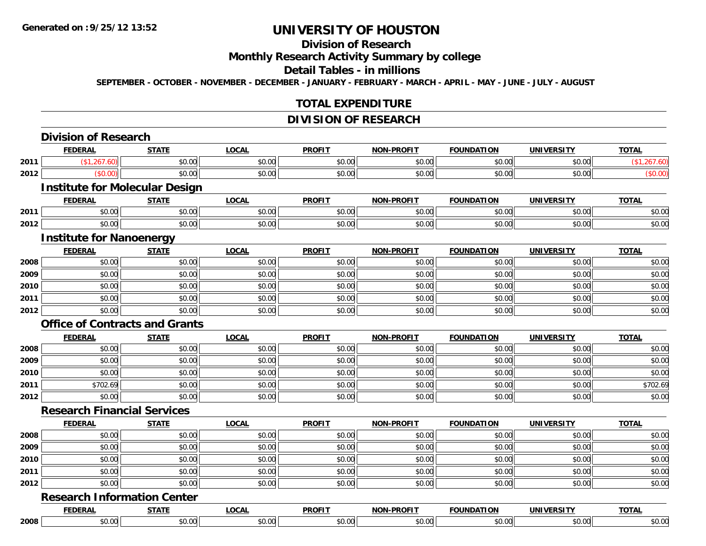# **Division of Research**

# **Monthly Research Activity Summary by college**

#### **Detail Tables - in millions**

**SEPTEMBER - OCTOBER - NOVEMBER - DECEMBER - JANUARY - FEBRUARY - MARCH - APRIL - MAY - JUNE - JULY - AUGUST**

### **TOTAL EXPENDITURE**

## **DIVISION OF RESEARCH**

|      | <b>Division of Research</b>           |              |              |               |                   |                   |                   |              |
|------|---------------------------------------|--------------|--------------|---------------|-------------------|-------------------|-------------------|--------------|
|      | <b>FEDERAL</b>                        | <b>STATE</b> | <b>LOCAL</b> | <b>PROFIT</b> | <b>NON-PROFIT</b> | <b>FOUNDATION</b> | <b>UNIVERSITY</b> | <b>TOTAL</b> |
| 2011 | (\$1,267.60)                          | \$0.00       | \$0.00       | \$0.00        | \$0.00            | \$0.00            | \$0.00            | (\$1,267.60) |
| 2012 | (\$0.00)                              | \$0.00       | \$0.00       | \$0.00        | \$0.00            | \$0.00            | \$0.00            | (\$0.00)     |
|      | <b>Institute for Molecular Design</b> |              |              |               |                   |                   |                   |              |
|      | <b>FEDERAL</b>                        | <b>STATE</b> | <b>LOCAL</b> | <b>PROFIT</b> | <b>NON-PROFIT</b> | <b>FOUNDATION</b> | <b>UNIVERSITY</b> | <b>TOTAL</b> |
| 2011 | \$0.00                                | \$0.00       | \$0.00       | \$0.00        | \$0.00            | \$0.00            | \$0.00            | \$0.00       |
| 2012 | \$0.00                                | \$0.00       | \$0.00       | \$0.00        | \$0.00            | \$0.00            | \$0.00            | \$0.00       |
|      | <b>Institute for Nanoenergy</b>       |              |              |               |                   |                   |                   |              |
|      | <b>FEDERAL</b>                        | <b>STATE</b> | <b>LOCAL</b> | <b>PROFIT</b> | <b>NON-PROFIT</b> | <b>FOUNDATION</b> | <b>UNIVERSITY</b> | <b>TOTAL</b> |
| 2008 | \$0.00                                | \$0.00       | \$0.00       | \$0.00        | \$0.00            | \$0.00            | \$0.00            | \$0.00       |
| 2009 | \$0.00                                | \$0.00       | \$0.00       | \$0.00        | \$0.00            | \$0.00            | \$0.00            | \$0.00       |
| 2010 | \$0.00                                | \$0.00       | \$0.00       | \$0.00        | \$0.00            | \$0.00            | \$0.00            | \$0.00       |
| 2011 | \$0.00                                | \$0.00       | \$0.00       | \$0.00        | \$0.00            | \$0.00            | \$0.00            | \$0.00       |
| 2012 | \$0.00                                | \$0.00       | \$0.00       | \$0.00        | \$0.00            | \$0.00            | \$0.00            | \$0.00       |
|      | <b>Office of Contracts and Grants</b> |              |              |               |                   |                   |                   |              |
|      | <b>FEDERAL</b>                        | <b>STATE</b> | <b>LOCAL</b> | <b>PROFIT</b> | <b>NON-PROFIT</b> | <b>FOUNDATION</b> | <b>UNIVERSITY</b> | <b>TOTAL</b> |
| 2008 | \$0.00                                | \$0.00       | \$0.00       | \$0.00        | \$0.00            | \$0.00            | \$0.00            | \$0.00       |
| 2009 | \$0.00                                | \$0.00       | \$0.00       | \$0.00        | \$0.00            | \$0.00            | \$0.00            | \$0.00       |
| 2010 | \$0.00                                | \$0.00       | \$0.00       | \$0.00        | \$0.00            | \$0.00            | \$0.00            | \$0.00       |
| 2011 | \$702.69                              | \$0.00       | \$0.00       | \$0.00        | \$0.00            | \$0.00            | \$0.00            | \$702.69     |
| 2012 | \$0.00                                | \$0.00       | \$0.00       | \$0.00        | \$0.00            | \$0.00            | \$0.00            | \$0.00       |
|      | <b>Research Financial Services</b>    |              |              |               |                   |                   |                   |              |
|      | <b>FEDERAL</b>                        | <b>STATE</b> | <b>LOCAL</b> | <b>PROFIT</b> | <b>NON-PROFIT</b> | <b>FOUNDATION</b> | <b>UNIVERSITY</b> | <b>TOTAL</b> |
| 2008 | \$0.00                                | \$0.00       | \$0.00       | \$0.00        | \$0.00            | \$0.00            | \$0.00            | \$0.00       |
| 2009 | \$0.00                                | \$0.00       | \$0.00       | \$0.00        | \$0.00            | \$0.00            | \$0.00            | \$0.00       |
| 2010 | \$0.00                                | \$0.00       | \$0.00       | \$0.00        | \$0.00            | \$0.00            | \$0.00            | \$0.00       |
| 2011 | \$0.00                                | \$0.00       | \$0.00       | \$0.00        | \$0.00            | \$0.00            | \$0.00            | \$0.00       |
| 2012 | \$0.00                                | \$0.00       | \$0.00       | \$0.00        | \$0.00            | \$0.00            | \$0.00            | \$0.00       |
|      | <b>Research Information Center</b>    |              |              |               |                   |                   |                   |              |
|      | <b>FEDERAL</b>                        | <b>STATE</b> | <b>LOCAL</b> | <b>PROFIT</b> | <b>NON-PROFIT</b> | <b>FOUNDATION</b> | <b>UNIVERSITY</b> | <b>TOTAL</b> |
| 2008 | \$0.00                                | \$0.00       | \$0.00       | \$0.00        | \$0.00            | \$0.00            | \$0.00            | \$0.00       |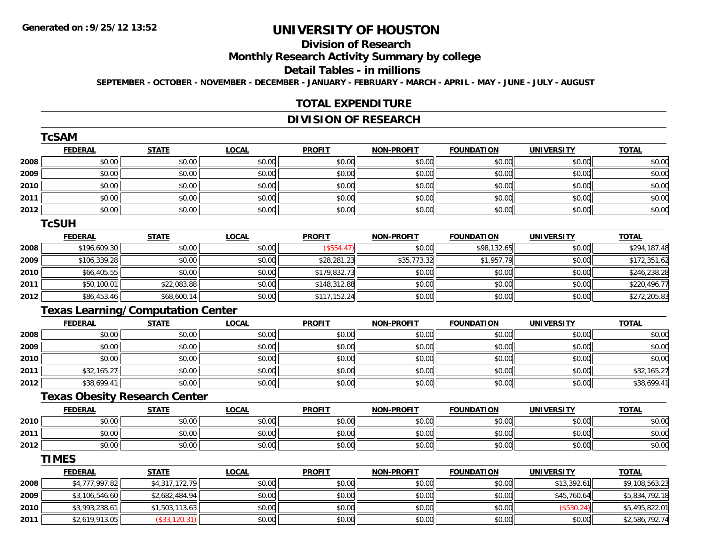# **Division of Research**

### **Monthly Research Activity Summary by college**

#### **Detail Tables - in millions**

**SEPTEMBER - OCTOBER - NOVEMBER - DECEMBER - JANUARY - FEBRUARY - MARCH - APRIL - MAY - JUNE - JULY - AUGUST**

#### **TOTAL EXPENDITURE**

## **DIVISION OF RESEARCH**

|      | <b>TcSAM</b>   |                                          |              |               |                   |                   |                   |                |
|------|----------------|------------------------------------------|--------------|---------------|-------------------|-------------------|-------------------|----------------|
|      | <b>FEDERAL</b> | <b>STATE</b>                             | <b>LOCAL</b> | <b>PROFIT</b> | <b>NON-PROFIT</b> | <b>FOUNDATION</b> | <b>UNIVERSITY</b> | <b>TOTAL</b>   |
| 2008 | \$0.00         | \$0.00                                   | \$0.00       | \$0.00        | \$0.00            | \$0.00            | \$0.00            | \$0.00         |
| 2009 | \$0.00         | \$0.00                                   | \$0.00       | \$0.00        | \$0.00            | \$0.00            | \$0.00            | \$0.00         |
| 2010 | \$0.00         | \$0.00                                   | \$0.00       | \$0.00        | \$0.00            | \$0.00            | \$0.00            | \$0.00         |
| 2011 | \$0.00         | \$0.00                                   | \$0.00       | \$0.00        | \$0.00            | \$0.00            | \$0.00            | \$0.00         |
| 2012 | \$0.00         | \$0.00                                   | \$0.00       | \$0.00        | \$0.00            | \$0.00            | \$0.00            | \$0.00         |
|      | <b>TcSUH</b>   |                                          |              |               |                   |                   |                   |                |
|      | <b>FEDERAL</b> | <b>STATE</b>                             | <b>LOCAL</b> | <b>PROFIT</b> | <b>NON-PROFIT</b> | <b>FOUNDATION</b> | <b>UNIVERSITY</b> | <b>TOTAL</b>   |
| 2008 | \$196,609.30   | \$0.00                                   | \$0.00       | (\$554.47)    | \$0.00            | \$98,132.65       | \$0.00            | \$294,187.48   |
| 2009 | \$106,339.28   | \$0.00                                   | \$0.00       | \$28,281.23   | \$35,773.32       | \$1,957.79        | \$0.00            | \$172,351.62   |
| 2010 | \$66,405.55    | \$0.00                                   | \$0.00       | \$179,832.73  | \$0.00            | \$0.00            | \$0.00            | \$246,238.28   |
| 2011 | \$50,100.01    | \$22,083.88                              | \$0.00       | \$148,312.88  | \$0.00            | \$0.00            | \$0.00            | \$220,496.77   |
| 2012 | \$86,453.46    | \$68,600.14                              | \$0.00       | \$117,152.24  | \$0.00            | \$0.00            | \$0.00            | \$272,205.83   |
|      |                | <b>Texas Learning/Computation Center</b> |              |               |                   |                   |                   |                |
|      | <b>FEDERAL</b> | <b>STATE</b>                             | <b>LOCAL</b> | <b>PROFIT</b> | <b>NON-PROFIT</b> | <b>FOUNDATION</b> | <b>UNIVERSITY</b> | <b>TOTAL</b>   |
| 2008 | \$0.00         | \$0.00                                   | \$0.00       | \$0.00        | \$0.00            | \$0.00            | \$0.00            | \$0.00         |
| 2009 | \$0.00         | \$0.00                                   | \$0.00       | \$0.00        | \$0.00            | \$0.00            | \$0.00            | \$0.00         |
| 2010 | \$0.00         | \$0.00                                   | \$0.00       | \$0.00        | \$0.00            | \$0.00            | \$0.00            | \$0.00         |
| 2011 | \$32,165.27    | \$0.00                                   | \$0.00       | \$0.00        | \$0.00            | \$0.00            | \$0.00            | \$32,165.27    |
| 2012 | \$38,699.41    | \$0.00                                   | \$0.00       | \$0.00        | \$0.00            | \$0.00            | \$0.00            | \$38,699.41    |
|      |                | <b>Texas Obesity Research Center</b>     |              |               |                   |                   |                   |                |
|      | <b>FEDERAL</b> | <b>STATE</b>                             | <b>LOCAL</b> | <b>PROFIT</b> | <b>NON-PROFIT</b> | <b>FOUNDATION</b> | <b>UNIVERSITY</b> | <b>TOTAL</b>   |
| 2010 | \$0.00         | \$0.00                                   | \$0.00       | \$0.00        | \$0.00            | \$0.00            | \$0.00            | \$0.00         |
| 2011 | \$0.00         | \$0.00                                   | \$0.00       | \$0.00        | \$0.00            | \$0.00            | \$0.00            | \$0.00         |
| 2012 | \$0.00         | \$0.00                                   | \$0.00       | \$0.00        | \$0.00            | \$0.00            | \$0.00            | \$0.00         |
|      | <b>TIMES</b>   |                                          |              |               |                   |                   |                   |                |
|      | <b>FEDERAL</b> | <b>STATE</b>                             | <b>LOCAL</b> | <b>PROFIT</b> | <b>NON-PROFIT</b> | <b>FOUNDATION</b> | <b>UNIVERSITY</b> | <b>TOTAL</b>   |
| 2008 | \$4,777,997.82 | \$4,317,172.79                           | \$0.00       | \$0.00        | \$0.00            | \$0.00            | \$13,392.61       | \$9,108,563.23 |
| 2009 | \$3,106,546.60 | \$2,682,484.94                           | \$0.00       | \$0.00        | \$0.00            | \$0.00            | \$45,760.64       | \$5,834,792.18 |
| 2010 | \$3,993,238.61 | \$1,503,113.63                           | \$0.00       | \$0.00        | \$0.00            | \$0.00            | (\$530.24)        | \$5,495,822.01 |
| 2011 | \$2,619,913.05 | (S33.120.31)                             | \$0.00       | \$0.00        | \$0.00            | \$0.00            | \$0.00            | \$2,586,792.74 |

\$2,619,913.05 (\$33,120.31) \$0.00 \$0.00 \$0.00 \$0.00 \$0.00 \$2,586,792.74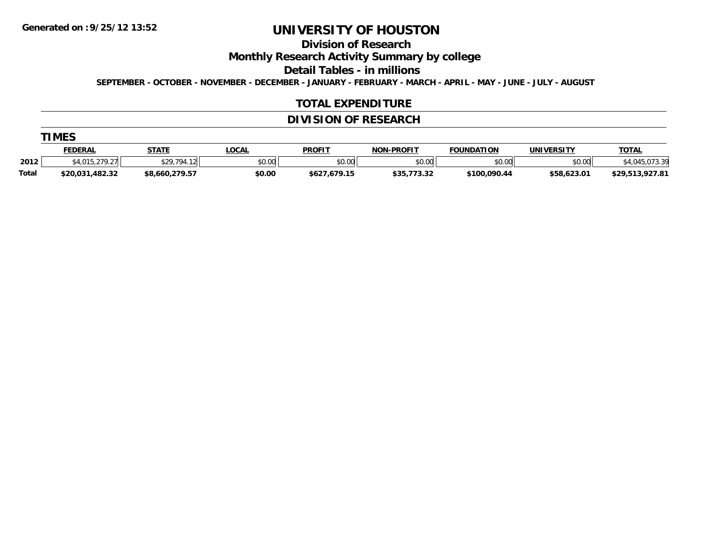# **Division of Research**

**Monthly Research Activity Summary by college**

**Detail Tables - in millions**

**SEPTEMBER - OCTOBER - NOVEMBER - DECEMBER - JANUARY - FEBRUARY - MARCH - APRIL - MAY - JUNE - JULY - AUGUST**

#### **TOTAL EXPENDITURE**

## **DIVISION OF RESEARCH**

|       | FEDERAL         | <b>STATE</b>                 | <b>OCAL</b> | <b>PROFIT</b> | -PROFIT<br>NON.     | <b>FOUNDATION</b> | <b>UNIVERSITY</b> | <u>TOTAL</u>                  |
|-------|-----------------|------------------------------|-------------|---------------|---------------------|-------------------|-------------------|-------------------------------|
| 2012  | רפ חדפ          | <b>C<sub>20</sub> 704 11</b> | \$0.00      | \$0.00        | \$0.00              | mn n¢<br>טט.טע    | \$0.00            | $\sim$                        |
| Total | \$20.031.482.32 | \$8,660,279.57               | \$0.00      | \$627,679.15  | よつに フフク つつ<br>,,,,, | \$100,090.44      | \$58,623.01       | 02701<br>, 27, 313,<br>.741.0 |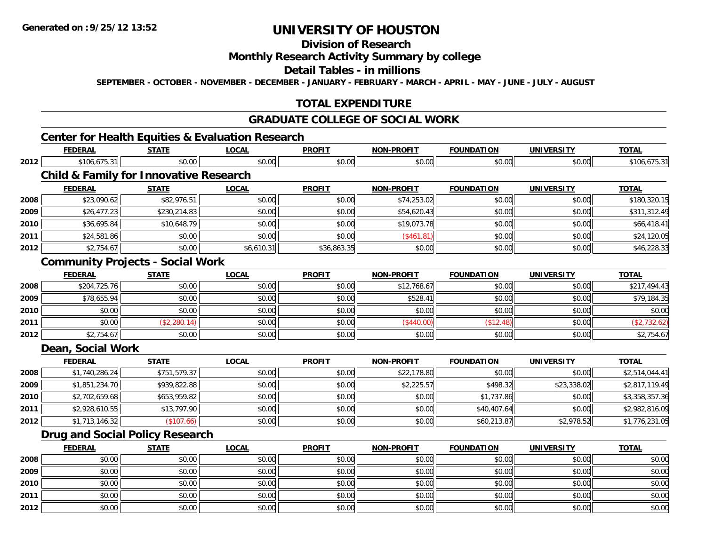**2012**

# **UNIVERSITY OF HOUSTON**

# **Division of Research**

### **Monthly Research Activity Summary by college**

#### **Detail Tables - in millions**

**SEPTEMBER - OCTOBER - NOVEMBER - DECEMBER - JANUARY - FEBRUARY - MARCH - APRIL - MAY - JUNE - JULY - AUGUST**

## **TOTAL EXPENDITURE**

## **GRADUATE COLLEGE OF SOCIAL WORK**

## **Center for Health Equities & Evaluation Research**

|      | <b>FEDERAL</b>                                    | <b>STATE</b> | <b>LOCAL</b> | <b>PROFIT</b> | <b>NON-PROFIT</b> | <b>FOUNDATION</b> | <b>UNIVERSITY</b> | <b>TOTAL</b>   |
|------|---------------------------------------------------|--------------|--------------|---------------|-------------------|-------------------|-------------------|----------------|
| 2012 | \$106,675.31                                      | \$0.00       | \$0.00       | \$0.00        | \$0.00            | \$0.00            | \$0.00            | \$106,675.31   |
|      | <b>Child &amp; Family for Innovative Research</b> |              |              |               |                   |                   |                   |                |
|      | <b>FEDERAL</b>                                    | <b>STATE</b> | <b>LOCAL</b> | <b>PROFIT</b> | <b>NON-PROFIT</b> | <b>FOUNDATION</b> | <b>UNIVERSITY</b> | <b>TOTAL</b>   |
| 2008 | \$23,090.62                                       | \$82,976.51  | \$0.00       | \$0.00        | \$74,253.02       | \$0.00            | \$0.00            | \$180,320.15   |
| 2009 | \$26,477.23                                       | \$230,214.83 | \$0.00       | \$0.00        | \$54,620.43       | \$0.00            | \$0.00            | \$311,312.49   |
| 2010 | \$36,695.84                                       | \$10,648.79  | \$0.00       | \$0.00        | \$19,073.78       | \$0.00            | \$0.00            | \$66,418.41    |
| 2011 | \$24,581.86                                       | \$0.00       | \$0.00       | \$0.00        | (\$461.81)        | \$0.00            | \$0.00            | \$24,120.05    |
| 2012 | \$2,754.67                                        | \$0.00       | \$6,610.31   | \$36,863.35   | \$0.00            | \$0.00            | \$0.00            | \$46,228.33    |
|      | <b>Community Projects - Social Work</b>           |              |              |               |                   |                   |                   |                |
|      | <b>FEDERAL</b>                                    | <b>STATE</b> | <b>LOCAL</b> | <b>PROFIT</b> | <b>NON-PROFIT</b> | <b>FOUNDATION</b> | <b>UNIVERSITY</b> | <b>TOTAL</b>   |
| 2008 | \$204,725.76                                      | \$0.00       | \$0.00       | \$0.00        | \$12,768.67       | \$0.00            | \$0.00            | \$217,494.43   |
| 2009 | \$78,655.94                                       | \$0.00       | \$0.00       | \$0.00        | \$528.41          | \$0.00            | \$0.00            | \$79,184.35    |
| 2010 | \$0.00                                            | \$0.00       | \$0.00       | \$0.00        | \$0.00            | \$0.00            | \$0.00            | \$0.00         |
| 2011 | \$0.00                                            | (\$2,280.14) | \$0.00       | \$0.00        | (\$440.00)        | (\$12.48)         | \$0.00            | (\$2,732.62)   |
| 2012 | \$2,754.67                                        | \$0.00       | \$0.00       | \$0.00        | \$0.00            | \$0.00            | \$0.00            | \$2,754.67     |
|      | Dean, Social Work                                 |              |              |               |                   |                   |                   |                |
|      | <b>FEDERAL</b>                                    | <b>STATE</b> | <b>LOCAL</b> | <b>PROFIT</b> | <b>NON-PROFIT</b> | <b>FOUNDATION</b> | <b>UNIVERSITY</b> | <b>TOTAL</b>   |
| 2008 | \$1,740,286.24                                    | \$751,579.37 | \$0.00       | \$0.00        | \$22,178.80       | \$0.00            | \$0.00            | \$2,514,044.41 |
| 2009 | \$1,851,234.70                                    | \$939,822.88 | \$0.00       | \$0.00        | \$2,225.57        | \$498.32          | \$23,338.02       | \$2,817,119.49 |
| 2010 | \$2,702,659.68                                    | \$653,959.82 | \$0.00       | \$0.00        | \$0.00            | \$1,737.86        | \$0.00            | \$3,358,357.36 |
| 2011 | \$2,928,610.55                                    | \$13,797.90  | \$0.00       | \$0.00        | \$0.00            | \$40,407.64       | \$0.00            | \$2,982,816.09 |
| 2012 | \$1,713,146.32                                    | (\$107.66)   | \$0.00       | \$0.00        | \$0.00            | \$60,213.87       | \$2,978.52        | \$1,776,231.05 |
|      | <b>Drug and Social Policy Research</b>            |              |              |               |                   |                   |                   |                |
|      | <b>FEDERAL</b>                                    | <b>STATE</b> | <b>LOCAL</b> | <b>PROFIT</b> | <b>NON-PROFIT</b> | <b>FOUNDATION</b> | <b>UNIVERSITY</b> | <b>TOTAL</b>   |
| 2008 | \$0.00                                            | \$0.00       | \$0.00       | \$0.00        | \$0.00            | \$0.00            | \$0.00            | \$0.00         |
| 2009 | \$0.00                                            | \$0.00       | \$0.00       | \$0.00        | \$0.00            | \$0.00            | \$0.00            | \$0.00         |
| 2010 | \$0.00                                            | \$0.00       | \$0.00       | \$0.00        | \$0.00            | \$0.00            | \$0.00            | \$0.00         |
| 2011 | \$0.00                                            | \$0.00       | \$0.00       | \$0.00        | \$0.00            | \$0.00            | \$0.00            | \$0.00         |

2 | \$0.00 \$0.00 \$0.00 \$0.00 \$0.00 \$0.00 \$0.00 \$0.00 \$0.00 \$0.00 \$0.00 \$0.00 \$0.00 \$0.00 \$0.00 \$0.00 \$0.00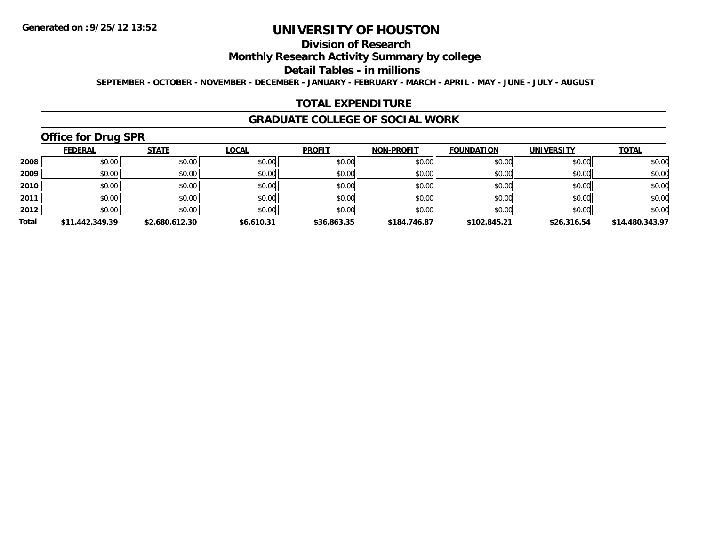# **Division of Research**

### **Monthly Research Activity Summary by college**

#### **Detail Tables - in millions**

**SEPTEMBER - OCTOBER - NOVEMBER - DECEMBER - JANUARY - FEBRUARY - MARCH - APRIL - MAY - JUNE - JULY - AUGUST**

#### **TOTAL EXPENDITURE**

#### **GRADUATE COLLEGE OF SOCIAL WORK**

# **Office for Drug SPR**

|       | <b>FEDERAL</b>  | <b>STATE</b>   | <b>LOCAL</b> | <b>PROFIT</b> | <b>NON-PROFIT</b> | <b>FOUNDATION</b> | <b>UNIVERSITY</b> | <b>TOTAL</b>    |
|-------|-----------------|----------------|--------------|---------------|-------------------|-------------------|-------------------|-----------------|
| 2008  | \$0.00          | \$0.00         | \$0.00       | \$0.00        | \$0.00            | \$0.00            | \$0.00            | \$0.00          |
| 2009  | \$0.00          | \$0.00         | \$0.00       | \$0.00        | \$0.00            | \$0.00            | \$0.00            | \$0.00          |
| 2010  | \$0.00          | \$0.00         | \$0.00       | \$0.00        | \$0.00            | \$0.00            | \$0.00            | \$0.00          |
| 2011  | \$0.00          | \$0.00         | \$0.00       | \$0.00        | \$0.00            | \$0.00            | \$0.00            | \$0.00          |
| 2012  | \$0.00          | \$0.00         | \$0.00       | \$0.00        | \$0.00            | \$0.00            | \$0.00            | \$0.00          |
| Total | \$11,442,349.39 | \$2,680,612.30 | \$6,610.31   | \$36,863.35   | \$184,746.87      | \$102.845.21      | \$26,316.54       | \$14,480,343.97 |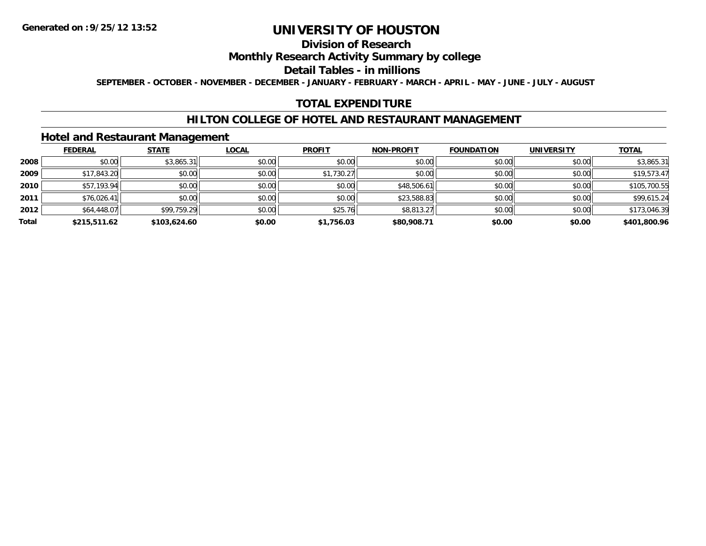## **Division of Research**

### **Monthly Research Activity Summary by college**

#### **Detail Tables - in millions**

**SEPTEMBER - OCTOBER - NOVEMBER - DECEMBER - JANUARY - FEBRUARY - MARCH - APRIL - MAY - JUNE - JULY - AUGUST**

### **TOTAL EXPENDITURE**

#### **HILTON COLLEGE OF HOTEL AND RESTAURANT MANAGEMENT**

#### **Hotel and Restaurant Management**

|       | <b>FEDERAL</b> | <b>STATE</b> | <u>LOCAL</u> | <b>PROFIT</b> | <b>NON-PROFIT</b> | <b>FOUNDATION</b> | <b>UNIVERSITY</b> | <b>TOTAL</b> |
|-------|----------------|--------------|--------------|---------------|-------------------|-------------------|-------------------|--------------|
| 2008  | \$0.00         | \$3,865.31   | \$0.00       | \$0.00        | \$0.00            | \$0.00            | \$0.00            | \$3,865.31   |
| 2009  | \$17,843.20    | \$0.00       | \$0.00       | \$1,730.27    | \$0.00            | \$0.00            | \$0.00            | \$19,573.47  |
| 2010  | \$57,193.94    | \$0.00       | \$0.00       | \$0.00        | \$48,506.61       | \$0.00            | \$0.00            | \$105,700.55 |
| 2011  | \$76,026.41    | \$0.00       | \$0.00       | \$0.00        | \$23,588.83       | \$0.00            | \$0.00            | \$99,615.24  |
| 2012  | \$64,448.07    | \$99,759.29  | \$0.00       | \$25.76       | \$8,813.27        | \$0.00            | \$0.00            | \$173,046.39 |
| Total | \$215,511.62   | \$103,624.60 | \$0.00       | \$1,756.03    | \$80,908.71       | \$0.00            | \$0.00            | \$401,800.96 |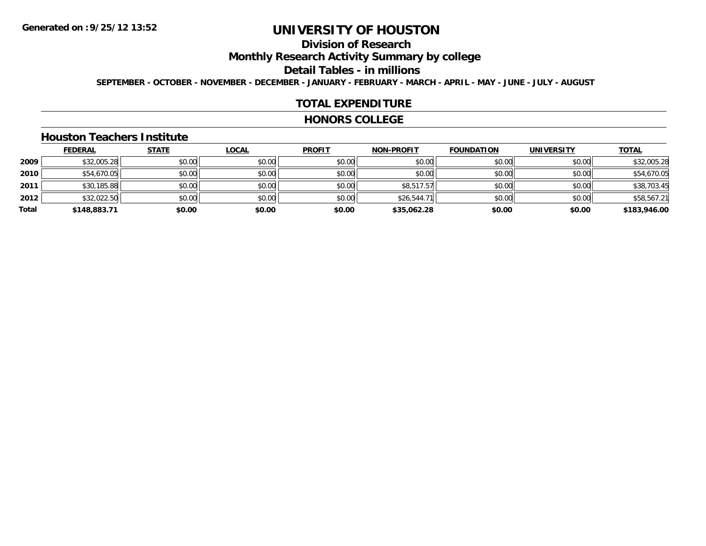# **Division of Research**

**Monthly Research Activity Summary by college**

**Detail Tables - in millions**

**SEPTEMBER - OCTOBER - NOVEMBER - DECEMBER - JANUARY - FEBRUARY - MARCH - APRIL - MAY - JUNE - JULY - AUGUST**

#### **TOTAL EXPENDITURE**

#### **HONORS COLLEGE**

#### **Houston Teachers Institute**

|       | <b>FEDERAL</b> | <b>STATE</b> | <b>LOCAL</b> | <b>PROFIT</b> | <b>NON-PROFIT</b> | <b>FOUNDATION</b> | <b>UNIVERSITY</b> | <b>TOTAL</b> |
|-------|----------------|--------------|--------------|---------------|-------------------|-------------------|-------------------|--------------|
| 2009  | \$32,005.28    | \$0.00       | \$0.00       | \$0.00        | \$0.00            | \$0.00            | \$0.00            | \$32,005.28  |
| 2010  | \$54,670.05    | \$0.00       | \$0.00       | \$0.00        | \$0.00            | \$0.00            | \$0.00            | \$54,670.05  |
| 2011  | \$30,185.88    | \$0.00       | \$0.00       | \$0.00        | \$8,517.57        | \$0.00            | \$0.00            | \$38,703.45  |
| 2012  | \$32,022.50    | \$0.00       | \$0.00       | \$0.00        | \$26,544.71       | \$0.00            | \$0.00            | \$58,567.21  |
| Total | \$148,883.71   | \$0.00       | \$0.00       | \$0.00        | \$35,062.28       | \$0.00            | \$0.00            | \$183,946.00 |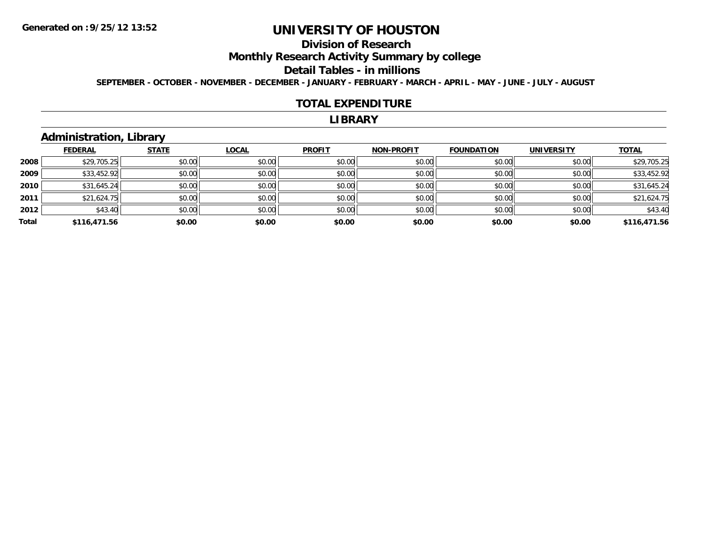# **Division of Research**

**Monthly Research Activity Summary by college**

#### **Detail Tables - in millions**

**SEPTEMBER - OCTOBER - NOVEMBER - DECEMBER - JANUARY - FEBRUARY - MARCH - APRIL - MAY - JUNE - JULY - AUGUST**

#### **TOTAL EXPENDITURE**

#### **LIBRARY**

### **Administration, Library**

|       | <b>FEDERAL</b> | <b>STATE</b> | <b>LOCAL</b> | <b>PROFIT</b> | <b>NON-PROFIT</b> | <b>FOUNDATION</b> | <b>UNIVERSITY</b> | <b>TOTAL</b> |
|-------|----------------|--------------|--------------|---------------|-------------------|-------------------|-------------------|--------------|
| 2008  | \$29,705.25    | \$0.00       | \$0.00       | \$0.00        | \$0.00            | \$0.00            | \$0.00            | \$29,705.25  |
| 2009  | \$33,452.92    | \$0.00       | \$0.00       | \$0.00        | \$0.00            | \$0.00            | \$0.00            | \$33,452.92  |
| 2010  | \$31,645.24    | \$0.00       | \$0.00       | \$0.00        | \$0.00            | \$0.00            | \$0.00            | \$31,645.24  |
| 2011  | \$21,624.75    | \$0.00       | \$0.00       | \$0.00        | \$0.00            | \$0.00            | \$0.00            | \$21,624.75  |
| 2012  | \$43.40        | \$0.00       | \$0.00       | \$0.00        | \$0.00            | \$0.00            | \$0.00            | \$43.40      |
| Total | \$116,471.56   | \$0.00       | \$0.00       | \$0.00        | \$0.00            | \$0.00            | \$0.00            | \$116,471.56 |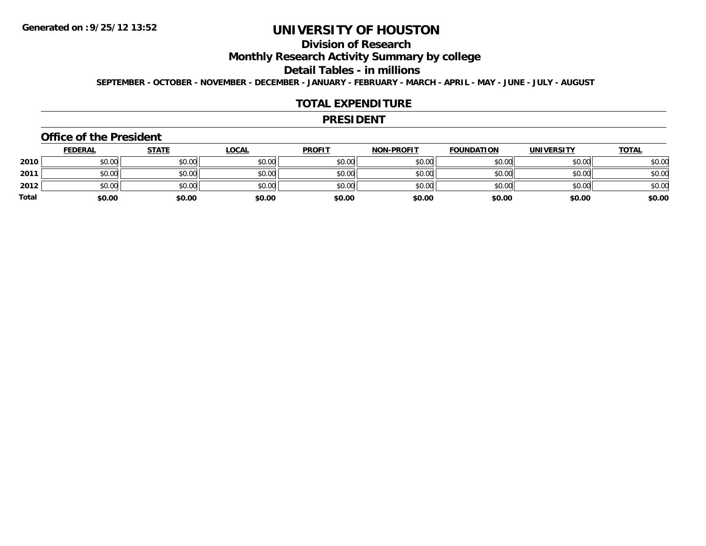# **Division of Research**

**Monthly Research Activity Summary by college**

#### **Detail Tables - in millions**

**SEPTEMBER - OCTOBER - NOVEMBER - DECEMBER - JANUARY - FEBRUARY - MARCH - APRIL - MAY - JUNE - JULY - AUGUST**

#### **TOTAL EXPENDITURE**

#### **PRESIDENT**

#### **Office of the President**

|              | <b>FEDERAL</b> | <u>STATE</u> | <u>LOCAL</u> | <b>PROFIT</b> | <b>NON-PROFIT</b> | <b>FOUNDATION</b> | <b>UNIVERSITY</b> | <b>TOTAL</b> |
|--------------|----------------|--------------|--------------|---------------|-------------------|-------------------|-------------------|--------------|
| 2010         | \$0.00         | \$0.00       | \$0.00       | \$0.00        | \$0.00            | \$0.00            | \$0.00            | \$0.00       |
| 2011         | \$0.00         | \$0.00       | \$0.00       | \$0.00        | \$0.00            | \$0.00            | \$0.00            | \$0.00       |
| 2012         | \$0.00         | \$0.00       | \$0.00       | \$0.00        | \$0.00            | \$0.00            | \$0.00            | \$0.00       |
| <b>Total</b> | \$0.00         | \$0.00       | \$0.00       | \$0.00        | \$0.00            | \$0.00            | \$0.00            | \$0.00       |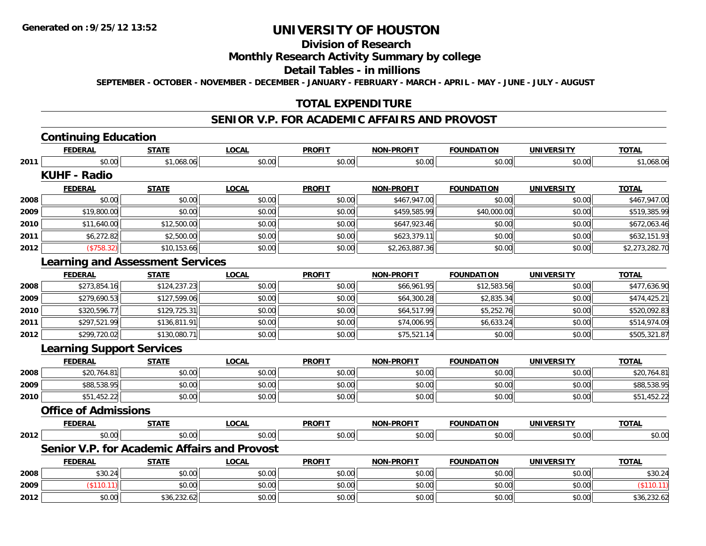# **Division of Research**

#### **Monthly Research Activity Summary by college**

#### **Detail Tables - in millions**

**SEPTEMBER - OCTOBER - NOVEMBER - DECEMBER - JANUARY - FEBRUARY - MARCH - APRIL - MAY - JUNE - JULY - AUGUST**

### **TOTAL EXPENDITURE**

### **SENIOR V.P. FOR ACADEMIC AFFAIRS AND PROVOST**

# **Continuing Education**

|      | <b>FEDERAL</b>                                      | <b>STATE</b> | <b>LOCAL</b> | <b>PROFIT</b> | <b>NON-PROFIT</b> | <b>FOUNDATION</b> | <b>UNIVERSITY</b> | <b>TOTAL</b>   |
|------|-----------------------------------------------------|--------------|--------------|---------------|-------------------|-------------------|-------------------|----------------|
| 2011 | \$0.00                                              | \$1,068.06   | \$0.00       | \$0.00        | \$0.00            | \$0.00            | \$0.00            | \$1,068.06     |
|      | <b>KUHF - Radio</b>                                 |              |              |               |                   |                   |                   |                |
|      | <b>FEDERAL</b>                                      | <b>STATE</b> | <b>LOCAL</b> | <b>PROFIT</b> | <b>NON-PROFIT</b> | <b>FOUNDATION</b> | <b>UNIVERSITY</b> | <b>TOTAL</b>   |
| 2008 | \$0.00                                              | \$0.00       | \$0.00       | \$0.00        | \$467,947.00      | \$0.00            | \$0.00            | \$467,947.00   |
| 2009 | \$19,800.00                                         | \$0.00       | \$0.00       | \$0.00        | \$459,585.99      | \$40,000.00       | \$0.00            | \$519,385.99   |
| 2010 | \$11,640.00                                         | \$12,500.00  | \$0.00       | \$0.00        | \$647,923.46      | \$0.00            | \$0.00            | \$672,063.46   |
| 2011 | \$6,272.82                                          | \$2,500.00   | \$0.00       | \$0.00        | \$623,379.11      | \$0.00            | \$0.00            | \$632,151.93   |
| 2012 | (\$758.32)                                          | \$10,153.66  | \$0.00       | \$0.00        | \$2,263,887.36    | \$0.00            | \$0.00            | \$2,273,282.70 |
|      | <b>Learning and Assessment Services</b>             |              |              |               |                   |                   |                   |                |
|      | <b>FEDERAL</b>                                      | <b>STATE</b> | <b>LOCAL</b> | <b>PROFIT</b> | <b>NON-PROFIT</b> | <b>FOUNDATION</b> | <b>UNIVERSITY</b> | <b>TOTAL</b>   |
| 2008 | \$273,854.16                                        | \$124,237.23 | \$0.00       | \$0.00        | \$66,961.95       | \$12,583.56       | \$0.00            | \$477,636.90   |
| 2009 | \$279,690.53                                        | \$127,599.06 | \$0.00       | \$0.00        | \$64,300.28       | \$2,835.34        | \$0.00            | \$474,425.21   |
| 2010 | \$320,596.77                                        | \$129,725.31 | \$0.00       | \$0.00        | \$64,517.99       | \$5,252.76        | \$0.00            | \$520,092.83   |
| 2011 | \$297,521.99                                        | \$136,811.91 | \$0.00       | \$0.00        | \$74,006.95       | \$6,633.24        | \$0.00            | \$514,974.09   |
| 2012 | \$299,720.02                                        | \$130,080.71 | \$0.00       | \$0.00        | \$75,521.14       | \$0.00            | \$0.00            | \$505,321.87   |
|      | <b>Learning Support Services</b>                    |              |              |               |                   |                   |                   |                |
|      | <b>FEDERAL</b>                                      | <b>STATE</b> | <b>LOCAL</b> | <b>PROFIT</b> | <b>NON-PROFIT</b> | <b>FOUNDATION</b> | <b>UNIVERSITY</b> | <b>TOTAL</b>   |
| 2008 | \$20,764.81                                         | \$0.00       | \$0.00       | \$0.00        | \$0.00            | \$0.00            | \$0.00            | \$20,764.81    |
| 2009 | \$88,538.95                                         | \$0.00       | \$0.00       | \$0.00        | \$0.00            | \$0.00            | \$0.00            | \$88,538.95    |
| 2010 | \$51,452.22                                         | \$0.00       | \$0.00       | \$0.00        | \$0.00            | \$0.00            | \$0.00            | \$51,452.22    |
|      | <b>Office of Admissions</b>                         |              |              |               |                   |                   |                   |                |
|      | <b>FEDERAL</b>                                      | <b>STATE</b> | <b>LOCAL</b> | <b>PROFIT</b> | <b>NON-PROFIT</b> | <b>FOUNDATION</b> | <b>UNIVERSITY</b> | <b>TOTAL</b>   |
| 2012 | \$0.00                                              | \$0.00       | \$0.00       | \$0.00        | \$0.00            | \$0.00            | \$0.00            | \$0.00         |
|      | <b>Senior V.P. for Academic Affairs and Provost</b> |              |              |               |                   |                   |                   |                |
|      | <b>FEDERAL</b>                                      | <b>STATE</b> | <b>LOCAL</b> | <b>PROFIT</b> | <b>NON-PROFIT</b> | <b>FOUNDATION</b> | <b>UNIVERSITY</b> | <b>TOTAL</b>   |
| 2008 | \$30.24                                             | \$0.00       | \$0.00       | \$0.00        | \$0.00            | \$0.00            | \$0.00            | \$30.24        |
| 2009 | (\$110.11)                                          | \$0.00       | \$0.00       | \$0.00        | \$0.00            | \$0.00            | \$0.00            | (\$110.11)     |
| 2012 | \$0.00                                              | \$36,232.62  | \$0.00       | \$0.00        | \$0.00            | \$0.00            | \$0.00            | \$36,232.62    |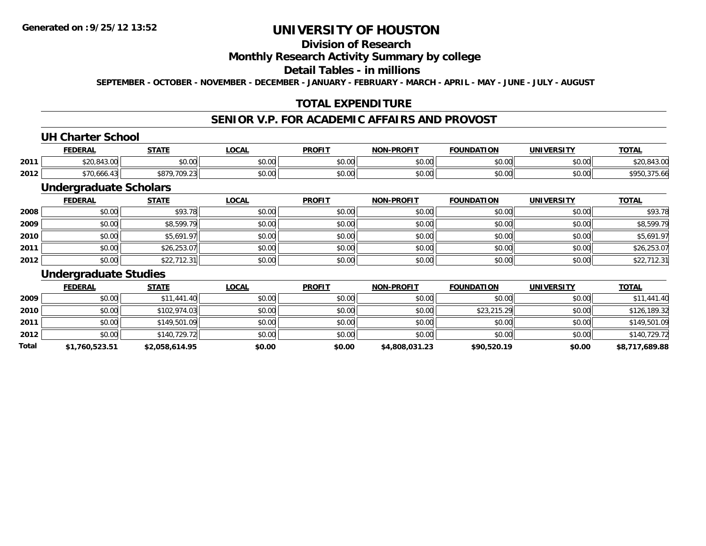## **Division of Research**

#### **Monthly Research Activity Summary by college**

#### **Detail Tables - in millions**

**SEPTEMBER - OCTOBER - NOVEMBER - DECEMBER - JANUARY - FEBRUARY - MARCH - APRIL - MAY - JUNE - JULY - AUGUST**

### **TOTAL EXPENDITURE**

## **SENIOR V.P. FOR ACADEMIC AFFAIRS AND PROVOST**

#### **UH Charter School**

|      | <b>FEDERAL</b>              | <b>CTATE</b>               | .OCAL  | <b>PROFIT</b>           | -PROFIT<br>NON. | <b>FOUNDATION</b>     | UNIVERSITY | <b>TOTAL</b> |
|------|-----------------------------|----------------------------|--------|-------------------------|-----------------|-----------------------|------------|--------------|
| 2011 | $\sim$ $\sim$<br>920.043.UU | 0000<br>JU.UU              | \$0.00 | 0 <sub>n</sub><br>JU.UU | 0000<br>vu.vu   | $\sim$ $\sim$<br>0.00 | \$0.00     |              |
| 2012 | $\cdot$<br>70.666.43        | $*$ 070.<br>.709.23<br>, ט | \$0.00 | 0 <sub>n</sub><br>JU.UL | 0000<br>vv.vv   | \$0.00                | \$0.00     |              |

### **Undergraduate Scholars**

|      | <b>FEDERAL</b> | <b>STATE</b> | <u>LOCAL</u> | <b>PROFIT</b> | <b>NON-PROFIT</b> | <b>FOUNDATION</b> | <b>UNIVERSITY</b> | <b>TOTAL</b> |
|------|----------------|--------------|--------------|---------------|-------------------|-------------------|-------------------|--------------|
| 2008 | \$0.00         | \$93.78      | \$0.00       | \$0.00        | \$0.00            | \$0.00            | \$0.00            | \$93.78      |
| 2009 | \$0.00         | \$8,599.79   | \$0.00       | \$0.00        | \$0.00            | \$0.00            | \$0.00            | \$8,599.79   |
| 2010 | \$0.00         | \$5,691.97   | \$0.00       | \$0.00        | \$0.00            | \$0.00            | \$0.00            | \$5,691.97   |
| 2011 | \$0.00         | \$26,253.07  | \$0.00       | \$0.00        | \$0.00            | \$0.00            | \$0.00            | \$26,253.07  |
| 2012 | \$0.00         | \$22,712.31  | \$0.00       | \$0.00        | \$0.00            | \$0.00            | \$0.00            | \$22,712.31  |

#### **Undergraduate Studies**

|       | <b>FEDERAL</b> | <b>STATE</b>   | <u>LOCAL</u> | <b>PROFIT</b> | <b>NON-PROFIT</b> | <b>FOUNDATION</b> | <b>UNIVERSITY</b> | <b>TOTAL</b>   |
|-------|----------------|----------------|--------------|---------------|-------------------|-------------------|-------------------|----------------|
| 2009  | \$0.00         | \$11,441.40    | \$0.00       | \$0.00        | \$0.00            | \$0.00            | \$0.00            | \$11,441.40    |
| 2010  | \$0.00         | \$102,974.03   | \$0.00       | \$0.00        | \$0.00            | \$23,215.29       | \$0.00            | \$126,189.32   |
| 2011  | \$0.00         | \$149,501.09   | \$0.00       | \$0.00        | \$0.00            | \$0.00            | \$0.00            | \$149,501.09   |
| 2012  | \$0.00         | \$140,729.72   | \$0.00       | \$0.00        | \$0.00            | \$0.00            | \$0.00            | \$140,729.72   |
| Total | \$1,760,523.51 | \$2,058,614.95 | \$0.00       | \$0.00        | \$4,808,031.23    | \$90,520.19       | \$0.00            | \$8,717,689.88 |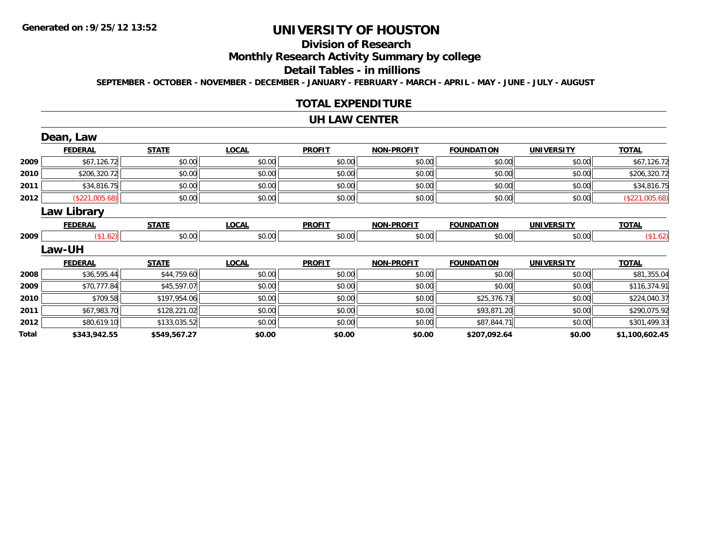# **Division of Research**

**Monthly Research Activity Summary by college**

#### **Detail Tables - in millions**

**SEPTEMBER - OCTOBER - NOVEMBER - DECEMBER - JANUARY - FEBRUARY - MARCH - APRIL - MAY - JUNE - JULY - AUGUST**

#### **TOTAL EXPENDITURE**

#### **UH LAW CENTER**

|       | Dean, Law          |              |              |               |                   |                   |                   |                |
|-------|--------------------|--------------|--------------|---------------|-------------------|-------------------|-------------------|----------------|
|       | <b>FEDERAL</b>     | <b>STATE</b> | <b>LOCAL</b> | <b>PROFIT</b> | <b>NON-PROFIT</b> | <b>FOUNDATION</b> | <b>UNIVERSITY</b> | <b>TOTAL</b>   |
| 2009  | \$67,126.72        | \$0.00       | \$0.00       | \$0.00        | \$0.00            | \$0.00            | \$0.00            | \$67,126.72    |
| 2010  | \$206,320.72       | \$0.00       | \$0.00       | \$0.00        | \$0.00            | \$0.00            | \$0.00            | \$206,320.72   |
| 2011  | \$34,816.75        | \$0.00       | \$0.00       | \$0.00        | \$0.00            | \$0.00            | \$0.00            | \$34,816.75    |
| 2012  | (\$221,005.68)     | \$0.00       | \$0.00       | \$0.00        | \$0.00            | \$0.00            | \$0.00            | (\$221,005.68) |
|       | <b>Law Library</b> |              |              |               |                   |                   |                   |                |
|       | <b>FEDERAL</b>     | <b>STATE</b> | <b>LOCAL</b> | <b>PROFIT</b> | <b>NON-PROFIT</b> | <b>FOUNDATION</b> | <b>UNIVERSITY</b> | <b>TOTAL</b>   |
| 2009  | (\$1.62)           | \$0.00       | \$0.00       | \$0.00        | \$0.00            | \$0.00            | \$0.00            | (\$1.62)       |
|       | <b>Law-UH</b>      |              |              |               |                   |                   |                   |                |
|       | <b>FEDERAL</b>     | <b>STATE</b> | <b>LOCAL</b> | <b>PROFIT</b> | <b>NON-PROFIT</b> | <b>FOUNDATION</b> | <b>UNIVERSITY</b> | <b>TOTAL</b>   |
| 2008  | \$36,595.44        | \$44,759.60  | \$0.00       | \$0.00        | \$0.00            | \$0.00            | \$0.00            | \$81,355.04    |
| 2009  | \$70,777.84        | \$45,597.07  | \$0.00       | \$0.00        | \$0.00            | \$0.00            | \$0.00            | \$116,374.91   |
| 2010  | \$709.58           | \$197,954.06 | \$0.00       | \$0.00        | \$0.00            | \$25,376.73       | \$0.00            | \$224,040.37   |
| 2011  | \$67,983.70        | \$128,221.02 | \$0.00       | \$0.00        | \$0.00            | \$93,871.20       | \$0.00            | \$290,075.92   |
| 2012  | \$80,619.10        | \$133,035.52 | \$0.00       | \$0.00        | \$0.00            | \$87,844.71       | \$0.00            | \$301,499.33   |
| Total | \$343,942.55       | \$549,567.27 | \$0.00       | \$0.00        | \$0.00            | \$207,092.64      | \$0.00            | \$1,100,602.45 |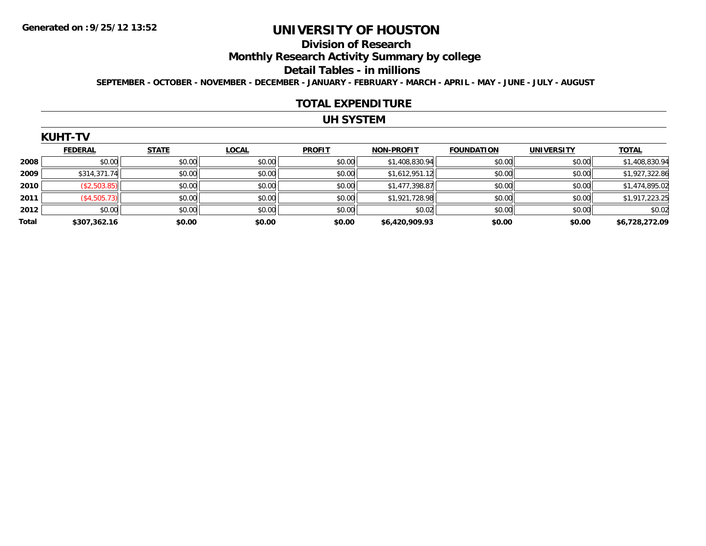#### **Division of Research**

**Monthly Research Activity Summary by college**

#### **Detail Tables - in millions**

**SEPTEMBER - OCTOBER - NOVEMBER - DECEMBER - JANUARY - FEBRUARY - MARCH - APRIL - MAY - JUNE - JULY - AUGUST**

#### **TOTAL EXPENDITURE**

## **UH SYSTEM**

|       | <b>FEDERAL</b> | <b>STATE</b> | <b>LOCAL</b> | <b>PROFIT</b> | <b>NON-PROFIT</b> | <b>FOUNDATION</b> | <b>UNIVERSITY</b> | <b>TOTAL</b>   |
|-------|----------------|--------------|--------------|---------------|-------------------|-------------------|-------------------|----------------|
| 2008  | \$0.00         | \$0.00       | \$0.00       | \$0.00        | \$1,408,830.94    | \$0.00            | \$0.00            | \$1,408,830.94 |
| 2009  | \$314,371.74   | \$0.00       | \$0.00       | \$0.00        | \$1,612,951.12    | \$0.00            | \$0.00            | \$1,927,322.86 |
| 2010  | (\$2,503.85)   | \$0.00       | \$0.00       | \$0.00        | \$1,477,398.87    | \$0.00            | \$0.00            | \$1,474,895.02 |
| 2011  | (\$4,505.73)   | \$0.00       | \$0.00       | \$0.00        | \$1,921,728.98    | \$0.00            | \$0.00            | \$1,917,223.25 |
| 2012  | \$0.00         | \$0.00       | \$0.00       | \$0.00        | \$0.02            | \$0.00            | \$0.00            | \$0.02         |
| Total | \$307,362.16   | \$0.00       | \$0.00       | \$0.00        | \$6,420,909.93    | \$0.00            | \$0.00            | \$6,728,272.09 |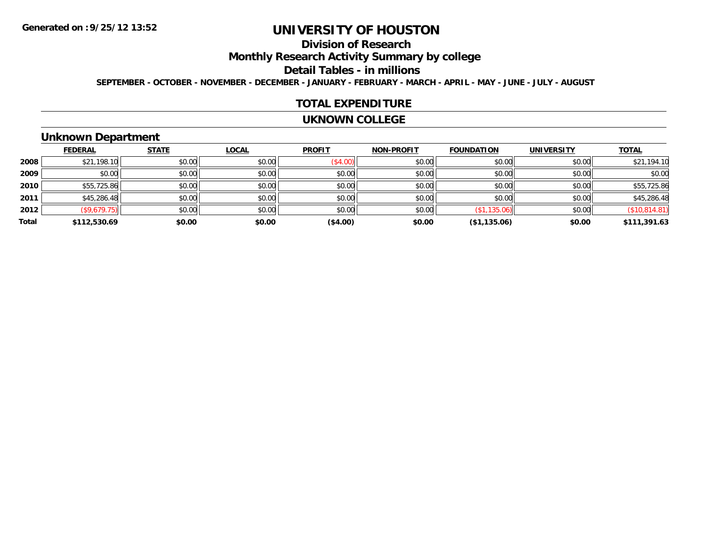# **Division of Research**

**Monthly Research Activity Summary by college**

#### **Detail Tables - in millions**

**SEPTEMBER - OCTOBER - NOVEMBER - DECEMBER - JANUARY - FEBRUARY - MARCH - APRIL - MAY - JUNE - JULY - AUGUST**

#### **TOTAL EXPENDITURE**

#### **UKNOWN COLLEGE**

### **Unknown Department**

|       | <b>FEDERAL</b> | <b>STATE</b> | <b>LOCAL</b> | <b>PROFIT</b> | <b>NON-PROFIT</b> | <b>FOUNDATION</b> | <b>UNIVERSITY</b> | <b>TOTAL</b>  |
|-------|----------------|--------------|--------------|---------------|-------------------|-------------------|-------------------|---------------|
| 2008  | \$21,198.10    | \$0.00       | \$0.00       | (\$4.00)      | \$0.00            | \$0.00            | \$0.00            | \$21,194.10   |
| 2009  | \$0.00         | \$0.00       | \$0.00       | \$0.00        | \$0.00            | \$0.00            | \$0.00            | \$0.00        |
| 2010  | \$55,725.86    | \$0.00       | \$0.00       | \$0.00        | \$0.00            | \$0.00            | \$0.00            | \$55,725.86   |
| 2011  | \$45,286.48    | \$0.00       | \$0.00       | \$0.00        | \$0.00            | \$0.00            | \$0.00            | \$45,286.48   |
| 2012  | (\$9,679.75)   | \$0.00       | \$0.00       | \$0.00        | \$0.00            | (\$1,135.06)      | \$0.00            | (\$10,814.81) |
| Total | \$112,530.69   | \$0.00       | \$0.00       | (\$4.00)      | \$0.00            | (\$1,135.06)      | \$0.00            | \$111,391.63  |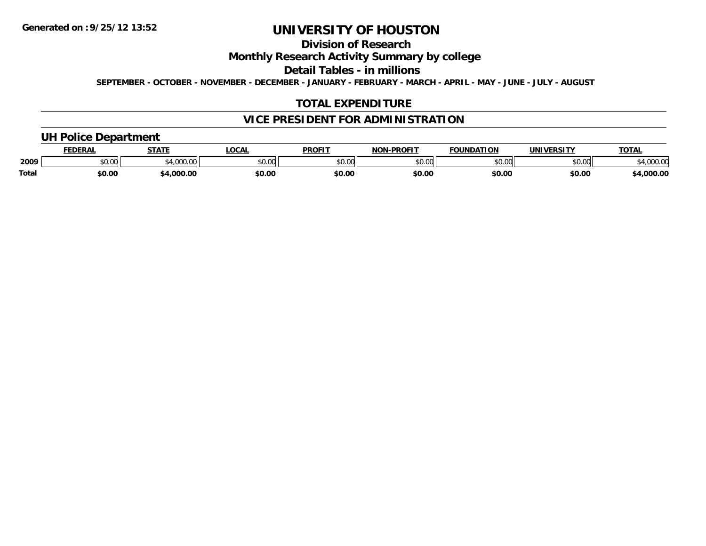# **Division of Research**

### **Monthly Research Activity Summary by college**

**Detail Tables - in millions**

**SEPTEMBER - OCTOBER - NOVEMBER - DECEMBER - JANUARY - FEBRUARY - MARCH - APRIL - MAY - JUNE - JULY - AUGUST**

### **TOTAL EXPENDITURE**

## **VICE PRESIDENT FOR ADMINISTRATION**

### **UH Police Department**

|       | <b>FEDERAL</b> | <b>STATE</b>    | .OCA.  | <b>PROFIT</b> | $M-PROF1$<br><b>NON</b> | <b>FOUNDATION</b> | <b>UNIVERSITY</b> | TOTA.              |
|-------|----------------|-----------------|--------|---------------|-------------------------|-------------------|-------------------|--------------------|
| 2009  | \$0.00         | 00000<br>JUU.UU | \$0.00 | \$0.00        | \$0.00                  | \$0.00            | \$0.00            | 00000<br>04,UUU.UU |
| Total | \$0.00         | \$4,000.00      | \$0.00 | \$0.00        | \$0.00                  | \$0.00            | \$0.00            | \$4,000.00         |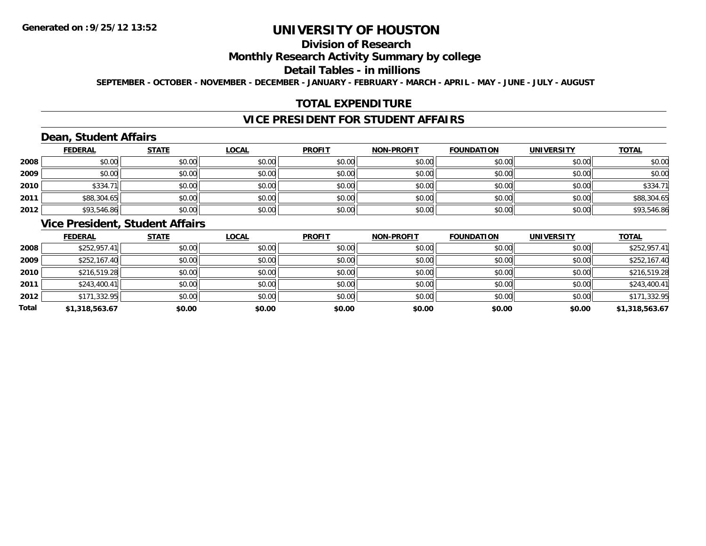# **Division of Research**

### **Monthly Research Activity Summary by college**

#### **Detail Tables - in millions**

**SEPTEMBER - OCTOBER - NOVEMBER - DECEMBER - JANUARY - FEBRUARY - MARCH - APRIL - MAY - JUNE - JULY - AUGUST**

### **TOTAL EXPENDITURE**

## **VICE PRESIDENT FOR STUDENT AFFAIRS**

## **Dean, Student Affairs**

|      | <b>FEDERAL</b> | <b>STATE</b> | <b>LOCAL</b> | <b>PROFIT</b> | <b>NON-PROFIT</b> | <b>FOUNDATION</b> | <b>UNIVERSITY</b> | <b>TOTAL</b> |
|------|----------------|--------------|--------------|---------------|-------------------|-------------------|-------------------|--------------|
| 2008 | \$0.00         | \$0.00       | \$0.00       | \$0.00        | \$0.00            | \$0.00            | \$0.00            | \$0.00       |
| 2009 | \$0.00         | \$0.00       | \$0.00       | \$0.00        | \$0.00            | \$0.00            | \$0.00            | \$0.00       |
| 2010 | \$334.         | \$0.00       | \$0.00       | \$0.00        | \$0.00            | \$0.00            | \$0.00            | \$334.71     |
| 2011 | \$88,304.65    | \$0.00       | \$0.00       | \$0.00        | \$0.00            | \$0.00            | \$0.00            | \$88,304.65  |
| 2012 | \$93,546.86    | \$0.00       | \$0.00       | \$0.00        | \$0.00            | \$0.00            | \$0.00            | \$93,546.86  |

### **Vice President, Student Affairs**

|       | <b>FEDERAL</b> | <u>STATE</u> | <b>LOCAL</b> | <b>PROFIT</b> | <b>NON-PROFIT</b> | <b>FOUNDATION</b> | <b>UNIVERSITY</b> | <b>TOTAL</b>   |
|-------|----------------|--------------|--------------|---------------|-------------------|-------------------|-------------------|----------------|
| 2008  | \$252,957.41   | \$0.00       | \$0.00       | \$0.00        | \$0.00            | \$0.00            | \$0.00            | \$252,957.41   |
| 2009  | \$252,167.40   | \$0.00       | \$0.00       | \$0.00        | \$0.00            | \$0.00            | \$0.00            | \$252,167.40   |
| 2010  | \$216,519.28   | \$0.00       | \$0.00       | \$0.00        | \$0.00            | \$0.00            | \$0.00            | \$216,519.28   |
| 2011  | \$243,400.41   | \$0.00       | \$0.00       | \$0.00        | \$0.00            | \$0.00            | \$0.00            | \$243,400.41   |
| 2012  | \$171,332.95   | \$0.00       | \$0.00       | \$0.00        | \$0.00            | \$0.00            | \$0.00            | \$171,332.95   |
| Total | \$1,318,563.67 | \$0.00       | \$0.00       | \$0.00        | \$0.00            | \$0.00            | \$0.00            | \$1,318,563.67 |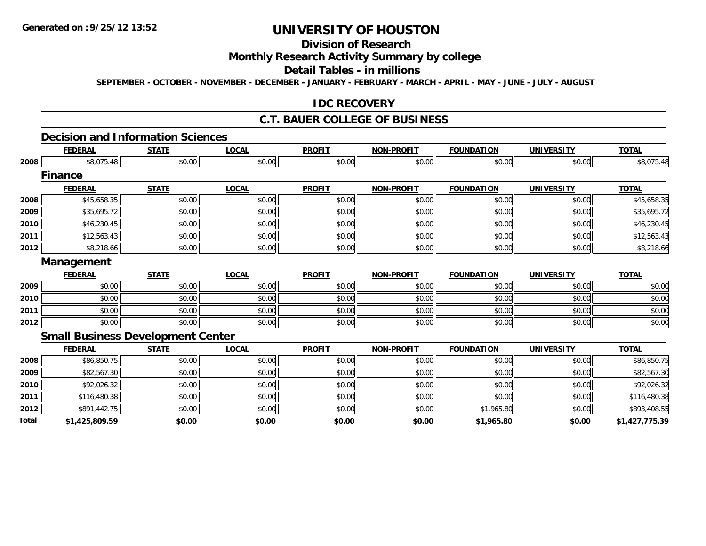# **Division of Research**

### **Monthly Research Activity Summary by college**

#### **Detail Tables - in millions**

**SEPTEMBER - OCTOBER - NOVEMBER - DECEMBER - JANUARY - FEBRUARY - MARCH - APRIL - MAY - JUNE - JULY - AUGUST**

#### **IDC RECOVERY**

#### **C.T. BAUER COLLEGE OF BUSINESS**

#### **Decision and Information Sciences**

|       | <b>FEDERAL</b>                           | <b>STATE</b> | <b>LOCAL</b> | <b>PROFIT</b> | <b>NON-PROFIT</b> | <b>FOUNDATION</b> | <b>UNIVERSITY</b> | <b>TOTAL</b>   |
|-------|------------------------------------------|--------------|--------------|---------------|-------------------|-------------------|-------------------|----------------|
| 2008  | \$8,075.48                               | \$0.00       | \$0.00       | \$0.00        | \$0.00            | \$0.00            | \$0.00            | \$8,075.48     |
|       | <b>Finance</b>                           |              |              |               |                   |                   |                   |                |
|       | <b>FEDERAL</b>                           | <b>STATE</b> | <b>LOCAL</b> | <b>PROFIT</b> | <b>NON-PROFIT</b> | <b>FOUNDATION</b> | <b>UNIVERSITY</b> | <b>TOTAL</b>   |
| 2008  | \$45,658.35                              | \$0.00       | \$0.00       | \$0.00        | \$0.00            | \$0.00            | \$0.00            | \$45,658.35    |
| 2009  | \$35,695.72                              | \$0.00       | \$0.00       | \$0.00        | \$0.00            | \$0.00            | \$0.00            | \$35,695.72    |
| 2010  | \$46,230.45                              | \$0.00       | \$0.00       | \$0.00        | \$0.00            | \$0.00            | \$0.00            | \$46,230.45    |
| 2011  | \$12,563.43                              | \$0.00       | \$0.00       | \$0.00        | \$0.00            | \$0.00            | \$0.00            | \$12,563.43    |
| 2012  | \$8,218.66                               | \$0.00       | \$0.00       | \$0.00        | \$0.00            | \$0.00            | \$0.00            | \$8,218.66     |
|       | <b>Management</b>                        |              |              |               |                   |                   |                   |                |
|       | <b>FEDERAL</b>                           | <b>STATE</b> | <b>LOCAL</b> | <b>PROFIT</b> | <b>NON-PROFIT</b> | <b>FOUNDATION</b> | <b>UNIVERSITY</b> | <b>TOTAL</b>   |
| 2009  | \$0.00                                   | \$0.00       | \$0.00       | \$0.00        | \$0.00            | \$0.00            | \$0.00            | \$0.00         |
| 2010  | \$0.00                                   | \$0.00       | \$0.00       | \$0.00        | \$0.00            | \$0.00            | \$0.00            | \$0.00         |
| 2011  | \$0.00                                   | \$0.00       | \$0.00       | \$0.00        | \$0.00            | \$0.00            | \$0.00            | \$0.00         |
| 2012  | \$0.00                                   | \$0.00       | \$0.00       | \$0.00        | \$0.00            | \$0.00            | \$0.00            | \$0.00         |
|       | <b>Small Business Development Center</b> |              |              |               |                   |                   |                   |                |
|       | <b>FEDERAL</b>                           | <b>STATE</b> | <b>LOCAL</b> | <b>PROFIT</b> | <b>NON-PROFIT</b> | <b>FOUNDATION</b> | <b>UNIVERSITY</b> | <b>TOTAL</b>   |
| 2008  | \$86,850.75                              | \$0.00       | \$0.00       | \$0.00        | \$0.00            | \$0.00            | \$0.00            | \$86,850.75    |
| 2009  | \$82,567.30                              | \$0.00       | \$0.00       | \$0.00        | \$0.00            | \$0.00            | \$0.00            | \$82,567.30    |
| 2010  | \$92,026.32                              | \$0.00       | \$0.00       | \$0.00        | \$0.00            | \$0.00            | \$0.00            | \$92,026.32    |
| 2011  | \$116,480.38                             | \$0.00       | \$0.00       | \$0.00        | \$0.00            | \$0.00            | \$0.00            | \$116,480.38   |
| 2012  | \$891,442.75                             | \$0.00       | \$0.00       | \$0.00        | \$0.00            | \$1,965.80        | \$0.00            | \$893,408.55   |
| Total | \$1,425,809.59                           | \$0.00       | \$0.00       | \$0.00        | \$0.00            | \$1,965.80        | \$0.00            | \$1,427,775.39 |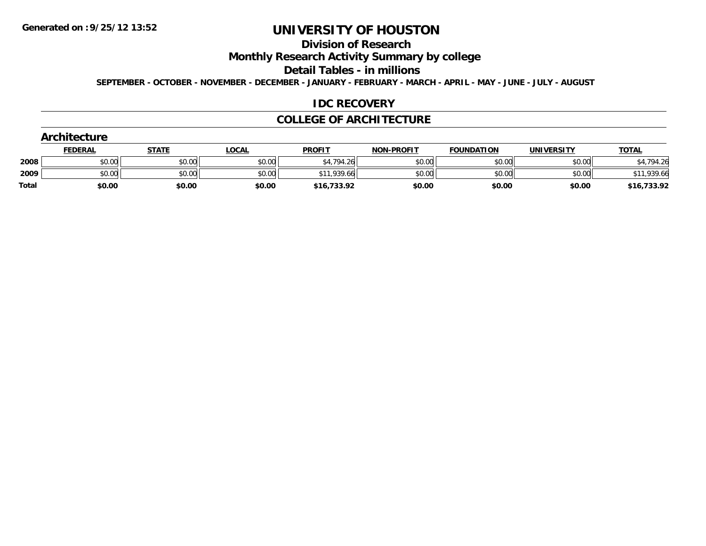# **Division of Research**

**Monthly Research Activity Summary by college**

**Detail Tables - in millions**

**SEPTEMBER - OCTOBER - NOVEMBER - DECEMBER - JANUARY - FEBRUARY - MARCH - APRIL - MAY - JUNE - JULY - AUGUST**

#### **IDC RECOVERY**

#### **COLLEGE OF ARCHITECTURE**

| Architecture |                |              |              |               |                   |                   |                   |              |
|--------------|----------------|--------------|--------------|---------------|-------------------|-------------------|-------------------|--------------|
|              | <b>FEDERAL</b> | <u>STATE</u> | <u>LOCAL</u> | <b>PROFIT</b> | <b>NON-PROFIT</b> | <b>FOUNDATION</b> | <b>UNIVERSITY</b> | <b>TOTAL</b> |
| 2008         | \$0.00         | \$0.00       | \$0.00       | \$4,794.26    | \$0.00            | \$0.00            | \$0.00            | \$4,794.26   |
| 2009         | \$0.00         | \$0.00       | \$0.00       | \$11,939.66   | \$0.00            | \$0.00            | \$0.00            | \$11,939.66  |
| <b>Total</b> | \$0.00         | \$0.00       | \$0.00       | \$16,733.92   | \$0.00            | \$0.00            | \$0.00            | \$16,733.92  |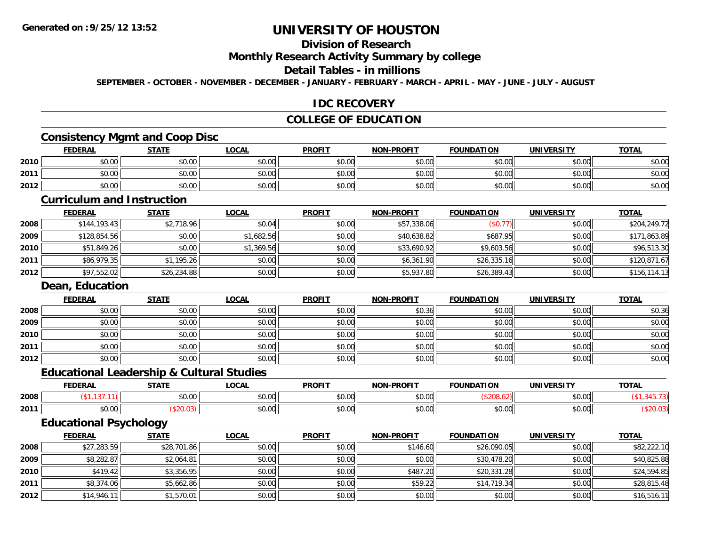## **Division of Research**

#### **Monthly Research Activity Summary by college**

#### **Detail Tables - in millions**

**SEPTEMBER - OCTOBER - NOVEMBER - DECEMBER - JANUARY - FEBRUARY - MARCH - APRIL - MAY - JUNE - JULY - AUGUST**

#### **IDC RECOVERY**

### **COLLEGE OF EDUCATION**

#### **Consistency Mgmt and Coop Disc**

|      | <u>FEDERAL</u> | <b>STATE</b> | <u>LOCAL</u> | <b>PROFIT</b> | <b>NON-PROFIT</b> | <b>FOUNDATION</b> | <b>UNIVERSITY</b> | <b>TOTAL</b> |
|------|----------------|--------------|--------------|---------------|-------------------|-------------------|-------------------|--------------|
| 2010 | \$0.00         | \$0.00       | \$0.00       | \$0.00        | \$0.00            | \$0.00            | \$0.00            | \$0.00       |
| 2011 | \$0.00         | \$0.00       | \$0.00       | \$0.00        | \$0.00            | \$0.00            | \$0.00            | \$0.00       |
| 2012 | \$0.00         | \$0.00       | \$0.00       | \$0.00        | \$0.00            | \$0.00            | \$0.00            | \$0.00       |

#### **Curriculum and Instruction**

|      | <b>FEDERAL</b> | <b>STATE</b> | <b>LOCAL</b> | <b>PROFIT</b> | <b>NON-PROFIT</b> | <b>FOUNDATION</b> | <b>UNIVERSITY</b> | <b>TOTAL</b> |
|------|----------------|--------------|--------------|---------------|-------------------|-------------------|-------------------|--------------|
| 2008 | \$144, 193.43  | \$2,718.96   | \$0.04       | \$0.00        | \$57,338.06       | (\$0.77)          | \$0.00            | \$204,249.72 |
| 2009 | \$128,854.56   | \$0.00       | \$1,682.56   | \$0.00        | \$40,638.82       | \$687.95          | \$0.00            | \$171,863.89 |
| 2010 | \$51,849.26    | \$0.00       | \$1,369.56   | \$0.00        | \$33,690.92       | \$9,603.56        | \$0.00            | \$96,513.30  |
| 2011 | \$86,979.35    | \$1,195.26   | \$0.00       | \$0.00        | \$6,361.90        | \$26,335.16       | \$0.00            | \$120,871.67 |
| 2012 | \$97,552.02    | \$26,234.88  | \$0.00       | \$0.00        | \$5,937.80        | \$26,389.43       | \$0.00            | \$156,114.13 |

#### **Dean, Education**

|      | <u>FEDERAL</u> | <b>STATE</b> | <u>LOCAL</u> | <b>PROFIT</b> | NON-PROFIT | <b>FOUNDATION</b> | <b>UNIVERSITY</b> | <b>TOTAL</b> |
|------|----------------|--------------|--------------|---------------|------------|-------------------|-------------------|--------------|
| 2008 | \$0.00         | \$0.00       | \$0.00       | \$0.00        | \$0.36     | \$0.00            | \$0.00            | \$0.36       |
| 2009 | \$0.00         | \$0.00       | \$0.00       | \$0.00        | \$0.00     | \$0.00            | \$0.00            | \$0.00       |
| 2010 | \$0.00         | \$0.00       | \$0.00       | \$0.00        | \$0.00     | \$0.00            | \$0.00            | \$0.00       |
| 2011 | \$0.00         | \$0.00       | \$0.00       | \$0.00        | \$0.00     | \$0.00            | \$0.00            | \$0.00       |
| 2012 | \$0.00         | \$0.00       | \$0.00       | \$0.00        | \$0.00     | \$0.00            | \$0.00            | \$0.00       |

#### **Educational Leadership & Cultural Studies**

|      |      | ----                   | 00N                           | <b>DDOEIT</b>                             | ------<br><b>NICH</b>  | .<br>.               |                               | $-2$ |
|------|------|------------------------|-------------------------------|-------------------------------------------|------------------------|----------------------|-------------------------------|------|
| 2008 |      | $\sim$ $\sim$<br>pu.uu | $\sim$ $\sim$ $\sim$<br>40.00 | $\uparrow$ $\uparrow$ $\uparrow$<br>JU.UL | $\sim$ $\sim$<br>vv.vv |                      | $\sim$ $\sim$<br><b>JU.UU</b> |      |
| 2011 | ט.טע |                        | $\sim$ $\sim$ $\sim$<br>vv.vv | $\sim$ $\sim$<br>JU.U                     | $\sim$ $\sim$<br>ט.טע  | $\sim$ $\sim$<br>ט.ט | $\sim$ $\sim$<br>vv.vv        |      |

### **Educational Psychology**

|      | <u>FEDERAL</u> | <b>STATE</b> | <u>LOCAL</u> | <b>PROFIT</b> | <b>NON-PROFIT</b> | <b>FOUNDATION</b> | <b>UNIVERSITY</b> | <b>TOTAL</b> |
|------|----------------|--------------|--------------|---------------|-------------------|-------------------|-------------------|--------------|
| 2008 | \$27,283.59    | \$28,701.86  | \$0.00       | \$0.00        | \$146.60          | \$26,090.05       | \$0.00            | \$82,222.10  |
| 2009 | \$8,282.87     | \$2,064.81   | \$0.00       | \$0.00        | \$0.00            | \$30,478.20       | \$0.00            | \$40,825.88  |
| 2010 | \$419.42       | \$3,356.95   | \$0.00       | \$0.00        | \$487.20          | \$20,331.28       | \$0.00            | \$24,594.85  |
| 2011 | \$8,374.06     | \$5,662.86   | \$0.00       | \$0.00        | \$59.22           | \$14,719.34       | \$0.00            | \$28,815.48  |
| 2012 | \$14,946.11    | \$1,570.01   | \$0.00       | \$0.00        | \$0.00            | \$0.00            | \$0.00            | \$16,516.11  |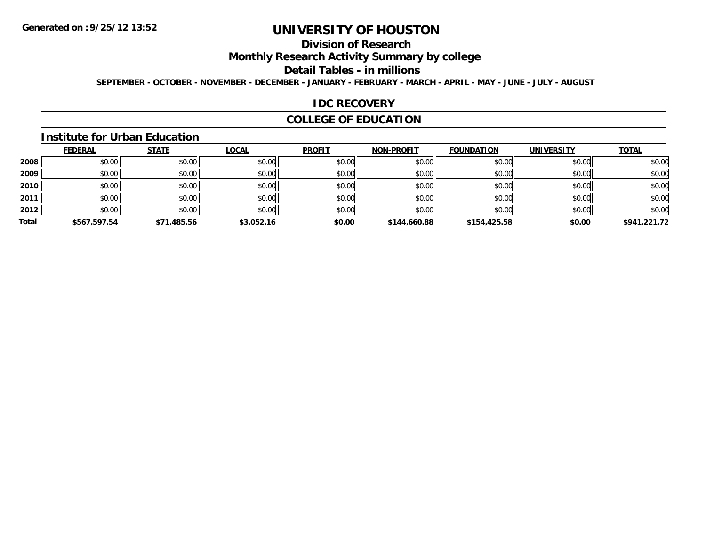## **Division of Research**

**Monthly Research Activity Summary by college**

#### **Detail Tables - in millions**

**SEPTEMBER - OCTOBER - NOVEMBER - DECEMBER - JANUARY - FEBRUARY - MARCH - APRIL - MAY - JUNE - JULY - AUGUST**

#### **IDC RECOVERY**

### **COLLEGE OF EDUCATION**

#### **Institute for Urban Education**

|       | <b>FEDERAL</b> | <b>STATE</b> | <b>LOCAL</b> | <b>PROFIT</b> | <b>NON-PROFIT</b> | <b>FOUNDATION</b> | <b>UNIVERSITY</b> | <b>TOTAL</b> |
|-------|----------------|--------------|--------------|---------------|-------------------|-------------------|-------------------|--------------|
| 2008  | \$0.00         | \$0.00       | \$0.00       | \$0.00        | \$0.00            | \$0.00            | \$0.00            | \$0.00       |
| 2009  | \$0.00         | \$0.00       | \$0.00       | \$0.00        | \$0.00            | \$0.00            | \$0.00            | \$0.00       |
| 2010  | \$0.00         | \$0.00       | \$0.00       | \$0.00        | \$0.00            | \$0.00            | \$0.00            | \$0.00       |
| 2011  | \$0.00         | \$0.00       | \$0.00       | \$0.00        | \$0.00            | \$0.00            | \$0.00            | \$0.00       |
| 2012  | \$0.00         | \$0.00       | \$0.00       | \$0.00        | \$0.00            | \$0.00            | \$0.00            | \$0.00       |
| Total | \$567,597.54   | \$71,485.56  | \$3,052.16   | \$0.00        | \$144,660.88      | \$154,425.58      | \$0.00            | \$941,221.72 |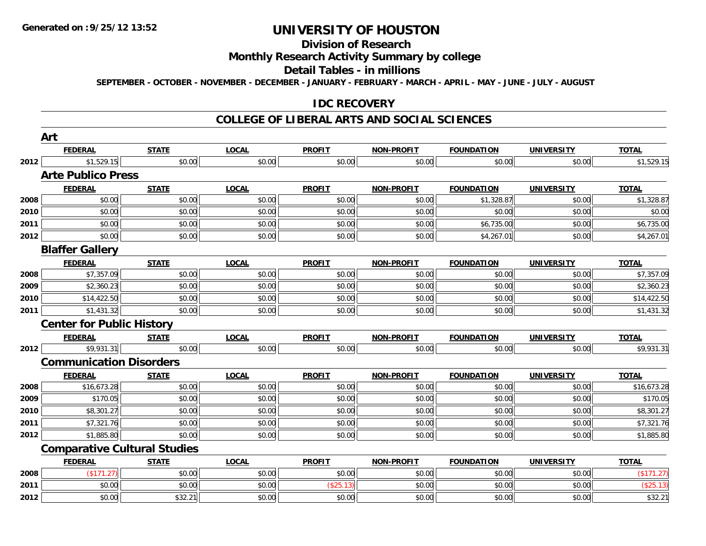## **Division of Research**

### **Monthly Research Activity Summary by college**

#### **Detail Tables - in millions**

**SEPTEMBER - OCTOBER - NOVEMBER - DECEMBER - JANUARY - FEBRUARY - MARCH - APRIL - MAY - JUNE - JULY - AUGUST**

#### **IDC RECOVERY**

#### **COLLEGE OF LIBERAL ARTS AND SOCIAL SCIENCES**

|      | Art                                 |              |              |               |                   |                   |                   |              |
|------|-------------------------------------|--------------|--------------|---------------|-------------------|-------------------|-------------------|--------------|
|      | <b>FEDERAL</b>                      | <b>STATE</b> | <b>LOCAL</b> | <b>PROFIT</b> | NON-PROFIT        | <b>FOUNDATION</b> | <b>UNIVERSITY</b> | <b>TOTAL</b> |
| 2012 | \$1,529.15                          | \$0.00       | \$0.00       | \$0.00        | \$0.00            | \$0.00            | \$0.00            | \$1,529.15   |
|      | <b>Arte Publico Press</b>           |              |              |               |                   |                   |                   |              |
|      | <b>FEDERAL</b>                      | <b>STATE</b> | <b>LOCAL</b> | <b>PROFIT</b> | <b>NON-PROFIT</b> | <b>FOUNDATION</b> | <b>UNIVERSITY</b> | <b>TOTAL</b> |
| 2008 | \$0.00                              | \$0.00       | \$0.00       | \$0.00        | \$0.00            | \$1,328.87        | \$0.00            | \$1,328.87   |
| 2010 | \$0.00                              | \$0.00       | \$0.00       | \$0.00        | \$0.00            | \$0.00            | \$0.00            | \$0.00       |
| 2011 | \$0.00                              | \$0.00       | \$0.00       | \$0.00        | \$0.00            | \$6,735.00        | \$0.00            | \$6,735.00   |
| 2012 | \$0.00                              | \$0.00       | \$0.00       | \$0.00        | \$0.00            | \$4,267.01        | \$0.00            | \$4,267.01   |
|      | <b>Blaffer Gallery</b>              |              |              |               |                   |                   |                   |              |
|      | <b>FEDERAL</b>                      | <b>STATE</b> | <b>LOCAL</b> | <b>PROFIT</b> | <b>NON-PROFIT</b> | <b>FOUNDATION</b> | <b>UNIVERSITY</b> | <b>TOTAL</b> |
| 2008 | \$7,357.09                          | \$0.00       | \$0.00       | \$0.00        | \$0.00            | \$0.00            | \$0.00            | \$7,357.09   |
| 2009 | \$2,360.23                          | \$0.00       | \$0.00       | \$0.00        | \$0.00            | \$0.00            | \$0.00            | \$2,360.23   |
| 2010 | \$14,422.50                         | \$0.00       | \$0.00       | \$0.00        | \$0.00            | \$0.00            | \$0.00            | \$14,422.50  |
| 2011 | \$1,431.32                          | \$0.00       | \$0.00       | \$0.00        | \$0.00            | \$0.00            | \$0.00            | \$1,431.32   |
|      | <b>Center for Public History</b>    |              |              |               |                   |                   |                   |              |
|      | <b>FEDERAL</b>                      | <b>STATE</b> | <b>LOCAL</b> | <b>PROFIT</b> | <b>NON-PROFIT</b> | <b>FOUNDATION</b> | <b>UNIVERSITY</b> | <b>TOTAL</b> |
| 2012 | \$9,931.31                          | \$0.00       | \$0.00       | \$0.00        | \$0.00            | \$0.00            | \$0.00            | \$9,931.31   |
|      | <b>Communication Disorders</b>      |              |              |               |                   |                   |                   |              |
|      | <b>FEDERAL</b>                      | <b>STATE</b> | <b>LOCAL</b> | <b>PROFIT</b> | <b>NON-PROFIT</b> | <b>FOUNDATION</b> | <b>UNIVERSITY</b> | <b>TOTAL</b> |
| 2008 | \$16,673.28                         | \$0.00       | \$0.00       | \$0.00        | \$0.00            | \$0.00            | \$0.00            | \$16,673.28  |
| 2009 | \$170.05                            | \$0.00       | \$0.00       | \$0.00        | \$0.00            | \$0.00            | \$0.00            | \$170.05     |
| 2010 | \$8,301.27                          | \$0.00       | \$0.00       | \$0.00        | \$0.00            | \$0.00            | \$0.00            | \$8,301.27   |
| 2011 | \$7,321.76                          | \$0.00       | \$0.00       | \$0.00        | \$0.00            | \$0.00            | \$0.00            | \$7,321.76   |
| 2012 | \$1,885.80                          | \$0.00       | \$0.00       | \$0.00        | \$0.00            | \$0.00            | \$0.00            | \$1,885.80   |
|      | <b>Comparative Cultural Studies</b> |              |              |               |                   |                   |                   |              |
|      | <b>FEDERAL</b>                      | <b>STATE</b> | <b>LOCAL</b> | <b>PROFIT</b> | <b>NON-PROFIT</b> | <b>FOUNDATION</b> | <b>UNIVERSITY</b> | <b>TOTAL</b> |
| 2008 | (\$171.27)                          | \$0.00       | \$0.00       | \$0.00        | \$0.00            | \$0.00            | \$0.00            | (\$171.27)   |
| 2011 | \$0.00                              | \$0.00       | \$0.00       | (\$25.13)     | \$0.00            | \$0.00            | \$0.00            | (\$25.13)    |
| 2012 | \$0.00                              | \$32.21      | \$0.00       | \$0.00        | \$0.00            | \$0.00            | \$0.00            | \$32.21      |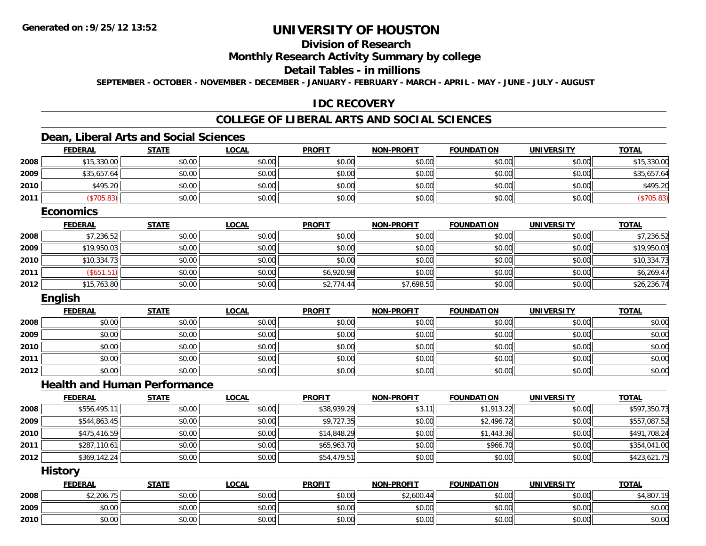## **Division of Research**

#### **Monthly Research Activity Summary by college**

### **Detail Tables - in millions**

**SEPTEMBER - OCTOBER - NOVEMBER - DECEMBER - JANUARY - FEBRUARY - MARCH - APRIL - MAY - JUNE - JULY - AUGUST**

#### **IDC RECOVERY**

### **COLLEGE OF LIBERAL ARTS AND SOCIAL SCIENCES**

### **Dean, Liberal Arts and Social Sciences**

|      | <b>FEDERAL</b>                      | <b>STATE</b> | <b>LOCAL</b> | <b>PROFIT</b> | <b>NON-PROFIT</b> | <b>FOUNDATION</b> | <b>UNIVERSITY</b> | <b>TOTAL</b> |
|------|-------------------------------------|--------------|--------------|---------------|-------------------|-------------------|-------------------|--------------|
| 2008 | \$15,330.00                         | \$0.00       | \$0.00       | \$0.00        | \$0.00            | \$0.00            | \$0.00            | \$15,330.00  |
| 2009 | \$35,657.64                         | \$0.00       | \$0.00       | \$0.00        | \$0.00            | \$0.00            | \$0.00            | \$35,657.64  |
| 2010 | \$495.20                            | \$0.00       | \$0.00       | \$0.00        | \$0.00            | \$0.00            | \$0.00            | \$495.20     |
| 2011 | (\$705.83)                          | \$0.00       | \$0.00       | \$0.00        | \$0.00            | \$0.00            | \$0.00            | (\$705.83)   |
|      | <b>Economics</b>                    |              |              |               |                   |                   |                   |              |
|      | <b>FEDERAL</b>                      | <b>STATE</b> | <b>LOCAL</b> | <b>PROFIT</b> | <b>NON-PROFIT</b> | <b>FOUNDATION</b> | <b>UNIVERSITY</b> | <b>TOTAL</b> |
| 2008 | \$7,236.52                          | \$0.00       | \$0.00       | \$0.00        | \$0.00            | \$0.00            | \$0.00            | \$7,236.52   |
| 2009 | \$19,950.03                         | \$0.00       | \$0.00       | \$0.00        | \$0.00            | \$0.00            | \$0.00            | \$19,950.03  |
| 2010 | \$10,334.73                         | \$0.00       | \$0.00       | \$0.00        | \$0.00            | \$0.00            | \$0.00            | \$10,334.73  |
| 2011 | (\$651.51)                          | \$0.00       | \$0.00       | \$6,920.98    | \$0.00            | \$0.00            | \$0.00            | \$6,269.47   |
| 2012 | \$15,763.80                         | \$0.00       | \$0.00       | \$2,774.44    | \$7,698.50        | \$0.00            | \$0.00            | \$26,236.74  |
|      | English                             |              |              |               |                   |                   |                   |              |
|      | <b>FEDERAL</b>                      | <b>STATE</b> | <b>LOCAL</b> | <b>PROFIT</b> | <b>NON-PROFIT</b> | <b>FOUNDATION</b> | <b>UNIVERSITY</b> | <b>TOTAL</b> |
| 2008 | \$0.00                              | \$0.00       | \$0.00       | \$0.00        | \$0.00            | \$0.00            | \$0.00            | \$0.00       |
| 2009 | \$0.00                              | \$0.00       | \$0.00       | \$0.00        | \$0.00            | \$0.00            | \$0.00            | \$0.00       |
| 2010 | \$0.00                              | \$0.00       | \$0.00       | \$0.00        | \$0.00            | \$0.00            | \$0.00            | \$0.00       |
| 2011 | \$0.00                              | \$0.00       | \$0.00       | \$0.00        | \$0.00            | \$0.00            | \$0.00            | \$0.00       |
| 2012 | \$0.00                              | \$0.00       | \$0.00       | \$0.00        | \$0.00            | \$0.00            | \$0.00            | \$0.00       |
|      | <b>Health and Human Performance</b> |              |              |               |                   |                   |                   |              |
|      | <b>FEDERAL</b>                      | <b>STATE</b> | <b>LOCAL</b> | <b>PROFIT</b> | <b>NON-PROFIT</b> | <b>FOUNDATION</b> | <b>UNIVERSITY</b> | <b>TOTAL</b> |
| 2008 | \$556,495.11                        | \$0.00       | \$0.00       | \$38,939.29   | \$3.11            | \$1,913.22        | \$0.00            | \$597,350.73 |
| 2009 | \$544,863.45                        | \$0.00       | \$0.00       | \$9,727.35    | \$0.00            | \$2,496.72        | \$0.00            | \$557,087.52 |
| 2010 | \$475,416.59                        | \$0.00       | \$0.00       | \$14,848.29   | \$0.00            | \$1,443.36        | \$0.00            | \$491,708.24 |
| 2011 | \$287,110.61                        | \$0.00       | \$0.00       | \$65,963.70   | \$0.00            | \$966.70          | \$0.00            | \$354,041.00 |
| 2012 | \$369,142.24                        | \$0.00       | \$0.00       | \$54,479.51   | \$0.00            | \$0.00            | \$0.00            | \$423,621.75 |
|      | <b>History</b>                      |              |              |               |                   |                   |                   |              |
|      | <b>FEDERAL</b>                      | <b>STATE</b> | <b>LOCAL</b> | <b>PROFIT</b> | <b>NON-PROFIT</b> | <b>FOUNDATION</b> | <b>UNIVERSITY</b> | <b>TOTAL</b> |
| 2008 | \$2,206.75                          | \$0.00       | \$0.00       | \$0.00        | \$2,600.44        | \$0.00            | \$0.00            | \$4,807.19   |
| 2009 | \$0.00                              | \$0.00       | \$0.00       | \$0.00        | \$0.00            | \$0.00            | \$0.00            | \$0.00       |
| 2010 | \$0.00                              | \$0.00       | \$0.00       | \$0.00        | \$0.00            | \$0.00            | \$0.00            | \$0.00       |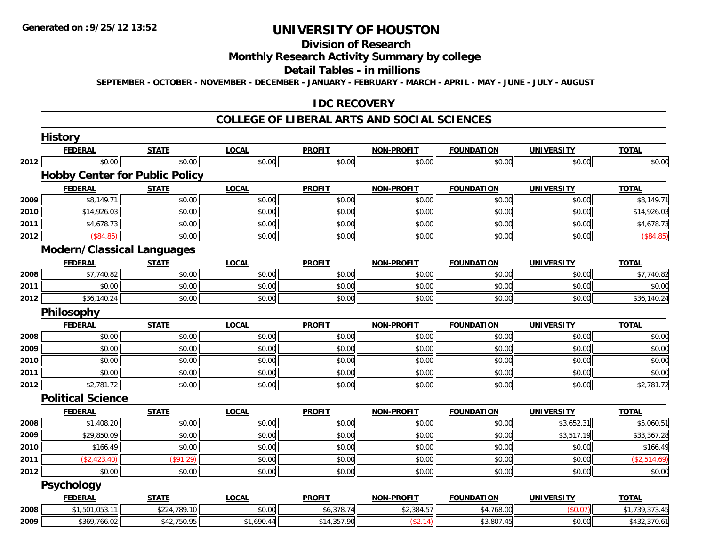#### **Division of Research**

### **Monthly Research Activity Summary by college**

#### **Detail Tables - in millions**

**SEPTEMBER - OCTOBER - NOVEMBER - DECEMBER - JANUARY - FEBRUARY - MARCH - APRIL - MAY - JUNE - JULY - AUGUST**

#### **IDC RECOVERY**

#### **COLLEGE OF LIBERAL ARTS AND SOCIAL SCIENCES**

|      | <b>History</b>                    |                                       |              |               |                   |                   |                   |                |
|------|-----------------------------------|---------------------------------------|--------------|---------------|-------------------|-------------------|-------------------|----------------|
|      | <b>FEDERAL</b>                    | <b>STATE</b>                          | <b>LOCAL</b> | <b>PROFIT</b> | <b>NON-PROFIT</b> | <b>FOUNDATION</b> | <b>UNIVERSITY</b> | <b>TOTAL</b>   |
| 2012 | \$0.00                            | \$0.00                                | \$0.00       | \$0.00        | \$0.00            | \$0.00            | \$0.00            | \$0.00         |
|      |                                   | <b>Hobby Center for Public Policy</b> |              |               |                   |                   |                   |                |
|      | <b>FEDERAL</b>                    | <b>STATE</b>                          | <b>LOCAL</b> | <b>PROFIT</b> | <b>NON-PROFIT</b> | <b>FOUNDATION</b> | <b>UNIVERSITY</b> | <b>TOTAL</b>   |
| 2009 | \$8,149.71                        | \$0.00                                | \$0.00       | \$0.00        | \$0.00            | \$0.00            | \$0.00            | \$8,149.71     |
| 2010 | \$14,926.03                       | \$0.00                                | \$0.00       | \$0.00        | \$0.00            | \$0.00            | \$0.00            | \$14,926.03    |
| 2011 | \$4,678.73                        | \$0.00                                | \$0.00       | \$0.00        | \$0.00            | \$0.00            | \$0.00            | \$4,678.73     |
| 2012 | (\$84.85)                         | \$0.00                                | \$0.00       | \$0.00        | \$0.00            | \$0.00            | \$0.00            | (\$84.85)      |
|      | <b>Modern/Classical Languages</b> |                                       |              |               |                   |                   |                   |                |
|      | <b>FEDERAL</b>                    | <b>STATE</b>                          | <b>LOCAL</b> | <b>PROFIT</b> | <b>NON-PROFIT</b> | <b>FOUNDATION</b> | <b>UNIVERSITY</b> | <b>TOTAL</b>   |
| 2008 | \$7,740.82                        | \$0.00                                | \$0.00       | \$0.00        | \$0.00            | \$0.00            | \$0.00            | \$7,740.82     |
| 2011 | \$0.00                            | \$0.00                                | \$0.00       | \$0.00        | \$0.00            | \$0.00            | \$0.00            | \$0.00         |
| 2012 | \$36,140.24                       | \$0.00                                | \$0.00       | \$0.00        | \$0.00            | \$0.00            | \$0.00            | \$36,140.24    |
|      | Philosophy                        |                                       |              |               |                   |                   |                   |                |
|      | <b>FEDERAL</b>                    | <b>STATE</b>                          | <b>LOCAL</b> | <b>PROFIT</b> | <b>NON-PROFIT</b> | <b>FOUNDATION</b> | <b>UNIVERSITY</b> | <b>TOTAL</b>   |
| 2008 | \$0.00                            | \$0.00                                | \$0.00       | \$0.00        | \$0.00            | \$0.00            | \$0.00            | \$0.00         |
| 2009 | \$0.00                            | \$0.00                                | \$0.00       | \$0.00        | \$0.00            | \$0.00            | \$0.00            | \$0.00         |
| 2010 | \$0.00                            | \$0.00                                | \$0.00       | \$0.00        | \$0.00            | \$0.00            | \$0.00            | \$0.00         |
| 2011 | \$0.00                            | \$0.00                                | \$0.00       | \$0.00        | \$0.00            | \$0.00            | \$0.00            | \$0.00         |
| 2012 | \$2,781.72                        | \$0.00                                | \$0.00       | \$0.00        | \$0.00            | \$0.00            | \$0.00            | \$2,781.72     |
|      | <b>Political Science</b>          |                                       |              |               |                   |                   |                   |                |
|      | <b>FEDERAL</b>                    | <b>STATE</b>                          | <b>LOCAL</b> | <b>PROFIT</b> | <b>NON-PROFIT</b> | <b>FOUNDATION</b> | <b>UNIVERSITY</b> | <b>TOTAL</b>   |
| 2008 | \$1,408.20                        | \$0.00                                | \$0.00       | \$0.00        | \$0.00            | \$0.00            | \$3,652.31        | \$5,060.51     |
| 2009 | \$29,850.09                       | \$0.00                                | \$0.00       | \$0.00        | \$0.00            | \$0.00            | \$3,517.19        | \$33,367.28    |
| 2010 | \$166.49                          | \$0.00                                | \$0.00       | \$0.00        | \$0.00            | \$0.00            | \$0.00            | \$166.49       |
| 2011 | (\$2,423.40)                      | (\$91.29)                             | \$0.00       | \$0.00        | \$0.00            | \$0.00            | \$0.00            | (\$2,514.69)   |
| 2012 | \$0.00                            | \$0.00                                | \$0.00       | \$0.00        | \$0.00            | \$0.00            | \$0.00            | \$0.00         |
|      | <b>Psychology</b>                 |                                       |              |               |                   |                   |                   |                |
|      | <b>FEDERAL</b>                    | <b>STATE</b>                          | <b>LOCAL</b> | <b>PROFIT</b> | <b>NON-PROFIT</b> | <b>FOUNDATION</b> | <b>UNIVERSITY</b> | <b>TOTAL</b>   |
| 2008 | \$1,501,053.11                    | \$224,789.10                          | \$0.00       | \$6,378.74    | \$2,384.57        | \$4,768.00        | (\$0.07)          | \$1,739,373.45 |
| 2009 | \$369,766.02                      | \$42,750.95                           | \$1,690.44   | \$14,357.90   | (\$2.14)          | \$3,807.45        | \$0.00            | \$432,370.61   |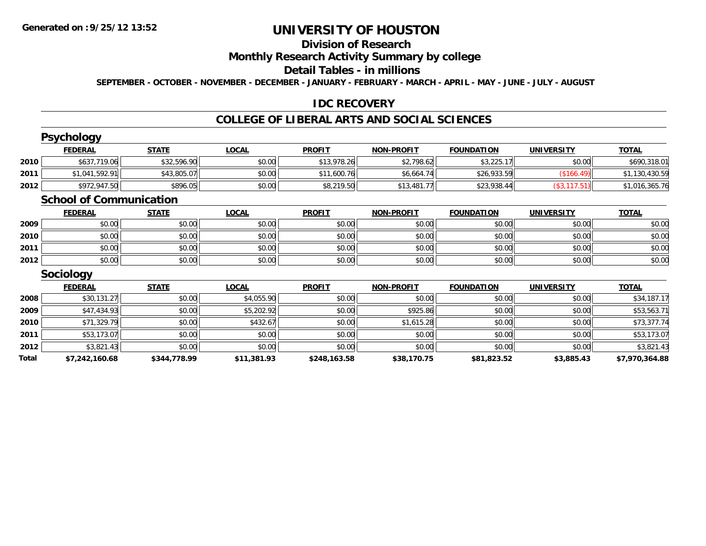#### **Division of Research**

# **Monthly Research Activity Summary by college**

#### **Detail Tables - in millions**

**SEPTEMBER - OCTOBER - NOVEMBER - DECEMBER - JANUARY - FEBRUARY - MARCH - APRIL - MAY - JUNE - JULY - AUGUST**

#### **IDC RECOVERY**

#### **COLLEGE OF LIBERAL ARTS AND SOCIAL SCIENCES**

|       | <b>Psychology</b>              |              |              |               |                   |                   |                   |                |
|-------|--------------------------------|--------------|--------------|---------------|-------------------|-------------------|-------------------|----------------|
|       | <b>FEDERAL</b>                 | <b>STATE</b> | <b>LOCAL</b> | <b>PROFIT</b> | <b>NON-PROFIT</b> | <b>FOUNDATION</b> | <b>UNIVERSITY</b> | <b>TOTAL</b>   |
| 2010  | \$637,719.06                   | \$32,596.90  | \$0.00       | \$13,978.26   | \$2,798.62        | \$3,225.17        | \$0.00            | \$690,318.01   |
| 2011  | \$1,041,592.91                 | \$43,805.07  | \$0.00       | \$11,600.76   | \$6,664.74        | \$26,933.59       | (\$166.49)        | \$1,130,430.59 |
| 2012  | \$972,947.50                   | \$896.05     | \$0.00       | \$8,219.50    | \$13,481.77       | \$23,938.44       | (\$3,117.51)      | \$1,016,365.76 |
|       | <b>School of Communication</b> |              |              |               |                   |                   |                   |                |
|       | <b>FEDERAL</b>                 | <b>STATE</b> | <b>LOCAL</b> | <b>PROFIT</b> | <b>NON-PROFIT</b> | <b>FOUNDATION</b> | <b>UNIVERSITY</b> | <b>TOTAL</b>   |
| 2009  | \$0.00                         | \$0.00       | \$0.00       | \$0.00        | \$0.00            | \$0.00            | \$0.00            | \$0.00         |
| 2010  | \$0.00                         | \$0.00       | \$0.00       | \$0.00        | \$0.00            | \$0.00            | \$0.00            | \$0.00         |
| 2011  | \$0.00                         | \$0.00       | \$0.00       | \$0.00        | \$0.00            | \$0.00            | \$0.00            | \$0.00         |
| 2012  | \$0.00                         | \$0.00       | \$0.00       | \$0.00        | \$0.00            | \$0.00            | \$0.00            | \$0.00         |
|       | Sociology                      |              |              |               |                   |                   |                   |                |
|       | <b>FEDERAL</b>                 | <b>STATE</b> | <b>LOCAL</b> | <b>PROFIT</b> | <b>NON-PROFIT</b> | <b>FOUNDATION</b> | <b>UNIVERSITY</b> | <b>TOTAL</b>   |
| 2008  | \$30,131.27                    | \$0.00       | \$4,055.90   | \$0.00        | \$0.00            | \$0.00            | \$0.00            | \$34,187.17    |
| 2009  | \$47,434.93                    | \$0.00       | \$5,202.92   | \$0.00        | \$925.86          | \$0.00            | \$0.00            | \$53,563.71    |
| 2010  | \$71,329.79                    | \$0.00       | \$432.67     | \$0.00        | \$1,615.28        | \$0.00            | \$0.00            | \$73,377.74    |
| 2011  | \$53,173.07                    | \$0.00       | \$0.00       | \$0.00        | \$0.00            | \$0.00            | \$0.00            | \$53,173.07    |
| 2012  | \$3,821.43                     | \$0.00       | \$0.00       | \$0.00        | \$0.00            | \$0.00            | \$0.00            | \$3,821.43     |
| Total | \$7,242,160.68                 | \$344,778.99 | \$11,381.93  | \$248,163.58  | \$38,170.75       | \$81,823.52       | \$3,885.43        | \$7,970,364.88 |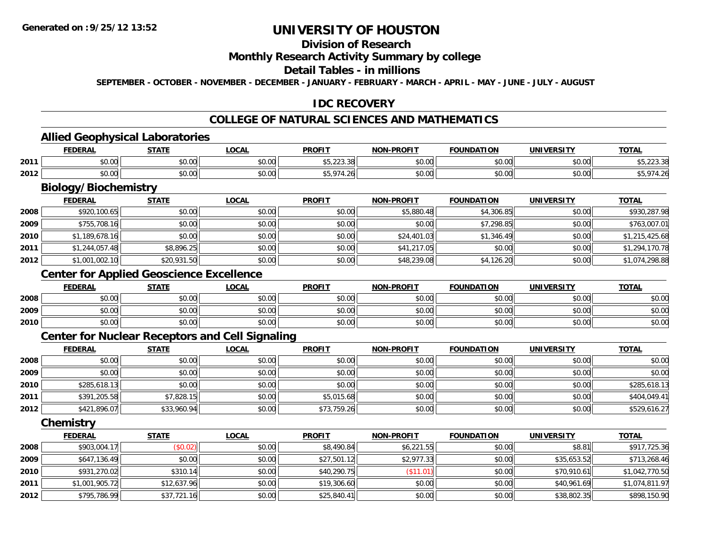### **Division of Research**

#### **Monthly Research Activity Summary by college**

#### **Detail Tables - in millions**

**SEPTEMBER - OCTOBER - NOVEMBER - DECEMBER - JANUARY - FEBRUARY - MARCH - APRIL - MAY - JUNE - JULY - AUGUST**

### **IDC RECOVERY**

### **COLLEGE OF NATURAL SCIENCES AND MATHEMATICS**

### **Allied Geophysical Laboratories**

|      | Allied<br>Geophysical L<br>Laboratories |              |              |                           |                   |                   |            |                          |  |  |  |
|------|-----------------------------------------|--------------|--------------|---------------------------|-------------------|-------------------|------------|--------------------------|--|--|--|
|      | <b>FEDERAL</b>                          | <b>STATE</b> | <b>LOCAL</b> | <b>PROFIT</b>             | <b>NON-PROFIT</b> | <b>FOUNDATION</b> | UNIVERSITY | <b>TOTAL</b>             |  |  |  |
| 2011 | nn<br>σΩ.<br>DU.UU                      | \$0.00       | \$0.00       | $AT$ 000.00<br>\$5,223.38 | \$0.00            | \$0.00            | \$0.00     | $\sim$<br>ب ت ت ∠∠ے ہی ب |  |  |  |
| 2012 | \$0.00                                  | \$0.00       | \$0.00       | \$5.974.<br>. 26          | \$0.00            | \$0.00            | \$0.00     | \$5,974.26<br>ΨU,        |  |  |  |

# **Biology/Biochemistry**

|      | <b>FEDERAL</b> | <b>STATE</b> | <b>LOCAL</b> | <b>PROFIT</b> | <b>NON-PROFIT</b> | <b>FOUNDATION</b> | <b>UNIVERSITY</b> | <b>TOTAL</b>   |
|------|----------------|--------------|--------------|---------------|-------------------|-------------------|-------------------|----------------|
| 2008 | \$920,100.65   | \$0.00       | \$0.00       | \$0.00        | \$5,880.48        | \$4,306.85        | \$0.00            | \$930,287.98   |
| 2009 | \$755,708.16   | \$0.00       | \$0.00       | \$0.00        | \$0.00            | \$7,298.85        | \$0.00            | \$763,007.01   |
| 2010 | \$1,189,678.16 | \$0.00       | \$0.00       | \$0.00        | \$24,401.03       | \$1,346.49        | \$0.00            | \$1,215,425.68 |
| 2011 | \$1,244,057.48 | \$8,896.25   | \$0.00       | \$0.00        | \$41,217.05       | \$0.00            | \$0.00            | \$1,294,170.78 |
| 2012 | \$1,001,002.10 | \$20,931.50  | \$0.00       | \$0.00        | \$48,239.08       | \$4,126.20        | \$0.00            | \$1,074,298.88 |

### **Center for Applied Geoscience Excellence**

|      | <b>FEDERAL</b> | <b>STATE</b> | <u>_OCAL</u> | <b>PROFIT</b> | <b>NON-PROFIT</b> | <b>FOUNDATION</b> | <b>UNIVERSITY</b> | <b>TOTAL</b> |
|------|----------------|--------------|--------------|---------------|-------------------|-------------------|-------------------|--------------|
| 2008 | \$0.00         | \$0.00       | \$0.00       | \$0.00        | \$0.00            | \$0.00            | \$0.00            | \$0.00       |
| 2009 | \$0.00         | \$0.00       | \$0.00       | \$0.00        | \$0.00            | \$0.00            | \$0.00            | \$0.00       |
| 2010 | \$0.00         | \$0.00       | \$0.00       | \$0.00        | \$0.00            | \$0.00            | \$0.00            | \$0.00       |

#### **Center for Nuclear Receptors and Cell Signaling**

|      | <u>FEDERAL</u> | <b>STATE</b> | <u>LOCAL</u> | <b>PROFIT</b> | <b>NON-PROFIT</b> | FOUNDATION | <b>UNIVERSITY</b> | <b>TOTAL</b> |
|------|----------------|--------------|--------------|---------------|-------------------|------------|-------------------|--------------|
| 2008 | \$0.00         | \$0.00       | \$0.00       | \$0.00        | \$0.00            | \$0.00     | \$0.00            | \$0.00       |
| 2009 | \$0.00         | \$0.00       | \$0.00       | \$0.00        | \$0.00            | \$0.00     | \$0.00            | \$0.00       |
| 2010 | \$285,618.13   | \$0.00       | \$0.00       | \$0.00        | \$0.00            | \$0.00     | \$0.00            | \$285,618.13 |
| 2011 | \$391,205.58   | \$7,828.15   | \$0.00       | \$5,015.68    | \$0.00            | \$0.00     | \$0.00            | \$404,049.41 |
| 2012 | \$421,896.07   | \$33,960.94  | \$0.00       | \$73,759.26   | \$0.00            | \$0.00     | \$0.00            | \$529,616.27 |

**Chemistry**

|      | <b>FEDERAL</b> | <b>STATE</b> | <b>LOCAL</b> | <b>PROFIT</b> | <b>NON-PROFIT</b> | <b>FOUNDATION</b> | <b>UNIVERSITY</b> | <u>TOTAL</u>   |
|------|----------------|--------------|--------------|---------------|-------------------|-------------------|-------------------|----------------|
| 2008 | \$903,004.17   | (\$0.02)     | \$0.00       | \$8,490.84    | \$6,221.55        | \$0.00            | \$8.81            | \$917,725.36   |
| 2009 | \$647,136.49   | \$0.00       | \$0.00       | \$27,501.12   | \$2,977.33        | \$0.00            | \$35,653.52       | \$713,268.46   |
| 2010 | \$931,270.02   | \$310.14     | \$0.00       | \$40,290.75   | (\$11.01)         | \$0.00            | \$70,910.61       | \$1,042,770.50 |
| 2011 | \$1,001,905.72 | \$12,637.96  | \$0.00       | \$19,306.60   | \$0.00            | \$0.00            | \$40,961.69       | \$1,074,811.97 |
| 2012 | \$795,786.99   | \$37,721.16  | \$0.00       | \$25,840.41   | \$0.00            | \$0.00            | \$38,802.35       | \$898,150.90   |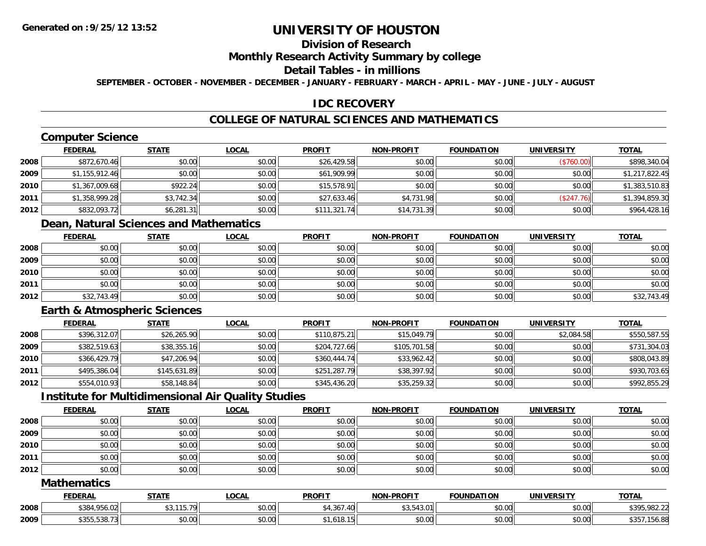### **Division of Research**

#### **Monthly Research Activity Summary by college**

#### **Detail Tables - in millions**

**SEPTEMBER - OCTOBER - NOVEMBER - DECEMBER - JANUARY - FEBRUARY - MARCH - APRIL - MAY - JUNE - JULY - AUGUST**

### **IDC RECOVERY**

## **COLLEGE OF NATURAL SCIENCES AND MATHEMATICS**

## **Computer Science**

|      | <b>FEDERAL</b> | <u>STATE</u> | <b>LOCAL</b> | <b>PROFIT</b> | <b>NON-PROFIT</b> | <b>FOUNDATION</b> | <b>UNIVERSITY</b> | <b>TOTAL</b>   |
|------|----------------|--------------|--------------|---------------|-------------------|-------------------|-------------------|----------------|
| 2008 | \$872,670.46   | \$0.00       | \$0.00       | \$26,429.58   | \$0.00            | \$0.00            | (\$760.00)        | \$898,340.04   |
| 2009 | \$1,155,912.46 | \$0.00       | \$0.00       | \$61,909.99   | \$0.00            | \$0.00            | \$0.00            | \$1,217,822.45 |
| 2010 | \$1,367,009.68 | \$922.24     | \$0.00       | \$15,578.91   | \$0.00            | \$0.00            | \$0.00            | \$1,383,510.83 |
| 2011 | \$1,358,999.28 | \$3,742.34   | \$0.00       | \$27,633.46   | \$4,731.98        | \$0.00            | (\$247.76)        | \$1,394,859.30 |
| 2012 | \$832,093.72   | \$6,281.31   | \$0.00       | \$111,321.74  | \$14,731.39       | \$0.00            | \$0.00            | \$964,428.16   |

## **Dean, Natural Sciences and Mathematics**

|      | <b>FEDERAL</b> | <b>STATE</b> | <b>LOCAL</b> | <b>PROFIT</b> | <b>NON-PROFIT</b> | <b>FOUNDATION</b> | <b>UNIVERSITY</b> | <b>TOTAL</b> |
|------|----------------|--------------|--------------|---------------|-------------------|-------------------|-------------------|--------------|
| 2008 | \$0.00         | \$0.00       | \$0.00       | \$0.00        | \$0.00            | \$0.00            | \$0.00            | \$0.00       |
| 2009 | \$0.00         | \$0.00       | \$0.00       | \$0.00        | \$0.00            | \$0.00            | \$0.00            | \$0.00       |
| 2010 | \$0.00         | \$0.00       | \$0.00       | \$0.00        | \$0.00            | \$0.00            | \$0.00            | \$0.00       |
| 2011 | \$0.00         | \$0.00       | \$0.00       | \$0.00        | \$0.00            | \$0.00            | \$0.00            | \$0.00       |
| 2012 | \$32,743.49    | \$0.00       | \$0.00       | \$0.00        | \$0.00            | \$0.00            | \$0.00            | \$32,743.49  |

## **Earth & Atmospheric Sciences**

|      | <b>FEDERAL</b> | <b>STATE</b> | <b>LOCAL</b> | <b>PROFIT</b> | <b>NON-PROFIT</b> | <b>FOUNDATION</b> | <b>UNIVERSITY</b> | <b>TOTAL</b> |
|------|----------------|--------------|--------------|---------------|-------------------|-------------------|-------------------|--------------|
| 2008 | \$396,312.07   | \$26,265.90  | \$0.00       | \$110,875.21  | \$15,049.79       | \$0.00            | \$2,084.58        | \$550,587.55 |
| 2009 | \$382,519.63   | \$38,355.16  | \$0.00       | \$204,727.66  | \$105,701.58      | \$0.00            | \$0.00            | \$731,304.03 |
| 2010 | \$366,429.79   | \$47,206.94  | \$0.00       | \$360,444.74  | \$33,962.42       | \$0.00            | \$0.00            | \$808,043.89 |
| 2011 | \$495,386.04   | \$145,631.89 | \$0.00       | \$251,287.79  | \$38,397.92       | \$0.00            | \$0.00            | \$930,703.65 |
| 2012 | \$554,010.93   | \$58,148.84  | \$0.00       | \$345,436.20  | \$35,259.32       | \$0.00            | \$0.00            | \$992,855.29 |

### **Institute for Multidimensional Air Quality Studies**

|      | <b>FEDERAL</b> | <u>STATE</u> | <u>LOCAL</u> | <b>PROFIT</b> | <b>NON-PROFIT</b> | <b>FOUNDATION</b> | <b>UNIVERSITY</b> | <b>TOTAL</b> |
|------|----------------|--------------|--------------|---------------|-------------------|-------------------|-------------------|--------------|
| 2008 | \$0.00         | \$0.00       | \$0.00       | \$0.00        | \$0.00            | \$0.00            | \$0.00            | \$0.00       |
| 2009 | \$0.00         | \$0.00       | \$0.00       | \$0.00        | \$0.00            | \$0.00            | \$0.00            | \$0.00       |
| 2010 | \$0.00         | \$0.00       | \$0.00       | \$0.00        | \$0.00            | \$0.00            | \$0.00            | \$0.00       |
| 2011 | \$0.00         | \$0.00       | \$0.00       | \$0.00        | \$0.00            | \$0.00            | \$0.00            | \$0.00       |
| 2012 | \$0.00         | \$0.00       | \$0.00       | \$0.00        | \$0.00            | \$0.00            | \$0.00            | \$0.00       |

#### **Mathematics**

|      | <b>FEDERAL</b>                                                           | <b>STATE</b>  | LOCAL          | <b>PROFIT</b>                      | <b>NON-PROFIT</b>                                       | <b>FOUNDATION</b> | <b>UNIVERSITY</b> | <b>TOTAL</b> |
|------|--------------------------------------------------------------------------|---------------|----------------|------------------------------------|---------------------------------------------------------|-------------------|-------------------|--------------|
| 2008 | $\uparrow$ $\uparrow$<br>$\lambda$ $\sim$<br>$\sim$<br>\$384<br>4.Y50.UZ | 115,70<br>.   | nn nn<br>DU.UU | 1.27<br>.40<br>$\epsilon$<br>, טטי | $\land \land$ $\vdash$ $\land \land$<br><b>JJ.J+J.U</b> | \$0.00            | \$0.00            | \$395,982.22 |
| 2009 | \$355,538.73                                                             | 0000<br>JU.UU | ቀስ ስስ<br>DU.UG | ,010.<br>.                         | $\theta$ $\theta$ $\theta$<br><b>DU.UU</b>              | \$0.00            | \$0.00            | 6.88         |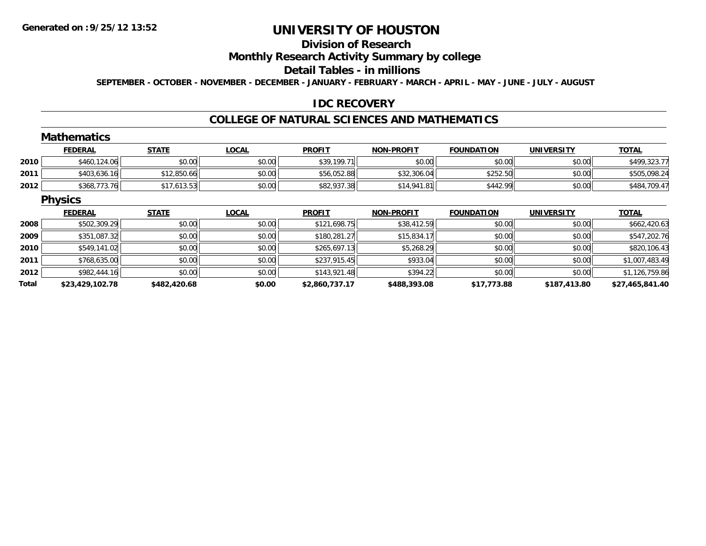## **Division of Research**

### **Monthly Research Activity Summary by college**

#### **Detail Tables - in millions**

**SEPTEMBER - OCTOBER - NOVEMBER - DECEMBER - JANUARY - FEBRUARY - MARCH - APRIL - MAY - JUNE - JULY - AUGUST**

#### **IDC RECOVERY**

#### **COLLEGE OF NATURAL SCIENCES AND MATHEMATICS**

### **Mathematics**

|      | <b>FEDERAL</b> | STATE       | <u>LOCAL</u> | <b>PROFIT</b> | <b>NON-PROFIT</b> | <b>FOUNDATION</b> | UNIVERSITY | <b>TOTAL</b> |
|------|----------------|-------------|--------------|---------------|-------------------|-------------------|------------|--------------|
| 2010 | \$460,124.06   | \$0.00      | \$0.00       | \$39,199.71   | \$0.00            | \$0.00            | \$0.00     | \$499,323.77 |
| 2011 | \$403,636.16   | \$12,850.66 | \$0.00       | \$56,052.88   | \$32,306.04       | \$252.50          | \$0.00     | \$505,098.24 |
| 2012 | \$368,773.76   | 7,613.53    | \$0.00       | \$82,937.38   | \$14,941.81       | \$442.99          | \$0.00     | \$484,709.47 |

#### **Physics**

|       | <b>FEDERAL</b>  | <b>STATE</b> | <b>LOCAL</b> | <b>PROFIT</b>  | <b>NON-PROFIT</b> | <b>FOUNDATION</b> | <b>UNIVERSITY</b> | <b>TOTAL</b>    |
|-------|-----------------|--------------|--------------|----------------|-------------------|-------------------|-------------------|-----------------|
| 2008  | \$502,309.29    | \$0.00       | \$0.00       | \$121,698.75   | \$38,412.59       | \$0.00            | \$0.00            | \$662,420.63    |
| 2009  | \$351,087.32    | \$0.00       | \$0.00       | \$180,281.27   | \$15,834.17       | \$0.00            | \$0.00            | \$547,202.76    |
| 2010  | \$549,141.02    | \$0.00       | \$0.00       | \$265,697.13   | \$5,268.29        | \$0.00            | \$0.00            | \$820,106.43    |
| 2011  | \$768,635.00    | \$0.00       | \$0.00       | \$237.915.45   | \$933.04          | \$0.00            | \$0.00            | \$1,007,483.49  |
| 2012  | \$982,444.16    | \$0.00       | \$0.00       | \$143,921.48   | \$394.22          | \$0.00            | \$0.00            | \$1,126,759.86  |
| Total | \$23,429,102.78 | \$482,420.68 | \$0.00       | \$2,860,737.17 | \$488,393.08      | \$17,773.88       | \$187,413.80      | \$27,465,841.40 |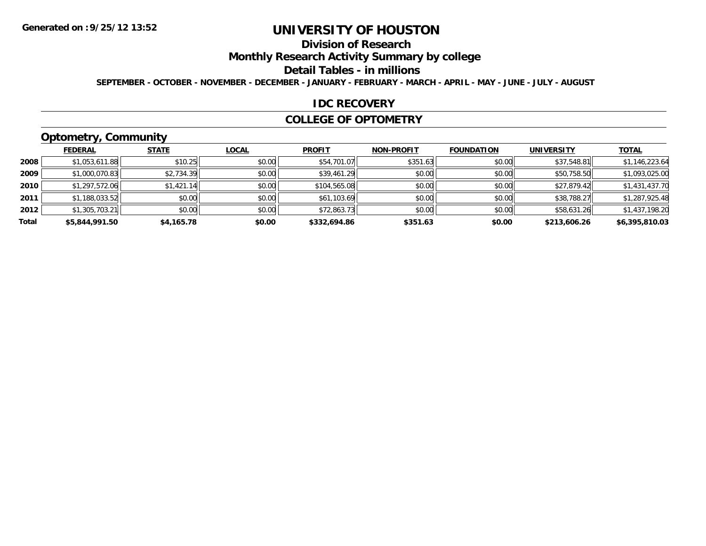## **Division of Research**

**Monthly Research Activity Summary by college**

#### **Detail Tables - in millions**

**SEPTEMBER - OCTOBER - NOVEMBER - DECEMBER - JANUARY - FEBRUARY - MARCH - APRIL - MAY - JUNE - JULY - AUGUST**

#### **IDC RECOVERY**

#### **COLLEGE OF OPTOMETRY**

## **Optometry, Community**

|       | <b>FEDERAL</b> | <b>STATE</b> | <u>LOCAL</u> | <b>PROFIT</b> | <b>NON-PROFIT</b> | <b>FOUNDATION</b> | <b>UNIVERSITY</b> | <b>TOTAL</b>   |
|-------|----------------|--------------|--------------|---------------|-------------------|-------------------|-------------------|----------------|
| 2008  | \$1,053,611.88 | \$10.25      | \$0.00       | \$54,701.07   | \$351.63          | \$0.00            | \$37,548.81       | \$1,146,223.64 |
| 2009  | \$1,000,070.83 | \$2,734.39   | \$0.00       | \$39,461.29   | \$0.00            | \$0.00            | \$50,758.50       | \$1,093,025.00 |
| 2010  | \$1,297,572.06 | \$1,421.14   | \$0.00       | \$104,565.08  | \$0.00            | \$0.00            | \$27,879.42       | \$1,431,437.70 |
| 2011  | \$1,188,033.52 | \$0.00       | \$0.00       | \$61,103.69   | \$0.00            | \$0.00            | \$38,788.27       | \$1,287,925.48 |
| 2012  | \$1,305,703.21 | \$0.00       | \$0.00       | \$72,863.73   | \$0.00            | \$0.00            | \$58,631.26       | \$1,437,198.20 |
| Total | \$5,844,991.50 | \$4,165.78   | \$0.00       | \$332,694.86  | \$351.63          | \$0.00            | \$213,606.26      | \$6,395,810.03 |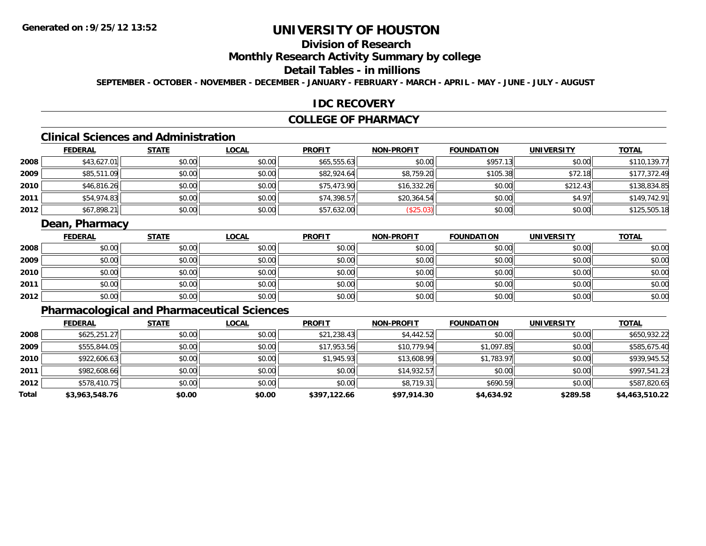## **Division of Research**

### **Monthly Research Activity Summary by college**

### **Detail Tables - in millions**

**SEPTEMBER - OCTOBER - NOVEMBER - DECEMBER - JANUARY - FEBRUARY - MARCH - APRIL - MAY - JUNE - JULY - AUGUST**

#### **IDC RECOVERY**

### **COLLEGE OF PHARMACY**

## **Clinical Sciences and Administration**

|      | <b>FEDERAL</b> | <b>STATE</b> | <b>LOCAL</b> | <b>PROFIT</b> | <b>NON-PROFIT</b> | <b>FOUNDATION</b> | <b>UNIVERSITY</b> | <b>TOTAL</b> |
|------|----------------|--------------|--------------|---------------|-------------------|-------------------|-------------------|--------------|
| 2008 | \$43,627.01    | \$0.00       | \$0.00       | \$65,555.63   | \$0.00            | \$957.13          | \$0.00            | \$110,139.77 |
| 2009 | \$85,511.09    | \$0.00       | \$0.00       | \$82,924.64   | \$8,759.20        | \$105.38          | \$72.18           | \$177,372.49 |
| 2010 | \$46,816.26    | \$0.00       | \$0.00       | \$75,473.90   | \$16,332.26       | \$0.00            | \$212.43          | \$138,834.85 |
| 2011 | \$54,974.83    | \$0.00       | \$0.00       | \$74,398.57   | \$20,364.54       | \$0.00            | \$4.97            | \$149,742.91 |
| 2012 | \$67,898.21    | \$0.00       | \$0.00       | \$57,632.00   | \$25.03)          | \$0.00            | \$0.00            | \$125,505.18 |

### **Dean, Pharmacy**

|      | <b>FEDERAL</b> | <b>STATE</b> | <u>LOCAL</u> | <b>PROFIT</b> | <b>NON-PROFIT</b> | <b>FOUNDATION</b> | <b>UNIVERSITY</b> | <b>TOTAL</b> |
|------|----------------|--------------|--------------|---------------|-------------------|-------------------|-------------------|--------------|
| 2008 | \$0.00         | \$0.00       | \$0.00       | \$0.00        | \$0.00            | \$0.00            | \$0.00            | \$0.00       |
| 2009 | \$0.00         | \$0.00       | \$0.00       | \$0.00        | \$0.00            | \$0.00            | \$0.00            | \$0.00       |
| 2010 | \$0.00         | \$0.00       | \$0.00       | \$0.00        | \$0.00            | \$0.00            | \$0.00            | \$0.00       |
| 2011 | \$0.00         | \$0.00       | \$0.00       | \$0.00        | \$0.00            | \$0.00            | \$0.00            | \$0.00       |
| 2012 | \$0.00         | \$0.00       | \$0.00       | \$0.00        | \$0.00            | \$0.00            | \$0.00            | \$0.00       |

## **Pharmacological and Pharmaceutical Sciences**

|       | <b>FEDERAL</b> | <b>STATE</b> | <b>LOCAL</b> | <b>PROFIT</b> | <b>NON-PROFIT</b> | <b>FOUNDATION</b> | <b>UNIVERSITY</b> | <u>TOTAL</u>   |
|-------|----------------|--------------|--------------|---------------|-------------------|-------------------|-------------------|----------------|
| 2008  | \$625,251.27   | \$0.00       | \$0.00       | \$21,238.43   | \$4,442.52        | \$0.00            | \$0.00            | \$650,932.22   |
| 2009  | \$555,844.05   | \$0.00       | \$0.00       | \$17,953.56   | \$10,779.94       | \$1,097.85        | \$0.00            | \$585,675.40   |
| 2010  | \$922,606.63   | \$0.00       | \$0.00       | \$1,945.93    | \$13,608.99       | \$1,783.97        | \$0.00            | \$939,945.52   |
| 2011  | \$982,608.66   | \$0.00       | \$0.00       | \$0.00        | \$14,932.57       | \$0.00            | \$0.00            | \$997,541.23   |
| 2012  | \$578,410.75   | \$0.00       | \$0.00       | \$0.00        | \$8,719.31        | \$690.59          | \$0.00            | \$587,820.65   |
| Total | \$3,963,548.76 | \$0.00       | \$0.00       | \$397,122.66  | \$97,914.30       | \$4,634.92        | \$289.58          | \$4,463,510.22 |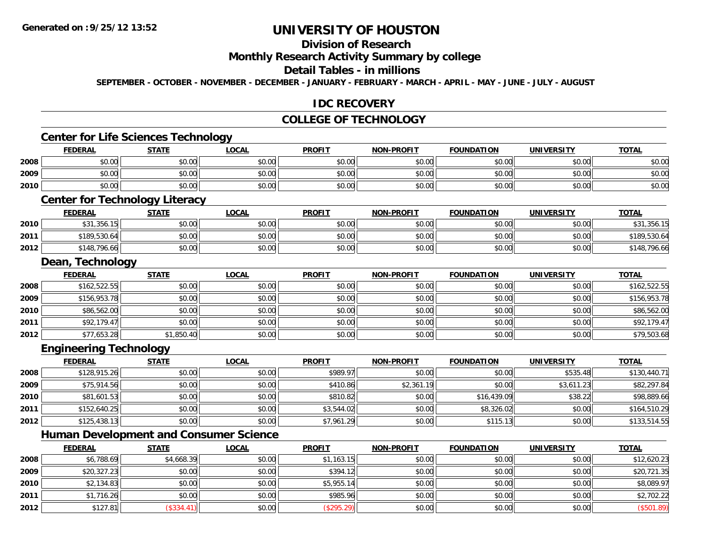## **Division of Research**

#### **Monthly Research Activity Summary by college**

#### **Detail Tables - in millions**

**SEPTEMBER - OCTOBER - NOVEMBER - DECEMBER - JANUARY - FEBRUARY - MARCH - APRIL - MAY - JUNE - JULY - AUGUST**

#### **IDC RECOVERY**

### **COLLEGE OF TECHNOLOGY**

## **Center for Life Sciences Technology**

|      | <b>FEDERAL</b>          | <b>STATE</b>                                                                                                    | <u>LOCAL</u> | <b>PROFIT</b> | <b>NON-PROFIT</b> | <b>FOUNDATION</b> | <b>UNIVERSITY</b> | <b>TOTAL</b> |
|------|-------------------------|-----------------------------------------------------------------------------------------------------------------|--------------|---------------|-------------------|-------------------|-------------------|--------------|
| 2008 | \$0.00                  | \$0.00                                                                                                          | \$0.00       | \$0.00        | \$0.00            | \$0.00            | \$0.00            | \$0.00       |
| 2009 | \$0.00                  | \$0.00                                                                                                          | \$0.00       | \$0.00        | \$0.00            | \$0.00            | \$0.00            | \$0.00       |
| 2010 | \$0.00                  | \$0.00                                                                                                          | \$0.00       | \$0.00        | \$0.00            | \$0.00            | \$0.00            | \$0.00       |
|      | the company's company's | the contract of the contract of the contract of the contract of the contract of the contract of the contract of |              |               |                   |                   |                   |              |

### **Center for Technology Literacy**

|      | FEDERAL      | <b>STATE</b> | <u>LOCAL</u> | <b>PROFIT</b> | <b>NON-PROFIT</b> | <b>FOUNDATION</b> | UNIVERSITY | <b>TOTAL</b> |
|------|--------------|--------------|--------------|---------------|-------------------|-------------------|------------|--------------|
| 2010 | \$31,356.15  | \$0.00       | \$0.00       | \$0.00        | \$0.00            | \$0.00            | \$0.00     | \$31,356.15  |
| 2011 | \$189,530.64 | \$0.00       | \$0.00       | \$0.00        | \$0.00            | \$0.00            | \$0.00     | \$189,530.64 |
| 2012 | \$148,796.66 | \$0.00       | \$0.00       | \$0.00        | \$0.00            | \$0.00            | \$0.00     | \$148,796.66 |

#### **Dean, Technology**

|      | <u>FEDERAL</u> | <b>STATE</b> | <b>LOCAL</b> | <b>PROFIT</b> | <b>NON-PROFIT</b> | <b>FOUNDATION</b> | <b>UNIVERSITY</b> | <b>TOTAL</b> |
|------|----------------|--------------|--------------|---------------|-------------------|-------------------|-------------------|--------------|
| 2008 | \$162,522.55   | \$0.00       | \$0.00       | \$0.00        | \$0.00            | \$0.00            | \$0.00            | \$162,522.55 |
| 2009 | \$156,953.78   | \$0.00       | \$0.00       | \$0.00        | \$0.00            | \$0.00            | \$0.00            | \$156,953.78 |
| 2010 | \$86,562.00    | \$0.00       | \$0.00       | \$0.00        | \$0.00            | \$0.00            | \$0.00            | \$86,562.00  |
| 2011 | \$92,179.47    | \$0.00       | \$0.00       | \$0.00        | \$0.00            | \$0.00            | \$0.00            | \$92,179.47  |
| 2012 | \$77,653.28    | \$1,850.40   | \$0.00       | \$0.00        | \$0.00            | \$0.00            | \$0.00            | \$79,503.68  |

# **Engineering Technology**

|      | <u>FEDERAL</u> | <u>STATE</u> | <u>LOCAL</u> | <b>PROFIT</b> | <b>NON-PROFIT</b> | <b>FOUNDATION</b> | <b>UNIVERSITY</b> | <b>TOTAL</b> |
|------|----------------|--------------|--------------|---------------|-------------------|-------------------|-------------------|--------------|
| 2008 | \$128,915.26   | \$0.00       | \$0.00       | \$989.97      | \$0.00            | \$0.00            | \$535.48          | \$130,440.71 |
| 2009 | \$75,914.56    | \$0.00       | \$0.00       | \$410.86      | \$2,361.19        | \$0.00            | \$3,611.23        | \$82,297.84  |
| 2010 | \$81,601.53    | \$0.00       | \$0.00       | \$810.82      | \$0.00            | \$16,439.09       | \$38.22           | \$98,889.66  |
| 2011 | \$152,640.25   | \$0.00       | \$0.00       | \$3,544.02    | \$0.00            | \$8,326.02        | \$0.00            | \$164,510.29 |
| 2012 | \$125,438.13   | \$0.00       | \$0.00       | \$7,961.29    | \$0.00            | \$115.13          | \$0.00            | \$133,514.55 |

## **Human Development and Consumer Science**

|      | <u>FEDERAL</u> | <b>STATE</b> | <b>LOCAL</b> | <b>PROFIT</b> | <b>NON-PROFIT</b> | <b>FOUNDATION</b> | <b>UNIVERSITY</b> | <b>TOTAL</b> |
|------|----------------|--------------|--------------|---------------|-------------------|-------------------|-------------------|--------------|
| 2008 | \$6,788.69     | \$4,668.39   | \$0.00       | \$1,163.15    | \$0.00            | \$0.00            | \$0.00            | \$12,620.23  |
| 2009 | \$20,327.23    | \$0.00       | \$0.00       | \$394.12      | \$0.00            | \$0.00            | \$0.00            | \$20,721.35  |
| 2010 | \$2,134.83     | \$0.00       | \$0.00       | \$5,955.14    | \$0.00            | \$0.00            | \$0.00            | \$8,089.97   |
| 2011 | \$1,716.26     | \$0.00       | \$0.00       | \$985.96      | \$0.00            | \$0.00            | \$0.00            | \$2,702.22   |
| 2012 | \$127.81       | (\$334.41)   | \$0.00       | (\$295.29)    | \$0.00            | \$0.00            | \$0.00            | (\$501.89)   |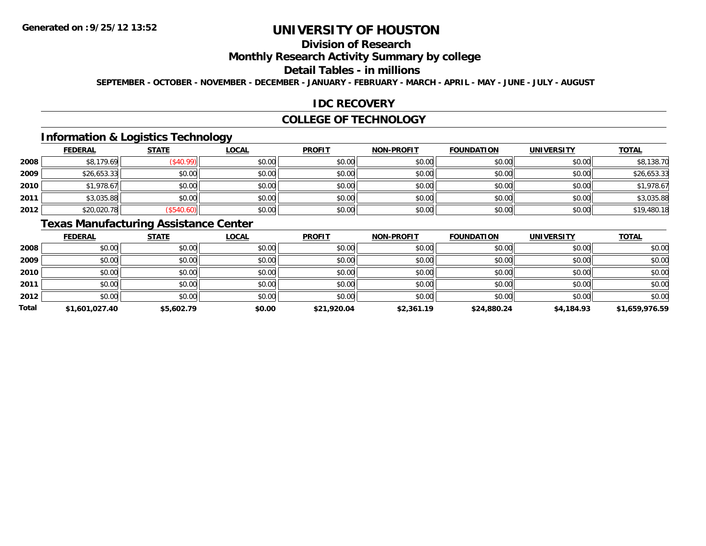## **Division of Research**

### **Monthly Research Activity Summary by college**

#### **Detail Tables - in millions**

**SEPTEMBER - OCTOBER - NOVEMBER - DECEMBER - JANUARY - FEBRUARY - MARCH - APRIL - MAY - JUNE - JULY - AUGUST**

#### **IDC RECOVERY**

#### **COLLEGE OF TECHNOLOGY**

### **Information & Logistics Technology**

|      | <b>FEDERAL</b> | <b>STATE</b> | <u>LOCAL</u> | <b>PROFIT</b> | <b>NON-PROFIT</b> | <b>FOUNDATION</b> | <b>UNIVERSITY</b> | <b>TOTAL</b> |
|------|----------------|--------------|--------------|---------------|-------------------|-------------------|-------------------|--------------|
| 2008 | \$8,179.69     | \$40.99      | \$0.00       | \$0.00        | \$0.00            | \$0.00            | \$0.00            | \$8,138.70   |
| 2009 | \$26,653.33    | \$0.00       | \$0.00       | \$0.00        | \$0.00            | \$0.00            | \$0.00            | \$26,653.33  |
| 2010 | \$1,978.67     | \$0.00       | \$0.00       | \$0.00        | \$0.00            | \$0.00            | \$0.00            | \$1,978.67   |
| 2011 | \$3,035.88     | \$0.00       | \$0.00       | \$0.00        | \$0.00            | \$0.00            | \$0.00            | \$3,035.88   |
| 2012 | \$20,020.78    | \$540.60     | \$0.00       | \$0.00        | \$0.00            | \$0.00            | \$0.00            | \$19,480.18  |

## **Texas Manufacturing Assistance Center**

|       | <b>FEDERAL</b> | <b>STATE</b> | <b>LOCAL</b> | <b>PROFIT</b> | <b>NON-PROFIT</b> | <b>FOUNDATION</b> | <b>UNIVERSITY</b> | <b>TOTAL</b>   |
|-------|----------------|--------------|--------------|---------------|-------------------|-------------------|-------------------|----------------|
| 2008  | \$0.00         | \$0.00       | \$0.00       | \$0.00        | \$0.00            | \$0.00            | \$0.00            | \$0.00         |
| 2009  | \$0.00         | \$0.00       | \$0.00       | \$0.00        | \$0.00            | \$0.00            | \$0.00            | \$0.00         |
| 2010  | \$0.00         | \$0.00       | \$0.00       | \$0.00        | \$0.00            | \$0.00            | \$0.00            | \$0.00         |
| 2011  | \$0.00         | \$0.00       | \$0.00       | \$0.00        | \$0.00            | \$0.00            | \$0.00            | \$0.00         |
| 2012  | \$0.00         | \$0.00       | \$0.00       | \$0.00        | \$0.00            | \$0.00            | \$0.00            | \$0.00         |
| Total | \$1,601,027.40 | \$5,602.79   | \$0.00       | \$21,920.04   | \$2,361.19        | \$24,880.24       | \$4,184.93        | \$1,659,976.59 |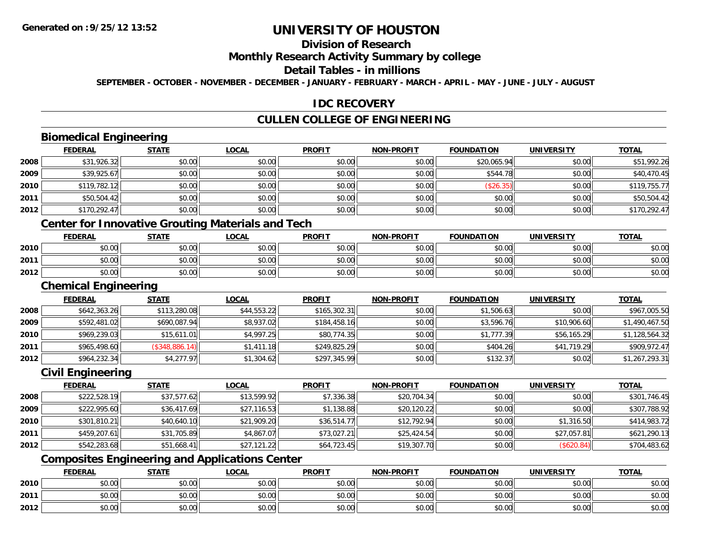## **Division of Research**

#### **Monthly Research Activity Summary by college**

#### **Detail Tables - in millions**

**SEPTEMBER - OCTOBER - NOVEMBER - DECEMBER - JANUARY - FEBRUARY - MARCH - APRIL - MAY - JUNE - JULY - AUGUST**

#### **IDC RECOVERY**

### **CULLEN COLLEGE OF ENGINEERING**

## **Biomedical Engineering**

|      | <b>FEDERAL</b> | <b>STATE</b> | <b>LOCAL</b> | <b>PROFIT</b> | <b>NON-PROFIT</b> | <b>FOUNDATION</b> | <b>UNIVERSITY</b> | <b>TOTAL</b> |
|------|----------------|--------------|--------------|---------------|-------------------|-------------------|-------------------|--------------|
| 2008 | \$31,926.32    | \$0.00       | \$0.00       | \$0.00        | \$0.00            | \$20,065.94       | \$0.00            | \$51,992.26  |
| 2009 | \$39,925.67    | \$0.00       | \$0.00       | \$0.00        | \$0.00            | \$544.78          | \$0.00            | \$40,470.45  |
| 2010 | \$119,782.12   | \$0.00       | \$0.00       | \$0.00        | \$0.00            | (\$26.35)         | \$0.00            | \$119,755.77 |
| 2011 | \$50,504.42    | \$0.00       | \$0.00       | \$0.00        | \$0.00            | \$0.00            | \$0.00            | \$50,504.42  |
| 2012 | \$170,292.47   | \$0.00       | \$0.00       | \$0.00        | \$0.00            | \$0.00            | \$0.00            | \$170,292.47 |
|      |                |              | ___          | ____          |                   |                   |                   |              |

#### **Center for Innovative Grouting Materials and Tech**

|      | <b>FEDERAL</b> | <b>STATE</b> | <b>LOCAL</b>                                            | <b>PROFIT</b> | <b>NON-PROFIT</b> | <b>FOUNDATION</b> | UNIVERSITY | <b>TOTAL</b> |
|------|----------------|--------------|---------------------------------------------------------|---------------|-------------------|-------------------|------------|--------------|
| 2010 | \$0.00         | \$0.00       | 0000<br>DU.UU                                           | \$0.00        | 40.00<br>JU.UU    | ≮∩ ∩∩<br>JU.UU    | \$0.00     | \$0.00       |
| 2011 | \$0.00         | \$0.00       | $\mathfrak{c}\cap\mathfrak{c}\cap\mathfrak{c}$<br>DU.UU | \$0.00        | 40.00<br>⊅∪.∪U    | \$0.00            | \$0.00     | \$0.00       |
| 2012 | \$0.00         | \$0.00       | \$0.00                                                  | \$0.00        | \$0.00            | \$0.00            | \$0.00     | \$0.00       |

#### **Chemical Engineering**

|      | <b>FEDERAL</b> | <u>STATE</u>   | <b>LOCAL</b> | <b>PROFIT</b> | <b>NON-PROFIT</b> | <b>FOUNDATION</b> | <b>UNIVERSITY</b> | <b>TOTAL</b>   |
|------|----------------|----------------|--------------|---------------|-------------------|-------------------|-------------------|----------------|
| 2008 | \$642,363.26   | \$113,280.08   | \$44,553.22  | \$165,302.31  | \$0.00            | \$1,506.63        | \$0.00            | \$967,005.50   |
| 2009 | \$592,481.02   | \$690,087.94   | \$8,937.02   | \$184,458.16  | \$0.00            | \$3,596.76        | \$10,906.60       | \$1,490,467.50 |
| 2010 | \$969,239.03   | \$15,611.01    | \$4,997.25   | \$80,774.35   | \$0.00            | \$1,777.39        | \$56,165.29       | \$1,128,564.32 |
| 2011 | \$965,498.60   | (S348, 886.14) | \$1,411.18   | \$249,825.29  | \$0.00            | \$404.26          | \$41,719.29       | \$909,972.47   |
| 2012 | \$964,232.34   | \$4,277.97     | \$1,304.62   | \$297,345.99  | \$0.00            | \$132.37          | \$0.02            | \$1,267,293.31 |

### **Civil Engineering**

|      | <b>FEDERAL</b> | <b>STATE</b> | <u>LOCAL</u> | <b>PROFIT</b> | <b>NON-PROFIT</b> | <b>FOUNDATION</b> | <b>UNIVERSITY</b> | <b>TOTAL</b> |
|------|----------------|--------------|--------------|---------------|-------------------|-------------------|-------------------|--------------|
| 2008 | \$222,528.19   | \$37,577.62  | \$13,599.92  | \$7,336.38    | \$20,704.34       | \$0.00            | \$0.00            | \$301,746.45 |
| 2009 | \$222,995.60   | \$36,417.69  | \$27,116.53  | \$1,138.88    | \$20,120.22       | \$0.00            | \$0.00            | \$307,788.92 |
| 2010 | \$301,810.21   | \$40,640.10  | \$21,909.20  | \$36,514.77   | \$12,792.94       | \$0.00            | \$1,316.50        | \$414,983.72 |
| 2011 | \$459,207.61   | \$31,705.89  | \$4,867.07   | \$73,027.21   | \$25,424.54       | \$0.00            | \$27,057.81       | \$621,290.13 |
| 2012 | \$542,283.68   | \$51,668.41  | \$27,121.22  | \$64,723.45   | \$19,307.70       | \$0.00            | (\$620.84)        | \$704,483.62 |

## **Composites Engineering and Applications Center**

|      | <b>FEDERAL</b> | <b>STATE</b> | <u>LOCAL</u> | <b>PROFIT</b> | <b>NON-PROFIT</b> | <b>FOUNDATION</b> | <b>UNIVERSITY</b> | <b>TOTAL</b> |
|------|----------------|--------------|--------------|---------------|-------------------|-------------------|-------------------|--------------|
| 2010 | \$0.00         | \$0.00       | \$0.00       | \$0.00        | \$0.00            | \$0.00            | \$0.00            | \$0.00       |
| 2011 | \$0.00         | \$0.00       | \$0.00       | \$0.00        | \$0.00            | \$0.00            | \$0.00            | \$0.00       |
| 2012 | \$0.00         | \$0.00       | \$0.00       | \$0.00        | \$0.00            | \$0.00            | \$0.00            | \$0.00       |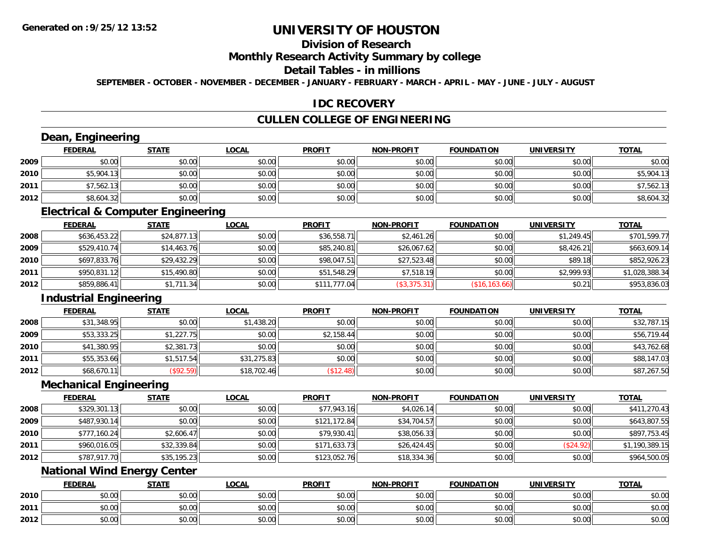## **Division of Research**

#### **Monthly Research Activity Summary by college**

#### **Detail Tables - in millions**

**SEPTEMBER - OCTOBER - NOVEMBER - DECEMBER - JANUARY - FEBRUARY - MARCH - APRIL - MAY - JUNE - JULY - AUGUST**

#### **IDC RECOVERY**

### **CULLEN COLLEGE OF ENGINEERING**

## **Dean, Engineering**

|      | <b>FEDERAL</b> | <b>STATE</b> | <u>LOCAL</u> | <b>PROFIT</b> | <b>NON-PROFIT</b> | <b>FOUNDATION</b> | <b>UNIVERSITY</b> | <b>TOTAL</b> |
|------|----------------|--------------|--------------|---------------|-------------------|-------------------|-------------------|--------------|
| 2009 | \$0.00         | \$0.00       | \$0.00       | \$0.00        | \$0.00            | \$0.00            | \$0.00            | \$0.00       |
| 2010 | \$5,904.13     | \$0.00       | \$0.00       | \$0.00        | \$0.00            | \$0.00            | \$0.00            | \$5,904.13   |
| 2011 | \$7,562.13     | \$0.00       | \$0.00       | \$0.00        | \$0.00            | \$0.00            | \$0.00            | \$7,562.13   |
| 2012 | \$8,604.32     | \$0.00       | \$0.00       | \$0.00        | \$0.00            | \$0.00            | \$0.00            | \$8,604.32   |

#### **Electrical & Computer Engineering**

|      | <b>FEDERAL</b> | <u>STATE</u> | <b>LOCAL</b> | <b>PROFIT</b> | <b>NON-PROFIT</b> | <b>FOUNDATION</b> | <b>UNIVERSITY</b> | <b>TOTAL</b>   |
|------|----------------|--------------|--------------|---------------|-------------------|-------------------|-------------------|----------------|
| 2008 | \$636,453.22   | \$24,877.13  | \$0.00       | \$36,558.71   | \$2,461.26        | \$0.00            | \$1.249.45        | \$701.599.77   |
| 2009 | \$529,410.74   | \$14,463.76  | \$0.00       | \$85,240.81   | \$26,067.62       | \$0.00            | \$8,426.21        | \$663,609.14   |
| 2010 | \$697,833.76   | \$29,432.29  | \$0.00       | \$98,047.51   | \$27,523.48       | \$0.00            | \$89.18           | \$852,926.23   |
| 2011 | \$950,831.12   | \$15,490.80  | \$0.00       | \$51,548.29   | \$7,518.19        | \$0.00            | \$2.999.93        | \$1,028,388.34 |
| 2012 | \$859,886.41   | \$1,711.34   | \$0.00       | \$111,777.04  | (\$3,375.31)      | (\$16, 163.66)    | \$0.21            | \$953,836.03   |

### **Industrial Engineering**

|      | <b>FEDERAL</b> | <b>STATE</b>     | <u>LOCAL</u> | <b>PROFIT</b> | <b>NON-PROFIT</b> | <b>FOUNDATION</b> | UNIVERSITY | <b>TOTAL</b> |
|------|----------------|------------------|--------------|---------------|-------------------|-------------------|------------|--------------|
| 2008 | \$31,348.95    | \$0.00           | \$1,438.20   | \$0.00        | \$0.00            | \$0.00            | \$0.00     | \$32,787.15  |
| 2009 | \$53,333.25    | \$1,227.75       | \$0.00       | \$2,158.44    | \$0.00            | \$0.00            | \$0.00     | \$56,719.44  |
| 2010 | \$41,380.95    | \$2,381.73       | \$0.00       | \$0.00        | \$0.00            | \$0.00            | \$0.00     | \$43,762.68  |
| 2011 | \$55,353.66    | \$1,517.54       | \$31,275.83  | \$0.00        | \$0.00            | \$0.00            | \$0.00     | \$88,147.03  |
| 2012 | \$68,670.11    | $($ \$92.59) $ $ | \$18,702.46  | \$12.48       | \$0.00            | \$0.00            | \$0.00     | \$87,267.50  |

#### **Mechanical Engineering**

|      | <b>FEDERAL</b> | <b>STATE</b> | <u>LOCAL</u> | <b>PROFIT</b> | <b>NON-PROFIT</b> | <b>FOUNDATION</b> | <b>UNIVERSITY</b> | <b>TOTAL</b>   |
|------|----------------|--------------|--------------|---------------|-------------------|-------------------|-------------------|----------------|
| 2008 | \$329,301.13   | \$0.00       | \$0.00       | \$77,943.16   | \$4,026.14        | \$0.00            | \$0.00            | \$411,270.43   |
| 2009 | \$487,930.14   | \$0.00       | \$0.00       | \$121,172.84  | \$34,704.57       | \$0.00            | \$0.00            | \$643,807.55   |
| 2010 | \$777,160.24   | \$2,606.47   | \$0.00       | \$79,930.41   | \$38,056.33       | \$0.00            | \$0.00            | \$897,753.45   |
| 2011 | \$960,016.05   | \$32,339.84  | \$0.00       | \$171,633.73  | \$26,424.45       | \$0.00            | (\$24.92)         | \$1,190,389.15 |
| 2012 | \$787,917.70   | \$35,195.23  | \$0.00       | \$123,052.76  | \$18,334.36       | \$0.00            | \$0.00            | \$964,500.05   |

### **National Wind Energy Center**

|      | <b>FEDERAL</b>                                        | <b>STATE</b> | LOCAL          | <b>PROFIT</b> | <b>NON-PROFIT</b> | <b>FOUNDATION</b> | <b>UNIVERSITY</b> | <b>TOTAL</b> |
|------|-------------------------------------------------------|--------------|----------------|---------------|-------------------|-------------------|-------------------|--------------|
| 2010 | 0.00<br>vu.uu                                         | \$0.00       | \$0.00         | \$0.00        | \$0.00            | \$0.00            | \$0.00            | \$0.00       |
| 2011 | $\sim$<br>JU.UU                                       | \$0.00       | 0000<br>\$U.UU | \$0.00        | \$0.00            | \$0.00            | \$0.00            | \$0.00       |
| 2012 | $\mathsf{A} \cap \mathsf{A} \cap \mathsf{A}$<br>DU.U¢ | \$0.00       | 0000<br>\$0.00 | \$0.00        | \$0.00            | \$0.00            | \$0.00            | \$0.00       |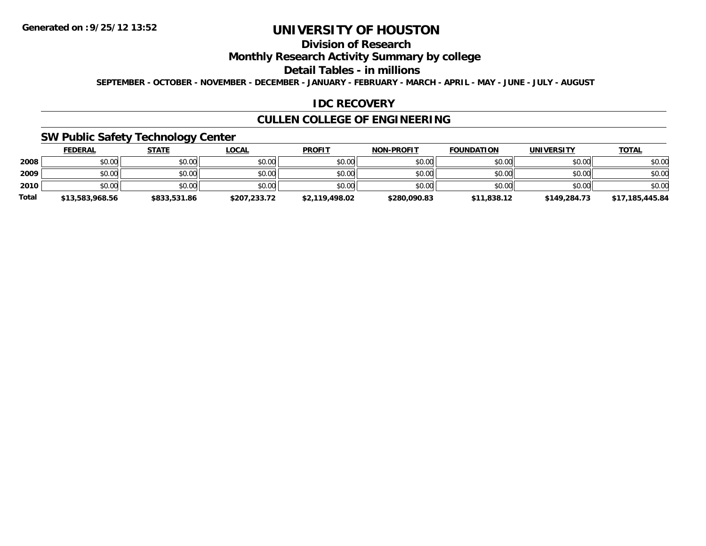## **Division of Research**

### **Monthly Research Activity Summary by college**

#### **Detail Tables - in millions**

**SEPTEMBER - OCTOBER - NOVEMBER - DECEMBER - JANUARY - FEBRUARY - MARCH - APRIL - MAY - JUNE - JULY - AUGUST**

### **IDC RECOVERY**

### **CULLEN COLLEGE OF ENGINEERING**

### **SW Public Safety Technology Center**

|              | <b>FEDERAL</b>  | <b>STATE</b> | <b>LOCAL</b> | <b>PROFIT</b>  | <b>NON-PROFIT</b> | <b>FOUNDATION</b> | UNIVERSITY   | <b>TOTAL</b>    |
|--------------|-----------------|--------------|--------------|----------------|-------------------|-------------------|--------------|-----------------|
| 2008         | \$0.00          | \$0.00       | \$0.00       | \$0.00         | \$0.00            | \$0.00            | \$0.00       | \$0.00          |
| 2009         | \$0.00          | \$0.00       | \$0.00       | \$0.00         | \$0.00            | \$0.00            | \$0.00       | \$0.00          |
| 2010         | \$0.00          | \$0.00       | \$0.00       | \$0.00         | \$0.00            | \$0.00            | \$0.00       | \$0.00          |
| <b>Total</b> | \$13,583,968.56 | \$833,531.86 | \$207,233.72 | \$2.119.498.02 | \$280,090.83      | \$11,838.12       | \$149,284.73 | \$17,185,445.84 |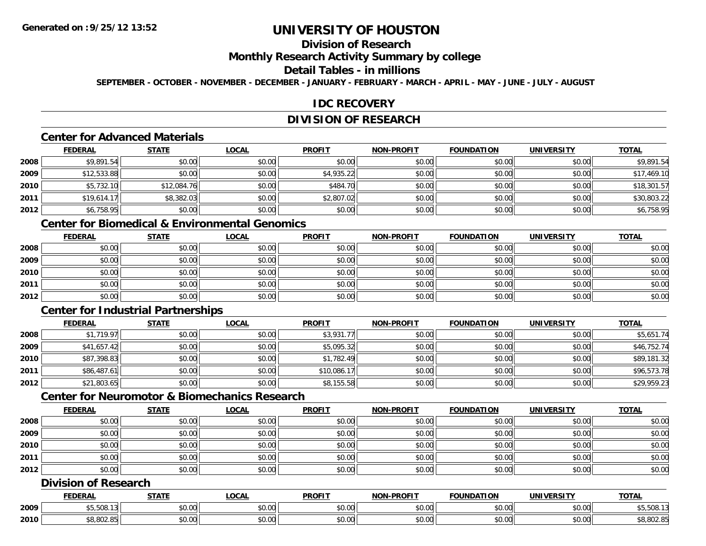## **Division of Research**

# **Monthly Research Activity Summary by college**

#### **Detail Tables - in millions**

**SEPTEMBER - OCTOBER - NOVEMBER - DECEMBER - JANUARY - FEBRUARY - MARCH - APRIL - MAY - JUNE - JULY - AUGUST**

### **IDC RECOVERY**

### **DIVISION OF RESEARCH**

### **Center for Advanced Materials**

|      | <b>FEDERAL</b> | <b>STATE</b> | <u>LOCAL</u> | <b>PROFIT</b> | <b>NON-PROFIT</b> | <b>FOUNDATION</b> | <b>UNIVERSITY</b> | <b>TOTAL</b> |
|------|----------------|--------------|--------------|---------------|-------------------|-------------------|-------------------|--------------|
| 2008 | \$9,891.54     | \$0.00       | \$0.00       | \$0.00        | \$0.00            | \$0.00            | \$0.00            | \$9,891.54   |
| 2009 | \$12,533.88    | \$0.00       | \$0.00       | \$4,935.22    | \$0.00            | \$0.00            | \$0.00            | \$17,469.10  |
| 2010 | \$5,732.10     | \$12,084.76  | \$0.00       | \$484.70      | \$0.00            | \$0.00            | \$0.00            | \$18,301.57  |
| 2011 | \$19,614.17    | \$8,382.03   | \$0.00       | \$2,807.02    | \$0.00            | \$0.00            | \$0.00            | \$30,803.22  |
| 2012 | \$6,758.95     | \$0.00       | \$0.00       | \$0.00        | \$0.00            | \$0.00            | \$0.00            | \$6,758.95   |

## **Center for Biomedical & Environmental Genomics**

|      | <u>FEDERAL</u> | <u>STATE</u> | <u>LOCAL</u> | <b>PROFIT</b> | <b>NON-PROFIT</b> | <b>FOUNDATION</b> | <b>UNIVERSITY</b> | <b>TOTAL</b> |
|------|----------------|--------------|--------------|---------------|-------------------|-------------------|-------------------|--------------|
| 2008 | \$0.00         | \$0.00       | \$0.00       | \$0.00        | \$0.00            | \$0.00            | \$0.00            | \$0.00       |
| 2009 | \$0.00         | \$0.00       | \$0.00       | \$0.00        | \$0.00            | \$0.00            | \$0.00            | \$0.00       |
| 2010 | \$0.00         | \$0.00       | \$0.00       | \$0.00        | \$0.00            | \$0.00            | \$0.00            | \$0.00       |
| 2011 | \$0.00         | \$0.00       | \$0.00       | \$0.00        | \$0.00            | \$0.00            | \$0.00            | \$0.00       |
| 2012 | \$0.00         | \$0.00       | \$0.00       | \$0.00        | \$0.00            | \$0.00            | \$0.00            | \$0.00       |

## **Center for Industrial Partnerships**

|      | <b>FEDERAL</b> | <b>STATE</b> | <b>LOCAL</b> | <b>PROFIT</b> | <b>NON-PROFIT</b> | <b>FOUNDATION</b> | <b>UNIVERSITY</b> | <b>TOTAL</b> |
|------|----------------|--------------|--------------|---------------|-------------------|-------------------|-------------------|--------------|
| 2008 | \$1,719.97     | \$0.00       | \$0.00       | \$3,931.77    | \$0.00            | \$0.00            | \$0.00            | \$5,651.74   |
| 2009 | \$41,657.42    | \$0.00       | \$0.00       | \$5,095.32    | \$0.00            | \$0.00            | \$0.00            | \$46,752.74  |
| 2010 | \$87,398.83    | \$0.00       | \$0.00       | \$1,782.49    | \$0.00            | \$0.00            | \$0.00            | \$89,181.32  |
| 2011 | \$86,487.61    | \$0.00       | \$0.00       | \$10,086.17   | \$0.00            | \$0.00            | \$0.00            | \$96,573.78  |
| 2012 | \$21,803.65    | \$0.00       | \$0.00       | \$8,155.58    | \$0.00            | \$0.00            | \$0.00            | \$29,959.23  |

## **Center for Neuromotor & Biomechanics Research**

|      | <u>FEDERAL</u> | <b>STATE</b> | <u>LOCAL</u> | <b>PROFIT</b> | <b>NON-PROFIT</b> | <b>FOUNDATION</b> | <b>UNIVERSITY</b> | <b>TOTAL</b> |
|------|----------------|--------------|--------------|---------------|-------------------|-------------------|-------------------|--------------|
| 2008 | \$0.00         | \$0.00       | \$0.00       | \$0.00        | \$0.00            | \$0.00            | \$0.00            | \$0.00       |
| 2009 | \$0.00         | \$0.00       | \$0.00       | \$0.00        | \$0.00            | \$0.00            | \$0.00            | \$0.00       |
| 2010 | \$0.00         | \$0.00       | \$0.00       | \$0.00        | \$0.00            | \$0.00            | \$0.00            | \$0.00       |
| 2011 | \$0.00         | \$0.00       | \$0.00       | \$0.00        | \$0.00            | \$0.00            | \$0.00            | \$0.00       |
| 2012 | \$0.00         | \$0.00       | \$0.00       | \$0.00        | \$0.00            | \$0.00            | \$0.00            | \$0.00       |

### **Division of Research**

|      | <b>FEDERAL</b>             | <b>CTATI</b>                                          | .OCAL              | <b>PROFIT</b>  | <b>JLDDOFIT</b><br><b>NION</b> | <b>INDA</b><br>$\sim$ | <b>MIML</b>               | TOTAL      |
|------|----------------------------|-------------------------------------------------------|--------------------|----------------|--------------------------------|-----------------------|---------------------------|------------|
| 2009 | ູນປປປ. ∴                   | $\mathsf{A} \cap \mathsf{A} \cap \mathsf{A}$<br>vu.uu | $\sim$ 00<br>vu.ou | 0.00<br>ູນບ.ບບ | \$0.00                         | vu.vu                 | $\sim$ $\sim$<br>vu.vu    | \$5,508.13 |
| 2010 | 0.002<br>$\sim$<br>o.ouz.o | $\sim$ 00<br>vv.vv                                    | $\sim$ 00<br>vu.uu | 0000<br>JU.UU  | \$0.00                         | JU.UU                 | $\sim$ 00<br><b>JU.UU</b> | \$8,802.8  |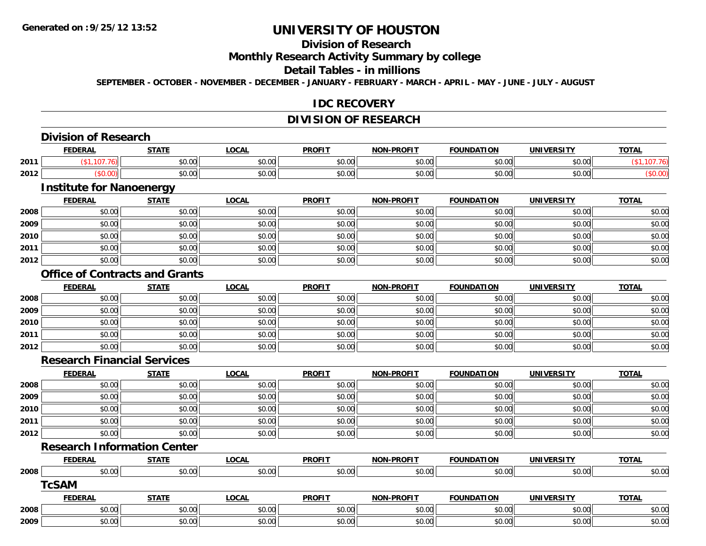## **Division of Research**

### **Monthly Research Activity Summary by college**

#### **Detail Tables - in millions**

**SEPTEMBER - OCTOBER - NOVEMBER - DECEMBER - JANUARY - FEBRUARY - MARCH - APRIL - MAY - JUNE - JULY - AUGUST**

#### **IDC RECOVERY**

### **DIVISION OF RESEARCH**

|      | <b>Division of Research</b>           |              |              |               |                   |                   |                   |              |
|------|---------------------------------------|--------------|--------------|---------------|-------------------|-------------------|-------------------|--------------|
|      | <b>FEDERAL</b>                        | <b>STATE</b> | <b>LOCAL</b> | <b>PROFIT</b> | <b>NON-PROFIT</b> | <b>FOUNDATION</b> | <b>UNIVERSITY</b> | <b>TOTAL</b> |
| 2011 | (\$1,107.76)                          | \$0.00       | \$0.00       | \$0.00        | \$0.00            | \$0.00            | \$0.00            | (\$1,107.76) |
| 2012 | (\$0.00)                              | \$0.00       | \$0.00       | \$0.00        | \$0.00            | \$0.00            | \$0.00            | (\$0.00)     |
|      | <b>Institute for Nanoenergy</b>       |              |              |               |                   |                   |                   |              |
|      | <b>FEDERAL</b>                        | <b>STATE</b> | <b>LOCAL</b> | <b>PROFIT</b> | <b>NON-PROFIT</b> | <b>FOUNDATION</b> | <b>UNIVERSITY</b> | <b>TOTAL</b> |
| 2008 | \$0.00                                | \$0.00       | \$0.00       | \$0.00        | \$0.00            | \$0.00            | \$0.00            | \$0.00       |
| 2009 | \$0.00                                | \$0.00       | \$0.00       | \$0.00        | \$0.00            | \$0.00            | \$0.00            | \$0.00       |
| 2010 | \$0.00                                | \$0.00       | \$0.00       | \$0.00        | \$0.00            | \$0.00            | \$0.00            | \$0.00       |
| 2011 | \$0.00                                | \$0.00       | \$0.00       | \$0.00        | \$0.00            | \$0.00            | \$0.00            | \$0.00       |
| 2012 | \$0.00                                | \$0.00       | \$0.00       | \$0.00        | \$0.00            | \$0.00            | \$0.00            | \$0.00       |
|      | <b>Office of Contracts and Grants</b> |              |              |               |                   |                   |                   |              |
|      | <b>FEDERAL</b>                        | <b>STATE</b> | <b>LOCAL</b> | <b>PROFIT</b> | <b>NON-PROFIT</b> | <b>FOUNDATION</b> | <b>UNIVERSITY</b> | <b>TOTAL</b> |
| 2008 | \$0.00                                | \$0.00       | \$0.00       | \$0.00        | \$0.00            | \$0.00            | \$0.00            | \$0.00       |
| 2009 | \$0.00                                | \$0.00       | \$0.00       | \$0.00        | \$0.00            | \$0.00            | \$0.00            | \$0.00       |
| 2010 | \$0.00                                | \$0.00       | \$0.00       | \$0.00        | \$0.00            | \$0.00            | \$0.00            | \$0.00       |
| 2011 | \$0.00                                | \$0.00       | \$0.00       | \$0.00        | \$0.00            | \$0.00            | \$0.00            | \$0.00       |
| 2012 | \$0.00                                | \$0.00       | \$0.00       | \$0.00        | \$0.00            | \$0.00            | \$0.00            | \$0.00       |
|      | <b>Research Financial Services</b>    |              |              |               |                   |                   |                   |              |
|      | <b>FEDERAL</b>                        | <b>STATE</b> | <b>LOCAL</b> | <b>PROFIT</b> | <b>NON-PROFIT</b> | <b>FOUNDATION</b> | <b>UNIVERSITY</b> | <b>TOTAL</b> |
| 2008 | \$0.00                                | \$0.00       | \$0.00       | \$0.00        | \$0.00            | \$0.00            | \$0.00            | \$0.00       |
| 2009 | \$0.00                                | \$0.00       | \$0.00       | \$0.00        | \$0.00            | \$0.00            | \$0.00            | \$0.00       |
| 2010 | \$0.00                                | \$0.00       | \$0.00       | \$0.00        | \$0.00            | \$0.00            | \$0.00            | \$0.00       |
| 2011 | \$0.00                                | \$0.00       | \$0.00       | \$0.00        | \$0.00            | \$0.00            | \$0.00            | \$0.00       |
| 2012 | \$0.00                                | \$0.00       | \$0.00       | \$0.00        | \$0.00            | \$0.00            | \$0.00            | \$0.00       |
|      | <b>Research Information Center</b>    |              |              |               |                   |                   |                   |              |
|      | <b>FEDERAL</b>                        | <b>STATE</b> | <b>LOCAL</b> | <b>PROFIT</b> | <b>NON-PROFIT</b> | <b>FOUNDATION</b> | <b>UNIVERSITY</b> | <b>TOTAL</b> |
| 2008 | \$0.00                                | \$0.00       | \$0.00       | \$0.00        | \$0.00            | \$0.00            | \$0.00            | \$0.00       |
|      | <b>TcSAM</b>                          |              |              |               |                   |                   |                   |              |
|      | <b>FEDERAL</b>                        | <b>STATE</b> | <b>LOCAL</b> | <b>PROFIT</b> | <b>NON-PROFIT</b> | <b>FOUNDATION</b> | <b>UNIVERSITY</b> | <b>TOTAL</b> |
| 2008 | \$0.00                                | \$0.00       | \$0.00       | \$0.00        | \$0.00            | \$0.00            | \$0.00            | \$0.00       |
| 2009 | \$0.00                                | \$0.00       | \$0.00       | \$0.00        | \$0.00            | \$0.00            | \$0.00            | \$0.00       |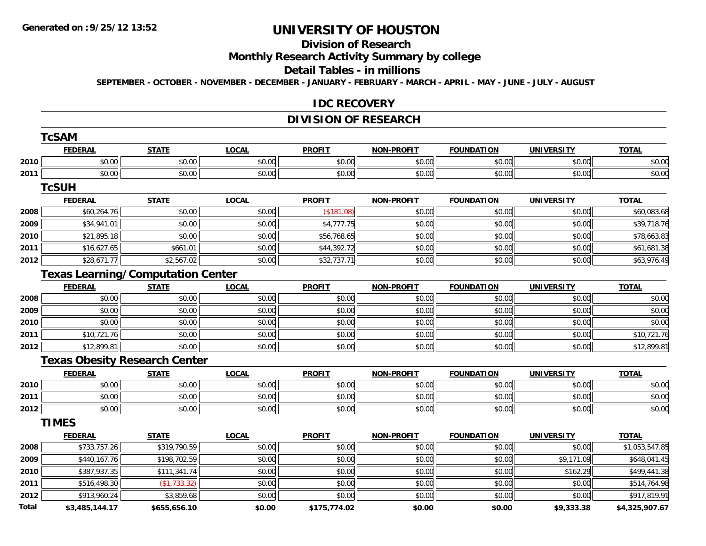# **Division of Research**

# **Monthly Research Activity Summary by college**

#### **Detail Tables - in millions**

**SEPTEMBER - OCTOBER - NOVEMBER - DECEMBER - JANUARY - FEBRUARY - MARCH - APRIL - MAY - JUNE - JULY - AUGUST**

#### **IDC RECOVERY**

### **DIVISION OF RESEARCH**

|       | <b>TcSAM</b>   |                                          |              |               |                   |                   |                   |                |
|-------|----------------|------------------------------------------|--------------|---------------|-------------------|-------------------|-------------------|----------------|
|       | <b>FEDERAL</b> | <b>STATE</b>                             | <b>LOCAL</b> | <b>PROFIT</b> | <b>NON-PROFIT</b> | <b>FOUNDATION</b> | <b>UNIVERSITY</b> | <b>TOTAL</b>   |
| 2010  | \$0.00         | \$0.00                                   | \$0.00       | \$0.00        | \$0.00            | \$0.00            | \$0.00            | \$0.00         |
| 2011  | \$0.00         | \$0.00                                   | \$0.00       | \$0.00        | \$0.00            | \$0.00            | \$0.00            | \$0.00         |
|       | <b>TcSUH</b>   |                                          |              |               |                   |                   |                   |                |
|       | <b>FEDERAL</b> | <b>STATE</b>                             | <b>LOCAL</b> | <b>PROFIT</b> | <b>NON-PROFIT</b> | <b>FOUNDATION</b> | <b>UNIVERSITY</b> | <b>TOTAL</b>   |
| 2008  | \$60,264.76    | \$0.00                                   | \$0.00       | (\$181.08)    | \$0.00            | \$0.00            | \$0.00            | \$60,083.68    |
| 2009  | \$34,941.01    | \$0.00                                   | \$0.00       | \$4,777.75    | \$0.00            | \$0.00            | \$0.00            | \$39,718.76    |
| 2010  | \$21,895.18    | \$0.00                                   | \$0.00       | \$56,768.65   | \$0.00            | \$0.00            | \$0.00            | \$78,663.83    |
| 2011  | \$16,627.65    | \$661.01                                 | \$0.00       | \$44,392.72   | \$0.00            | \$0.00            | \$0.00            | \$61,681.38    |
| 2012  | \$28,671.77    | \$2,567.02                               | \$0.00       | \$32,737.71   | \$0.00            | \$0.00            | \$0.00            | \$63,976.49    |
|       |                | <b>Texas Learning/Computation Center</b> |              |               |                   |                   |                   |                |
|       | <b>FEDERAL</b> | <b>STATE</b>                             | <b>LOCAL</b> | <b>PROFIT</b> | <b>NON-PROFIT</b> | <b>FOUNDATION</b> | <b>UNIVERSITY</b> | <b>TOTAL</b>   |
| 2008  | \$0.00         | \$0.00                                   | \$0.00       | \$0.00        | \$0.00            | \$0.00            | \$0.00            | \$0.00         |
| 2009  | \$0.00         | \$0.00                                   | \$0.00       | \$0.00        | \$0.00            | \$0.00            | \$0.00            | \$0.00         |
| 2010  | \$0.00         | \$0.00                                   | \$0.00       | \$0.00        | \$0.00            | \$0.00            | \$0.00            | \$0.00         |
| 2011  | \$10,721.76    | \$0.00                                   | \$0.00       | \$0.00        | \$0.00            | \$0.00            | \$0.00            | \$10,721.76    |
| 2012  | \$12,899.81    | \$0.00                                   | \$0.00       | \$0.00        | \$0.00            | \$0.00            | \$0.00            | \$12,899.81    |
|       |                | <b>Texas Obesity Research Center</b>     |              |               |                   |                   |                   |                |
|       | <b>FEDERAL</b> | <b>STATE</b>                             | <b>LOCAL</b> | <b>PROFIT</b> | <b>NON-PROFIT</b> | <b>FOUNDATION</b> | <b>UNIVERSITY</b> | <b>TOTAL</b>   |
| 2010  | \$0.00         | \$0.00                                   | \$0.00       | \$0.00        | \$0.00            | \$0.00            | \$0.00            | \$0.00         |
| 2011  | \$0.00         | \$0.00                                   | \$0.00       | \$0.00        | \$0.00            | \$0.00            | \$0.00            | \$0.00         |
| 2012  | \$0.00         | \$0.00                                   | \$0.00       | \$0.00        | \$0.00            | \$0.00            | \$0.00            | \$0.00         |
|       | <b>TIMES</b>   |                                          |              |               |                   |                   |                   |                |
|       | <b>FEDERAL</b> | <b>STATE</b>                             | <b>LOCAL</b> | <b>PROFIT</b> | <b>NON-PROFIT</b> | <b>FOUNDATION</b> | <b>UNIVERSITY</b> | <b>TOTAL</b>   |
| 2008  | \$733,757.26   | \$319,790.59                             | \$0.00       | \$0.00        | \$0.00            | \$0.00            | \$0.00            | \$1,053,547.85 |
| 2009  | \$440,167.76   | \$198,702.59                             | \$0.00       | \$0.00        | \$0.00            | \$0.00            | \$9,171.09        | \$648,041.45   |
| 2010  | \$387,937.35   | \$111,341.74                             | \$0.00       | \$0.00        | \$0.00            | \$0.00            | \$162.29          | \$499,441.38   |
| 2011  | \$516,498.30   | (\$1,733.32)                             | \$0.00       | \$0.00        | \$0.00            | \$0.00            | \$0.00            | \$514,764.98   |
| 2012  | \$913,960.24   | \$3,859.68                               | \$0.00       | \$0.00        | \$0.00            | \$0.00            | \$0.00            | \$917,819.91   |
| Total | \$3,485,144.17 | \$655,656.10                             | \$0.00       | \$175,774.02  | \$0.00            | \$0.00            | \$9,333.38        | \$4,325,907.67 |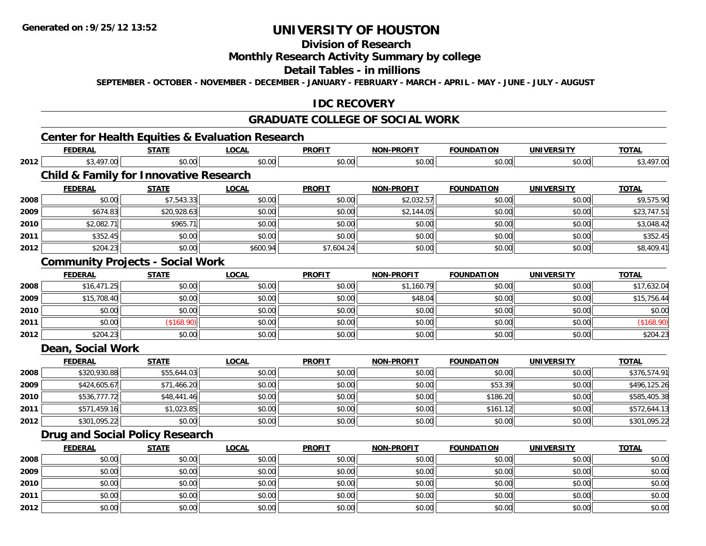**2012**

# **UNIVERSITY OF HOUSTON**

## **Division of Research**

### **Monthly Research Activity Summary by college**

#### **Detail Tables - in millions**

**SEPTEMBER - OCTOBER - NOVEMBER - DECEMBER - JANUARY - FEBRUARY - MARCH - APRIL - MAY - JUNE - JULY - AUGUST**

### **IDC RECOVERY**

### **GRADUATE COLLEGE OF SOCIAL WORK**

## **Center for Health Equities & Evaluation Research**

|      | <b>FEDERAL</b>                                    | <b>STATE</b> | <b>LOCAL</b> | <b>PROFIT</b> | <b>NON-PROFIT</b> | <b>FOUNDATION</b> | <b>UNIVERSITY</b> | <b>TOTAL</b> |
|------|---------------------------------------------------|--------------|--------------|---------------|-------------------|-------------------|-------------------|--------------|
| 2012 | \$3,497.00                                        | \$0.00       | \$0.00       | \$0.00        | \$0.00            | \$0.00            | \$0.00            | \$3,497.00   |
|      | <b>Child &amp; Family for Innovative Research</b> |              |              |               |                   |                   |                   |              |
|      | <b>FEDERAL</b>                                    | <b>STATE</b> | <b>LOCAL</b> | <b>PROFIT</b> | <b>NON-PROFIT</b> | <b>FOUNDATION</b> | <b>UNIVERSITY</b> | <b>TOTAL</b> |
| 2008 | \$0.00                                            | \$7,543.33   | \$0.00       | \$0.00        | \$2,032.57        | \$0.00            | \$0.00            | \$9,575.90   |
| 2009 | \$674.83                                          | \$20,928.63  | \$0.00       | \$0.00        | \$2,144.05        | \$0.00            | \$0.00            | \$23,747.51  |
| 2010 | \$2,082.71                                        | \$965.71     | \$0.00       | \$0.00        | \$0.00            | \$0.00            | \$0.00            | \$3,048.42   |
| 2011 | \$352.45                                          | \$0.00       | \$0.00       | \$0.00        | \$0.00            | \$0.00            | \$0.00            | \$352.45     |
| 2012 | \$204.23                                          | \$0.00       | \$600.94     | \$7,604.24    | \$0.00            | \$0.00            | \$0.00            | \$8,409.41   |
|      | <b>Community Projects - Social Work</b>           |              |              |               |                   |                   |                   |              |
|      | <b>FEDERAL</b>                                    | <b>STATE</b> | <b>LOCAL</b> | <b>PROFIT</b> | <b>NON-PROFIT</b> | <b>FOUNDATION</b> | <b>UNIVERSITY</b> | <b>TOTAL</b> |
| 2008 | \$16,471.25                                       | \$0.00       | \$0.00       | \$0.00        | \$1,160.79        | \$0.00            | \$0.00            | \$17,632.04  |
| 2009 | \$15,708.40                                       | \$0.00       | \$0.00       | \$0.00        | \$48.04           | \$0.00            | \$0.00            | \$15,756.44  |
| 2010 | \$0.00                                            | \$0.00       | \$0.00       | \$0.00        | \$0.00            | \$0.00            | \$0.00            | \$0.00       |
| 2011 | \$0.00                                            | (\$168.90)   | \$0.00       | \$0.00        | \$0.00            | \$0.00            | \$0.00            | (\$168.90)   |
| 2012 | \$204.23                                          | \$0.00       | \$0.00       | \$0.00        | \$0.00            | \$0.00            | \$0.00            | \$204.23     |
|      | Dean, Social Work                                 |              |              |               |                   |                   |                   |              |
|      | <b>FEDERAL</b>                                    | <b>STATE</b> | <b>LOCAL</b> | <b>PROFIT</b> | <b>NON-PROFIT</b> | <b>FOUNDATION</b> | <b>UNIVERSITY</b> | <b>TOTAL</b> |
| 2008 | \$320,930.88                                      | \$55,644.03  | \$0.00       | \$0.00        | \$0.00            | \$0.00            | \$0.00            | \$376,574.91 |
| 2009 | \$424,605.67                                      | \$71,466.20  | \$0.00       | \$0.00        | \$0.00            | \$53.39           | \$0.00            | \$496,125.26 |
| 2010 | \$536,777.72                                      | \$48,441.46  | \$0.00       | \$0.00        | \$0.00            | \$186.20          | \$0.00            | \$585,405.38 |
| 2011 | \$571,459.16                                      | \$1,023.85   | \$0.00       | \$0.00        | \$0.00            | \$161.12          | \$0.00            | \$572,644.13 |
| 2012 | \$301,095.22                                      | \$0.00       | \$0.00       | \$0.00        | \$0.00            | \$0.00            | \$0.00            | \$301,095.22 |
|      | <b>Drug and Social Policy Research</b>            |              |              |               |                   |                   |                   |              |
|      | <b>FEDERAL</b>                                    | <b>STATE</b> | <b>LOCAL</b> | <b>PROFIT</b> | <b>NON-PROFIT</b> | <b>FOUNDATION</b> | <b>UNIVERSITY</b> | <b>TOTAL</b> |
| 2008 | \$0.00                                            | \$0.00       | \$0.00       | \$0.00        | \$0.00            | \$0.00            | \$0.00            | \$0.00       |
| 2009 | \$0.00                                            | \$0.00       | \$0.00       | \$0.00        | \$0.00            | \$0.00            | \$0.00            | \$0.00       |
| 2010 | \$0.00                                            | \$0.00       | \$0.00       | \$0.00        | \$0.00            | \$0.00            | \$0.00            | \$0.00       |
| 2011 | \$0.00                                            | \$0.00       | \$0.00       | \$0.00        | \$0.00            | \$0.00            | \$0.00            | \$0.00       |

2 | \$0.00 \$0.00 \$0.00 \$0.00 \$0.00 \$0.00 \$0.00 \$0.00 \$0.00 \$0.00 \$0.00 \$0.00 \$0.00 \$0.00 \$0.00 \$0.00 \$0.00 \$0.0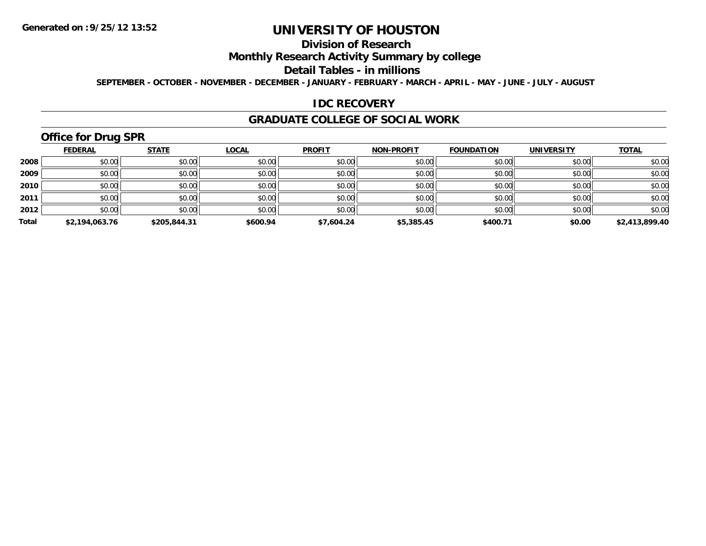## **Division of Research**

**Monthly Research Activity Summary by college**

#### **Detail Tables - in millions**

**SEPTEMBER - OCTOBER - NOVEMBER - DECEMBER - JANUARY - FEBRUARY - MARCH - APRIL - MAY - JUNE - JULY - AUGUST**

#### **IDC RECOVERY**

#### **GRADUATE COLLEGE OF SOCIAL WORK**

# **Office for Drug SPR**

|       | <b>FEDERAL</b> | <b>STATE</b> | <b>LOCAL</b> | <b>PROFIT</b> | <b>NON-PROFIT</b> | <b>FOUNDATION</b> | <b>UNIVERSITY</b> | <b>TOTAL</b>   |
|-------|----------------|--------------|--------------|---------------|-------------------|-------------------|-------------------|----------------|
| 2008  | \$0.00         | \$0.00       | \$0.00       | \$0.00        | \$0.00            | \$0.00            | \$0.00            | \$0.00         |
| 2009  | \$0.00         | \$0.00       | \$0.00       | \$0.00        | \$0.00            | \$0.00            | \$0.00            | \$0.00         |
| 2010  | \$0.00         | \$0.00       | \$0.00       | \$0.00        | \$0.00            | \$0.00            | \$0.00            | \$0.00         |
| 2011  | \$0.00         | \$0.00       | \$0.00       | \$0.00        | \$0.00            | \$0.00            | \$0.00            | \$0.00         |
| 2012  | \$0.00         | \$0.00       | \$0.00       | \$0.00        | \$0.00            | \$0.00            | \$0.00            | \$0.00         |
| Total | \$2,194,063.76 | \$205,844.31 | \$600.94     | \$7,604.24    | \$5,385.45        | \$400.71          | \$0.00            | \$2,413,899.40 |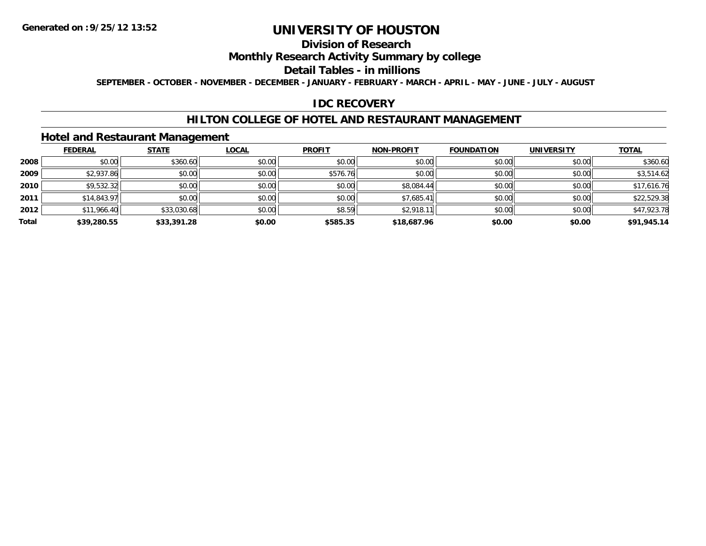## **Division of Research**

### **Monthly Research Activity Summary by college**

#### **Detail Tables - in millions**

**SEPTEMBER - OCTOBER - NOVEMBER - DECEMBER - JANUARY - FEBRUARY - MARCH - APRIL - MAY - JUNE - JULY - AUGUST**

#### **IDC RECOVERY**

#### **HILTON COLLEGE OF HOTEL AND RESTAURANT MANAGEMENT**

### **Hotel and Restaurant Management**

|       | <b>FEDERAL</b> | <b>STATE</b> | <b>LOCAL</b> | <b>PROFIT</b> | <b>NON-PROFIT</b> | <b>FOUNDATION</b> | <b>UNIVERSITY</b> | <b>TOTAL</b> |
|-------|----------------|--------------|--------------|---------------|-------------------|-------------------|-------------------|--------------|
| 2008  | \$0.00         | \$360.60     | \$0.00       | \$0.00        | \$0.00            | \$0.00            | \$0.00            | \$360.60     |
| 2009  | \$2,937.86     | \$0.00       | \$0.00       | \$576.76      | \$0.00            | \$0.00            | \$0.00            | \$3,514.62   |
| 2010  | \$9,532.32     | \$0.00       | \$0.00       | \$0.00        | \$8,084.44        | \$0.00            | \$0.00            | \$17,616.76  |
| 2011  | \$14,843.97    | \$0.00       | \$0.00       | \$0.00        | \$7,685.41        | \$0.00            | \$0.00            | \$22,529.38  |
| 2012  | \$11,966.40    | \$33,030.68  | \$0.00       | \$8.59        | \$2,918.11        | \$0.00            | \$0.00            | \$47,923.78  |
| Total | \$39,280.55    | \$33,391.28  | \$0.00       | \$585.35      | \$18,687.96       | \$0.00            | \$0.00            | \$91,945.14  |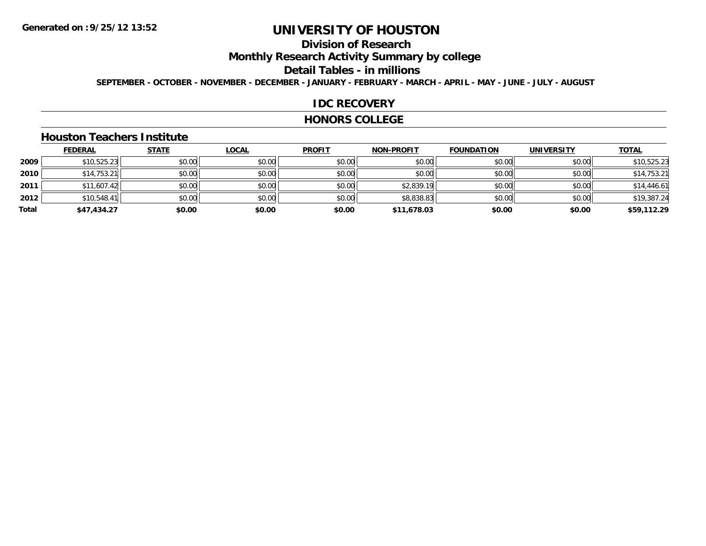## **Division of Research**

**Monthly Research Activity Summary by college**

#### **Detail Tables - in millions**

**SEPTEMBER - OCTOBER - NOVEMBER - DECEMBER - JANUARY - FEBRUARY - MARCH - APRIL - MAY - JUNE - JULY - AUGUST**

#### **IDC RECOVERY**

#### **HONORS COLLEGE**

#### **Houston Teachers Institute**

|       | <b>FEDERAL</b> | <b>STATE</b> | <u>LOCAL</u> | <b>PROFIT</b> | <b>NON-PROFIT</b> | <b>FOUNDATION</b> | <b>UNIVERSITY</b> | <b>TOTAL</b> |
|-------|----------------|--------------|--------------|---------------|-------------------|-------------------|-------------------|--------------|
| 2009  | \$10,525.23    | \$0.00       | \$0.00       | \$0.00        | \$0.00            | \$0.00            | \$0.00            | \$10,525.23  |
| 2010  | \$14,753.21    | \$0.00       | \$0.00       | \$0.00        | \$0.00            | \$0.00            | \$0.00            | \$14,753.21  |
| 2011  | \$11,607.42    | \$0.00       | \$0.00       | \$0.00        | \$2,839.19        | \$0.00            | \$0.00            | \$14,446.61  |
| 2012  | \$10,548.41    | \$0.00       | \$0.00       | \$0.00        | \$8,838.83        | \$0.00            | \$0.00            | \$19,387.24  |
| Total | \$47,434.27    | \$0.00       | \$0.00       | \$0.00        | \$11,678.03       | \$0.00            | \$0.00            | \$59,112.29  |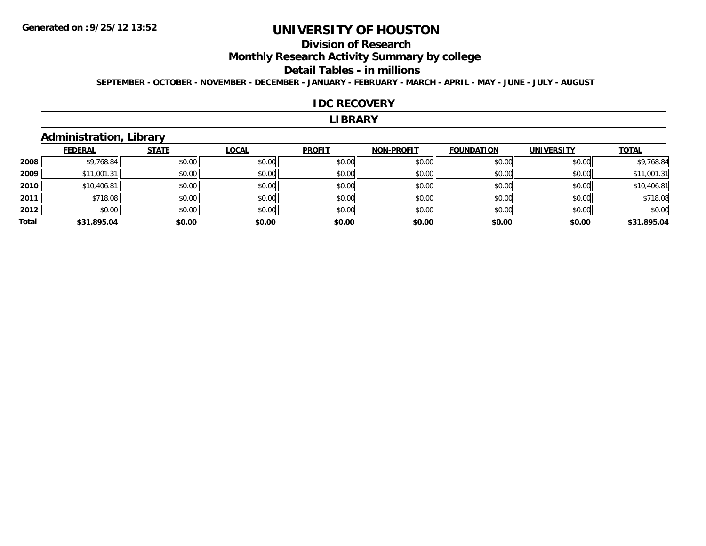## **Division of Research**

**Monthly Research Activity Summary by college**

#### **Detail Tables - in millions**

**SEPTEMBER - OCTOBER - NOVEMBER - DECEMBER - JANUARY - FEBRUARY - MARCH - APRIL - MAY - JUNE - JULY - AUGUST**

#### **IDC RECOVERY**

#### **LIBRARY**

### **Administration, Library**

|       | <b>FEDERAL</b> | <b>STATE</b> | <b>LOCAL</b> | <b>PROFIT</b> | <b>NON-PROFIT</b> | <b>FOUNDATION</b> | <b>UNIVERSITY</b> | <b>TOTAL</b> |
|-------|----------------|--------------|--------------|---------------|-------------------|-------------------|-------------------|--------------|
| 2008  | \$9,768.84     | \$0.00       | \$0.00       | \$0.00        | \$0.00            | \$0.00            | \$0.00            | \$9,768.84   |
| 2009  | \$11,001.31    | \$0.00       | \$0.00       | \$0.00        | \$0.00            | \$0.00            | \$0.00            | \$11,001.31  |
| 2010  | \$10,406.81    | \$0.00       | \$0.00       | \$0.00        | \$0.00            | \$0.00            | \$0.00            | \$10,406.81  |
| 2011  | \$718.08       | \$0.00       | \$0.00       | \$0.00        | \$0.00            | \$0.00            | \$0.00            | \$718.08     |
| 2012  | \$0.00         | \$0.00       | \$0.00       | \$0.00        | \$0.00            | \$0.00            | \$0.00            | \$0.00       |
| Total | \$31,895.04    | \$0.00       | \$0.00       | \$0.00        | \$0.00            | \$0.00            | \$0.00            | \$31,895.04  |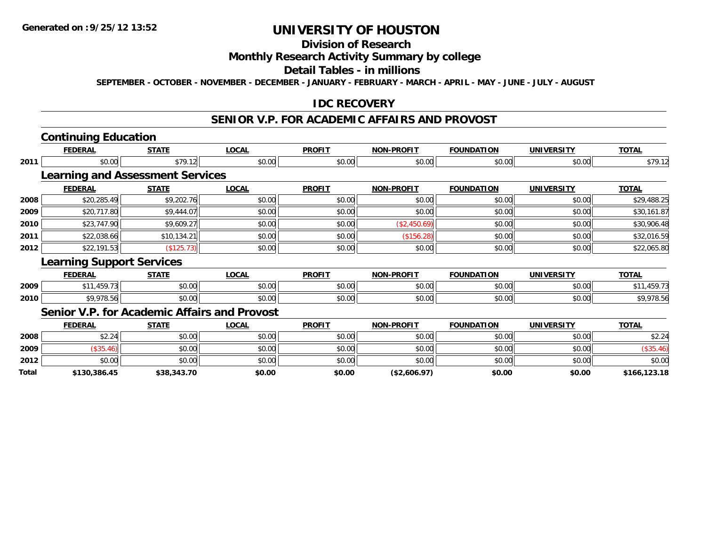### **Division of Research**

#### **Monthly Research Activity Summary by college**

#### **Detail Tables - in millions**

**SEPTEMBER - OCTOBER - NOVEMBER - DECEMBER - JANUARY - FEBRUARY - MARCH - APRIL - MAY - JUNE - JULY - AUGUST**

### **IDC RECOVERY**

## **SENIOR V.P. FOR ACADEMIC AFFAIRS AND PROVOST**

## **Continuing Education**

**Total**

|      | <b>FEDERAL</b>                          | <b>STATE</b> | <b>LOCAL</b>                                        | <b>PROFIT</b> | <b>NON-PROFIT</b> | <b>FOUNDATION</b> | <b>UNIVERSITY</b> | <b>TOTAL</b> |
|------|-----------------------------------------|--------------|-----------------------------------------------------|---------------|-------------------|-------------------|-------------------|--------------|
| 2011 | \$0.00                                  | \$79.12      | \$0.00                                              | \$0.00        | \$0.00            | \$0.00            | \$0.00            | \$79.12      |
|      | <b>Learning and Assessment Services</b> |              |                                                     |               |                   |                   |                   |              |
|      | <b>FEDERAL</b>                          | <b>STATE</b> | <b>LOCAL</b>                                        | <b>PROFIT</b> | <b>NON-PROFIT</b> | <b>FOUNDATION</b> | <b>UNIVERSITY</b> | <b>TOTAL</b> |
| 2008 | \$20,285.49                             | \$9,202.76   | \$0.00                                              | \$0.00        | \$0.00            | \$0.00            | \$0.00            | \$29,488.25  |
| 2009 | \$20,717.80                             | \$9,444.07   | \$0.00                                              | \$0.00        | \$0.00            | \$0.00            | \$0.00            | \$30,161.87  |
| 2010 | \$23,747.90                             | \$9,609.27   | \$0.00                                              | \$0.00        | (\$2,450.69)      | \$0.00            | \$0.00            | \$30,906.48  |
| 2011 | \$22,038.66                             | \$10,134.21  | \$0.00                                              | \$0.00        | (\$156.28)        | \$0.00            | \$0.00            | \$32,016.59  |
| 2012 | \$22,191.53                             | (\$125.73)   | \$0.00                                              | \$0.00        | \$0.00            | \$0.00            | \$0.00            | \$22,065.80  |
|      | <b>Learning Support Services</b>        |              |                                                     |               |                   |                   |                   |              |
|      | <b>FEDERAL</b>                          | <b>STATE</b> | <b>LOCAL</b>                                        | <b>PROFIT</b> | <b>NON-PROFIT</b> | <b>FOUNDATION</b> | <b>UNIVERSITY</b> | <b>TOTAL</b> |
| 2009 | \$11,459.73                             | \$0.00       | \$0.00                                              | \$0.00        | \$0.00            | \$0.00            | \$0.00            | \$11,459.73  |
| 2010 | \$9,978.56                              | \$0.00       | \$0.00                                              | \$0.00        | \$0.00            | \$0.00            | \$0.00            | \$9,978.56   |
|      |                                         |              | <b>Senior V.P. for Academic Affairs and Provost</b> |               |                   |                   |                   |              |
|      | <b>FEDERAL</b>                          | <b>STATE</b> | <b>LOCAL</b>                                        | <b>PROFIT</b> | <b>NON-PROFIT</b> | <b>FOUNDATION</b> | <b>UNIVERSITY</b> | <b>TOTAL</b> |
| 2008 | \$2.24                                  | \$0.00       | \$0.00                                              | \$0.00        | \$0.00            | \$0.00            | \$0.00            | \$2.24       |
| 2009 | (\$35.46)                               | \$0.00       | \$0.00                                              | \$0.00        | \$0.00            | \$0.00            | \$0.00            | (\$35.46)    |
| 2012 | \$0.00                                  | \$0.00       | \$0.00                                              | \$0.00        | \$0.00            | \$0.00            | \$0.00            | \$0.00       |

**\$130,386.45 \$38,343.70 \$0.00 \$0.00 (\$2,606.97) \$0.00 \$0.00 \$166,123.18**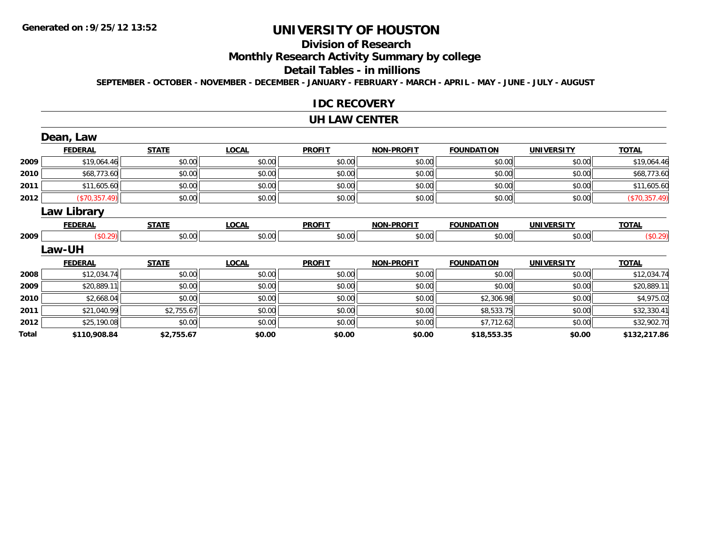## **Division of Research**

**Monthly Research Activity Summary by college**

#### **Detail Tables - in millions**

**SEPTEMBER - OCTOBER - NOVEMBER - DECEMBER - JANUARY - FEBRUARY - MARCH - APRIL - MAY - JUNE - JULY - AUGUST**

#### **IDC RECOVERY**

#### **UH LAW CENTER**

|       | Dean, Law      |              |              |               |                   |                   |                   |               |
|-------|----------------|--------------|--------------|---------------|-------------------|-------------------|-------------------|---------------|
|       | <b>FEDERAL</b> | <b>STATE</b> | <b>LOCAL</b> | <b>PROFIT</b> | <b>NON-PROFIT</b> | <b>FOUNDATION</b> | <b>UNIVERSITY</b> | <b>TOTAL</b>  |
| 2009  | \$19,064.46    | \$0.00       | \$0.00       | \$0.00        | \$0.00            | \$0.00            | \$0.00            | \$19,064.46   |
| 2010  | \$68,773.60    | \$0.00       | \$0.00       | \$0.00        | \$0.00            | \$0.00            | \$0.00            | \$68,773.60   |
| 2011  | \$11,605.60    | \$0.00       | \$0.00       | \$0.00        | \$0.00            | \$0.00            | \$0.00            | \$11,605.60   |
| 2012  | (\$70,357.49)  | \$0.00       | \$0.00       | \$0.00        | \$0.00            | \$0.00            | \$0.00            | (\$70,357.49) |
|       | Law Library    |              |              |               |                   |                   |                   |               |
|       | <b>FEDERAL</b> | <b>STATE</b> | <b>LOCAL</b> | <b>PROFIT</b> | <b>NON-PROFIT</b> | <b>FOUNDATION</b> | <b>UNIVERSITY</b> | <b>TOTAL</b>  |
| 2009  | (\$0.29)       | \$0.00       | \$0.00       | \$0.00        | \$0.00            | \$0.00            | \$0.00            | (\$0.29)      |
|       | Law-UH         |              |              |               |                   |                   |                   |               |
|       | <b>FEDERAL</b> | <b>STATE</b> | <b>LOCAL</b> | <b>PROFIT</b> | <b>NON-PROFIT</b> | <b>FOUNDATION</b> | <b>UNIVERSITY</b> | <b>TOTAL</b>  |
| 2008  | \$12,034.74    | \$0.00       | \$0.00       | \$0.00        | \$0.00            | \$0.00            | \$0.00            | \$12,034.74   |
| 2009  | \$20,889.11    | \$0.00       | \$0.00       | \$0.00        | \$0.00            | \$0.00            | \$0.00            | \$20,889.11   |
| 2010  | \$2,668.04     | \$0.00       | \$0.00       | \$0.00        | \$0.00            | \$2,306.98        | \$0.00            | \$4,975.02    |
| 2011  | \$21,040.99    | \$2,755.67   | \$0.00       | \$0.00        | \$0.00            | \$8,533.75        | \$0.00            | \$32,330.41   |
| 2012  | \$25,190.08    | \$0.00       | \$0.00       | \$0.00        | \$0.00            | \$7,712.62        | \$0.00            | \$32,902.70   |
| Total | \$110,908.84   | \$2,755.67   | \$0.00       | \$0.00        | \$0.00            | \$18,553.35       | \$0.00            | \$132,217.86  |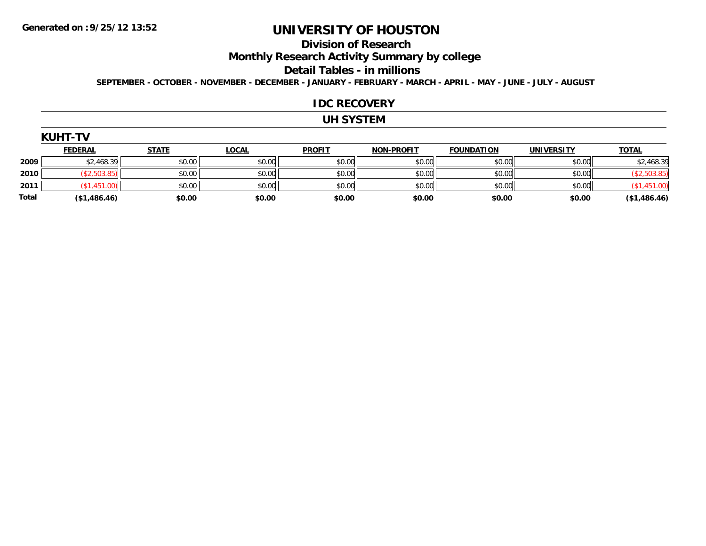#### **Division of Research**

**Monthly Research Activity Summary by college**

#### **Detail Tables - in millions**

**SEPTEMBER - OCTOBER - NOVEMBER - DECEMBER - JANUARY - FEBRUARY - MARCH - APRIL - MAY - JUNE - JULY - AUGUST**

#### **IDC RECOVERY**

### **UH SYSTEM**

| <b>KUHT</b> |  |
|-------------|--|
|-------------|--|

|              | <b>FEDERAL</b> | <b>STATE</b> | <u>LOCAL</u> | <b>PROFIT</b> | <b>NON-PROFIT</b> | <b>FOUNDATION</b> | <b>UNIVERSITY</b> | <b>TOTAL</b> |
|--------------|----------------|--------------|--------------|---------------|-------------------|-------------------|-------------------|--------------|
| 2009         | \$2,468.39     | \$0.00       | \$0.00       | \$0.00        | \$0.00            | \$0.00            | \$0.00            | \$2,468.39   |
| 2010         | \$2,503.85)    | \$0.00       | \$0.00       | \$0.00        | \$0.00            | \$0.00            | \$0.00            | \$2,503.85   |
| 2011         | \$1.451.       | \$0.00       | \$0.00       | \$0.00        | \$0.00            | \$0.00            | \$0.00            | ,451.00      |
| <b>Total</b> | (\$1,486.46)   | \$0.00       | \$0.00       | \$0.00        | \$0.00            | \$0.00            | \$0.00            | (\$1,486.46) |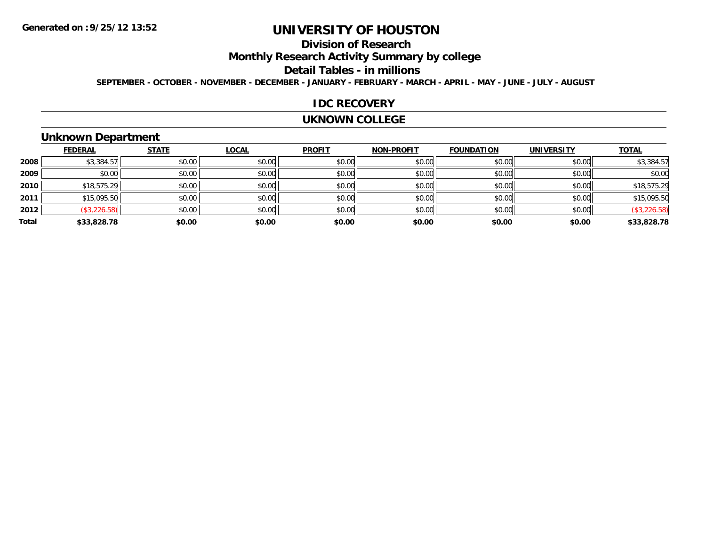## **Division of Research**

**Monthly Research Activity Summary by college**

#### **Detail Tables - in millions**

**SEPTEMBER - OCTOBER - NOVEMBER - DECEMBER - JANUARY - FEBRUARY - MARCH - APRIL - MAY - JUNE - JULY - AUGUST**

#### **IDC RECOVERY**

#### **UKNOWN COLLEGE**

### **Unknown Department**

|       | <b>FEDERAL</b> | <b>STATE</b> | <b>LOCAL</b> | <b>PROFIT</b> | <b>NON-PROFIT</b> | <b>FOUNDATION</b> | <b>UNIVERSITY</b> | <b>TOTAL</b> |
|-------|----------------|--------------|--------------|---------------|-------------------|-------------------|-------------------|--------------|
| 2008  | \$3,384.57     | \$0.00       | \$0.00       | \$0.00        | \$0.00            | \$0.00            | \$0.00            | \$3,384.57   |
| 2009  | \$0.00         | \$0.00       | \$0.00       | \$0.00        | \$0.00            | \$0.00            | \$0.00            | \$0.00       |
| 2010  | \$18,575.29    | \$0.00       | \$0.00       | \$0.00        | \$0.00            | \$0.00            | \$0.00            | \$18,575.29  |
| 2011  | \$15,095.50    | \$0.00       | \$0.00       | \$0.00        | \$0.00            | \$0.00            | \$0.00            | \$15,095.50  |
| 2012  | (\$3,226.58)   | \$0.00       | \$0.00       | \$0.00        | \$0.00            | \$0.00            | \$0.00            | (\$3,226.58) |
| Total | \$33,828.78    | \$0.00       | \$0.00       | \$0.00        | \$0.00            | \$0.00            | \$0.00            | \$33,828.78  |